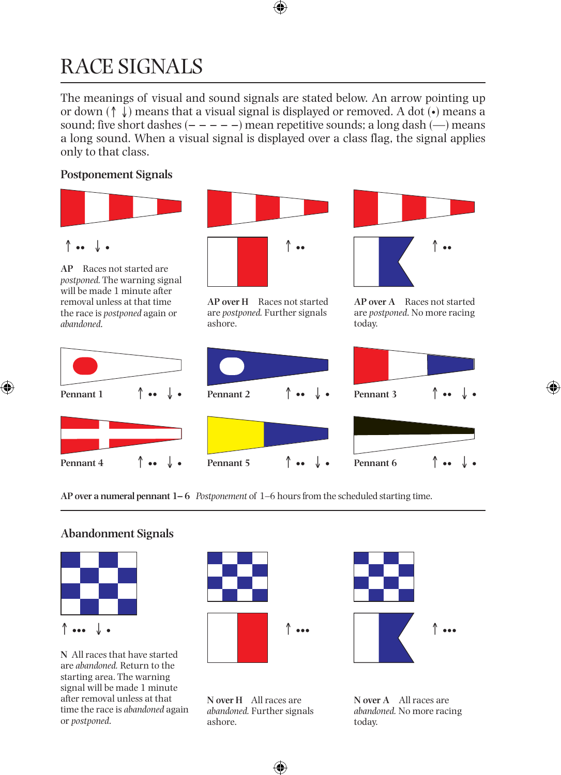$\bigcirc$ 

# RACE SIGNALS

The meanings of visual and sound signals are stated below. An arrow pointing up or down (↑ ↓) means that a visual signal is displayed or removed. A dot (•) means a sound; five short dashes  $(- - - -)$  mean repetitive sounds; a long dash  $(-)$  means a long sound. When a visual signal is displayed over a class flag, the signal applies only to that class.

#### **Postponement Signals**



**AP over a numeral pennant 1– 6** *Postponement* of 1–6 hours from the scheduled starting time.

#### **Abandonment Signals**



⊕

**N** All races that have started are *abandoned.* Return to the starting area. The warning signal will be made 1 minute after removal unless at that time the race is *abandoned* again or *postponed*.



**N over H** All races are *abandoned.* Further signals ashore.



⊕

**N over A** All races are *abandoned.* No more racing today.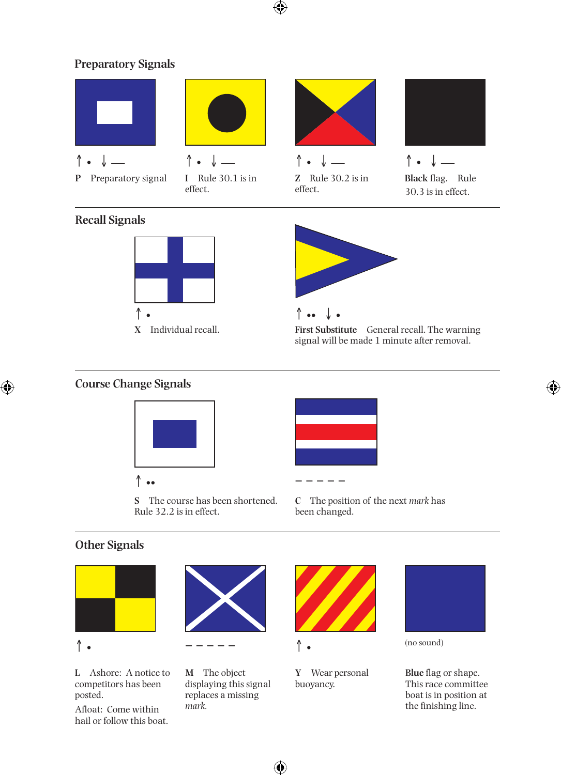

#### **Preparatory Signals**



#### **Recall Signals**



**X** Individual recall.





**First Substitute** General recall. The warning signal will be made 1 minute after removal.

#### **Course Change Signals**

◈





**S** The course has been shortened. Rule 32.2 is in effect.



**C** The position of the next *mark* has been changed.

#### **Other Signals**



**L** Ashore: A notice to competitors has been posted.

Afloat: Come within hail or follow this boat.



**M** The object displaying this signal replaces a missing *mark.*



**Y** Wear personal buoyancy.



⊕

**Blue** flag or shape. This race committee boat is in position at the finishing line.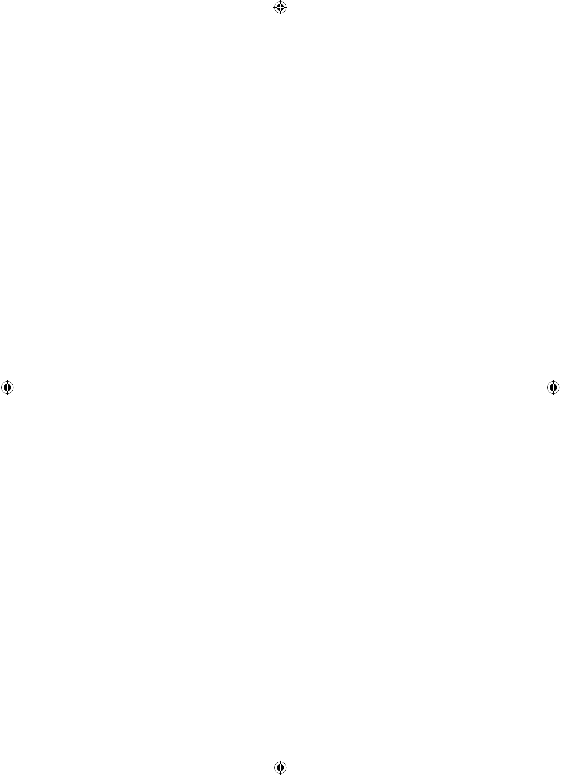

 $\bigoplus$ 



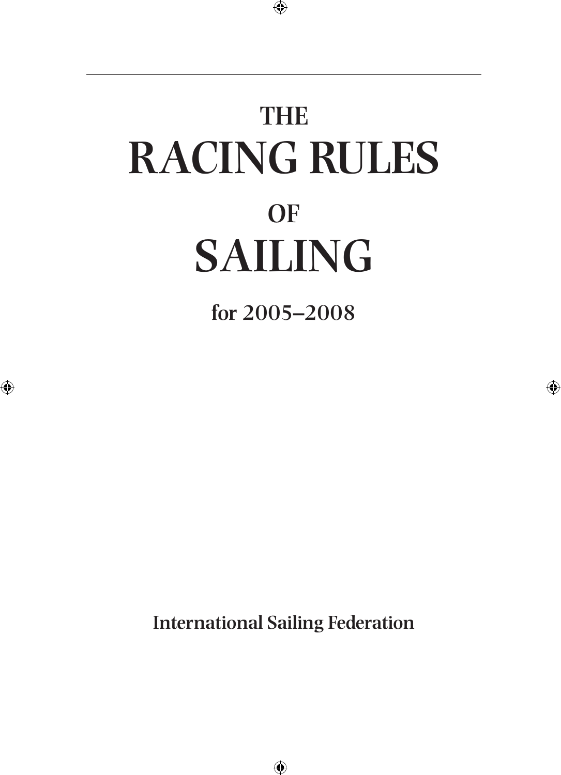# **THE RACING RULES OF SAILING**

 $\bigoplus$ 

**for 2005–2008**

⊕

 $\bigoplus$ 

**International Sailing Federation**

 $\bigodot$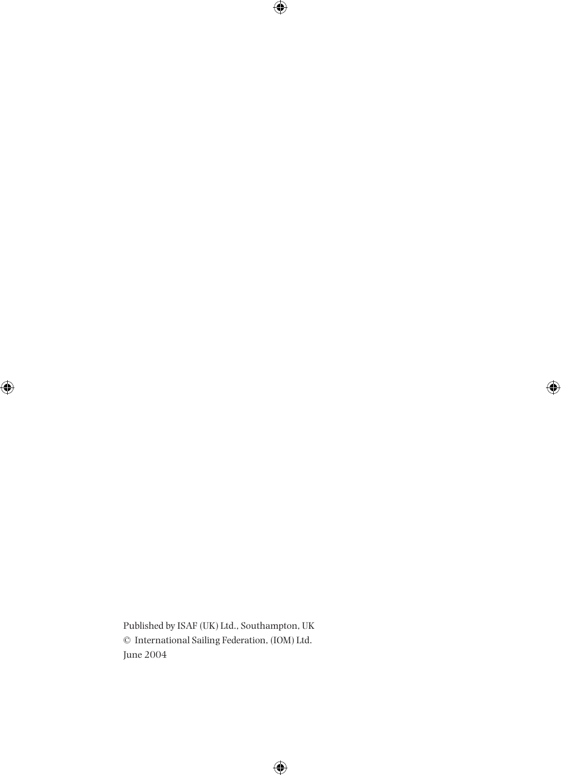Published by ISAF (UK) Ltd., Southampton, UK © International Sailing Federation, (IOM) Ltd. June 2004

 $\bigoplus$ 

 $\hat{\mathbf{\Theta}}$ 

 $\bigoplus$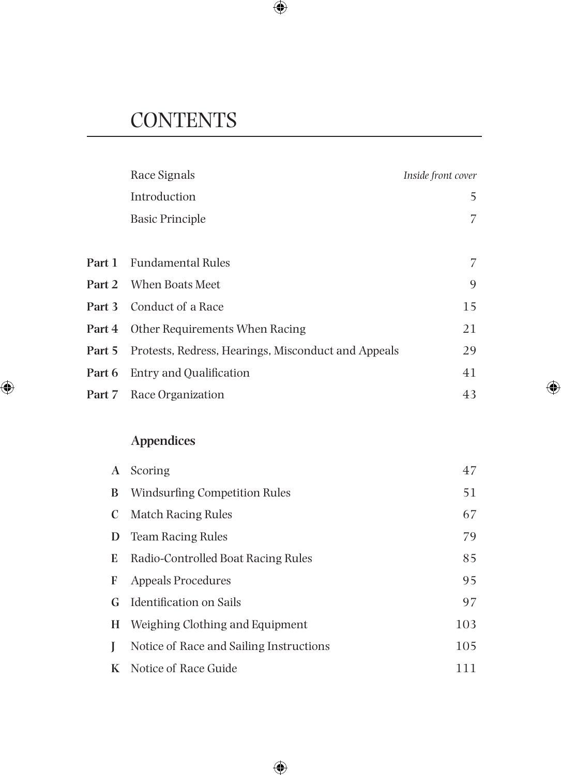# **CONTENTS**

| Race Signals                                               | Inside front cover |
|------------------------------------------------------------|--------------------|
| Introduction                                               | 5                  |
| <b>Basic Principle</b>                                     | 7                  |
|                                                            |                    |
| <b>Part 1</b> Fundamental Rules                            | 7                  |
| <b>Part 2</b> When Boats Meet                              | 9                  |
| <b>Part 3</b> Conduct of a Race                            | 15                 |
| <b>Part 4</b> Other Requirements When Racing               | 21                 |
| Part 5 Protests, Redress, Hearings, Misconduct and Appeals | 29                 |
| <b>Part 6</b> Entry and Oualification                      | 41                 |
| <b>Part 7</b> Race Organization                            | 43                 |

 $\bigoplus$ 

 $\bigoplus$ 

### **Appendices**

 $\hat{\mathbf{\Theta}}$ 

| A            | Scoring                                 | 47  |
|--------------|-----------------------------------------|-----|
| B            | Windsurfing Competition Rules           | 51  |
|              | C Match Racing Rules                    | 67  |
| D            | Team Racing Rules                       | 79  |
| E            | Radio-Controlled Boat Racing Rules      | 85  |
| F            | Appeals Procedures                      | 95  |
|              | <b>G</b> Identification on Sails        | 97  |
| H            | Weighing Clothing and Equipment         | 103 |
| $\mathbf{I}$ | Notice of Race and Sailing Instructions | 105 |
|              | K Notice of Race Guide                  | 111 |
|              |                                         |     |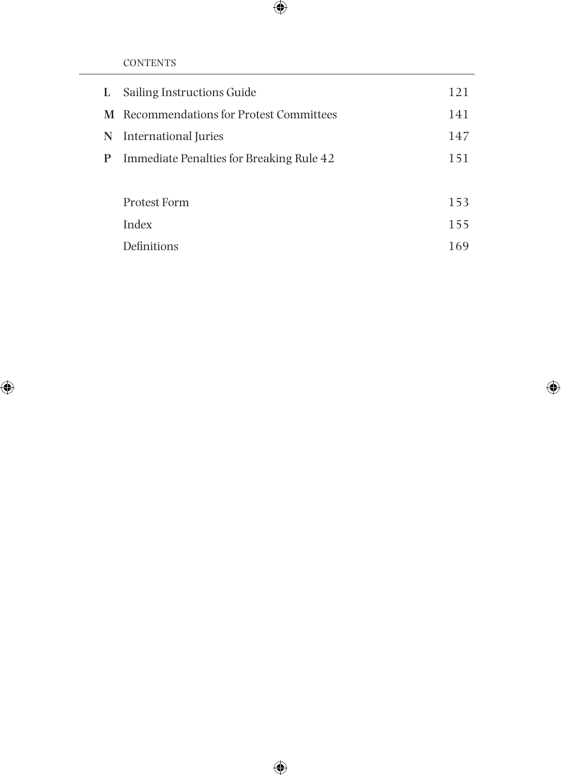#### **CONTENTS**

 $\hat{\mathbf{\Theta}}$ 

|   | L Sailing Instructions Guide                    | 121 |
|---|-------------------------------------------------|-----|
|   | <b>M</b> Recommendations for Protest Committees | 141 |
|   | N International Juries                          | 147 |
| P | Immediate Penalties for Breaking Rule 42        | 151 |
|   |                                                 |     |
|   | Protest Form                                    | 153 |
|   | Index                                           | 155 |
|   | Definitions                                     | 169 |

 $\bigoplus$ 

 $\bigoplus$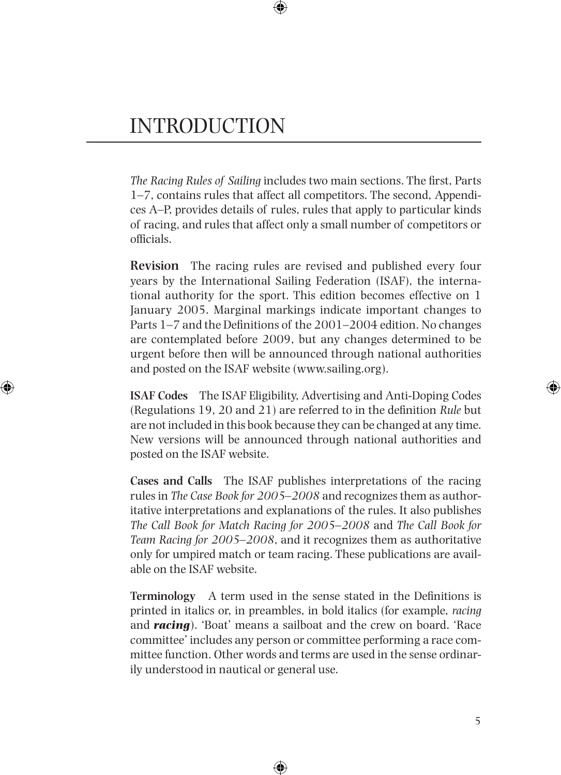# INTRODUCTION

⊕

*The Racing Rules of Sailing* includes two main sections. The first, Parts 1–7, contains rules that affect all competitors. The second, Appendices A–P, provides details of rules, rules that apply to particular kinds of racing, and rules that affect only a small number of competitors or officials.

 $\bigcirc$ 

**Revision** The racing rules are revised and published every four years by the International Sailing Federation (ISAF), the international authority for the sport. This edition becomes effective on 1 January 2005. Marginal markings indicate important changes to Parts 1–7 and the Definitions of the 2001–2004 edition. No changes are contemplated before 2009, but any changes determined to be urgent before then will be announced through national authorities and posted on the ISAF website (www.sailing.org).

**ISAF Codes** The ISAF Eligibility, Advertising and Anti-Doping Codes (Regulations 19, 20 and 21) are referred to in the definition *Rule* but are not included in this book because they can be changed at any time. New versions will be announced through national authorities and posted on the ISAF website.

**Cases and Calls** The ISAF publishes interpretations of the racing rules in *The Case Book for 2005–2008* and recognizes them as authoritative interpretations and explanations of the rules. It also publishes *The Call Book for Match Racing for 2005–2008* and *The Call Book for Team Racing for 2005–2008*, and it recognizes them as authoritative only for umpired match or team racing. These publications are available on the ISAF website.

**Terminology** A term used in the sense stated in the Definitions is printed in italics or, in preambles, in bold italics (for example, *racing* and *racing*). 'Boat' means a sailboat and the crew on board. 'Race committee' includes any person or committee performing a race committee function. Other words and terms are used in the sense ordinarily understood in nautical or general use.

 $\bigoplus$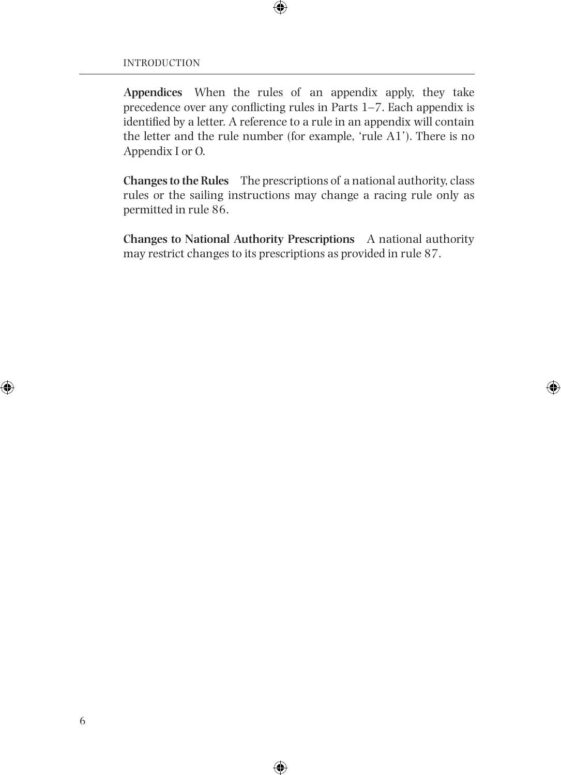#### INTRODUCTION

**Appendices** When the rules of an appendix apply, they take precedence over any conflicting rules in Parts 1–7. Each appendix is identified by a letter. A reference to a rule in an appendix will contain the letter and the rule number (for example, 'rule A1'). There is no Appendix I or O.

 $\bigoplus$ 

**Changes to the Rules** The prescriptions of a national authority, class rules or the sailing instructions may change a racing rule only as permitted in rule 86.

**Changes to National Authority Prescriptions** A national authority may restrict changes to its prescriptions as provided in rule 87.

 $\bigoplus$ 

⊕

♠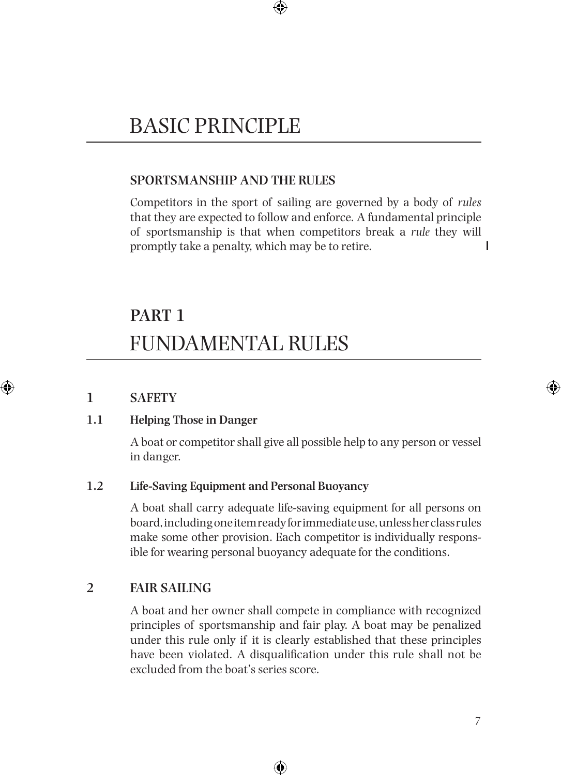# BASIC PRINCIPLE

#### **SPORTSMANSHIP AND THE RULES**

Competitors in the sport of sailing are governed by a body of *rules* that they are expected to follow and enforce. A fundamental principle of sportsmanship is that when competitors break a *rule* they will promptly take a penalty, which may be to retire. T

 $\bigcirc$ 

# **PART 1** FUNDAMENTAL RULES

#### **1 SAFETY**

⊕

#### **1.1 Helping Those in Danger**

A boat or competitor shall give all possible help to any person or vessel in danger.

#### **1.2 Life-Saving Equipment and Personal Buoyancy**

A boat shall carry adequate life-saving equipment for all persons on board, including one item ready for immediate use, unless her class rules make some other provision. Each competitor is individually responsible for wearing personal buoyancy adequate for the conditions.

#### **2 FAIR SAILING**

A boat and her owner shall compete in compliance with recognized principles of sportsmanship and fair play. A boat may be penalized under this rule only if it is clearly established that these principles have been violated. A disqualification under this rule shall not be excluded from the boat's series score.

 $\bigoplus$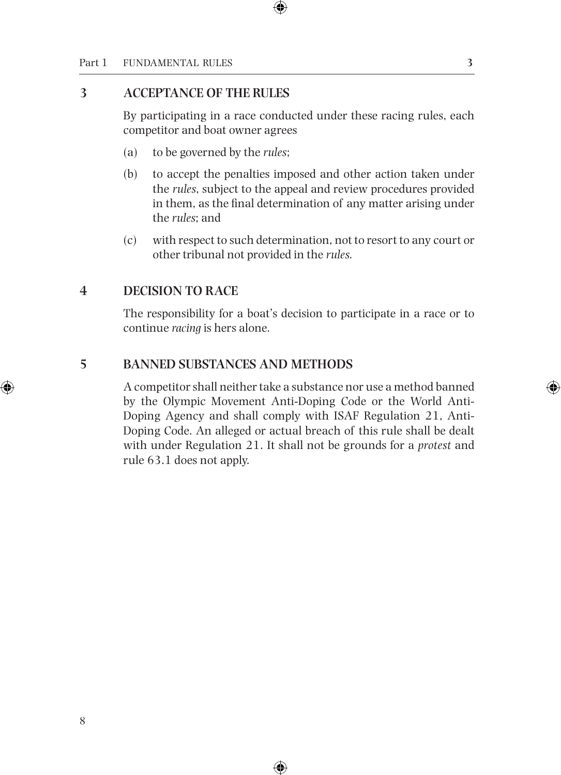#### **3 ACCEPTANCE OF THE RULES**

By participating in a race conducted under these racing rules, each competitor and boat owner agrees

⊕

- (a) to be governed by the *rules*;
- (b) to accept the penalties imposed and other action taken under the *rules*, subject to the appeal and review procedures provided in them, as the final determination of any matter arising under the *rules*; and
- (c) with respect to such determination, not to resort to any court or other tribunal not provided in the *rules.*

#### **4 DECISION TO RACE**

The responsibility for a boat's decision to participate in a race or to continue *racing* is hers alone*.*

#### **5 BANNED SUBSTANCES AND METHODS**

A competitor shall neither take a substance nor use a method banned by the Olympic Movement Anti-Doping Code or the World Anti-Doping Agency and shall comply with ISAF Regulation 21, Anti-Doping Code. An alleged or actual breach of this rule shall be dealt with under Regulation 21. It shall not be grounds for a *protest* and rule 63.1 does not apply.

 $\bigoplus$ 

⊕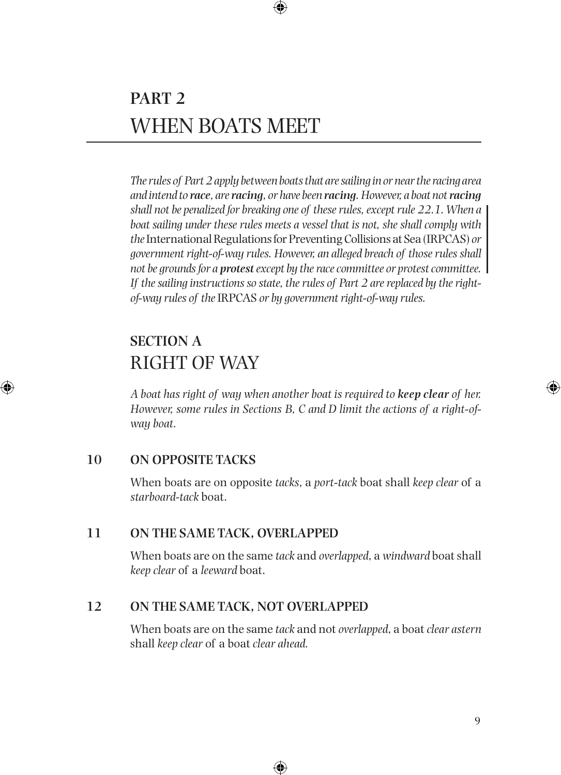# **PART 2** WHEN BOATS MEET

*The rules of Part 2 apply between boats that are sailing in or near the racing area and intend to race, are racing, or have been racing. However, a boat not racing shall not be penalized for breaking one of these rules, except rule 22.1. When a boat sailing under these rules meets a vessel that is not, she shall comply with the* International Regulations for Preventing Collisions at Sea (IRPCAS) *or government right-of-way rules. However, an alleged breach of those rules shall not be grounds for a protest except by the race committee or protest committee. If the sailing instructions so state, the rules of Part 2 are replaced by the rightof-way rules of the* IRPCAS *or by government right-of-way rules.*

 $\bigcirc$ 

## **SECTION A** RIGHT OF WAY

 *A boat has right of way when another boat is required to keep clear of her. However, some rules in Sections B, C and D limit the actions of a right-ofway boat.*

#### **10 ON OPPOSITE TACKS**

⊕

When boats are on opposite *tacks*, a *port-tack* boat shall *keep clear* of a *starboard-tack* boat.

#### **11 ON THE SAME TACK, OVERLAPPED**

When boats are on the same *tack* and *overlapped*, a *windward* boat shall *keep clear* of a *leeward* boat.

#### **12 ON THE SAME TACK, NOT OVERLAPPED**

When boats are on the same *tack* and not *overlapped*, a boat *clear astern* shall *keep clear* of a boat *clear ahead.*

 $\bigoplus$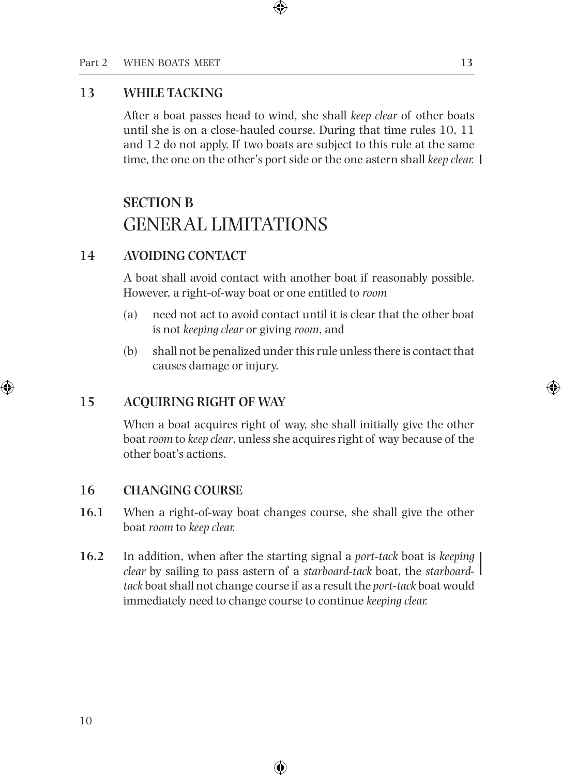#### **13 WHILE TACKING**

After a boat passes head to wind, she shall *keep clear* of other boats until she is on a close-hauled course. During that time rules 10, 11 and 12 do not apply. If two boats are subject to this rule at the same time, the one on the other's port side or the one astern shall *keep clear.*

 $\bigcirc$ 

### **SECTION B** GENERAL LIMITATIONS

#### **14 AVOIDING CONTACT**

A boat shall avoid contact with another boat if reasonably possible. However, a right-of-way boat or one entitled to *room*

- (a) need not act to avoid contact until it is clear that the other boat is not *keeping clear* or giving *room*, and
- (b) shall not be penalized under this rule unless there is contact that causes damage or injury.

#### **15 ACQUIRING RIGHT OF WAY**

When a boat acquires right of way, she shall initially give the other boat *room* to *keep clear*, unless she acquires right of way because of the other boat's actions.

#### **16 CHANGING COURSE**

- **16.1** When a right-of-way boat changes course, she shall give the other boat *room* to *keep clear.*
- **16.2** In addition, when after the starting signal a *port-tack* boat is *keeping clear* by sailing to pass astern of a *starboard-tack* boat, the *starboardtack* boat shall not change course if as a result the *port-tack* boat would immediately need to change course to continue *keeping clear.*

 $\bigoplus$ 

⊕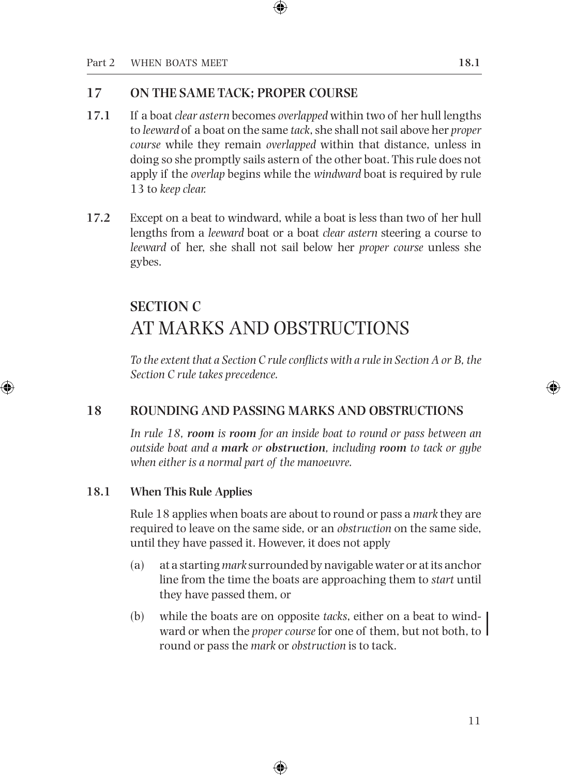#### **17 ON THE SAME TACK; PROPER COURSE**

**17.1** If a boat *clear astern* becomes *overlapped* within two of her hull lengths to *leeward* of a boat on the same *tack*, she shall not sail above her *proper course* while they remain *overlapped* within that distance, unless in doing so she promptly sails astern of the other boat. This rule does not apply if the *overlap* begins while the *windward* boat is required by rule 13 to *keep clear.*

 $\bigcirc$ 

**17.2** Except on a beat to windward, while a boat is less than two of her hull lengths from a *leeward* boat or a boat *clear astern* steering a course to *leeward* of her, she shall not sail below her *proper course* unless she gybes.

## **SECTION C** AT MARKS AND OBSTRUCTIONS

 *To the extent that a Section C rule conflicts with a rule in Section A or B, the Section C rule takes precedence.*

**18 ROUNDING AND PASSING MARKS AND OBSTRUCTIONS** 

*In rule 18, room is room for an inside boat to round or pass between an outside boat and a mark or obstruction, including room to tack or gybe when either is a normal part of the manoeuvre.* 

#### **18.1 When This Rule Applies**

⊕

 Rule 18 applies when boats are about to round or pass a *mark* they are required to leave on the same side, or an *obstruction* on the same side, until they have passed it. However, it does not apply

- (a) at a starting *mark* surrounded by navigable water or at its anchor line from the time the boats are approaching them to *start* until they have passed them, or
- (b) while the boats are on opposite *tacks*, either on a beat to windward or when the *proper course* for one of them, but not both, to round or pass the *mark* or *obstruction* is to tack.

 $\bigoplus$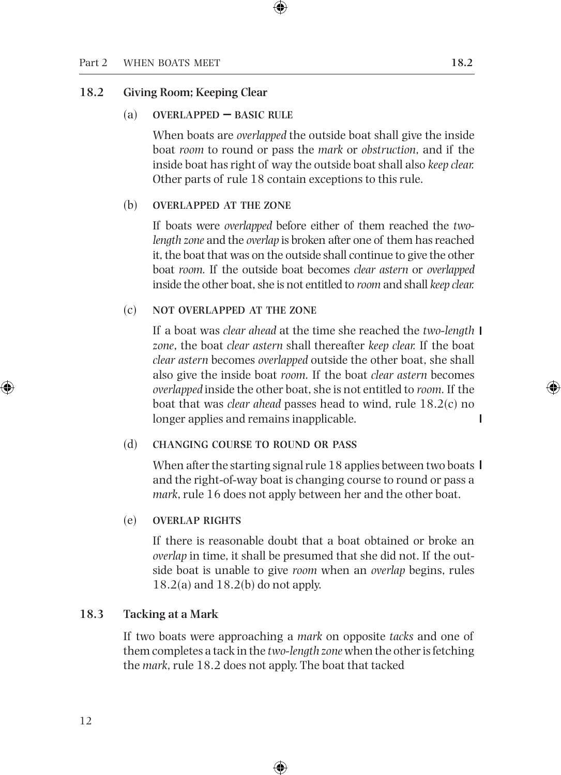#### **18.2 Giving Room; Keeping Clear**

#### (a) **OVERLAPPED – BASIC RULE**

 When boats are *overlapped* the outside boat shall give the inside boat *room* to round or pass the *mark* or *obstruction*, and if the inside boat has right of way the outside boat shall also *keep clear.*  Other parts of rule 18 contain exceptions to this rule.

 $\bigcirc$ 

#### (b) **OVERLAPPED AT THE ZONE**

 If boats were *overlapped* before either of them reached the *twolength zone* and the *overlap* is broken after one of them has reached it, the boat that was on the outside shall continue to give the other boat *room.* If the outside boat becomes *clear astern* or *overlapped* inside the other boat, she is not entitled to *room* and shall *keep clear.* 

#### (c) **NOT OVERLAPPED AT THE ZONE**

 If a boat was *clear ahead* at the time she reached the *two-length zone*, the boat *clear astern* shall thereafter *keep clear.* If the boat *clear astern* becomes *overlapped* outside the other boat, she shall also give the inside boat *room.* If the boat *clear astern* becomes *overlapped* inside the other boat, she is not entitled to *room.* If the boat that was *clear ahead* passes head to wind, rule 18.2(c) no longer applies and remains inapplicable.  $\overline{1}$ 

#### (d) **CHANGING COURSE TO ROUND OR PASS**

When after the starting signal rule 18 applies between two boats 1 and the right-of-way boat is changing course to round or pass a *mark*, rule 16 does not apply between her and the other boat.

#### (e) **OVERLAP RIGHTS**

 If there is reasonable doubt that a boat obtained or broke an *overlap* in time, it shall be presumed that she did not. If the outside boat is unable to give *room* when an *overlap* begins, rules 18.2(a) and 18.2(b) do not apply.

#### **18.3 Tacking at a Mark**

If two boats were approaching a *mark* on opposite *tacks* and one of them completes a tack in the *two-length zone* when the other is fetching the *mark*, rule 18.2 does not apply. The boat that tacked

 $\bigoplus$ 

⊕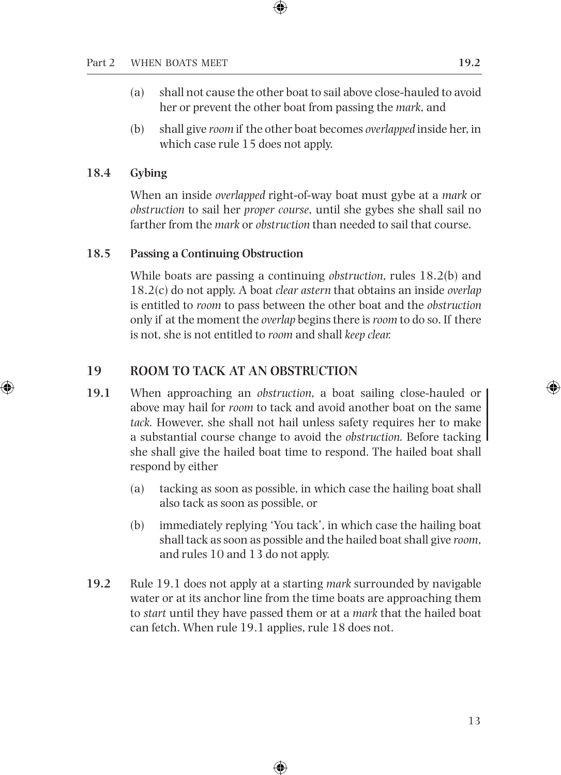$\bigcirc$ 

 (b) shall give *room* if the other boat becomes *overlapped* inside her, in which case rule 15 does not apply.

#### **18.4 Gybing**

⊕

 When an inside *overlapped* right-of-way boat must gybe at a *mark* or *obstruction* to sail her *proper course*, until she gybes she shall sail no farther from the *mark* or *obstruction* than needed to sail that course.

#### **18.5 Passing a Continuing Obstruction**

 While boats are passing a continuing *obstruction*, rules 18.2(b) and 18.2(c) do not apply. A boat *clear astern* that obtains an inside *overlap* is entitled to *room* to pass between the other boat and the *obstruction* only if at the moment the *overlap* begins there is *room* to do so. If there is not, she is not entitled to *room* and shall *keep clear.*

#### **19 ROOM TO TACK AT AN OBSTRUCTION**

- **19.1** When approaching an *obstruction*, a boat sailing close-hauled or above may hail for *room* to tack and avoid another boat on the same *tack.* However, she shall not hail unless safety requires her to make a substantial course change to avoid the *obstruction.* Before tacking she shall give the hailed boat time to respond. The hailed boat shall respond by either
	- (a) tacking as soon as possible, in which case the hailing boat shall also tack as soon as possible, or
	- (b) immediately replying 'You tack', in which case the hailing boat shall tack as soon as possible and the hailed boat shall give *room*, and rules 10 and 13 do not apply.
- **19.2** Rule 19.1 does not apply at a starting *mark* surrounded by navigable water or at its anchor line from the time boats are approaching them to *start* until they have passed them or at a *mark* that the hailed boat can fetch. When rule 19.1 applies, rule 18 does not.

 $\bigoplus$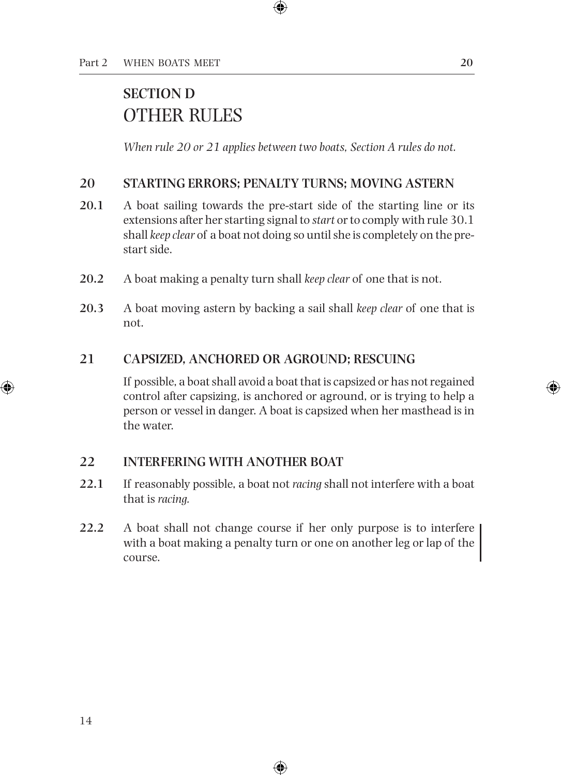### **SECTION D** OTHER RULES

 *When rule 20 or 21 applies between two boats, Section A rules do not.*

⊕

#### **20 STARTING ERRORS; PENALTY TURNS; MOVING ASTERN**

- **20.1** A boat sailing towards the pre-start side of the starting line or its extensions after her starting signal to *start* or to comply with rule 30.1 shall *keep clear* of a boat not doing so until she is completely on the prestart side.
- **20.2** A boat making a penalty turn shall *keep clear* of one that is not.
- **20.3** A boat moving astern by backing a sail shall *keep clear* of one that is not.

#### **21 CAPSIZED, ANCHORED OR AGROUND; RESCUING**

If possible, a boat shall avoid a boat that is capsized or has not regained control after capsizing, is anchored or aground, or is trying to help a person or vessel in danger. A boat is capsized when her masthead is in the water.

#### **22 INTERFERING WITH ANOTHER BOAT**

- **22.1** If reasonably possible, a boat not *racing* shall not interfere with a boat that is *racing.*
- **22.2** A boat shall not change course if her only purpose is to interfere with a boat making a penalty turn or one on another leg or lap of the course.

 $\bigoplus$ 

⊕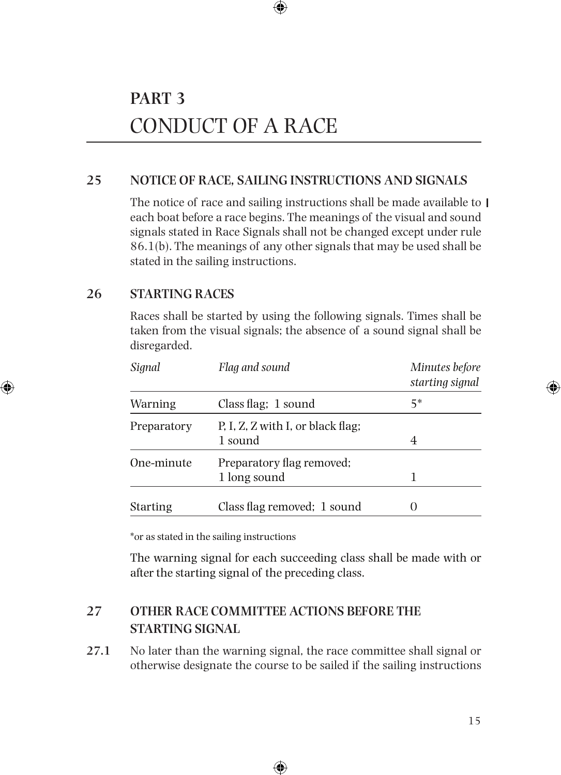# **PART 3** CONDUCT OF A RACE

#### **25 NOTICE OF RACE, SAILING INSTRUCTIONS AND SIGNALS**

⊕

The notice of race and sailing instructions shall be made available to 1 each boat before a race begins. The meanings of the visual and sound signals stated in Race Signals shall not be changed except under rule 86.1(b). The meanings of any other signals that may be used shall be stated in the sailing instructions.

#### **26 STARTING RACES**

♠

Races shall be started by using the following signals. Times shall be taken from the visual signals; the absence of a sound signal shall be disregarded.

| Signal          | Flag and sound                               | Minutes before<br>starting signal |
|-----------------|----------------------------------------------|-----------------------------------|
| Warning         | Class flag; 1 sound                          | 5*                                |
| Preparatory     | P, I, Z, Z with I, or black flag;<br>1 sound | 4                                 |
| One-minute      | Preparatory flag removed;                    |                                   |
|                 | 1 long sound                                 | 1                                 |
| <b>Starting</b> | Class flag removed; 1 sound                  |                                   |

\*or as stated in the sailing instructions

The warning signal for each succeeding class shall be made with or after the starting signal of the preceding class.

#### **27 OTHER RACE COMMITTEE ACTIONS BEFORE THE STARTING SIGNAL**

**27.1** No later than the warning signal, the race committee shall signal or otherwise designate the course to be sailed if the sailing instructions

 $\bigoplus$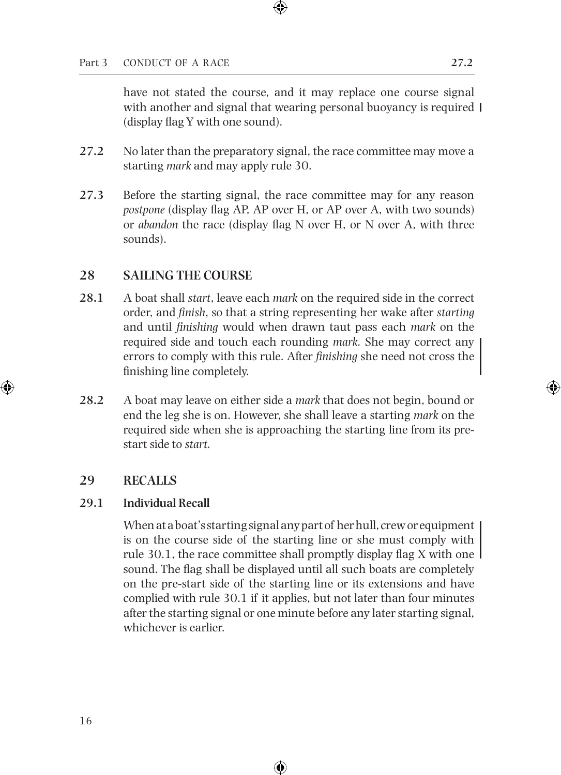have not stated the course, and it may replace one course signal with another and signal that wearing personal buoyancy is required 1 (display flag Y with one sound).

**27.2** No later than the preparatory signal, the race committee may move a starting *mark* and may apply rule 30.

 $\bigcirc$ 

**27.3** Before the starting signal, the race committee may for any reason *postpone* (display flag AP, AP over H, or AP over A, with two sounds) or *abandon* the race (display flag N over H, or N over A, with three sounds).

#### **28 SAILING THE COURSE**

- **28.1** A boat shall *start*, leave each *mark* on the required side in the correct order, and *finish*, so that a string representing her wake after *starting* and until *finishing* would when drawn taut pass each *mark* on the required side and touch each rounding *mark.* She may correct any errors to comply with this rule. After *finishing* she need not cross the finishing line completely.
- **28.2** A boat may leave on either side a *mark* that does not begin, bound or end the leg she is on. However, she shall leave a starting *mark* on the required side when she is approaching the starting line from its prestart side to *start.*

#### **29 RECALLS**

⊕

#### **29.1 Individual Recall**

When at a boat's starting signal any part of her hull, crew or equipment is on the course side of the starting line or she must comply with rule 30.1, the race committee shall promptly display flag X with one I sound. The flag shall be displayed until all such boats are completely on the pre-start side of the starting line or its extensions and have complied with rule 30.1 if it applies, but not later than four minutes after the starting signal or one minute before any later starting signal, whichever is earlier.

 $\bigoplus$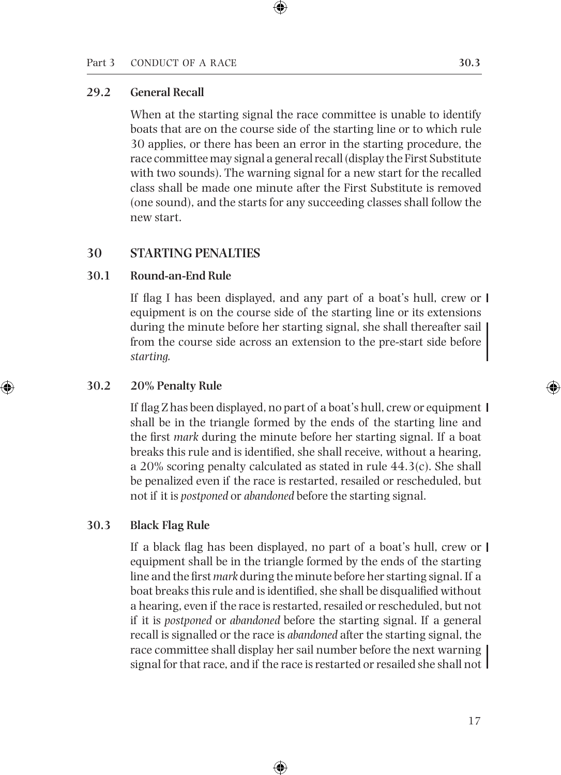#### **29.2 General Recall**

When at the starting signal the race committee is unable to identify boats that are on the course side of the starting line or to which rule 30 applies, or there has been an error in the starting procedure, the race committee may signal a general recall (display the First Substitute with two sounds). The warning signal for a new start for the recalled class shall be made one minute after the First Substitute is removed (one sound), and the starts for any succeeding classes shall follow the new start.

 $\bigcirc$ 

#### **30 STARTING PENALTIES**

#### **30.1 Round-an-End Rule**

If flag I has been displayed, and any part of a boat's hull, crew or  $\parallel$ equipment is on the course side of the starting line or its extensions during the minute before her starting signal, she shall thereafter sail from the course side across an extension to the pre-start side before *starting.*

#### **30.2 20% Penalty Rule**

⊕

If flag Z has been displayed, no part of a boat's hull, crew or equipment 1 shall be in the triangle formed by the ends of the starting line and the first *mark* during the minute before her starting signal. If a boat breaks this rule and is identified, she shall receive, without a hearing, a 20% scoring penalty calculated as stated in rule 44.3(c). She shall be penalized even if the race is restarted, resailed or rescheduled, but not if it is *postponed* or *abandoned* before the starting signal.

#### **30.3 Black Flag Rule**

If a black flag has been displayed, no part of a boat's hull, crew or equipment shall be in the triangle formed by the ends of the starting line and the first *mark* during the minute before her starting signal. If a boat breaks this rule and is identified, she shall be disqualified without a hearing, even if the race is restarted, resailed or rescheduled, but not if it is *postponed* or *abandoned* before the starting signal. If a general recall is signalled or the race is *abandoned* after the starting signal, the race committee shall display her sail number before the next warning signal for that race, and if the race is restarted or resailed she shall not

 $\bigoplus$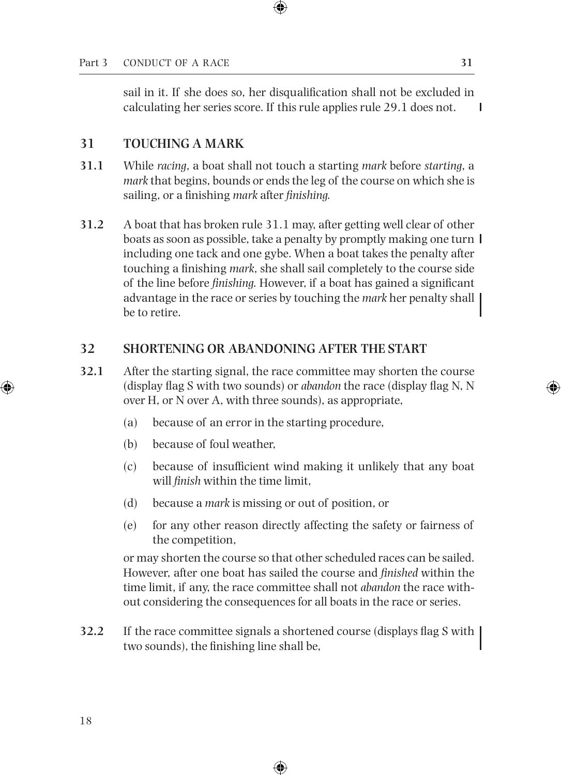sail in it. If she does so, her disqualification shall not be excluded in calculating her series score. If this rule applies rule 29.1 does not. T

#### **31 TOUCHING A MARK**

**31.1** While *racing*, a boat shall not touch a starting *mark* before *starting*, a *mark* that begins, bounds or ends the leg of the course on which she is sailing, or a finishing *mark* after *finishing.*

 $\bigcirc$ 

**31.2** A boat that has broken rule 31.1 may, after getting well clear of other boats as soon as possible, take a penalty by promptly making one turn including one tack and one gybe. When a boat takes the penalty after touching a finishing *mark*, she shall sail completely to the course side of the line before *finishing.* However, if a boat has gained a significant advantage in the race or series by touching the *mark* her penalty shall be to retire.

#### **32 SHORTENING OR ABANDONING AFTER THE START**

- **32.1** After the starting signal, the race committee may shorten the course (display flag S with two sounds) or *abandon* the race (display flag N, N over H, or N over A, with three sounds), as appropriate,
	- (a) because of an error in the starting procedure,
	- (b) because of foul weather,
	- (c) because of insufficient wind making it unlikely that any boat will *finish* within the time limit,
	- (d) because a *mark* is missing or out of position, or
	- (e) for any other reason directly affecting the safety or fairness of the competition,

 or may shorten the course so that other scheduled races can be sailed. However, after one boat has sailed the course and *finished* within the time limit, if any, the race committee shall not *abandon* the race without considering the consequences for all boats in the race or series.

**32.2** If the race committee signals a shortened course (displays flag S with two sounds), the finishing line shall be,

 $\bigoplus$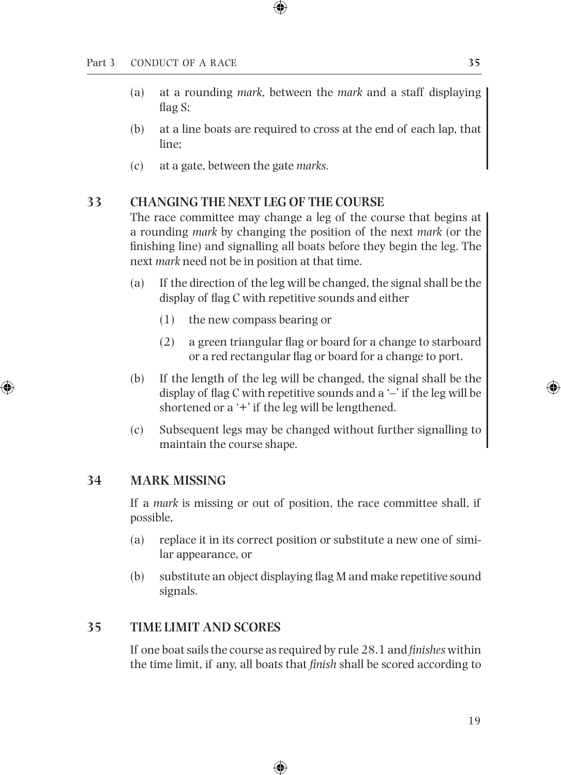(a) at a rounding *mark*, between the *mark* and a staff displaying flag S;

 $\bigcirc$ 

- (b) at a line boats are required to cross at the end of each lap, that line;
- (c) at a gate, between the gate *marks.*

#### **33 CHANGING THE NEXT LEG OF THE COURSE**

The race committee may change a leg of the course that begins at a rounding *mark* by changing the position of the next *mark* (or the finishing line) and signalling all boats before they begin the leg. The next *mark* need not be in position at that time.

- (a) If the direction of the leg will be changed, the signal shall be the display of flag C with repetitive sounds and either
	- (1) the new compass bearing or
	- (2) a green triangular flag or board for a change to starboard or a red rectangular flag or board for a change to port.
- (b) If the length of the leg will be changed, the signal shall be the display of flag C with repetitive sounds and a '–' if the leg will be shortened or a '+' if the leg will be lengthened.
- (c) Subsequent legs may be changed without further signalling to maintain the course shape.

#### **34 MARK MISSING**

⊕

If a *mark* is missing or out of position, the race committee shall, if possible,

- (a) replace it in its correct position or substitute a new one of similar appearance, or
- (b) substitute an object displaying flag M and make repetitive sound signals.

#### **35 TIME LIMIT AND SCORES**

If one boat sails the course as required by rule 28.1 and *finishes* within the time limit, if any, all boats that *finish* shall be scored according to

€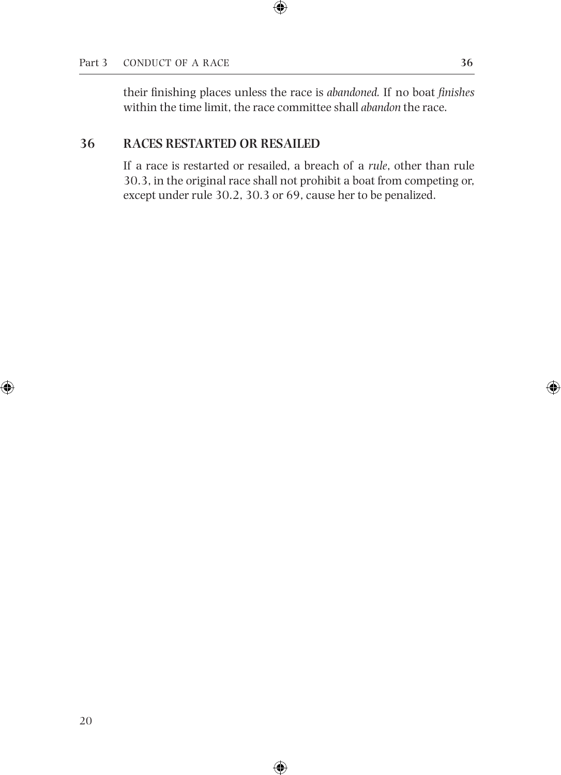⊕

their finishing places unless the race is *abandoned.* If no boat *finishes* within the time limit, the race committee shall *abandon* the race.

 $\bigoplus$ 

#### **36 RACES RESTARTED OR RESAILED**

If a race is restarted or resailed, a breach of a *rule*, other than rule 30.3, in the original race shall not prohibit a boat from competing or, except under rule 30.2, 30.3 or 69, cause her to be penalized.

 $\bigoplus$ 

◈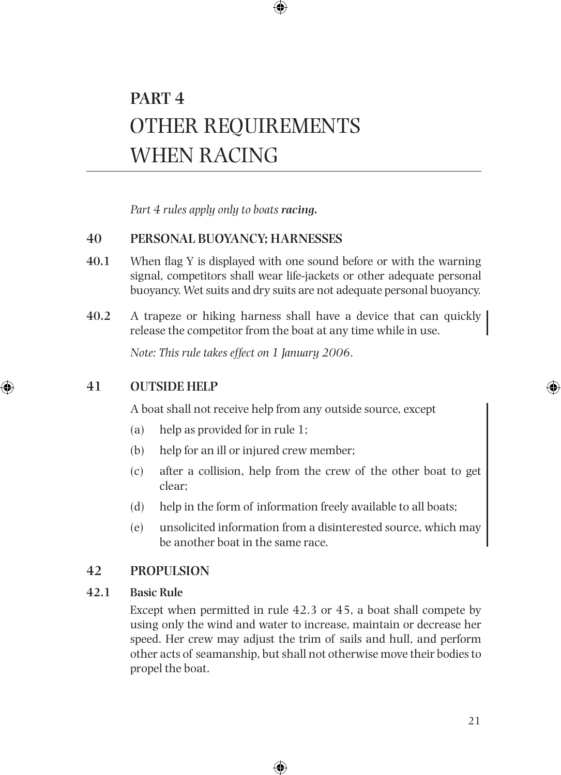# **PART 4** OTHER REQUIREMENTS WHEN RACING

 *Part 4 rules apply only to boats racing.*

#### **40 PERSONAL BUOYANCY; HARNESSES**

**40.1** When flag Y is displayed with one sound before or with the warning signal, competitors shall wear life-jackets or other adequate personal buoyancy. Wet suits and dry suits are not adequate personal buoyancy.

 $\bigcirc$ 

**40.2** A trapeze or hiking harness shall have a device that can quickly release the competitor from the boat at any time while in use.

 *Note: This rule takes effect on 1 January 2006*.

#### **41 OUTSIDE HELP**

⊕

A boat shall not receive help from any outside source, except

- (a) help as provided for in rule 1;
- (b) help for an ill or injured crew member;
- (c) after a collision, help from the crew of the other boat to get clear;
- (d) help in the form of information freely available to all boats;
- (e) unsolicited information from a disinterested source, which may be another boat in the same race.

#### **42 PROPULSION**

#### **42.1 Basic Rule**

Except when permitted in rule 42.3 or 45, a boat shall compete by using only the wind and water to increase, maintain or decrease her speed. Her crew may adjust the trim of sails and hull, and perform other acts of seamanship, but shall not otherwise move their bodies to propel the boat.

 $\bigoplus$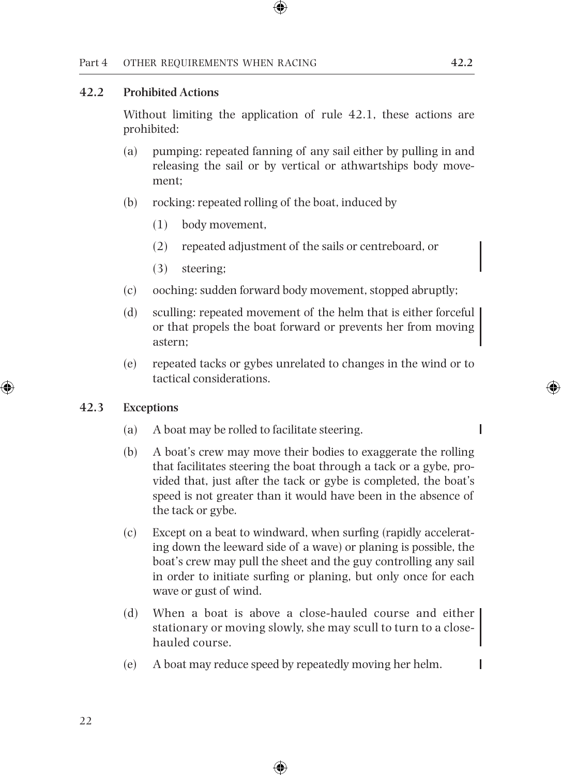#### **42.2 Prohibited Actions**

Without limiting the application of rule 42.1, these actions are prohibited:

 $\bigcirc$ 

- (a) pumping: repeated fanning of any sail either by pulling in and releasing the sail or by vertical or athwartships body movement;
- (b) rocking: repeated rolling of the boat, induced by
	- (1) body movement,
	- (2) repeated adjustment of the sails or centreboard, or
	- (3) steering;
- (c) ooching: sudden forward body movement, stopped abruptly;
- (d) sculling: repeated movement of the helm that is either forceful or that propels the boat forward or prevents her from moving astern;
- (e) repeated tacks or gybes unrelated to changes in the wind or to tactical considerations.

#### **42.3 Exceptions**

⊕

- (a) A boat may be rolled to facilitate steering.
- (b) A boat's crew may move their bodies to exaggerate the rolling that facilitates steering the boat through a tack or a gybe, provided that, just after the tack or gybe is completed, the boat's speed is not greater than it would have been in the absence of the tack or gybe*.*
- (c) Except on a beat to windward, when surfing (rapidly accelerating down the leeward side of a wave) or planing is possible, the boat's crew may pull the sheet and the guy controlling any sail in order to initiate surfing or planing, but only once for each wave or gust of wind.
- (d) When a boat is above a close-hauled course and either stationary or moving slowly, she may scull to turn to a closehauled course.
- (e) A boat may reduce speed by repeatedly moving her helm.

 $\bigoplus$ 

⊕

I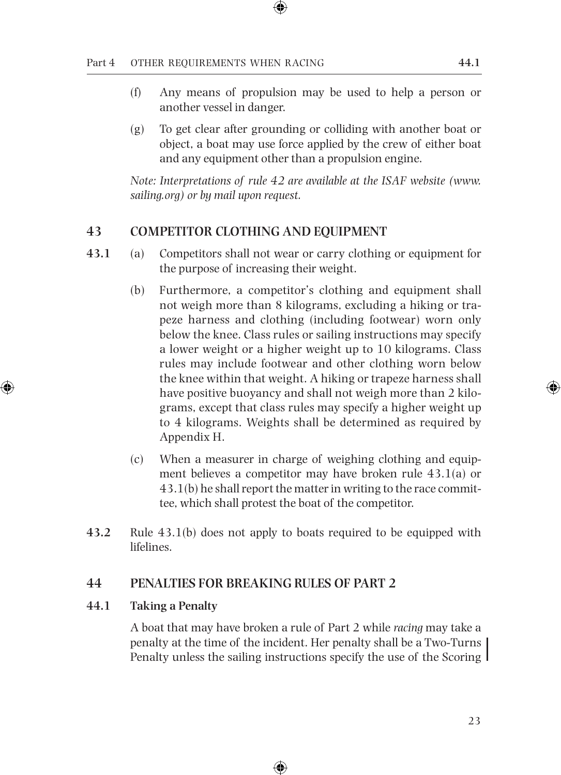(f) Any means of propulsion may be used to help a person or another vessel in danger.

⊕

 (g) To get clear after grounding or colliding with another boat or object, a boat may use force applied by the crew of either boat and any equipment other than a propulsion engine.

*Note: Interpretations of rule 42 are available at the ISAF website (www. sailing.org) or by mail upon request.*

#### **43 COMPETITOR CLOTHING AND EQUIPMENT**

- **43.1** (a) Competitors shall not wear or carry clothing or equipment for the purpose of increasing their weight.
	- (b) Furthermore, a competitor's clothing and equipment shall not weigh more than 8 kilograms, excluding a hiking or trapeze harness and clothing (including footwear) worn only below the knee. Class rules or sailing instructions may specify a lower weight or a higher weight up to 10 kilograms. Class rules may include footwear and other clothing worn below the knee within that weight. A hiking or trapeze harness shall have positive buoyancy and shall not weigh more than 2 kilograms, except that class rules may specify a higher weight up to 4 kilograms. Weights shall be determined as required by Appendix H.
	- (c) When a measurer in charge of weighing clothing and equipment believes a competitor may have broken rule 43.1(a) or 43.1(b) he shall report the matter in writing to the race committee, which shall protest the boat of the competitor.
- **43.2** Rule 43.1(b) does not apply to boats required to be equipped with lifelines.

 $\bigoplus$ 

#### **44 PENALTIES FOR BREAKING RULES OF PART 2**

#### **44.1 Taking a Penalty**

⊕

A boat that may have broken a rule of Part 2 while *racing* may take a penalty at the time of the incident. Her penalty shall be a Two-Turns Penalty unless the sailing instructions specify the use of the Scoring  $\vert$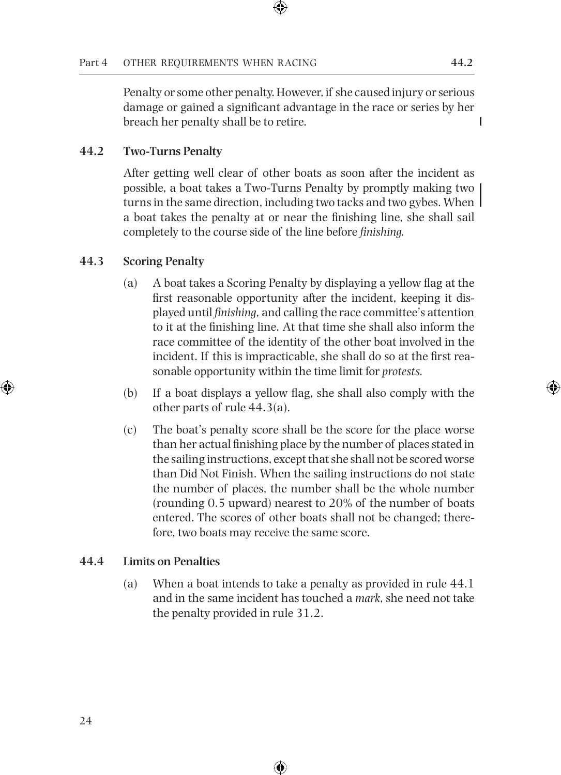Penalty or some other penalty. However, if she caused injury or serious damage or gained a significant advantage in the race or series by her breach her penalty shall be to retire.

⊕

#### **44.2 Two-Turns Penalty**

After getting well clear of other boats as soon after the incident as possible, a boat takes a Two-Turns Penalty by promptly making two turns in the same direction, including two tacks and two gybes. When a boat takes the penalty at or near the finishing line, she shall sail completely to the course side of the line before *finishing.* 

#### **44.3 Scoring Penalty**

- (a) A boat takes a Scoring Penalty by displaying a yellow flag at the first reasonable opportunity after the incident, keeping it displayed until *finishing*, and calling the race committee's attention to it at the finishing line. At that time she shall also inform the race committee of the identity of the other boat involved in the incident. If this is impracticable, she shall do so at the first reasonable opportunity within the time limit for *protests.*
- (b) If a boat displays a yellow flag, she shall also comply with the other parts of rule 44.3(a).
- (c) The boat's penalty score shall be the score for the place worse than her actual finishing place by the number of places stated in the sailing instructions, except that she shall not be scored worse than Did Not Finish. When the sailing instructions do not state the number of places, the number shall be the whole number (rounding 0.5 upward) nearest to 20% of the number of boats entered. The scores of other boats shall not be changed; therefore, two boats may receive the same score.

#### **44.4 Limits on Penalties**

 (a) When a boat intends to take a penalty as provided in rule 44.1 and in the same incident has touched a *mark*, she need not take the penalty provided in rule 31.2.

 $\bigoplus$ 

 $\overline{1}$ 

⊕

♠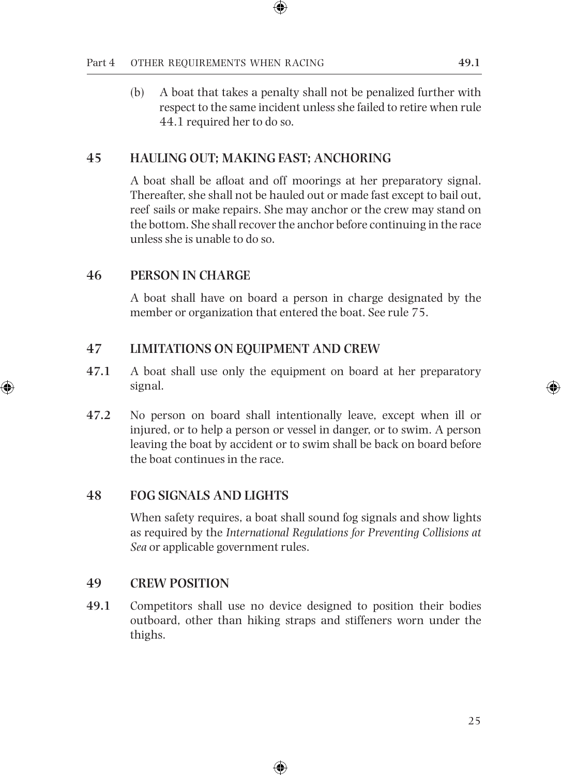(b) A boat that takes a penalty shall not be penalized further with respect to the same incident unless she failed to retire when rule 44.1 required her to do so.

 $\bigcirc$ 

#### **45 HAULING OUT; MAKING FAST; ANCHORING**

A boat shall be afloat and off moorings at her preparatory signal. Thereafter, she shall not be hauled out or made fast except to bail out, reef sails or make repairs. She may anchor or the crew may stand on the bottom. She shall recover the anchor before continuing in the race unless she is unable to do so.

#### **46 PERSON IN CHARGE**

♠

A boat shall have on board a person in charge designated by the member or organization that entered the boat. See rule 75.

#### **47 LIMITATIONS ON EQUIPMENT AND CREW**

- **47.1** A boat shall use only the equipment on board at her preparatory signal.
- **47.2** No person on board shall intentionally leave, except when ill or injured, or to help a person or vessel in danger, or to swim. A person leaving the boat by accident or to swim shall be back on board before the boat continues in the race.

#### **48 FOG SIGNALS AND LIGHTS**

When safety requires, a boat shall sound fog signals and show lights as required by the *International Regulations for Preventing Collisions at Sea* or applicable government rules.

#### **49 CREW POSITION**

**49.1** Competitors shall use no device designed to position their bodies outboard, other than hiking straps and stiffeners worn under the thighs.

 $\bigoplus$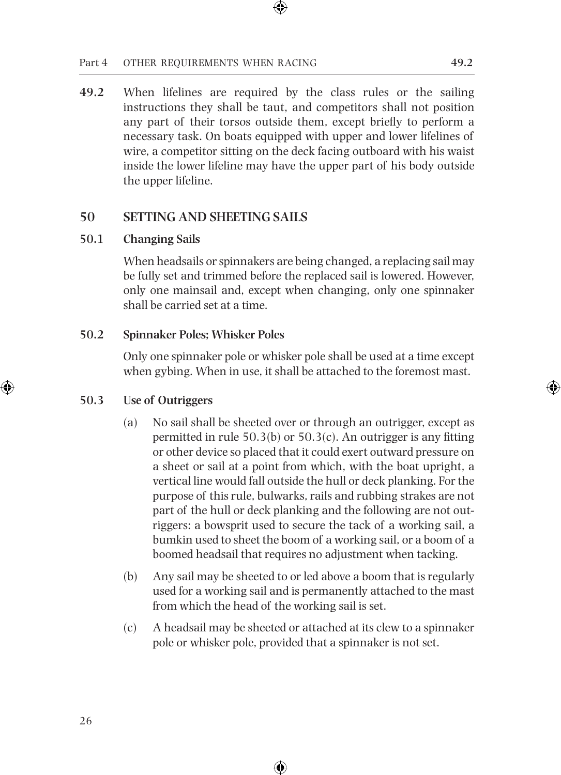#### Part 4 OTHER REQUIREMENTS WHEN RACING **49.2**

**49.2** When lifelines are required by the class rules or the sailing instructions they shall be taut, and competitors shall not position any part of their torsos outside them, except briefly to perform a necessary task. On boats equipped with upper and lower lifelines of wire, a competitor sitting on the deck facing outboard with his waist inside the lower lifeline may have the upper part of his body outside the upper lifeline.

 $\bigcirc$ 

#### **50 SETTING AND SHEETING SAILS**

#### **50.1 Changing Sails**

When headsails or spinnakers are being changed, a replacing sail may be fully set and trimmed before the replaced sail is lowered. However, only one mainsail and, except when changing, only one spinnaker shall be carried set at a time.

#### **50.2 Spinnaker Poles; Whisker Poles**

Only one spinnaker pole or whisker pole shall be used at a time except when gybing. When in use, it shall be attached to the foremost mast.

#### **50.3 Use of Outriggers**

⊕

- (a) No sail shall be sheeted over or through an outrigger, except as permitted in rule 50.3(b) or 50.3(c). An outrigger is any fitting or other device so placed that it could exert outward pressure on a sheet or sail at a point from which, with the boat upright, a vertical line would fall outside the hull or deck planking. For the purpose of this rule, bulwarks, rails and rubbing strakes are not part of the hull or deck planking and the following are not outriggers: a bowsprit used to secure the tack of a working sail, a bumkin used to sheet the boom of a working sail, or a boom of a boomed headsail that requires no adjustment when tacking.
- (b) Any sail may be sheeted to or led above a boom that is regularly used for a working sail and is permanently attached to the mast from which the head of the working sail is set.
- (c) A headsail may be sheeted or attached at its clew to a spinnaker pole or whisker pole, provided that a spinnaker is not set.

 $\bigoplus$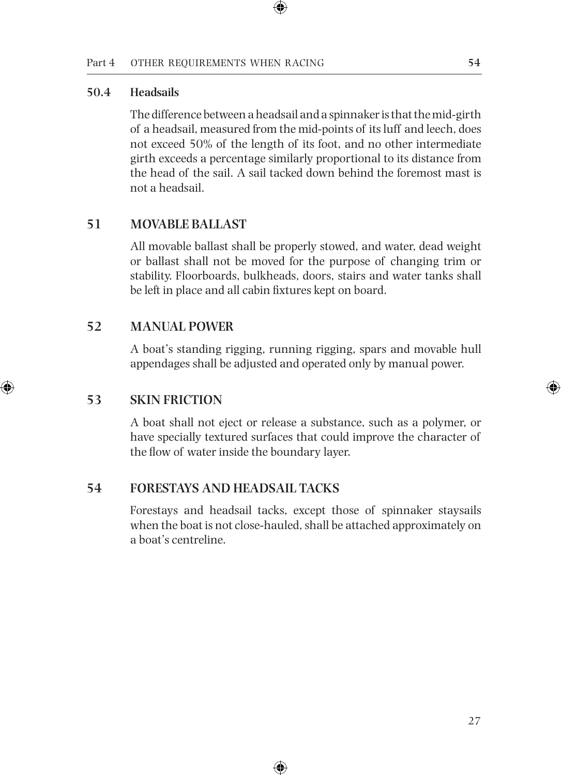#### **50.4 Headsails**

The difference between a headsail and a spinnaker is that the mid-girth of a headsail, measured from the mid-points of its luff and leech, does not exceed 50% of the length of its foot, and no other intermediate girth exceeds a percentage similarly proportional to its distance from the head of the sail. A sail tacked down behind the foremost mast is not a headsail.

⊕

#### **51 MOVABLE BALLAST**

All movable ballast shall be properly stowed, and water, dead weight or ballast shall not be moved for the purpose of changing trim or stability. Floorboards, bulkheads, doors, stairs and water tanks shall be left in place and all cabin fixtures kept on board.

#### **52 MANUAL POWER**

A boat's standing rigging, running rigging, spars and movable hull appendages shall be adjusted and operated only by manual power.

#### **53 SKIN FRICTION**

⊕

A boat shall not eject or release a substance, such as a polymer, or have specially textured surfaces that could improve the character of the flow of water inside the boundary layer.

#### **54 FORESTAYS AND HEADSAIL TACKS**

Forestays and headsail tacks, except those of spinnaker staysails when the boat is not close-hauled, shall be attached approximately on a boat's centreline.

 $\bigoplus$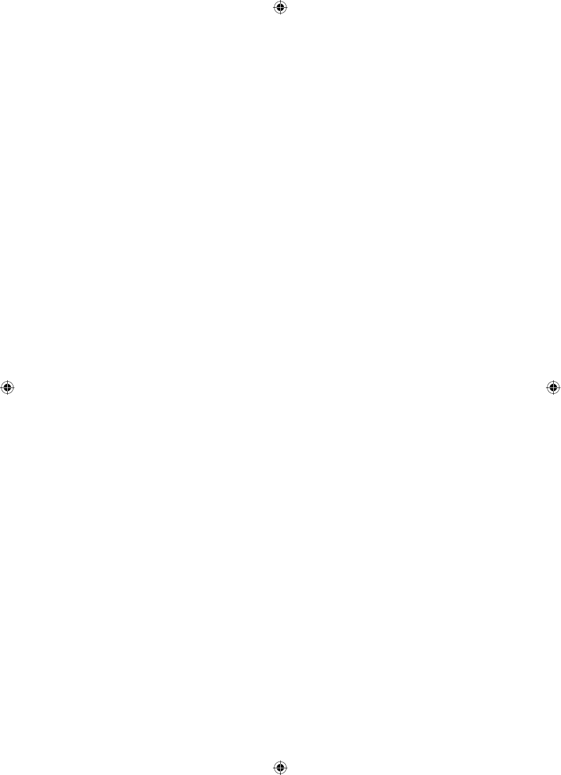

 $\bigoplus$ 



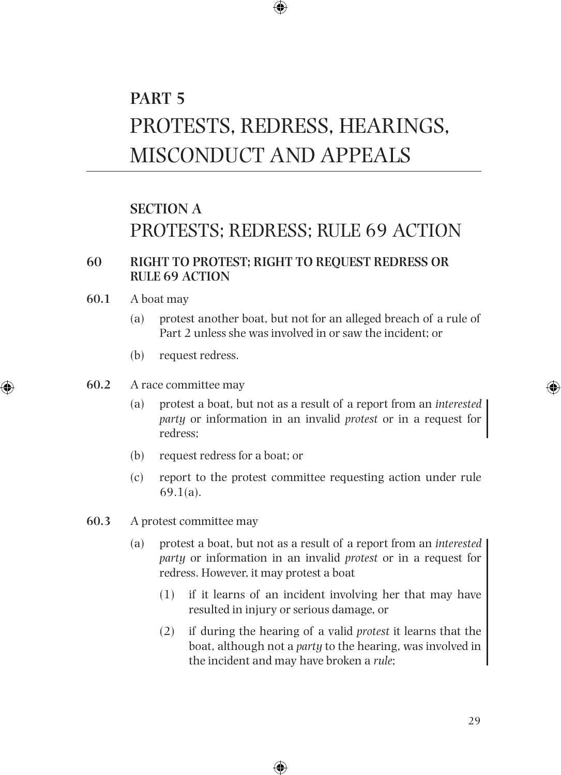# **PART 5** PROTESTS, REDRESS, HEARINGS, MISCONDUCT AND APPEALS

 $\circledast$ 

### **SECTION A** PROTESTS; REDRESS; RULE 69 ACTION

#### **60 RIGHT TO PROTEST; RIGHT TO REQUEST REDRESS OR RULE 69 ACTION**

**60.1** A boat may

♠

- (a) protest another boat, but not for an alleged breach of a rule of Part 2 unless she was involved in or saw the incident; or
- (b) request redress.
- **60.2** A race committee may
	- (a) protest a boat, but not as a result of a report from an *interested party* or information in an invalid *protest* or in a request for redress;
	- (b) request redress for a boat; or
	- (c) report to the protest committee requesting action under rule 69.1(a).
- **60.3** A protest committee may
	- (a) protest a boat, but not as a result of a report from an *interested party* or information in an invalid *protest* or in a request for redress. However, it may protest a boat
		- (1) if it learns of an incident involving her that may have resulted in injury or serious damage, or
		- (2) if during the hearing of a valid *protest* it learns that the boat, although not a *party* to the hearing, was involved in the incident and may have broken a *rule*;

 $\bigoplus$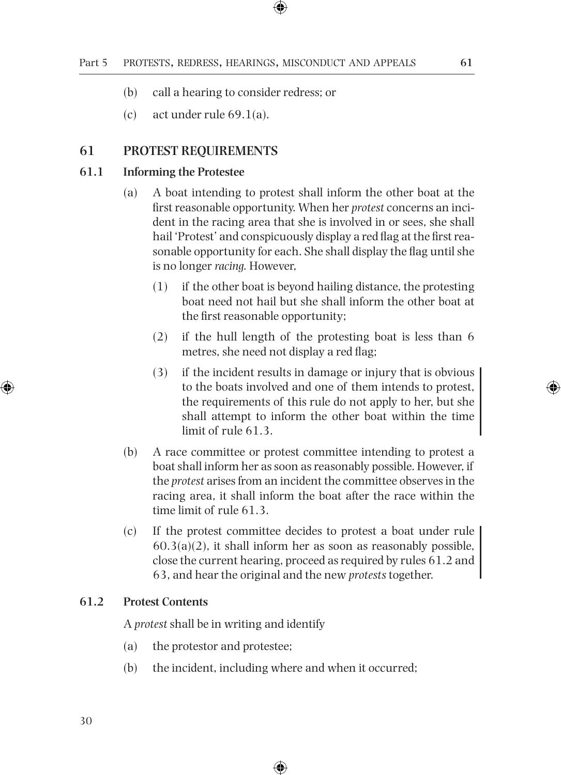$\textcolor{blue}{\bigcirc}$ 

- (b) call a hearing to consider redress; or
- (c) act under rule 69.1(a).

#### **61 PROTEST REQUIREMENTS**

#### **61.1 Informing the Protestee**

- (a) A boat intending to protest shall inform the other boat at the first reasonable opportunity. When her *protest* concerns an incident in the racing area that she is involved in or sees, she shall hail 'Protest' and conspicuously display a red flag at the first reasonable opportunity for each. She shall display the flag until she is no longer *racing.* However,
	- (1) if the other boat is beyond hailing distance, the protesting boat need not hail but she shall inform the other boat at the first reasonable opportunity;
	- (2) if the hull length of the protesting boat is less than 6 metres, she need not display a red flag;
	- (3) if the incident results in damage or injury that is obvious to the boats involved and one of them intends to protest, the requirements of this rule do not apply to her, but she shall attempt to inform the other boat within the time limit of rule 61.3.
- (b) A race committee or protest committee intending to protest a boat shall inform her as soon as reasonably possible. However, if the *protest* arises from an incident the committee observes in the racing area, it shall inform the boat after the race within the time limit of rule 61.3.
- (c) If the protest committee decides to protest a boat under rule  $60.3(a)(2)$ , it shall inform her as soon as reasonably possible, close the current hearing, proceed as required by rules 61.2 and 63, and hear the original and the new *protests* together.

#### **61.2 Protest Contents**

A *protest* shall be in writing and identify

- (a) the protestor and protestee;
- (b) the incident, including where and when it occurred;

 $\bigoplus$ 

⊕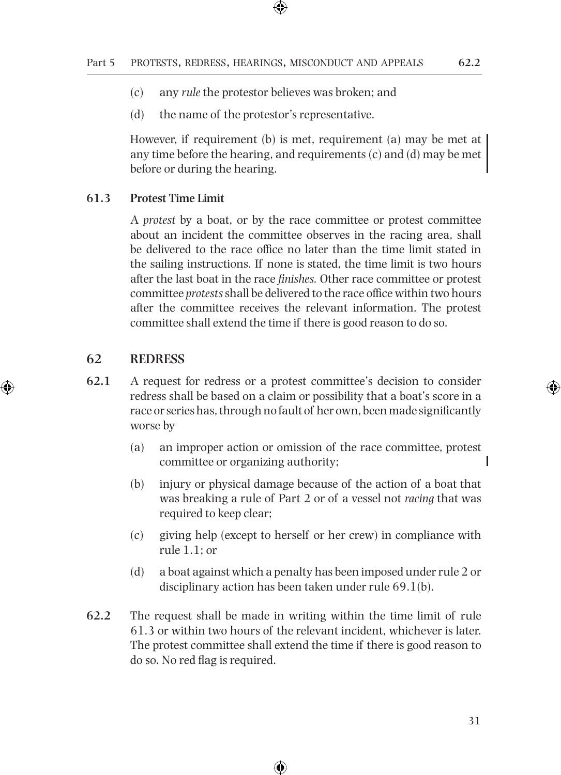$\bigcirc$ 

- (c) any *rule* the protestor believes was broken; and
- (d) the name of the protestor's representative.

However, if requirement (b) is met, requirement (a) may be met at any time before the hearing, and requirements (c) and (d) may be met before or during the hearing.

#### **61.3 Protest Time Limit**

A *protest* by a boat, or by the race committee or protest committee about an incident the committee observes in the racing area, shall be delivered to the race office no later than the time limit stated in the sailing instructions. If none is stated, the time limit is two hours after the last boat in the race *finishes.* Other race committee or protest committee *protests* shall be delivered to the race office within two hours after the committee receives the relevant information. The protest committee shall extend the time if there is good reason to do so.

#### **62 REDRESS**

⊕

- **62.1** A request for redress or a protest committee's decision to consider redress shall be based on a claim or possibility that a boat's score in a race or series has, through no fault of her own, been made significantly worse by
	- (a) an improper action or omission of the race committee, protest committee or organizing authority;
	- (b) injury or physical damage because of the action of a boat that was breaking a rule of Part 2 or of a vessel not *racing* that was required to keep clear;
	- (c) giving help (except to herself or her crew) in compliance with rule 1.1; or
	- (d) a boat against which a penalty has been imposed under rule 2 or disciplinary action has been taken under rule 69.1(b).
- **62.2** The request shall be made in writing within the time limit of rule 61.3 or within two hours of the relevant incident, whichever is later. The protest committee shall extend the time if there is good reason to do so. No red flag is required.

 $\bigoplus$ 

31

I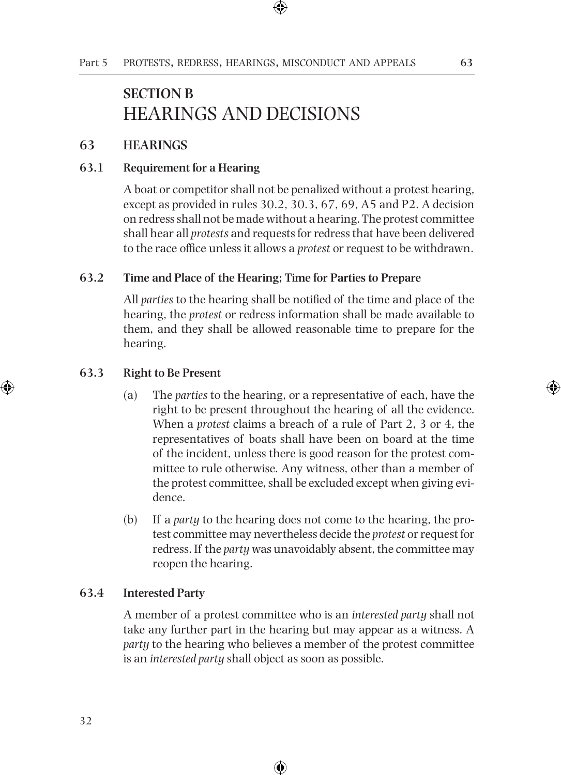⊕

### **SECTION B** HEARINGS AND DECISIONS

#### **63 HEARINGS**

#### **63.1 Requirement for a Hearing**

A boat or competitor shall not be penalized without a protest hearing, except as provided in rules 30.2, 30.3, 67, 69, A5 and P2. A decision on redress shall not be made without a hearing. The protest committee shall hear all *protests* and requests for redress that have been delivered to the race office unless it allows a *protest* or request to be withdrawn.

#### **63.2 Time and Place of the Hearing; Time for Parties to Prepare**

All *parties* to the hearing shall be notified of the time and place of the hearing, the *protest* or redress information shall be made available to them, and they shall be allowed reasonable time to prepare for the hearing.

#### **63.3 Right to Be Present**

- (a) The *parties* to the hearing, or a representative of each, have the right to be present throughout the hearing of all the evidence. When a *protest* claims a breach of a rule of Part 2, 3 or 4, the representatives of boats shall have been on board at the time of the incident, unless there is good reason for the protest committee to rule otherwise. Any witness, other than a member of the protest committee, shall be excluded except when giving evidence.
- (b) If a *party* to the hearing does not come to the hearing, the protest committee may nevertheless decide the *protest* or request for redress. If the *party* was unavoidably absent, the committee may reopen the hearing.

#### **63.4 Interested Party**

A member of a protest committee who is an *interested party* shall not take any further part in the hearing but may appear as a witness. A *party* to the hearing who believes a member of the protest committee is an *interested party* shall object as soon as possible.

 $\bigoplus$ 

⊕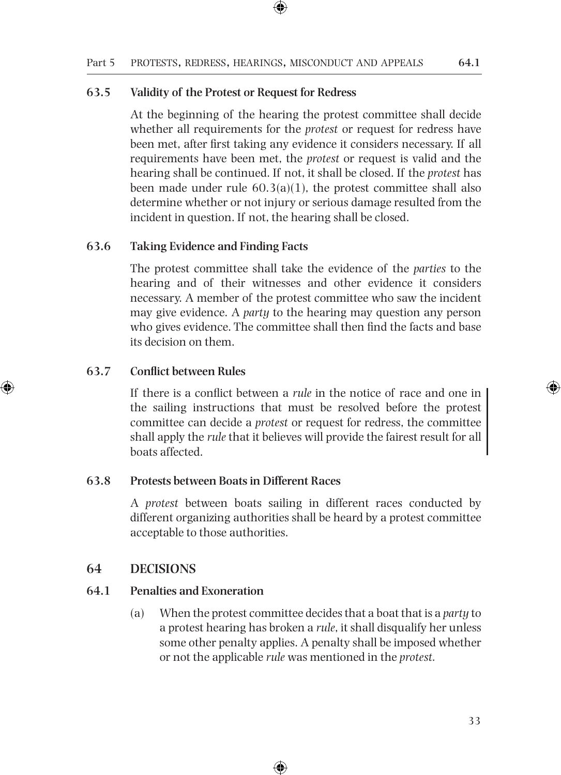$\circledast$ 

#### **63.5 Validity of the Protest or Request for Redress**

At the beginning of the hearing the protest committee shall decide whether all requirements for the *protest* or request for redress have been met, after first taking any evidence it considers necessary. If all requirements have been met, the *protest* or request is valid and the hearing shall be continued. If not, it shall be closed. If the *protest* has been made under rule  $60.3(a)(1)$ , the protest committee shall also determine whether or not injury or serious damage resulted from the incident in question. If not, the hearing shall be closed.

#### **63.6 Taking Evidence and Finding Facts**

The protest committee shall take the evidence of the *parties* to the hearing and of their witnesses and other evidence it considers necessary. A member of the protest committee who saw the incident may give evidence. A *party* to the hearing may question any person who gives evidence. The committee shall then find the facts and base its decision on them.

#### **63.7 Conflict between Rules**

⊕

If there is a conflict between a *rule* in the notice of race and one in the sailing instructions that must be resolved before the protest committee can decide a *protest* or request for redress, the committee shall apply the *rule* that it believes will provide the fairest result for all boats affected.

#### **63.8 Protests between Boats in Different Races**

A *protest* between boats sailing in different races conducted by different organizing authorities shall be heard by a protest committee acceptable to those authorities.

#### **64 DECISIONS**

#### **64.1 Penalties and Exoneration**

 (a) When the protest committee decides that a boat that is a *party* to a protest hearing has broken a *rule*, it shall disqualify her unless some other penalty applies. A penalty shall be imposed whether or not the applicable *rule* was mentioned in the *protest.*

 $\bigoplus$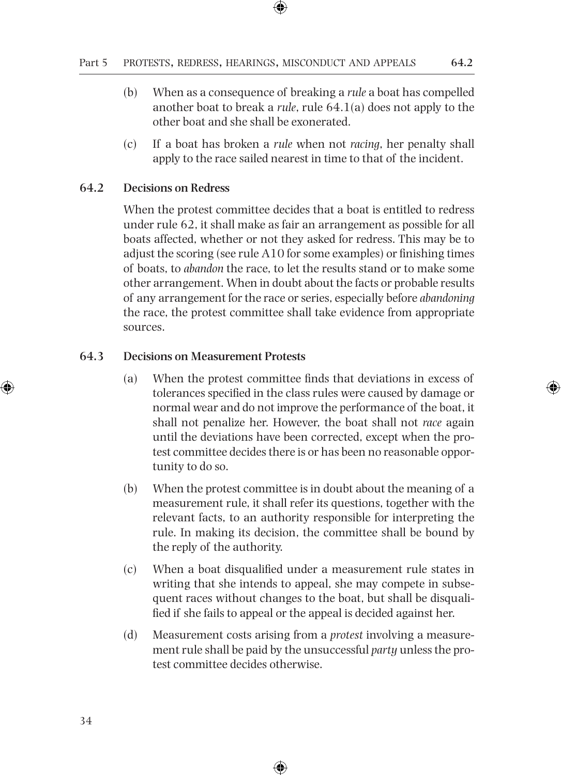(b) When as a consequence of breaking a *rule* a boat has compelled another boat to break a *rule*, rule 64.1(a) does not apply to the other boat and she shall be exonerated.

 $\bigcirc$ 

 (c) If a boat has broken a *rule* when not *racing*, her penalty shall apply to the race sailed nearest in time to that of the incident.

#### **64.2 Decisions on Redress**

When the protest committee decides that a boat is entitled to redress under rule 62, it shall make as fair an arrangement as possible for all boats affected, whether or not they asked for redress. This may be to adjust the scoring (see rule A10 for some examples) or finishing times of boats, to *abandon* the race, to let the results stand or to make some other arrangement. When in doubt about the facts or probable results of any arrangement for the race or series, especially before *abandoning* the race, the protest committee shall take evidence from appropriate sources.

# **64.3 Decisions on Measurement Protests**

- (a) When the protest committee finds that deviations in excess of tolerances specified in the class rules were caused by damage or normal wear and do not improve the performance of the boat, it shall not penalize her. However, the boat shall not *race* again until the deviations have been corrected, except when the protest committee decides there is or has been no reasonable opportunity to do so.
- (b) When the protest committee is in doubt about the meaning of a measurement rule, it shall refer its questions, together with the relevant facts, to an authority responsible for interpreting the rule. In making its decision, the committee shall be bound by the reply of the authority.
- (c) When a boat disqualified under a measurement rule states in writing that she intends to appeal, she may compete in subsequent races without changes to the boat, but shall be disqualified if she fails to appeal or the appeal is decided against her.
- (d) Measurement costs arising from a *protest* involving a measurement rule shall be paid by the unsuccessful *party* unless the protest committee decides otherwise.

 $\bigoplus$ 

⊕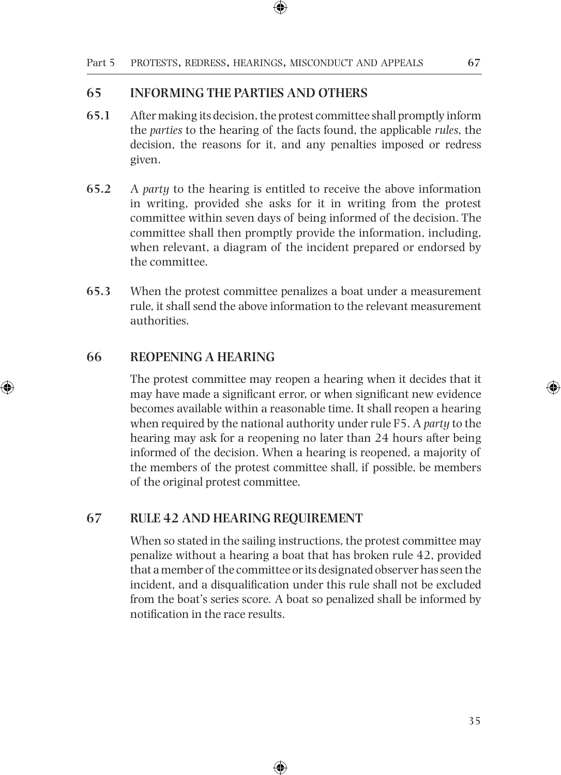# **65 INFORMING THE PARTIES AND OTHERS**

**65.1** After making its decision, the protest committee shall promptly inform the *parties* to the hearing of the facts found, the applicable *rules*, the decision, the reasons for it, and any penalties imposed or redress given.

 $\bigcirc$ 

- **65.2** A *party* to the hearing is entitled to receive the above information in writing, provided she asks for it in writing from the protest committee within seven days of being informed of the decision. The committee shall then promptly provide the information, including, when relevant, a diagram of the incident prepared or endorsed by the committee.
- **65.3** When the protest committee penalizes a boat under a measurement rule, it shall send the above information to the relevant measurement authorities.

# **66 REOPENING A HEARING**

♠

The protest committee may reopen a hearing when it decides that it may have made a significant error, or when significant new evidence becomes available within a reasonable time. It shall reopen a hearing when required by the national authority under rule F5. A *party* to the hearing may ask for a reopening no later than 24 hours after being informed of the decision. When a hearing is reopened, a majority of the members of the protest committee shall, if possible, be members of the original protest committee.

# **67 RULE 42 AND HEARING REQUIREMENT**

When so stated in the sailing instructions, the protest committee may penalize without a hearing a boat that has broken rule 42, provided that a member of the committee or its designated observer has seen the incident, and a disqualification under this rule shall not be excluded from the boat's series score. A boat so penalized shall be informed by notification in the race results.

 $\bigoplus$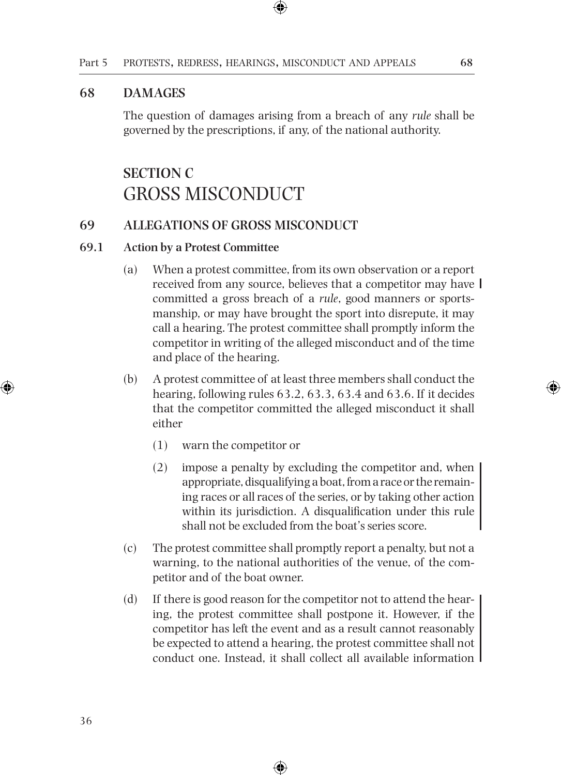# **68 DAMAGES**

The question of damages arising from a breach of any *rule* shall be governed by the prescriptions, if any, of the national authority.

 $\bigcirc$ 

# **SECTION C** GROSS MISCONDUCT

# **69 ALLEGATIONS OF GROSS MISCONDUCT**

#### **69.1 Action by a Protest Committee**

- (a) When a protest committee, from its own observation or a report received from any source, believes that a competitor may have committed a gross breach of a *rule*, good manners or sportsmanship, or may have brought the sport into disrepute, it may call a hearing. The protest committee shall promptly inform the competitor in writing of the alleged misconduct and of the time and place of the hearing.
- (b) A protest committee of at least three members shall conduct the hearing, following rules 63.2, 63.3, 63.4 and 63.6. If it decides that the competitor committed the alleged misconduct it shall either
	- (1) warn the competitor or
	- (2) impose a penalty by excluding the competitor and, when appropriate, disqualifying a boat, from a race or the remaining races or all races of the series, or by taking other action within its jurisdiction. A disqualification under this rule shall not be excluded from the boat's series score.
- (c) The protest committee shall promptly report a penalty, but not a warning, to the national authorities of the venue, of the competitor and of the boat owner.
- (d) If there is good reason for the competitor not to attend the hearing, the protest committee shall postpone it. However, if the competitor has left the event and as a result cannot reasonably be expected to attend a hearing, the protest committee shall not conduct one. Instead, it shall collect all available information

 $\bigoplus$ 

⊕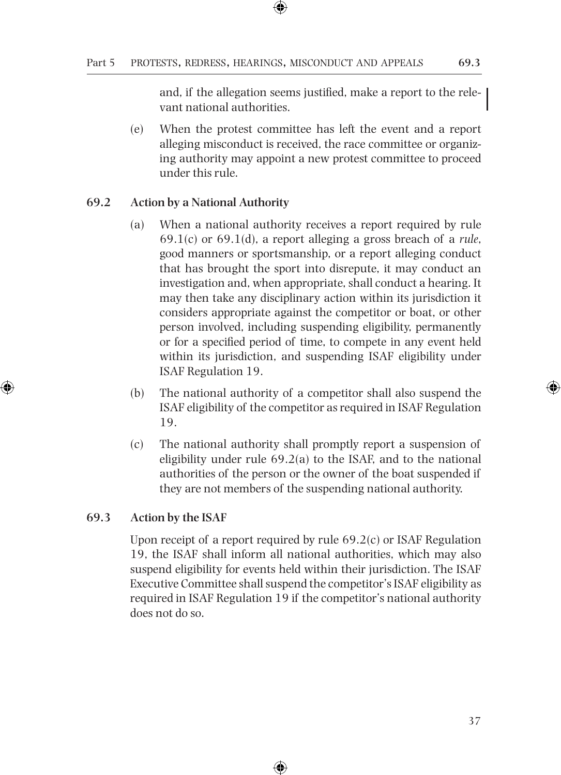$\bigcirc$ 

and, if the allegation seems justified, make a report to the relevant national authorities.

 (e) When the protest committee has left the event and a report alleging misconduct is received, the race committee or organizing authority may appoint a new protest committee to proceed under this rule.

#### **69.2 Action by a National Authority**

- (a) When a national authority receives a report required by rule 69.1(c) or 69.1(d), a report alleging a gross breach of a *rule*, good manners or sportsmanship, or a report alleging conduct that has brought the sport into disrepute, it may conduct an investigation and, when appropriate, shall conduct a hearing. It may then take any disciplinary action within its jurisdiction it considers appropriate against the competitor or boat, or other person involved, including suspending eligibility, permanently or for a specified period of time, to compete in any event held within its jurisdiction, and suspending ISAF eligibility under ISAF Regulation 19.
- (b) The national authority of a competitor shall also suspend the ISAF eligibility of the competitor as required in ISAF Regulation 19.
- (c) The national authority shall promptly report a suspension of eligibility under rule 69.2(a) to the ISAF, and to the national authorities of the person or the owner of the boat suspended if they are not members of the suspending national authority.

#### **69.3 Action by the ISAF**

⊕

Upon receipt of a report required by rule  $69.2(c)$  or ISAF Regulation 19, the ISAF shall inform all national authorities, which may also suspend eligibility for events held within their jurisdiction. The ISAF Executive Committee shall suspend the competitor's ISAF eligibility as required in ISAF Regulation 19 if the competitor's national authority does not do so.

 $\bigoplus$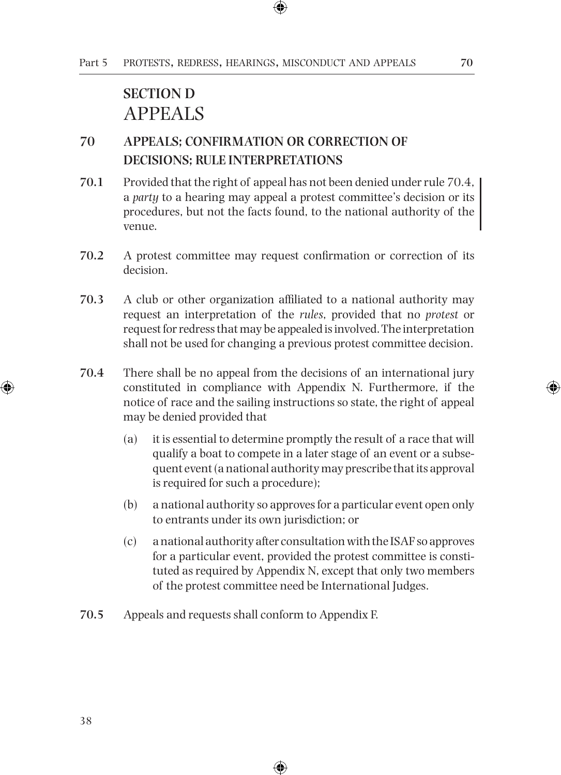# **SECTION D** APPEALS

# **70 APPEALS; CONFIRMATION OR CORRECTION OF DECISIONS; RULE INTERPRETATIONS**

**70.1** Provided that the right of appeal has not been denied under rule 70.4, a *party* to a hearing may appeal a protest committee's decision or its procedures, but not the facts found, to the national authority of the venue.

 $\textcolor{blue}{\bigcirc}$ 

- **70.2** A protest committee may request confirmation or correction of its decision.
- **70.3** A club or other organization affiliated to a national authority may request an interpretation of the *rules*, provided that no *protest* or request for redress that may be appealed is involved. The interpretation shall not be used for changing a previous protest committee decision.
- **70.4** There shall be no appeal from the decisions of an international jury constituted in compliance with Appendix N. Furthermore, if the notice of race and the sailing instructions so state, the right of appeal may be denied provided that
	- (a) it is essential to determine promptly the result of a race that will qualify a boat to compete in a later stage of an event or a subsequent event (a national authority may prescribe that its approval is required for such a procedure);
	- (b) a national authority so approves for a particular event open only to entrants under its own jurisdiction; or
	- (c) a national authority after consultation with the ISAF so approves for a particular event, provided the protest committee is constituted as required by Appendix N, except that only two members of the protest committee need be International Judges.

 $\bigoplus$ 

**70.5** Appeals and requests shall conform to Appendix F.

⊕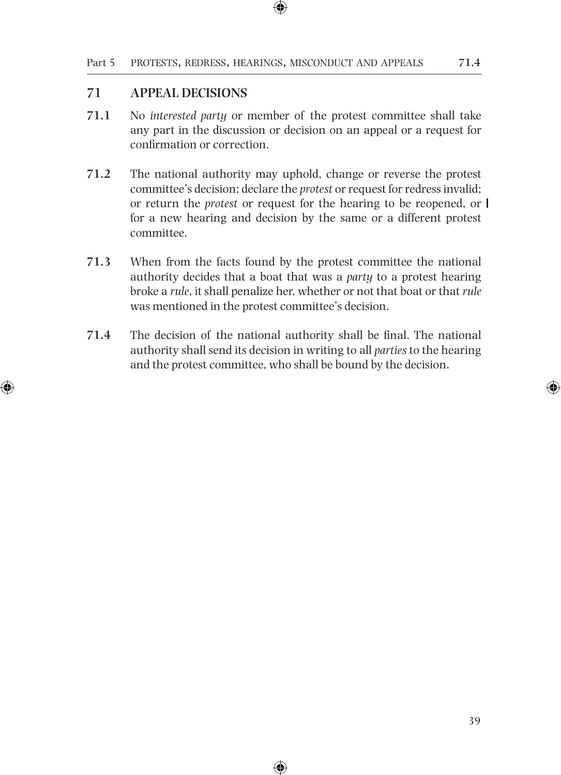# **71 APPEAL DECISIONS**

⊕

**71.1** No *interested party* or member of the protest committee shall take any part in the discussion or decision on an appeal or a request for confirmation or correction.

⊕

- **71.2** The national authority may uphold, change or reverse the protest committee's decision; declare the *protest* or request for redress invalid; or return the *protest* or request for the hearing to be reopened, or for a new hearing and decision by the same or a different protest committee.
- **71.3** When from the facts found by the protest committee the national authority decides that a boat that was a *party* to a protest hearing broke a *rule*, it shall penalize her, whether or not that boat or that *rule* was mentioned in the protest committee's decision.
- **71.4** The decision of the national authority shall be final. The national authority shall send its decision in writing to all *parties* to the hearing and the protest committee, who shall be bound by the decision.

 $\bigoplus$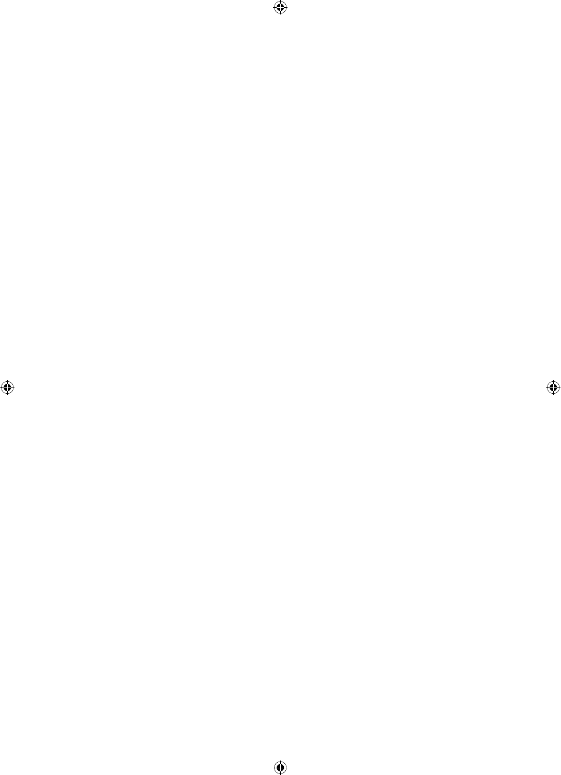

 $\bigoplus$ 

 $\bigoplus$ 



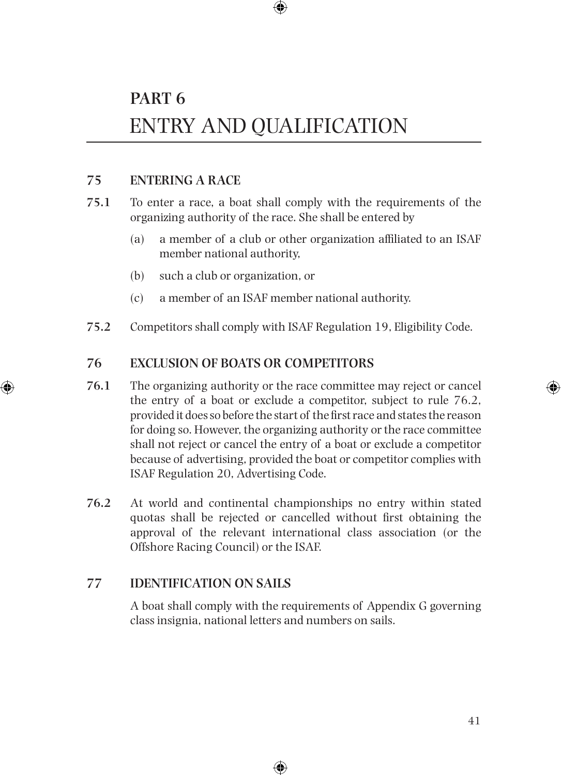# **PART 6** ENTRY AND QUALIFICATION

 $\circledast$ 

# **75 ENTERING A RACE**

♠

- **75.1** To enter a race, a boat shall comply with the requirements of the organizing authority of the race. She shall be entered by
	- (a) a member of a club or other organization affiliated to an ISAF member national authority,
	- (b) such a club or organization, or
	- (c) a member of an ISAF member national authority.
- **75.2** Competitors shall comply with ISAF Regulation 19, Eligibility Code.

# **76 EXCLUSION OF BOATS OR COMPETITORS**

- **76.1** The organizing authority or the race committee may reject or cancel the entry of a boat or exclude a competitor, subject to rule 76.2, provided it does so before the start of the first race and states the reason for doing so. However, the organizing authority or the race committee shall not reject or cancel the entry of a boat or exclude a competitor because of advertising, provided the boat or competitor complies with ISAF Regulation 20, Advertising Code.
- **76.2** At world and continental championships no entry within stated quotas shall be rejected or cancelled without first obtaining the approval of the relevant international class association (or the Offshore Racing Council) or the ISAF.

 $\bigoplus$ 

# **77 IDENTIFICATION ON SAILS**

A boat shall comply with the requirements of Appendix G governing class insignia, national letters and numbers on sails.

♠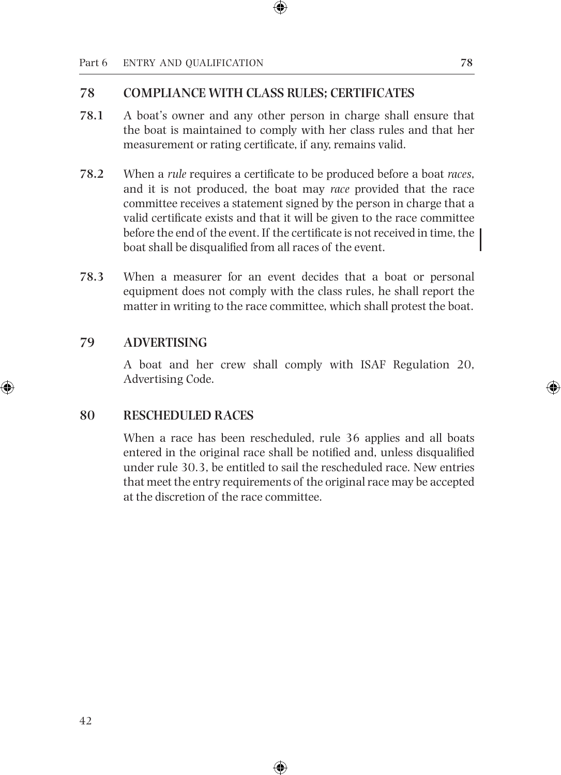# **78 COMPLIANCE WITH CLASS RULES; CERTIFICATES**

**78.1** A boat's owner and any other person in charge shall ensure that the boat is maintained to comply with her class rules and that her measurement or rating certificate, if any, remains valid.

 $\bigcirc$ 

- **78.2** When a *rule* requires a certificate to be produced before a boat *races*, and it is not produced, the boat may *race* provided that the race committee receives a statement signed by the person in charge that a valid certificate exists and that it will be given to the race committee before the end of the event. If the certificate is not received in time, the boat shall be disqualified from all races of the event.
- **78.3** When a measurer for an event decides that a boat or personal equipment does not comply with the class rules, he shall report the matter in writing to the race committee, which shall protest the boat.

# **79 ADVERTISING**

A boat and her crew shall comply with ISAF Regulation 20, Advertising Code.

## **80 RESCHEDULED RACES**

When a race has been rescheduled, rule 36 applies and all boats entered in the original race shall be notified and, unless disqualified under rule 30.3, be entitled to sail the rescheduled race. New entries that meet the entry requirements of the original race may be accepted at the discretion of the race committee.

 $\bigoplus$ 

⊕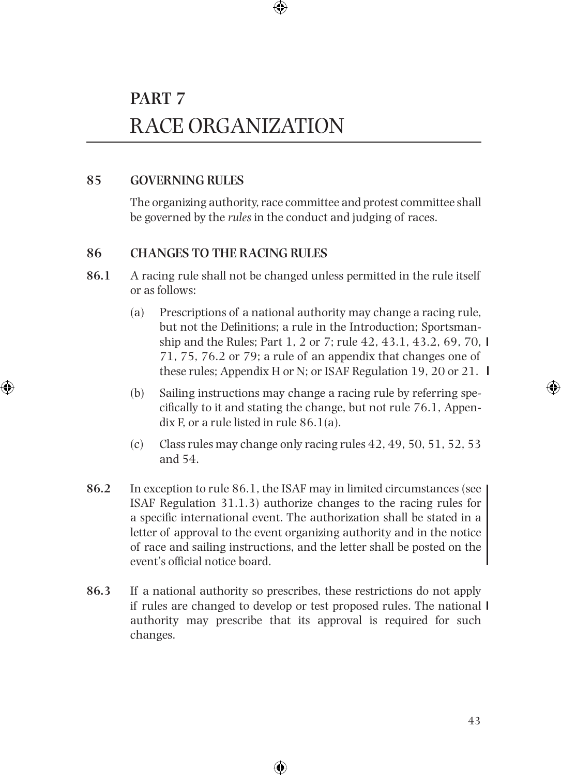# **PART 7** RACE ORGANIZATION

# **85 GOVERNING RULES**

♠

The organizing authority, race committee and protest committee shall be governed by the *rules* in the conduct and judging of races.

# **86 CHANGES TO THE RACING RULES**

**86.1** A racing rule shall not be changed unless permitted in the rule itself or as follows:

 $\bigcirc$ 

- (a) Prescriptions of a national authority may change a racing rule, but not the Definitions; a rule in the Introduction; Sportsmanship and the Rules; Part 1, 2 or 7; rule 42, 43.1, 43.2, 69, 70, 1 71, 75, 76.2 or 79; a rule of an appendix that changes one of these rules; Appendix H or N; or ISAF Regulation 19, 20 or 21.
- (b) Sailing instructions may change a racing rule by referring specifically to it and stating the change, but not rule 76.1, Appendix F, or a rule listed in rule 86.1(a).
- (c) Class rules may change only racing rules 42, 49, 50, 51, 52, 53 and 54.
- **86.2** In exception to rule 86.1, the ISAF may in limited circumstances (see ISAF Regulation 31.1.3) authorize changes to the racing rules for a specific international event. The authorization shall be stated in a letter of approval to the event organizing authority and in the notice of race and sailing instructions, and the letter shall be posted on the event's official notice board.
- **86.3** If a national authority so prescribes, these restrictions do not apply if rules are changed to develop or test proposed rules. The national authority may prescribe that its approval is required for such changes.

 $\bigoplus$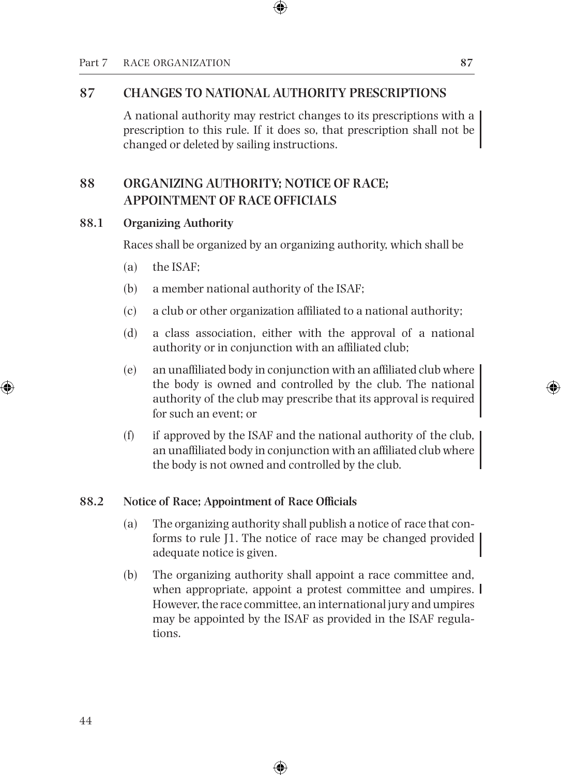# **87 CHANGES TO NATIONAL AUTHORITY PRESCRIPTIONS**

↔

A national authority may restrict changes to its prescriptions with a prescription to this rule. If it does so, that prescription shall not be changed or deleted by sailing instructions.

# **88 ORGANIZING AUTHORITY; NOTICE OF RACE; APPOINTMENT OF RACE OFFICIALS**

#### **88.1 Organizing Authority**

Races shall be organized by an organizing authority, which shall be

- (a) the ISAF;
- (b) a member national authority of the ISAF;
- (c) a club or other organization affiliated to a national authority;
- (d) a class association, either with the approval of a national authority or in conjunction with an affiliated club;
- (e) an unaffiliated body in conjunction with an affiliated club where the body is owned and controlled by the club. The national authority of the club may prescribe that its approval is required for such an event; or
- (f) if approved by the ISAF and the national authority of the club, an unaffiliated body in conjunction with an affiliated club where the body is not owned and controlled by the club.

#### **88.2 Notice of Race; Appointment of Race Officials**

- (a) The organizing authority shall publish a notice of race that conforms to rule J1. The notice of race may be changed provided adequate notice is given.
- (b) The organizing authority shall appoint a race committee and, when appropriate, appoint a protest committee and umpires. However, the race committee, an international jury and umpires may be appointed by the ISAF as provided in the ISAF regulations.

 $\bigoplus$ 

⊕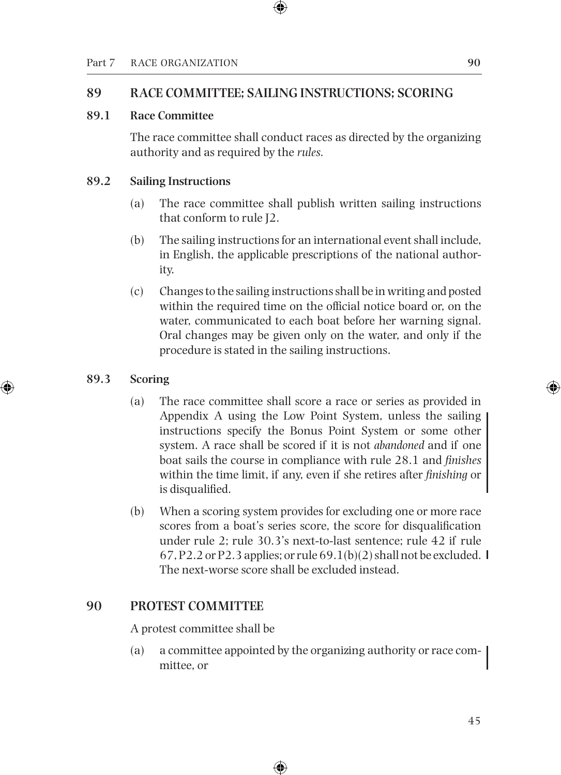# **89 RACE COMMITTEE; SAILING INSTRUCTIONS; SCORING**

 $\bigcirc$ 

# **89.1 Race Committee**

The race committee shall conduct races as directed by the organizing authority and as required by the *rules.*

#### **89.2 Sailing Instructions**

- (a) The race committee shall publish written sailing instructions that conform to rule J2.
- (b) The sailing instructions for an international event shall include, in English, the applicable prescriptions of the national authority.
- (c) Changes to the sailing instructions shall be in writing and posted within the required time on the official notice board or, on the water, communicated to each boat before her warning signal. Oral changes may be given only on the water, and only if the procedure is stated in the sailing instructions.

#### **89.3 Scoring**

⊕

- (a) The race committee shall score a race or series as provided in Appendix A using the Low Point System, unless the sailing instructions specify the Bonus Point System or some other system. A race shall be scored if it is not *abandoned* and if one boat sails the course in compliance with rule 28.1 and *finishes* within the time limit, if any, even if she retires after *finishing* or is disqualified.
- (b) When a scoring system provides for excluding one or more race scores from a boat's series score, the score for disqualification under rule 2; rule 30.3's next-to-last sentence; rule 42 if rule  $67, P2.2$  or P2.3 applies; or rule  $69.1(b)(2)$  shall not be excluded. 1 The next-worse score shall be excluded instead.

# **90 PROTEST COMMITTEE**

A protest committee shall be

 (a) a committee appointed by the organizing authority or race committee, or

 $\bigoplus$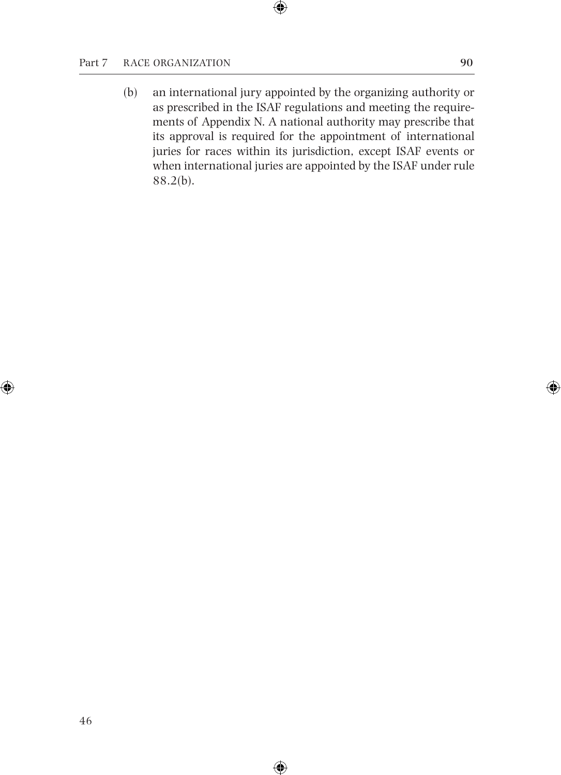(b) an international jury appointed by the organizing authority or as prescribed in the ISAF regulations and meeting the requirements of Appendix N. A national authority may prescribe that its approval is required for the appointment of international juries for races within its jurisdiction, except ISAF events or when international juries are appointed by the ISAF under rule 88.2(b).

 $\bigoplus$ 

 $\bigoplus$ 

⊕

♠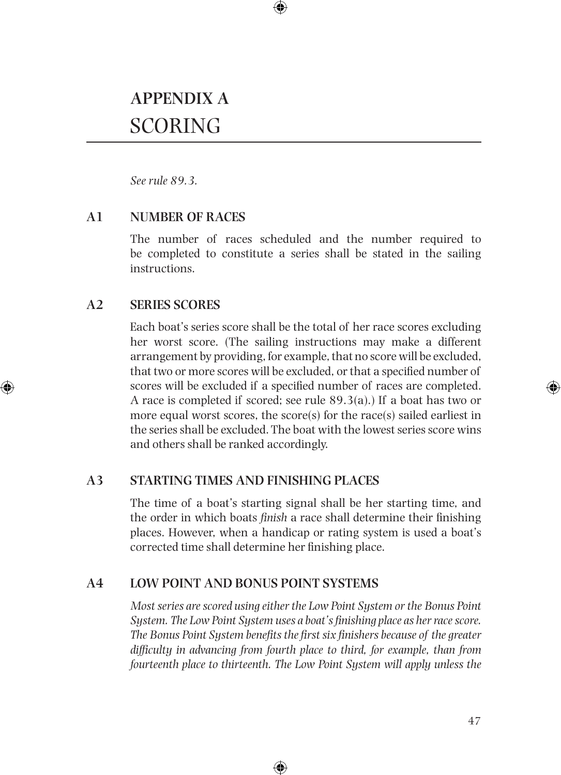# **APPENDIX A** SCORING

*See rule 89.3.*

# **A1 NUMBER OF RACES**

The number of races scheduled and the number required to be completed to constitute a series shall be stated in the sailing **instructions** 

 $\bigcirc$ 

# **A2 SERIES SCORES**

⊕

Each boat's series score shall be the total of her race scores excluding her worst score. (The sailing instructions may make a different arrangement by providing, for example, that no score will be excluded, that two or more scores will be excluded, or that a specified number of scores will be excluded if a specified number of races are completed. A race is completed if scored; see rule 89.3(a).) If a boat has two or more equal worst scores, the score(s) for the race(s) sailed earliest in the series shall be excluded. The boat with the lowest series score wins and others shall be ranked accordingly.

# **A3 STARTING TIMES AND FINISHING PLACES**

The time of a boat's starting signal shall be her starting time, and the order in which boats *finish* a race shall determine their finishing places. However, when a handicap or rating system is used a boat's corrected time shall determine her finishing place.

# **A4 LOW POINT AND BONUS POINT SYSTEMS**

 *Most series are scored using either the Low Point System or the Bonus Point System. The Low Point System uses a boat's finishing place as her race score. The Bonus Point System benefits the first six finishers because of the greater difficulty in advancing from fourth place to third, for example, than from fourteenth place to thirteenth. The Low Point System will apply unless the* 

 $\bigoplus$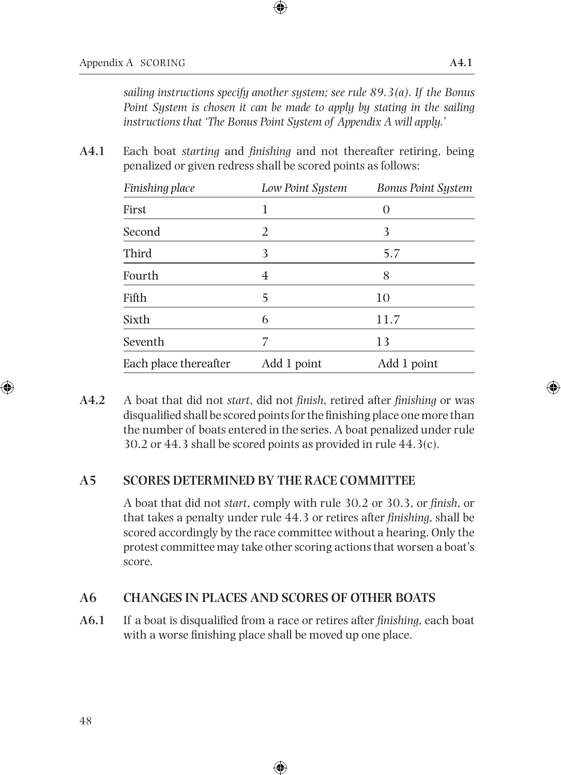*sailing instructions specify another system; see rule 89.3(a). If the Bonus Point System is chosen it can be made to apply by stating in the sailing instructions that 'The Bonus Point System of Appendix A will apply.'*

**A4.1** Each boat *starting* and *finishing* and not thereafter retiring, being penalized or given redress shall be scored points as follows:

 $\bigcirc$ 

| Finishing place       | Low Point System | Bonus Point System |
|-----------------------|------------------|--------------------|
| First                 | 1                | $\left( \right)$   |
| Second                | 2                | 3                  |
| Third                 | 3                | 5.7                |
| Fourth                | 4                | 8                  |
| Fifth                 | 5                | 10                 |
| Sixth                 | 6                | 11.7               |
| Seventh               | 7                | 13                 |
| Each place thereafter | Add 1 point      | Add 1 point        |

**A4.2** A boat that did not *start*, did not *finish*, retired after *finishing* or was disqualified shall be scored points for the finishing place one more than the number of boats entered in the series. A boat penalized under rule 30.2 or 44.3 shall be scored points as provided in rule 44.3(c).

# **A5 SCORES DETERMINED BY THE RACE COMMITTEE**

A boat that did not *start*, comply with rule 30.2 or 30.3, or *finish*, or that takes a penalty under rule 44.3 or retires after *finishing*, shall be scored accordingly by the race committee without a hearing. Only the protest committee may take other scoring actions that worsen a boat's score.

## **A6 CHANGES IN PLACES AND SCORES OF OTHER BOATS**

**A6.1** If a boat is disqualified from a race or retires after *finishing*, each boat with a worse finishing place shall be moved up one place.

 $\bigoplus$ 

⊕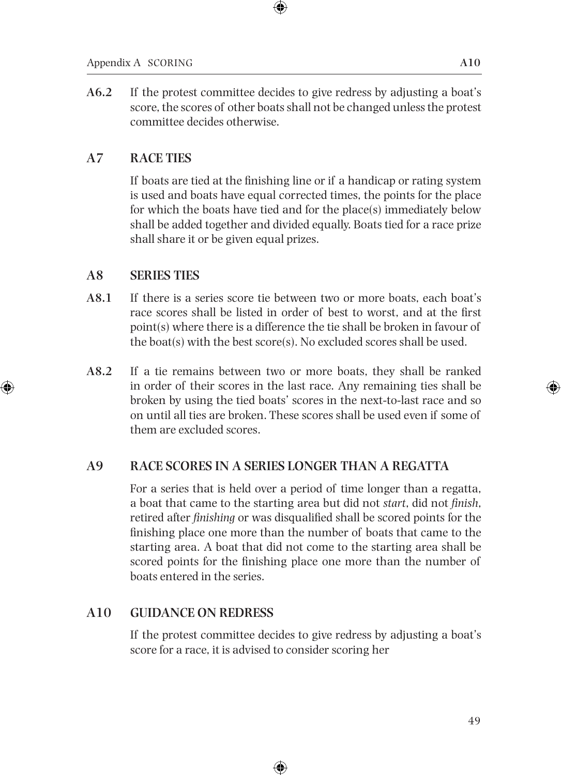$\circledast$ 

# **A7 RACE TIES**

If boats are tied at the finishing line or if a handicap or rating system is used and boats have equal corrected times, the points for the place for which the boats have tied and for the place(s) immediately below shall be added together and divided equally. Boats tied for a race prize shall share it or be given equal prizes.

# **A8 SERIES TIES**

⊕

- **A8.1** If there is a series score tie between two or more boats, each boat's race scores shall be listed in order of best to worst, and at the first point(s) where there is a difference the tie shall be broken in favour of the boat(s) with the best score(s). No excluded scores shall be used.
- **A8.2** If a tie remains between two or more boats, they shall be ranked in order of their scores in the last race. Any remaining ties shall be broken by using the tied boats' scores in the next-to-last race and so on until all ties are broken. These scores shall be used even if some of them are excluded scores.

# **A9 RACE SCORES IN A SERIES LONGER THAN A REGATTA**

For a series that is held over a period of time longer than a regatta, a boat that came to the starting area but did not *start*, did not *finish*, retired after *finishing* or was disqualified shall be scored points for the finishing place one more than the number of boats that came to the starting area. A boat that did not come to the starting area shall be scored points for the finishing place one more than the number of boats entered in the series.

## **A10 GUIDANCE ON REDRESS**

If the protest committee decides to give redress by adjusting a boat's score for a race, it is advised to consider scoring her

 $\bigoplus$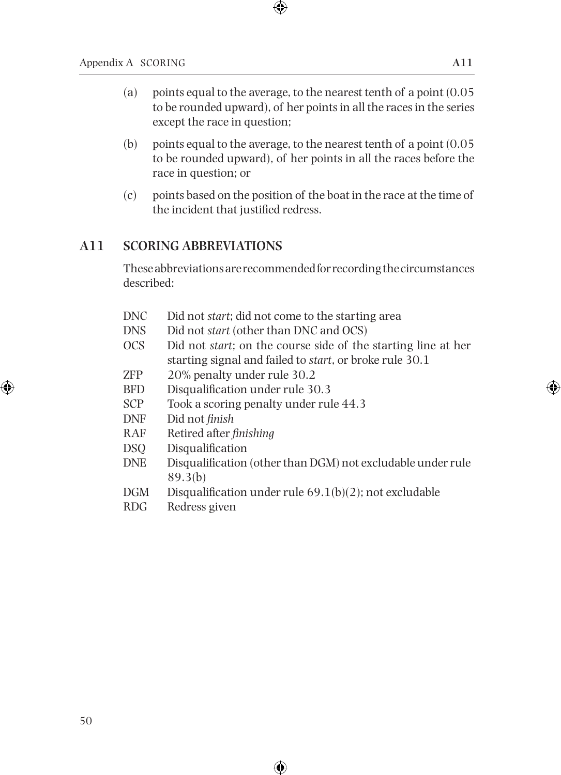(a) points equal to the average, to the nearest tenth of a point  $(0.05$ to be rounded upward), of her points in all the races in the series except the race in question;

⊕

- (b) points equal to the average, to the nearest tenth of a point (0.05 to be rounded upward), of her points in all the races before the race in question; or
- (c) points based on the position of the boat in the race at the time of the incident that justified redress.

# **A11 SCORING ABBREVIATIONS**

These abbreviations are recommended for recording the circumstances described:

- DNC Did not *start*; did not come to the starting area
- DNS Did not *start* (other than DNC and OCS)
- OCS Did not *start*; on the course side of the starting line at her starting signal and failed to *start*, or broke rule 30.1
- ZFP 20% penalty under rule 30.2
- BFD Disqualification under rule 30.3
- SCP Took a scoring penalty under rule 44.3
- DNF Did not *finish*
- RAF Retired after *finishing*
- DSO Disqualification
- DNE Disqualification (other than DGM) not excludable under rule 89.3(b)
- DGM Disqualification under rule  $69.1(b)(2)$ ; not excludable

 $\bigoplus$ 

RDG Redress given

⊕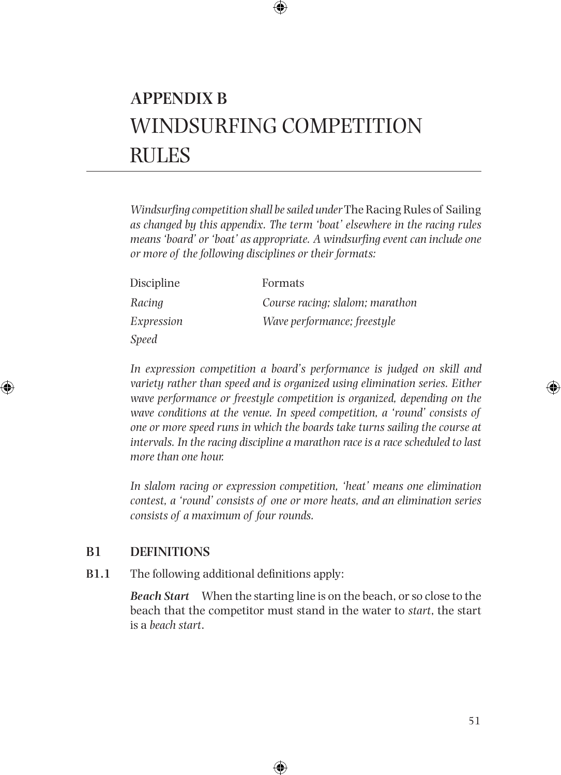# **APPENDIX B** WINDSURFING COMPETITION **RULES**

 $\bigcirc$ 

*Windsurfing competition shall be sailed under* The Racing Rules of Sailing *as changed by this appendix. The term 'boat' elsewhere in the racing rules means 'board' or 'boat' as appropriate. A windsurfing event can include one or more of the following disciplines or their formats:*

| Discipline   | Formats                            |
|--------------|------------------------------------|
| Racing       | Course racing: slalom: marathon    |
| Expression   | <i>Wave performance: freestyle</i> |
| <i>Speed</i> |                                    |

*In expression competition a board's performance is judged on skill and variety rather than speed and is organized using elimination series. Either wave performance or freestyle competition is organized, depending on the wave conditions at the venue. In speed competition, a 'round' consists of one or more speed runs in which the boards take turns sailing the course at intervals. In the racing discipline a marathon race is a race scheduled to last more than one hour.* 

*In slalom racing or expression competition, 'heat' means one elimination contest, a 'round' consists of one or more heats, and an elimination series consists of a maximum of four rounds.* 

## **B1 DEFINITIONS**

♠

**B1.1** The following additional definitions apply:

*Beach Start* When the starting line is on the beach, or so close to the beach that the competitor must stand in the water to *start*, the start is a *beach start*.

 $\bigoplus$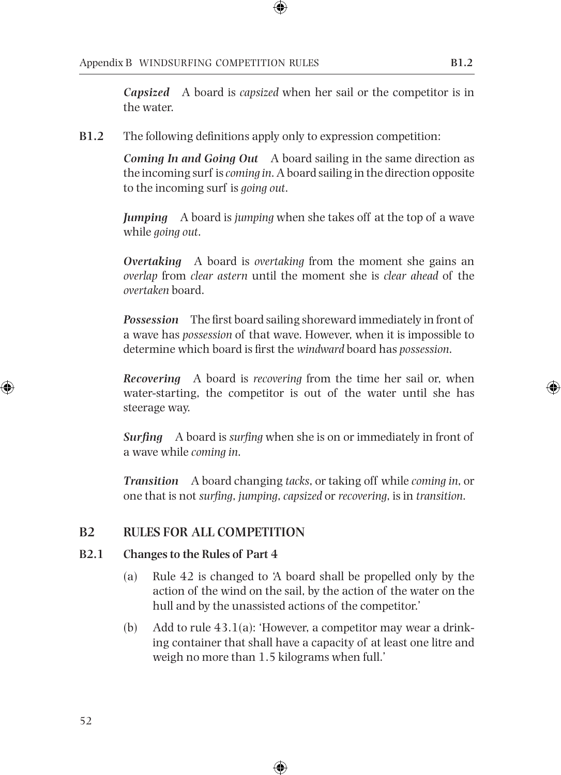*Capsized* A board is *capsized* when her sail or the competitor is in the water.

 $\bigcirc$ 

**B1.2** The following definitions apply only to expression competition:

*Coming In and Going Out* A board sailing in the same direction as the incoming surf is *coming in*. A board sailing in the direction opposite to the incoming surf is *going out*.

*Jumping* A board is *jumping* when she takes off at the top of a wave while *going out*.

*Overtaking* A board is *overtaking* from the moment she gains an *overlap* from *clear astern* until the moment she is *clear ahead* of the *overtaken* board.

*Possession* The first board sailing shoreward immediately in front of a wave has *possession* of that wave. However, when it is impossible to determine which board is first the *windward* board has *possession*.

*Recovering* A board is *recovering* from the time her sail or, when water-starting, the competitor is out of the water until she has steerage way.

*Surfing* A board is *surfing* when she is on or immediately in front of a wave while *coming in*.

*Transition* A board changing *tacks*, or taking off while *coming in*, or one that is not *surfing*, *jumping*, *capsized* or *recovering*, is in *transition*.

# **B2 RULES FOR ALL COMPETITION**

## **B2.1 Changes to the Rules of Part 4**

- (a) Rule 42 is changed to 'A board shall be propelled only by the action of the wind on the sail, by the action of the water on the hull and by the unassisted actions of the competitor.'
- (b) Add to rule  $43.1(a)$ : 'However, a competitor may wear a drinking container that shall have a capacity of at least one litre and weigh no more than 1.5 kilograms when full.'

 $\bigoplus$ 

⊕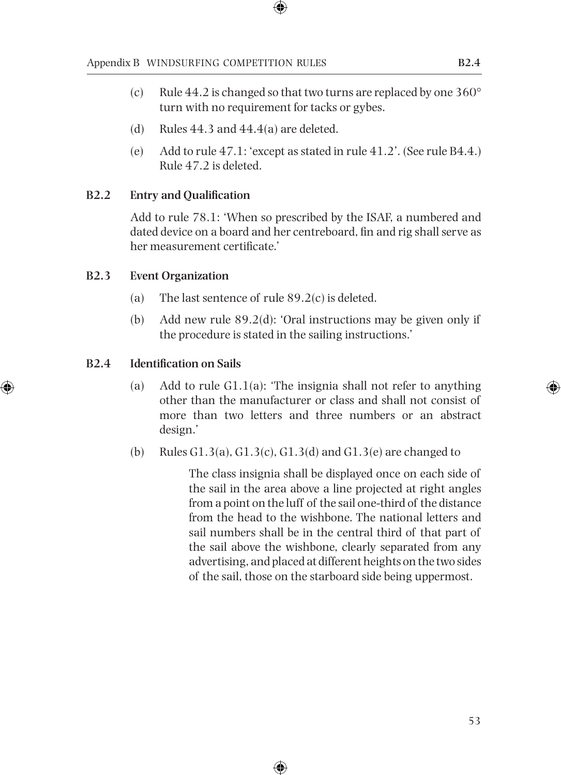(c) Rule 44.2 is changed so that two turns are replaced by one  $360^{\circ}$ turn with no requirement for tacks or gybes.

 $\bigcirc$ 

- (d) Rules  $44.3$  and  $44.4(a)$  are deleted.
- (e) Add to rule 47.1: 'except as stated in rule 41.2'. (See rule B4.4.) Rule 47.2 is deleted.

#### **B2.2 Entry and Qualification**

Add to rule 78.1: 'When so prescribed by the ISAF, a numbered and dated device on a board and her centreboard, fin and rig shall serve as her measurement certificate.'

#### **B2.3 Event Organization**

- (a) The last sentence of rule 89.2(c) is deleted.
- (b) Add new rule 89.2(d): 'Oral instructions may be given only if the procedure is stated in the sailing instructions.'

#### **B2.4 Identification on Sails**

⊕

- (a) Add to rule G1.1(a): 'The insignia shall not refer to anything other than the manufacturer or class and shall not consist of more than two letters and three numbers or an abstract design.'
- (b) Rules  $G1.3(a)$ ,  $G1.3(c)$ ,  $G1.3(d)$  and  $G1.3(e)$  are changed to

 $\bigoplus$ 

The class insignia shall be displayed once on each side of the sail in the area above a line projected at right angles from a point on the luff of the sail one-third of the distance from the head to the wishbone. The national letters and sail numbers shall be in the central third of that part of the sail above the wishbone, clearly separated from any advertising, and placed at different heights on the two sides of the sail, those on the starboard side being uppermost.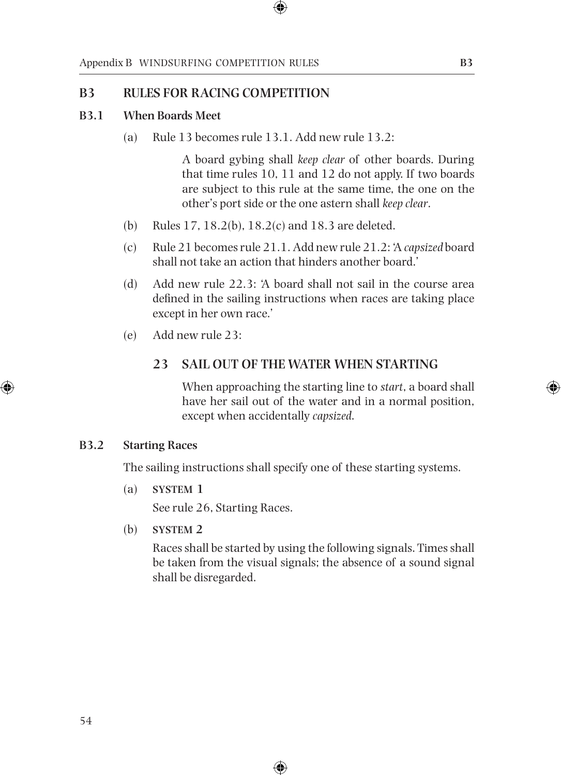# **B3 RULES FOR RACING COMPETITION**

# **B3.1 When Boards Meet**

(a) Rule 13 becomes rule 13.1. Add new rule 13.2:

⊕

A board gybing shall *keep clear* of other boards. During that time rules 10, 11 and 12 do not apply. If two boards are subject to this rule at the same time, the one on the other's port side or the one astern shall *keep clear*.

- (b) Rules 17, 18.2(b), 18.2(c) and 18.3 are deleted.
- (c) Rule 21 becomes rule 21.1. Add new rule 21.2: 'A *capsized* board shall not take an action that hinders another board.'
- (d) Add new rule 22.3: 'A board shall not sail in the course area defined in the sailing instructions when races are taking place except in her own race.'
- (e) Add new rule 23:

# **23 SAIL OUT OF THE WATER WHEN STARTING**

 When approaching the starting line to *start*, a board shall have her sail out of the water and in a normal position, except when accidentally *capsized*.

#### **B3.2 Starting Races**

⊕

The sailing instructions shall specify one of these starting systems.

 $\bigoplus$ 

(a) **SYSTEM 1**

See rule 26, Starting Races.

(b) **SYSTEM 2**

 Races shall be started by using the following signals. Times shall be taken from the visual signals; the absence of a sound signal shall be disregarded.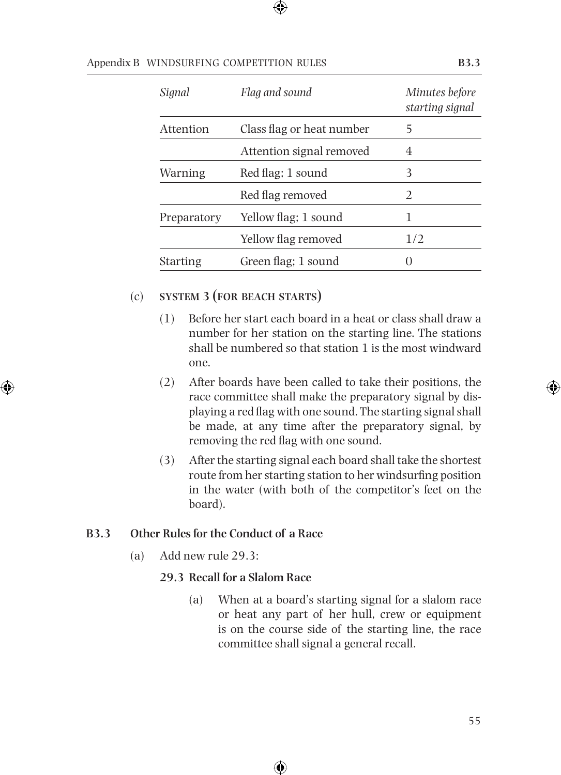| Signal      | Flag and sound            | Minutes before<br>starting signal |
|-------------|---------------------------|-----------------------------------|
| Attention   | Class flag or heat number | 5                                 |
|             | Attention signal removed  | 4                                 |
| Warning     | Red flag; 1 sound         | 3                                 |
|             | Red flag removed          | $\mathcal{D}_{\mathcal{L}}$       |
| Preparatory | Yellow flag; 1 sound      | 1                                 |
|             | Yellow flag removed       | 1/2                               |
| Starting    | Green flag; 1 sound       |                                   |

 $\bigcirc$ 

#### Appendix B WINDSURFING COMPETITION RULES **B3.3**

# (c) **SYSTEM 3 (FOR BEACH STARTS)**

- (1) Before her start each board in a heat or class shall draw a number for her station on the starting line. The stations shall be numbered so that station 1 is the most windward one.
- (2) After boards have been called to take their positions, the race committee shall make the preparatory signal by displaying a red flag with one sound. The starting signal shall be made, at any time after the preparatory signal, by removing the red flag with one sound.
- (3) After the starting signal each board shall take the shortest route from her starting station to her windsurfing position in the water (with both of the competitor's feet on the board).

# **B3.3 Other Rules for the Conduct of a Race**

(a) Add new rule 29.3:

⊕

#### **29.3 Recall for a Slalom Race**

 $\bigoplus$ 

(a) When at a board's starting signal for a slalom race or heat any part of her hull, crew or equipment is on the course side of the starting line, the race committee shall signal a general recall.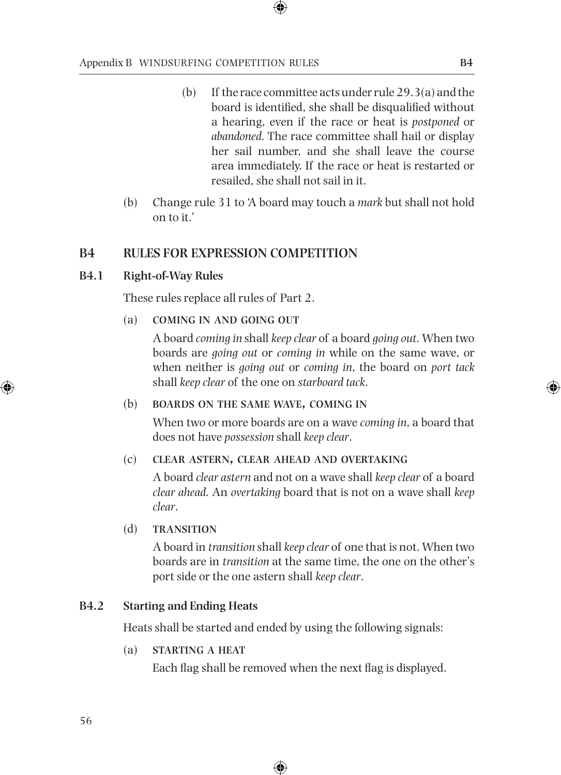- (b) If the race committee acts under rule 29.3(a) and the board is identified, she shall be disqualified without a hearing, even if the race or heat is *postponed* or *abandoned*. The race committee shall hail or display her sail number, and she shall leave the course area immediately. If the race or heat is restarted or resailed, she shall not sail in it.
- (b) Change rule 31 to 'A board may touch a *mark* but shall not hold on to it.'

 $\bigcirc$ 

# **B4 RULES FOR EXPRESSION COMPETITION**

#### **B4.1 Right-of-Way Rules**

These rules replace all rules of Part 2.

(a) **COMING IN AND GOING OUT**

 A board *coming in* shall *keep clear* of a board *going out*. When two boards are *going out* or *coming in* while on the same wave, or when neither is *going out* or *coming in*, the board on *port tack* shall *keep clear* of the one on *starboard tack*.

# (b) **BOARDS ON THE SAME WAVE, COMING IN**

 When two or more boards are on a wave *coming in*, a board that does not have *possession* shall *keep clear*.

#### (c) **CLEAR ASTERN, CLEAR AHEAD AND OVERTAKING**

 A board *clear astern* and not on a wave shall *keep clear* of a board *clear ahead*. An *overtaking* board that is not on a wave shall *keep clear*.

(d) **TRANSITION**

 A board in *transition* shall *keep clear* of one that is not. When two boards are in *transition* at the same time, the one on the other's port side or the one astern shall *keep clear*.

#### **B4.2 Starting and Ending Heats**

Heats shall be started and ended by using the following signals:

 $\bigoplus$ 

(a) **STARTING A HEAT**

Each flag shall be removed when the next flag is displayed.

⊕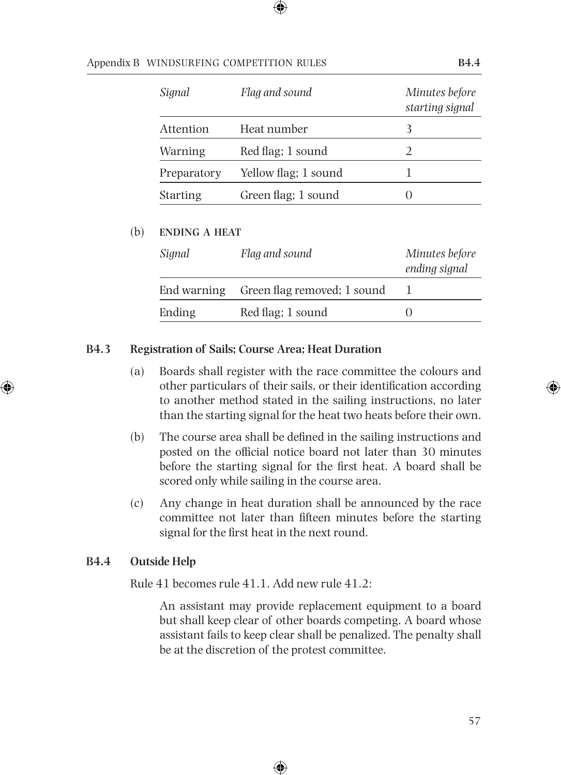#### Appendix B WINDSURFING COMPETITION RULES **B4.4**

| Signal          | Flag and sound       | Minutes before<br>starting signal |
|-----------------|----------------------|-----------------------------------|
| Attention       | Heat number          | 3                                 |
| Warning         | Red flag; 1 sound    |                                   |
| Preparatory     | Yellow flag: 1 sound |                                   |
| <b>Starting</b> | Green flag; 1 sound  |                                   |

 $\bigcirc$ 

#### (b) **ENDING A HEAT**

| Signal      | Flag and sound              | Minutes before<br>ending signal |
|-------------|-----------------------------|---------------------------------|
| End warning | Green flag removed: 1 sound |                                 |
| Ending      | Red flag; 1 sound           |                                 |

#### **B4.3 Registration of Sails; Course Area; Heat Duration**

- (a) Boards shall register with the race committee the colours and other particulars of their sails, or their identification according to another method stated in the sailing instructions, no later than the starting signal for the heat two heats before their own.
- (b) The course area shall be defined in the sailing instructions and posted on the official notice board not later than 30 minutes before the starting signal for the first heat. A board shall be scored only while sailing in the course area.
- (c) Any change in heat duration shall be announced by the race committee not later than fifteen minutes before the starting signal for the first heat in the next round.

## **B4.4 Outside Help**

⊕

Rule 41 becomes rule 41.1. Add new rule 41.2:

 $\bigoplus$ 

An assistant may provide replacement equipment to a board but shall keep clear of other boards competing. A board whose assistant fails to keep clear shall be penalized. The penalty shall be at the discretion of the protest committee.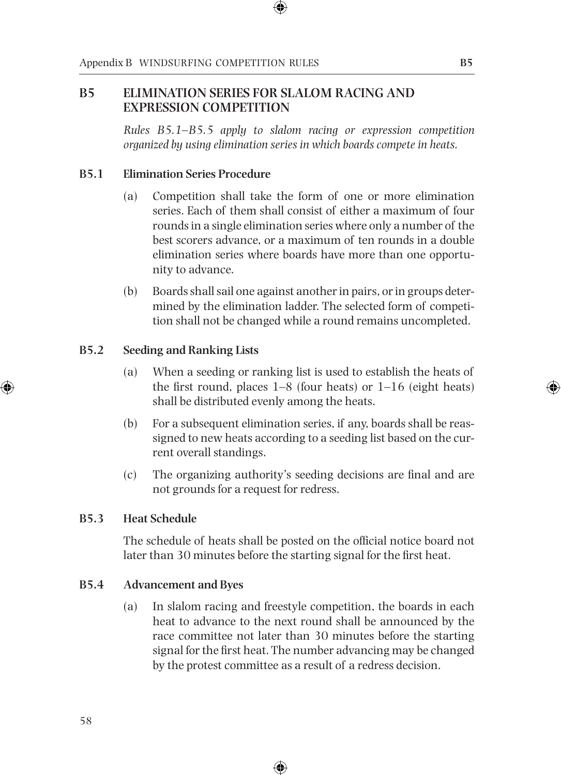# **B5 ELIMINATION SERIES FOR SLALOM RACING AND EXPRESSION COMPETITION**

*Rules B5.1–B5.5 apply to slalom racing or expression competition organized by using elimination series in which boards compete in heats.*

 $\bigcirc$ 

### **B5.1 Elimination Series Procedure**

- (a) Competition shall take the form of one or more elimination series. Each of them shall consist of either a maximum of four rounds in a single elimination series where only a number of the best scorers advance, or a maximum of ten rounds in a double elimination series where boards have more than one opportunity to advance.
- (b) Boards shall sail one against another in pairs, or in groups determined by the elimination ladder. The selected form of competition shall not be changed while a round remains uncompleted.

#### **B5.2 Seeding and Ranking Lists**

- (a) When a seeding or ranking list is used to establish the heats of the first round, places  $1-8$  (four heats) or  $1-16$  (eight heats) shall be distributed evenly among the heats.
- (b) For a subsequent elimination series, if any, boards shall be reassigned to new heats according to a seeding list based on the current overall standings.
- (c) The organizing authority's seeding decisions are final and are not grounds for a request for redress.

#### **B5.3 Heat Schedule**

The schedule of heats shall be posted on the official notice board not later than 30 minutes before the starting signal for the first heat.

## **B5.4 Advancement and Byes**

(a) In slalom racing and freestyle competition, the boards in each heat to advance to the next round shall be announced by the race committee not later than 30 minutes before the starting signal for the first heat. The number advancing may be changed by the protest committee as a result of a redress decision.

 $\bigoplus$ 

⊕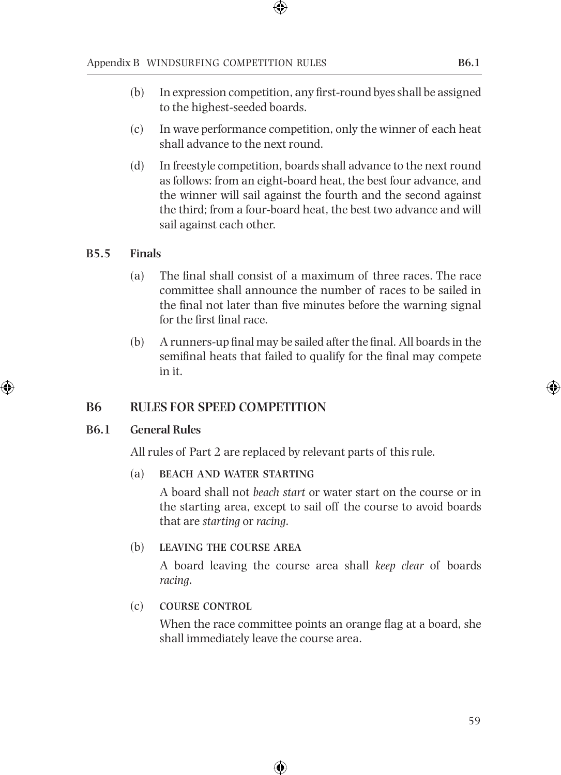(b) In expression competition, any first-round byes shall be assigned to the highest-seeded boards.

⊕

- (c) In wave performance competition, only the winner of each heat shall advance to the next round.
- (d) In freestyle competition, boards shall advance to the next round as follows: from an eight-board heat, the best four advance, and the winner will sail against the fourth and the second against the third; from a four-board heat, the best two advance and will sail against each other.

# **B5.5 Finals**

♠

- (a) The final shall consist of a maximum of three races. The race committee shall announce the number of races to be sailed in the final not later than five minutes before the warning signal for the first final race.
- (b) A runners-up final may be sailed after the final. All boards in the semifinal heats that failed to qualify for the final may compete in it.

# **B6 RULES FOR SPEED COMPETITION**

## **B6.1 General Rules**

All rules of Part 2 are replaced by relevant parts of this rule.

 $\bigoplus$ 

(a) **BEACH AND WATER STARTING**

 A board shall not *beach start* or water start on the course or in the starting area, except to sail off the course to avoid boards that are *starting* or *racing*.

(b) **LEAVING THE COURSE AREA**

 A board leaving the course area shall *keep clear* of boards *racing*.

(c) **COURSE CONTROL**

 When the race committee points an orange flag at a board, she shall immediately leave the course area.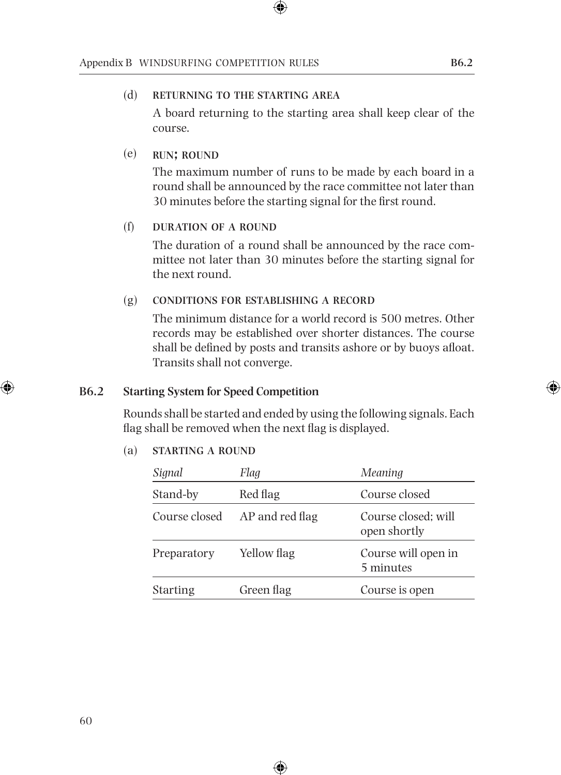## (d) **RETURNING TO THE STARTING AREA**

 A board returning to the starting area shall keep clear of the course.

⊕

#### (e) **RUN; ROUND**

 The maximum number of runs to be made by each board in a round shall be announced by the race committee not later than 30 minutes before the starting signal for the first round.

## (f) **DURATION OF A ROUND**

 The duration of a round shall be announced by the race committee not later than 30 minutes before the starting signal for the next round.

#### (g) **CONDITIONS FOR ESTABLISHING A RECORD**

 The minimum distance for a world record is 500 metres. Other records may be established over shorter distances. The course shall be defined by posts and transits ashore or by buoys afloat. Transits shall not converge.

### **B6.2 Starting System for Speed Competition**

Rounds shall be started and ended by using the following signals. Each flag shall be removed when the next flag is displayed.

(a) **STARTING A ROUND**

| Signal        | Flaa            | Meaning                             |
|---------------|-----------------|-------------------------------------|
| Stand-by      | Red flag        | Course closed                       |
| Course closed | AP and red flag | Course closed; will<br>open shortly |
| Preparatory   | Yellow flag     | Course will open in<br>5 minutes    |
| Starting      | Green flag      | Course is open                      |

 $\bigoplus$ 

⊕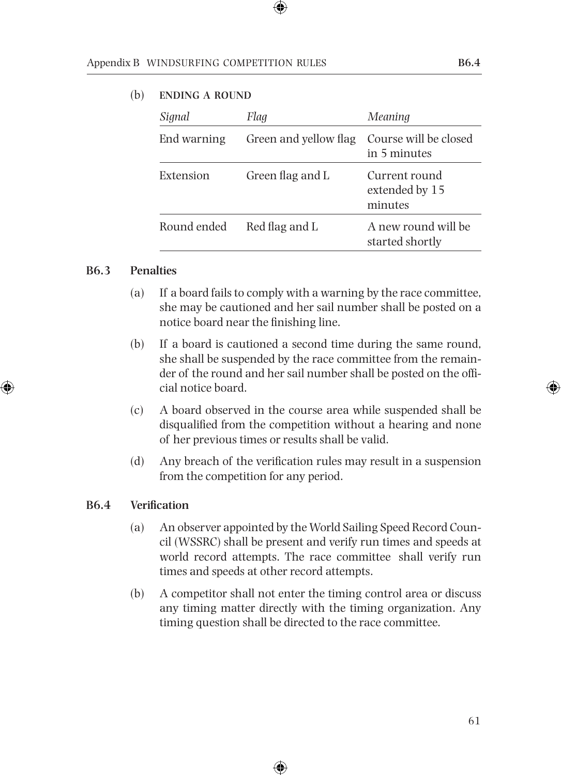#### (b) **ENDING A ROUND**

| Signal      | Flag                  | Meaning                                    |
|-------------|-----------------------|--------------------------------------------|
| End warning | Green and yellow flag | Course will be closed<br>in 5 minutes      |
| Extension   | Green flag and L      | Current round<br>extended by 15<br>minutes |
| Round ended | Red flag and L        | A new round will be<br>started shortly     |

 $\bigcirc$ 

# **B6.3 Penalties**

♠

- (a) If a board fails to comply with a warning by the race committee, she may be cautioned and her sail number shall be posted on a notice board near the finishing line.
- (b) If a board is cautioned a second time during the same round, she shall be suspended by the race committee from the remainder of the round and her sail number shall be posted on the official notice board.
- (c) A board observed in the course area while suspended shall be disqualified from the competition without a hearing and none of her previous times or results shall be valid.
- (d) Any breach of the verification rules may result in a suspension from the competition for any period.

## **B6.4 Verification**

- (a) An observer appointed by the World Sailing Speed Record Council (WSSRC) shall be present and verify run times and speeds at world record attempts. The race committee shall verify run times and speeds at other record attempts.
- (b) A competitor shall not enter the timing control area or discuss any timing matter directly with the timing organization. Any timing question shall be directed to the race committee.

 $\bigoplus$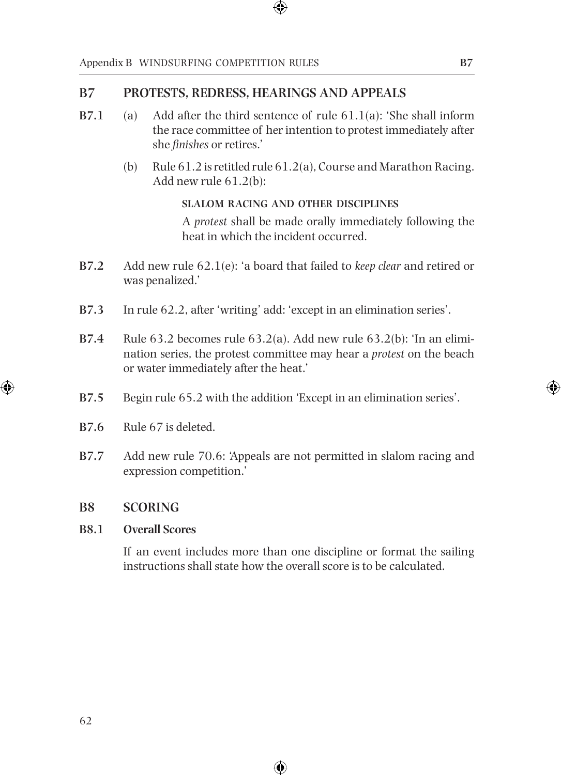# **B7 PROTESTS, REDRESS, HEARINGS AND APPEALS**

**B7.1** (a) Add after the third sentence of rule 61.1(a): 'She shall inform the race committee of her intention to protest immediately after she *finishes* or retires.'

 $\bigcirc$ 

(b) Rule 61.2 is retitled rule 61.2(a), Course and Marathon Racing. Add new rule 61.2(b):

#### **SLALOM RACING AND OTHER DISCIPLINES**

A *protest* shall be made orally immediately following the heat in which the incident occurred.

- **B7.2** Add new rule 62.1(e): 'a board that failed to *keep clear* and retired or was penalized.'
- **B7.3** In rule 62.2, after 'writing' add: 'except in an elimination series'.
- **B7.4** Rule 63.2 becomes rule 63.2(a). Add new rule 63.2(b): 'In an elimination series, the protest committee may hear a *protest* on the beach or water immediately after the heat.'
- **B7.5** Begin rule 65.2 with the addition 'Except in an elimination series'.
- **B7.6** Rule 67 is deleted.
- **B7.7** Add new rule 70.6: 'Appeals are not permitted in slalom racing and expression competition.'

# **B8 SCORING**

#### **B8.1 Overall Scores**

If an event includes more than one discipline or format the sailing instructions shall state how the overall score is to be calculated.

 $\bigoplus$ 

⊕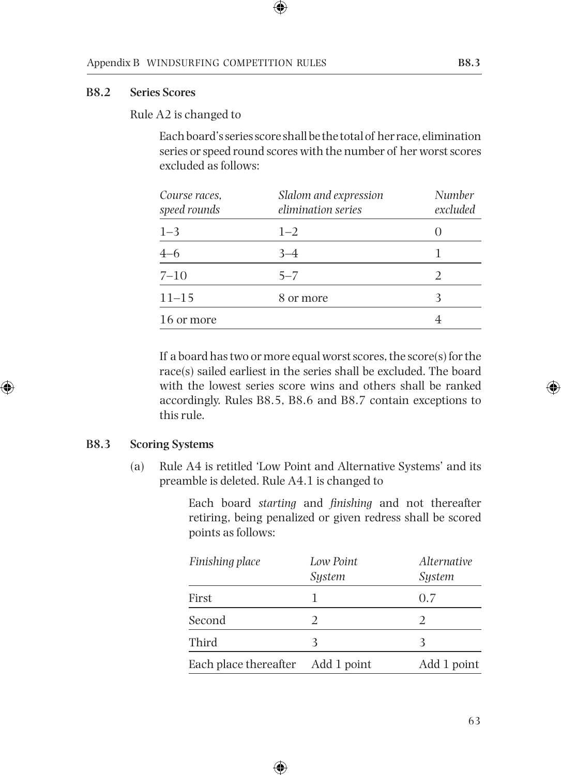## **B8.2 Series Scores**

Rule A2 is changed to

Each board's series score shall be the total of her race, elimination series or speed round scores with the number of her worst scores excluded as follows:

⊕

| Course races,<br>speed rounds | Slalom and expression<br>elimination series | <b>Number</b><br>excluded |
|-------------------------------|---------------------------------------------|---------------------------|
| $1 - 3$                       | $1 - 2$                                     | $\left( \right)$          |
| $4 - 6$                       | $3 - 4$                                     |                           |
| $7 - 10$                      | $5 - 7$                                     |                           |
| $11 - 15$                     | 8 or more                                   | 3                         |
| 16 or more                    |                                             |                           |

If a board has two or more equal worst scores, the score(s) for the race(s) sailed earliest in the series shall be excluded. The board with the lowest series score wins and others shall be ranked accordingly. Rules B8.5, B8.6 and B8.7 contain exceptions to this rule.

#### **B8.3 Scoring Systems**

⊕

(a) Rule A4 is retitled 'Low Point and Alternative Systems' and its preamble is deleted. Rule A4.1 is changed to

◈

Each board *starting* and *finishing* and not thereafter retiring, being penalized or given redress shall be scored points as follows:

| Finishing place                   | Low Point<br>Sustem | <i>Alternative</i><br>System |
|-----------------------------------|---------------------|------------------------------|
| First                             |                     | 0.7                          |
| Second                            | $\mathcal{L}$       | $\mathcal{D}_{\cdot}$        |
| Third                             | 3                   | 3                            |
| Each place thereafter Add 1 point |                     | Add 1 point                  |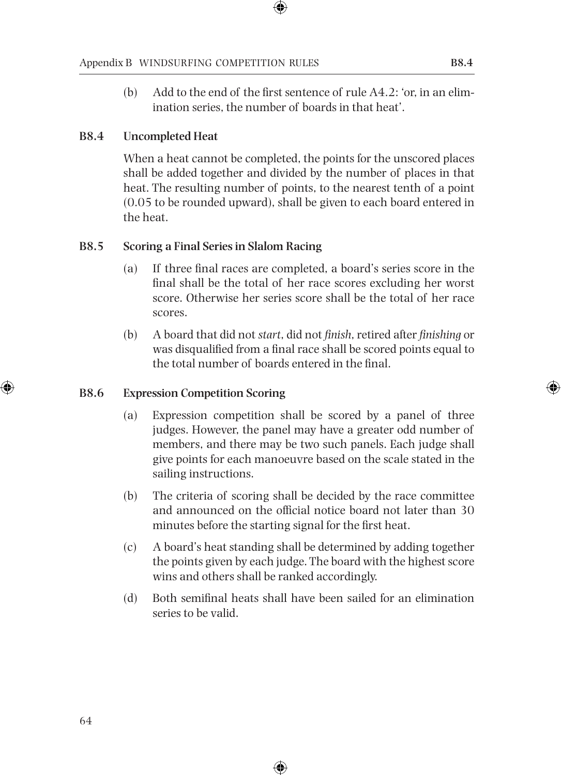(b) Add to the end of the first sentence of rule A4.2: 'or, in an elimination series, the number of boards in that heat'.

 $\bigcirc$ 

### **B8.4 Uncompleted Heat**

When a heat cannot be completed, the points for the unscored places shall be added together and divided by the number of places in that heat. The resulting number of points, to the nearest tenth of a point (0.05 to be rounded upward), shall be given to each board entered in the heat.

## **B8.5 Scoring a Final Series in Slalom Racing**

- (a) If three final races are completed, a board's series score in the final shall be the total of her race scores excluding her worst score. Otherwise her series score shall be the total of her race scores.
- (b) A board that did not *start*, did not *finish*, retired after *finishing* or was disqualified from a final race shall be scored points equal to the total number of boards entered in the final.

#### **B8.6 Expression Competition Scoring**

- (a) Expression competition shall be scored by a panel of three judges. However, the panel may have a greater odd number of members, and there may be two such panels. Each judge shall give points for each manoeuvre based on the scale stated in the sailing instructions.
- (b) The criteria of scoring shall be decided by the race committee and announced on the official notice board not later than 30 minutes before the starting signal for the first heat.
- (c) A board's heat standing shall be determined by adding together the points given by each judge. The board with the highest score wins and others shall be ranked accordingly.
- (d) Both semifinal heats shall have been sailed for an elimination series to be valid.

 $\bigoplus$ 

⊕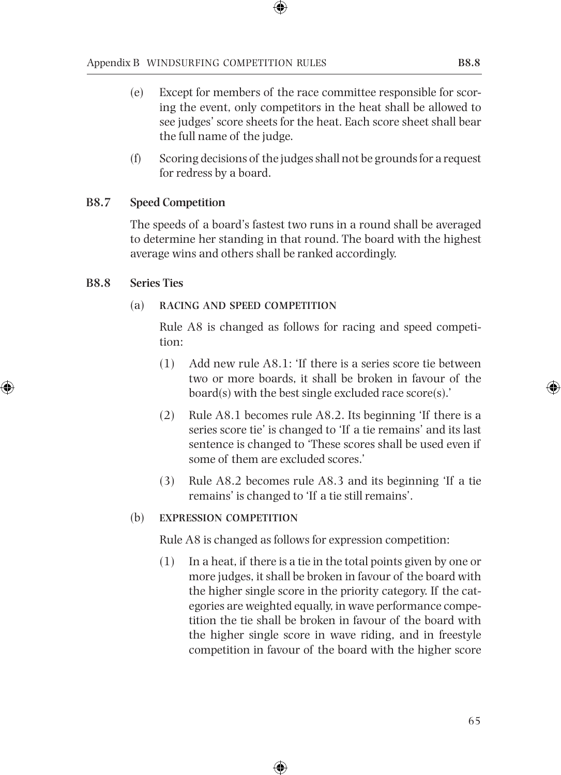(e) Except for members of the race committee responsible for scoring the event, only competitors in the heat shall be allowed to see judges' score sheets for the heat. Each score sheet shall bear the full name of the judge.

 $\bigcirc$ 

 (f) Scoring decisions of the judges shall not be grounds for a request for redress by a board.

## **B8.7 Speed Competition**

The speeds of a board's fastest two runs in a round shall be averaged to determine her standing in that round. The board with the highest average wins and others shall be ranked accordingly.

#### **B8.8 Series Ties**

⊕

#### (a) **RACING AND SPEED COMPETITION**

 Rule A8 is changed as follows for racing and speed competition:

- (1) Add new rule A8.1: 'If there is a series score tie between two or more boards, it shall be broken in favour of the board(s) with the best single excluded race score(s).'
- (2) Rule A8.1 becomes rule A8.2. Its beginning 'If there is a series score tie' is changed to 'If a tie remains' and its last sentence is changed to 'These scores shall be used even if some of them are excluded scores.'
- (3) Rule A8.2 becomes rule A8.3 and its beginning 'If a tie remains' is changed to 'If a tie still remains'.

#### (b) **EXPRESSION COMPETITION**

Rule A8 is changed as follows for expression competition:

 $\bigoplus$ 

 (1) In a heat, if there is a tie in the total points given by one or more judges, it shall be broken in favour of the board with the higher single score in the priority category. If the categories are weighted equally, in wave performance competition the tie shall be broken in favour of the board with the higher single score in wave riding, and in freestyle competition in favour of the board with the higher score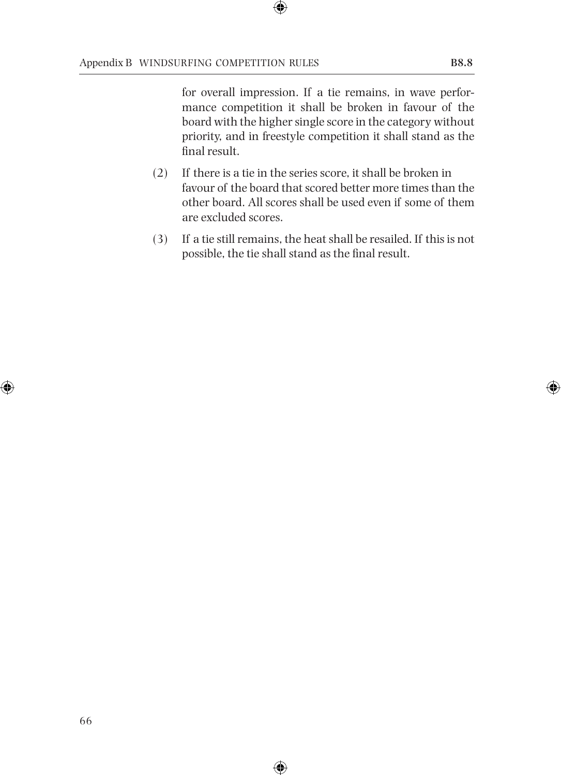for overall impression. If a tie remains, in wave performance competition it shall be broken in favour of the board with the higher single score in the category without priority, and in freestyle competition it shall stand as the final result.

 $\bigoplus$ 

- (2) If there is a tie in the series score, it shall be broken in favour of the board that scored better more times than the other board. All scores shall be used even if some of them are excluded scores.
- (3) If a tie still remains, the heat shall be resailed. If this is not possible, the tie shall stand as the final result.

 $\bigoplus$ 

⊕

♠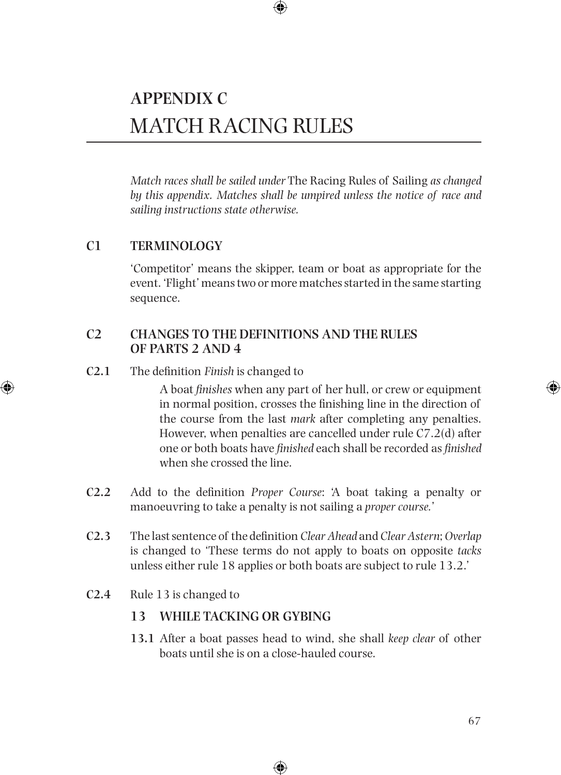# **APPENDIX C** MATCH RACING RULES

↔

*Match races shall be sailed under* The Racing Rules of Sailing *as changed by this appendix. Matches shall be umpired unless the notice of race and sailing instructions state otherwise.*

# **C1 TERMINOLOGY**

⊕

'Competitor' means the skipper, team or boat as appropriate for the event. 'Flight' means two or more matches started in the same starting sequence.

# **C2 CHANGES TO THE DEFINITIONS AND THE RULES OF PARTS 2 AND 4**

#### **C2.1** The definition *Finish* is changed to

A boat *finishes* when any part of her hull, or crew or equipment in normal position, crosses the finishing line in the direction of the course from the last *mark* after completing any penalties. However, when penalties are cancelled under rule C7.2(d) after one or both boats have *finished* each shall be recorded as *finished* when she crossed the line.

- **C2.2** Add to the definition *Proper Course*: 'A boat taking a penalty or manoeuvring to take a penalty is not sailing a *proper course.*'
- **C2.3** The last sentence of the definition *Clear Ahead* and *Clear Astern*; *Overlap* is changed to 'These terms do not apply to boats on opposite *tacks* unless either rule 18 applies or both boats are subject to rule 13.2.'

 $\bigoplus$ 

**C2.4** Rule 13 is changed to

# **13 WHILE TACKING OR GYBING**

 **13.1** After a boat passes head to wind, she shall *keep clear* of other boats until she is on a close-hauled course.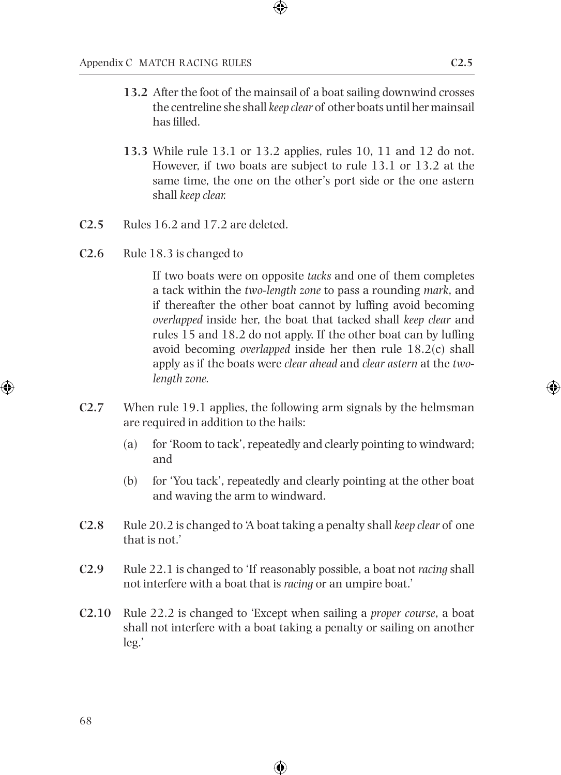**13.2** After the foot of the mainsail of a boat sailing downwind crosses the centreline she shall *keep clear* of other boats until her mainsail has filled.

 $\bigcirc$ 

- **13.3** While rule 13.1 or 13.2 applies, rules 10, 11 and 12 do not. However, if two boats are subject to rule 13.1 or 13.2 at the same time, the one on the other's port side or the one astern shall *keep clear.*
- **C2.5** Rules 16.2 and 17.2 are deleted.
- **C2.6** Rule 18.3 is changed to

If two boats were on opposite *tacks* and one of them completes a tack within the *two-length zone* to pass a rounding *mark*, and if thereafter the other boat cannot by luffing avoid becoming *overlapped* inside her, the boat that tacked shall *keep clear* and rules 15 and 18.2 do not apply. If the other boat can by luffing avoid becoming *overlapped* inside her then rule 18.2(c) shall apply as if the boats were *clear ahead* and *clear astern* at the *twolength zone.*

- **C2.7** When rule 19.1 applies, the following arm signals by the helmsman are required in addition to the hails:
	- (a) for 'Room to tack', repeatedly and clearly pointing to windward; and
	- (b) for 'You tack', repeatedly and clearly pointing at the other boat and waving the arm to windward.
- **C2.8** Rule 20.2 is changed to 'A boat taking a penalty shall *keep clear* of one that is not.'
- **C2.9** Rule 22.1 is changed to 'If reasonably possible, a boat not *racing* shall not interfere with a boat that is *racing* or an umpire boat.'
- **C2.10** Rule 22.2 is changed to 'Except when sailing a *proper course*, a boat shall not interfere with a boat taking a penalty or sailing on another leg.'

 $\bigoplus$ 

⊕

♠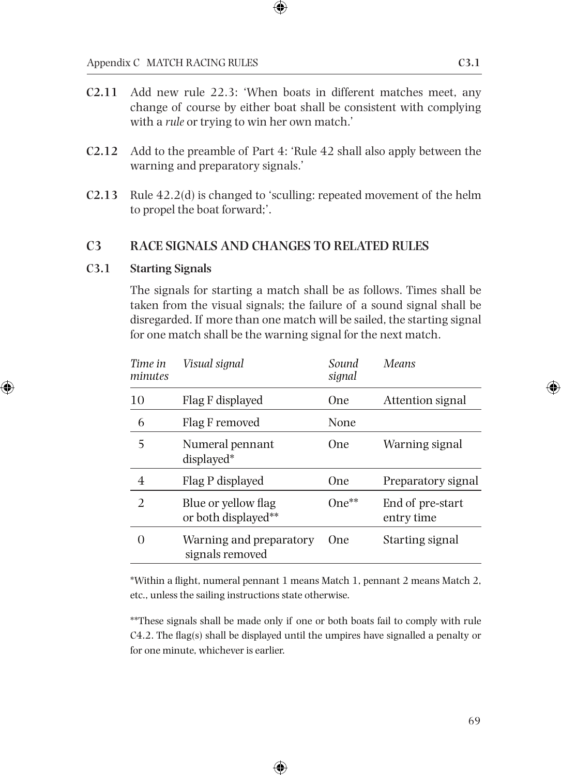**C2.11** Add new rule 22.3: 'When boats in different matches meet, any change of course by either boat shall be consistent with complying with a *rule* or trying to win her own match.'

⊕

- **C2.12** Add to the preamble of Part 4: 'Rule 42 shall also apply between the warning and preparatory signals.'
- **C2.13** Rule 42.2(d) is changed to 'sculling: repeated movement of the helm to propel the boat forward;'.

# **C3 RACE SIGNALS AND CHANGES TO RELATED RULES**

# **C3.1 Starting Signals**

⊕

The signals for starting a match shall be as follows. Times shall be taken from the visual signals; the failure of a sound signal shall be disregarded. If more than one match will be sailed, the starting signal for one match shall be the warning signal for the next match.

| Time in<br>minutes | Visual signal                              | Sound<br>signal | Means                          |
|--------------------|--------------------------------------------|-----------------|--------------------------------|
| 10                 | Flag F displayed                           | One             | Attention signal               |
| 6                  | Flag F removed                             | None            |                                |
| 5                  | Numeral pennant<br>displayed*              | One             | Warning signal                 |
| 4                  | Flag P displayed                           | One             | Preparatory signal             |
| $\mathfrak{D}$     | Blue or yellow flag<br>or both displayed** | One**           | End of pre-start<br>entry time |
| $\left( \right)$   | Warning and preparatory<br>signals removed | 0ne             | Starting signal                |

\*Within a flight, numeral pennant 1 means Match 1, pennant 2 means Match 2, etc., unless the sailing instructions state otherwise.

\*\*These signals shall be made only if one or both boats fail to comply with rule C4.2. The flag(s) shall be displayed until the umpires have signalled a penalty or for one minute, whichever is earlier.

 $\bigoplus$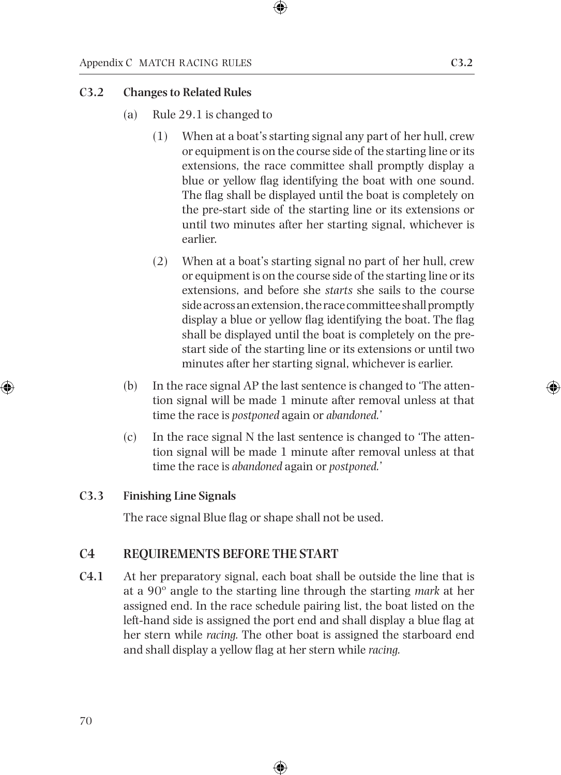#### **C3.2 Changes to Related Rules**

- (a) Rule 29.1 is changed to
	- (1) When at a boat's starting signal any part of her hull, crew or equipment is on the course side of the starting line or its extensions, the race committee shall promptly display a blue or yellow flag identifying the boat with one sound. The flag shall be displayed until the boat is completely on the pre-start side of the starting line or its extensions or until two minutes after her starting signal, whichever is earlier.

⊕

- (2) When at a boat's starting signal no part of her hull, crew or equipment is on the course side of the starting line or its extensions, and before she *starts* she sails to the course side across an extension, the race committee shall promptly display a blue or yellow flag identifying the boat. The flag shall be displayed until the boat is completely on the prestart side of the starting line or its extensions or until two minutes after her starting signal, whichever is earlier.
- (b) In the race signal AP the last sentence is changed to 'The attention signal will be made 1 minute after removal unless at that time the race is *postponed* again or *abandoned.*'
- (c) In the race signal N the last sentence is changed to 'The attention signal will be made 1 minute after removal unless at that time the race is *abandoned* again or *postponed.*'

#### **C3.3 Finishing Line Signals**

The race signal Blue flag or shape shall not be used.

#### **C4 REQUIREMENTS BEFORE THE START**

**C4.1** At her preparatory signal, each boat shall be outside the line that is at a 90º angle to the starting line through the starting *mark* at her assigned end. In the race schedule pairing list, the boat listed on the left-hand side is assigned the port end and shall display a blue flag at her stern while *racing.* The other boat is assigned the starboard end and shall display a yellow flag at her stern while *racing.*

 $\bigoplus$ 

⊕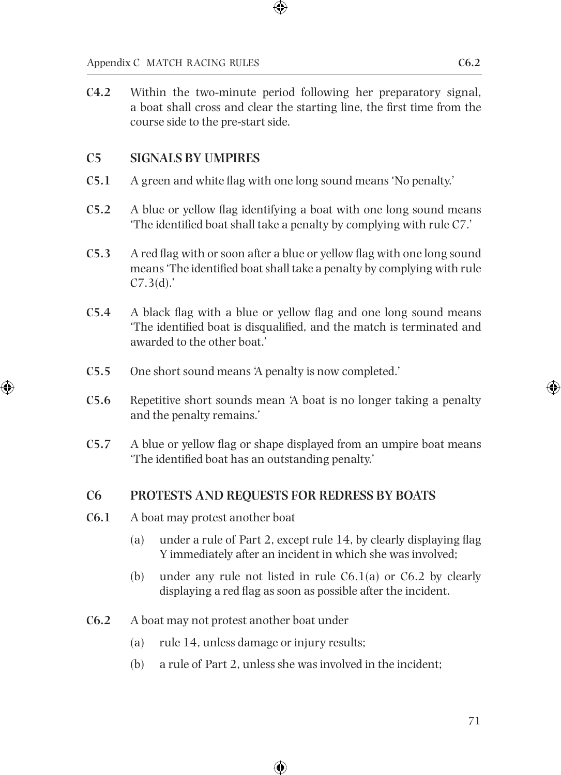**C4.2** Within the two-minute period following her preparatory signal, a boat shall cross and clear the starting line, the first time from the course side to the pre-start side.

 $\bigcirc$ 

#### **C5 SIGNALS BY UMPIRES**

- **C5.1** A green and white flag with one long sound means 'No penalty.'
- **C5.2** A blue or yellow flag identifying a boat with one long sound means 'The identified boat shall take a penalty by complying with rule C7.'
- **C5.3** A red flag with or soon after a blue or yellow flag with one long sound means 'The identified boat shall take a penalty by complying with rule C7.3(d).'
- **C5.4** A black flag with a blue or yellow flag and one long sound means 'The identified boat is disqualified, and the match is terminated and awarded to the other boat.'
- **C5.5** One short sound means 'A penalty is now completed.'
- **C5.6** Repetitive short sounds mean 'A boat is no longer taking a penalty and the penalty remains.'
- **C5.7** A blue or yellow flag or shape displayed from an umpire boat means 'The identified boat has an outstanding penalty.'

#### **C6 PROTESTS AND REQUESTS FOR REDRESS BY BOATS**

**C6.1** A boat may protest another boat

⊕

- (a) under a rule of Part 2, except rule 14, by clearly displaying flag Y immediately after an incident in which she was involved;
- (b) under any rule not listed in rule C6.1(a) or C6.2 by clearly displaying a red flag as soon as possible after the incident.
- **C6.2** A boat may not protest another boat under
	- (a) rule 14, unless damage or injury results;
	- (b) a rule of Part 2, unless she was involved in the incident;

 $\bigoplus$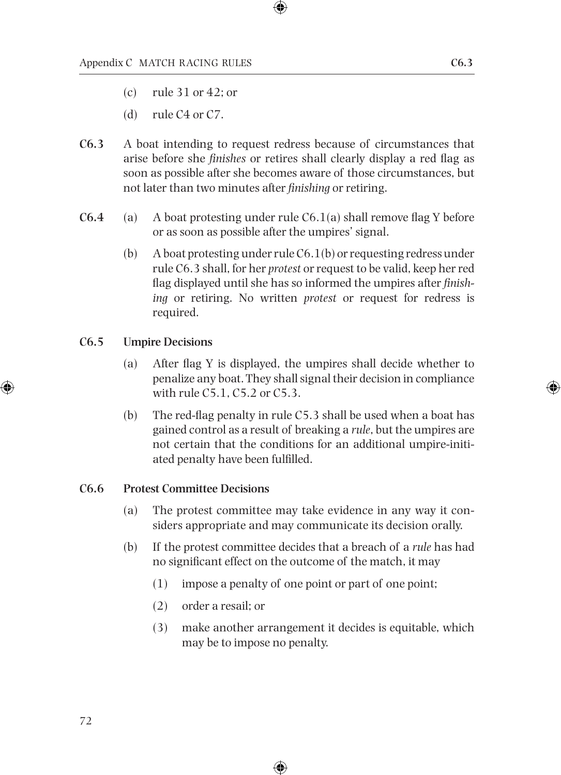- (c) rule 31 or 42; or
- (d) rule C4 or C7.
- **C6.3** A boat intending to request redress because of circumstances that arise before she *finishes* or retires shall clearly display a red flag as soon as possible after she becomes aware of those circumstances, but not later than two minutes after *finishing* or retiring.

 $\bigcirc$ 

- **C6.4** (a) A boat protesting under rule C6.1(a) shall remove flag Y before or as soon as possible after the umpires' signal.
	- (b) A boat protesting under rule C6.1(b) or requesting redress under rule C6.3 shall, for her *protest* or request to be valid, keep her red flag displayed until she has so informed the umpires after *finishing* or retiring. No written *protest* or request for redress is required.

#### **C6.5 Umpire Decisions**

- (a) After flag Y is displayed, the umpires shall decide whether to penalize any boat. They shall signal their decision in compliance with rule C5.1, C5.2 or C5.3.
- (b) The red-flag penalty in rule C5.3 shall be used when a boat has gained control as a result of breaking a *rule*, but the umpires are not certain that the conditions for an additional umpire-initiated penalty have been fulfilled.

#### **C6.6 Protest Committee Decisions**

- (a) The protest committee may take evidence in any way it considers appropriate and may communicate its decision orally.
- (b) If the protest committee decides that a breach of a *rule* has had no significant effect on the outcome of the match, it may
	- (1) impose a penalty of one point or part of one point;

 $\bigoplus$ 

- (2) order a resail; or
- (3) make another arrangement it decides is equitable, which may be to impose no penalty.

⊕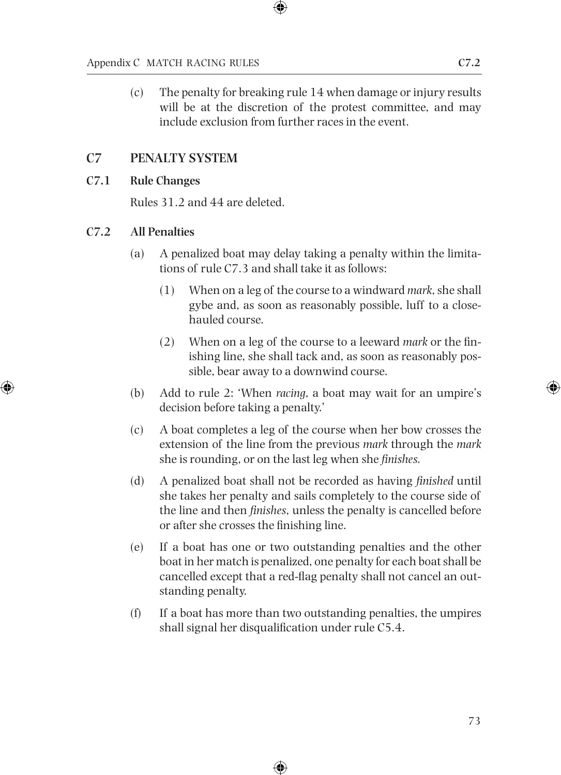(c) The penalty for breaking rule 14 when damage or injury results will be at the discretion of the protest committee, and may include exclusion from further races in the event.

 $\bigcirc$ 

#### **C7 PENALTY SYSTEM**

#### **C7.1 Rule Changes**

Rules 31.2 and 44 are deleted.

#### **C7.2 All Penalties**

⊕

- (a) A penalized boat may delay taking a penalty within the limitations of rule C7.3 and shall take it as follows:
	- (1) When on a leg of the course to a windward *mark*, she shall gybe and, as soon as reasonably possible, luff to a closehauled course.
	- (2) When on a leg of the course to a leeward *mark* or the finishing line, she shall tack and, as soon as reasonably possible, bear away to a downwind course.
- (b) Add to rule 2: 'When *racing*, a boat may wait for an umpire's decision before taking a penalty.'
- (c) A boat completes a leg of the course when her bow crosses the extension of the line from the previous *mark* through the *mark* she is rounding, or on the last leg when she *finishes.*
- (d) A penalized boat shall not be recorded as having *finished* until she takes her penalty and sails completely to the course side of the line and then *finishes*, unless the penalty is cancelled before or after she crosses the finishing line.
- (e) If a boat has one or two outstanding penalties and the other boat in her match is penalized, one penalty for each boat shall be cancelled except that a red-flag penalty shall not cancel an outstanding penalty.
- (f) If a boat has more than two outstanding penalties, the umpires shall signal her disqualification under rule C5.4.

 $\bigoplus$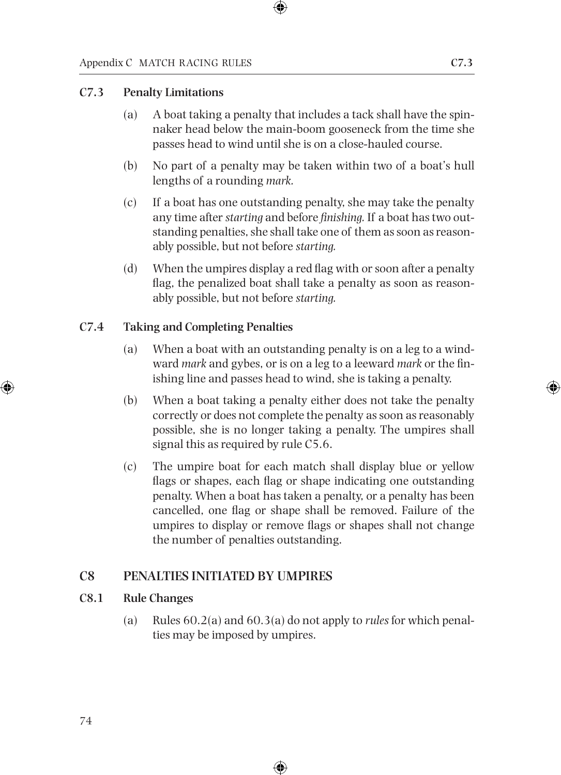#### **C7.3 Penalty Limitations**

 (a) A boat taking a penalty that includes a tack shall have the spinnaker head below the main-boom gooseneck from the time she passes head to wind until she is on a close-hauled course.

 $\bigcirc$ 

- (b) No part of a penalty may be taken within two of a boat's hull lengths of a rounding *mark.*
- (c) If a boat has one outstanding penalty, she may take the penalty any time after *starting* and before *finishing.* If a boat has two outstanding penalties, she shall take one of them as soon as reasonably possible, but not before *starting.*
- (d) When the umpires display a red flag with or soon after a penalty flag, the penalized boat shall take a penalty as soon as reasonably possible, but not before *starting.*

#### **C7.4 Taking and Completing Penalties**

- (a) When a boat with an outstanding penalty is on a leg to a windward *mark* and gybes, or is on a leg to a leeward *mark* or the finishing line and passes head to wind, she is taking a penalty.
- (b) When a boat taking a penalty either does not take the penalty correctly or does not complete the penalty as soon as reasonably possible, she is no longer taking a penalty. The umpires shall signal this as required by rule C5.6.
- (c) The umpire boat for each match shall display blue or yellow flags or shapes, each flag or shape indicating one outstanding penalty. When a boat has taken a penalty, or a penalty has been cancelled, one flag or shape shall be removed. Failure of the umpires to display or remove flags or shapes shall not change the number of penalties outstanding.

#### **C8 PENALTIES INITIATED BY UMPIRES**

#### **C8.1 Rule Changes**

 (a) Rules 60.2(a) and 60.3(a) do not apply to *rules* for which penalties may be imposed by umpires.

 $\bigoplus$ 

⊕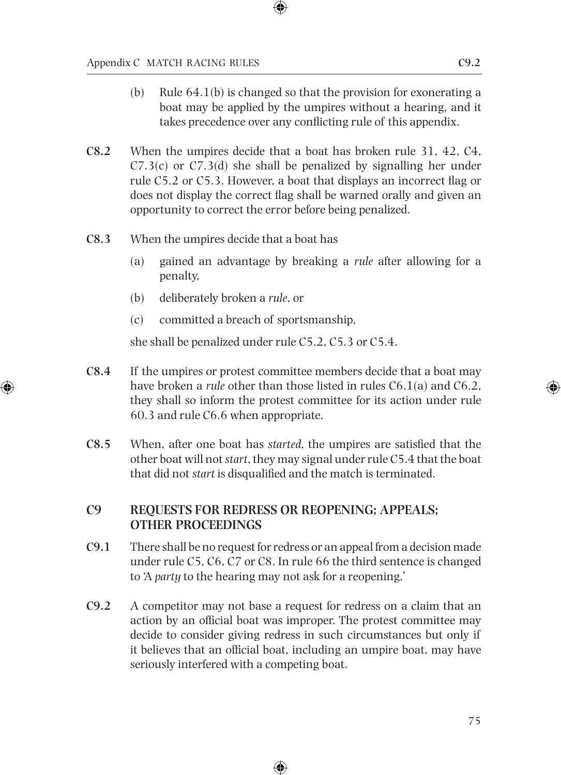- (b) Rule 64.1(b) is changed so that the provision for exonerating a boat may be applied by the umpires without a hearing, and it takes precedence over any conflicting rule of this appendix.
- **C8.2** When the umpires decide that a boat has broken rule 31, 42, C4,  $C7.3(c)$  or  $C7.3(d)$  she shall be penalized by signalling her under rule C5.2 or C5.3. However, a boat that displays an incorrect flag or does not display the correct flag shall be warned orally and given an opportunity to correct the error before being penalized.

 $\bigcirc$ 

- **C8.3** When the umpires decide that a boat has
	- (a) gained an advantage by breaking a *rule* after allowing for a penalty,
	- (b) deliberately broken a *rule*, or

⊕

(c) committed a breach of sportsmanship,

she shall be penalized under rule C5.2, C5.3 or C5.4.

- **C8.4** If the umpires or protest committee members decide that a boat may have broken a *rule* other than those listed in rules C6.1(a) and C6.2, they shall so inform the protest committee for its action under rule 60.3 and rule C6.6 when appropriate.
- **C8.5** When, after one boat has *started*, the umpires are satisfied that the other boat will not *start*, they may signal under rule C5.4 that the boat that did not *start* is disqualified and the match is terminated.

#### **C9 REQUESTS FOR REDRESS OR REOPENING; APPEALS; OTHER PROCEEDINGS**

- **C9.1** There shall be no request for redress or an appeal from a decision made under rule C5, C6, C7 or C8. In rule 66 the third sentence is changed to 'A *party* to the hearing may not ask for a reopening.'
- **C9.2** A competitor may not base a request for redress on a claim that an action by an official boat was improper. The protest committee may decide to consider giving redress in such circumstances but only if it believes that an official boat, including an umpire boat, may have seriously interfered with a competing boat.

 $\bigoplus$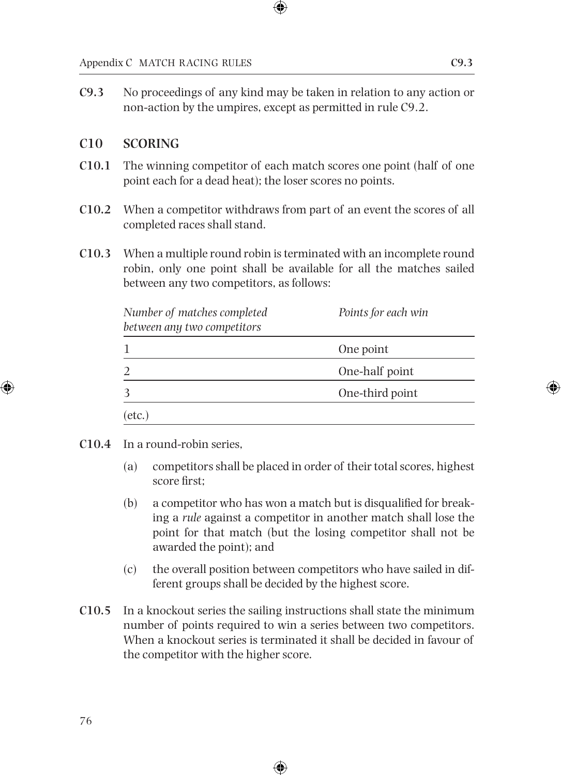**C9.3** No proceedings of any kind may be taken in relation to any action or non-action by the umpires, except as permitted in rule C9.2.

 $\bigcirc$ 

#### **C10 SCORING**

- **C10.1** The winning competitor of each match scores one point (half of one point each for a dead heat); the loser scores no points.
- **C10.2** When a competitor withdraws from part of an event the scores of all completed races shall stand.
- **C10.3** When a multiple round robin is terminated with an incomplete round robin, only one point shall be available for all the matches sailed between any two competitors, as follows:

| Number of matches completed<br>between any two competitors | Points for each win |
|------------------------------------------------------------|---------------------|
|                                                            | One point           |
| 2                                                          | One-half point      |
| 3                                                          | One-third point     |
| $(\text{etc.})$                                            |                     |

#### **C10.4** In a round-robin series,

- (a) competitors shall be placed in order of their total scores, highest score first;
- (b) a competitor who has won a match but is disqualified for breaking a *rule* against a competitor in another match shall lose the point for that match (but the losing competitor shall not be awarded the point); and
- (c) the overall position between competitors who have sailed in different groups shall be decided by the highest score.
- **C10.5** In a knockout series the sailing instructions shall state the minimum number of points required to win a series between two competitors. When a knockout series is terminated it shall be decided in favour of the competitor with the higher score.

 $\bigoplus$ 

⊕

♠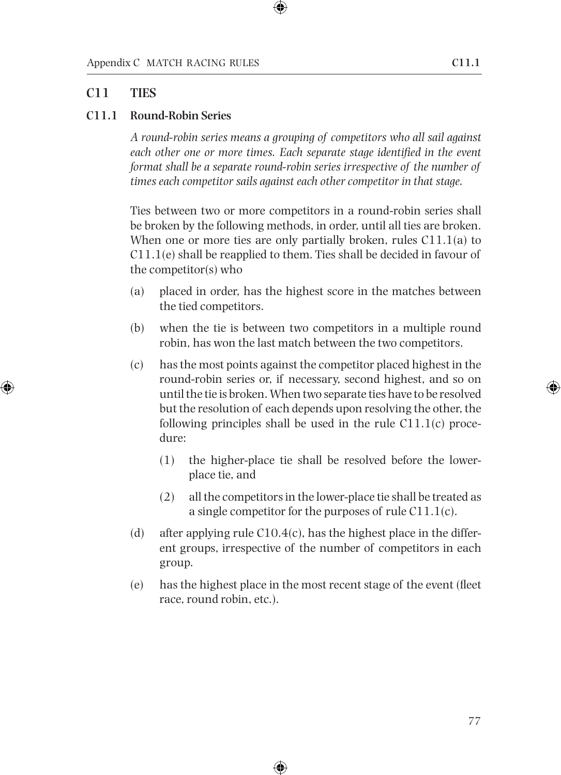#### **C11 TIES**

⊕

#### **C11.1 Round-Robin Series**

*A round-robin series means a grouping of competitors who all sail against each other one or more times. Each separate stage identified in the event format shall be a separate round-robin series irrespective of the number of times each competitor sails against each other competitor in that stage.* 

 $\bigcirc$ 

 Ties between two or more competitors in a round-robin series shall be broken by the following methods, in order, until all ties are broken. When one or more ties are only partially broken, rules C11.1(a) to C11.1(e) shall be reapplied to them. Ties shall be decided in favour of the competitor(s) who

- (a) placed in order, has the highest score in the matches between the tied competitors.
- (b) when the tie is between two competitors in a multiple round robin, has won the last match between the two competitors.
- (c) has the most points against the competitor placed highest in the round-robin series or, if necessary, second highest, and so on until the tie is broken. When two separate ties have to be resolved but the resolution of each depends upon resolving the other, the following principles shall be used in the rule C11.1(c) procedure:
	- (1) the higher-place tie shall be resolved before the lowerplace tie, and
	- (2) all the competitors in the lower-place tie shall be treated as a single competitor for the purposes of rule C11.1(c).
- (d) after applying rule  $C10.4(c)$ , has the highest place in the different groups, irrespective of the number of competitors in each group.
- (e) has the highest place in the most recent stage of the event (fleet race, round robin, etc.).

 $\bigoplus$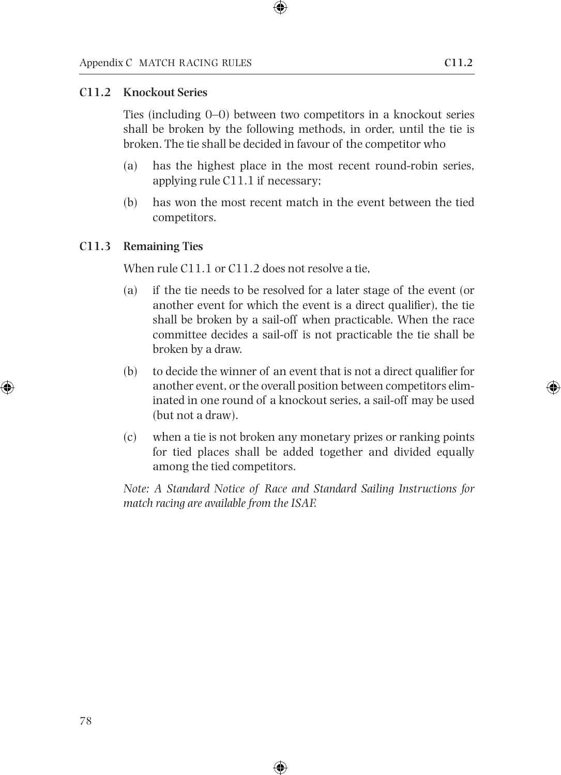#### **C11.2 Knockout Series**

 Ties (including 0–0) between two competitors in a knockout series shall be broken by the following methods, in order, until the tie is broken. The tie shall be decided in favour of the competitor who

 $\bigcirc$ 

- (a) has the highest place in the most recent round-robin series, applying rule C11.1 if necessary;
- (b) has won the most recent match in the event between the tied competitors.

#### **C11.3 Remaining Ties**

When rule  $C11.1$  or  $C11.2$  does not resolve a tie.

- (a) if the tie needs to be resolved for a later stage of the event (or another event for which the event is a direct qualifier), the tie shall be broken by a sail-off when practicable. When the race committee decides a sail-off is not practicable the tie shall be broken by a draw.
- (b) to decide the winner of an event that is not a direct qualifier for another event, or the overall position between competitors eliminated in one round of a knockout series, a sail-off may be used (but not a draw).
- (c) when a tie is not broken any monetary prizes or ranking points for tied places shall be added together and divided equally among the tied competitors.

*Note: A Standard Notice of Race and Standard Sailing Instructions for match racing are available from the ISAF.*

 $\bigoplus$ 

⊕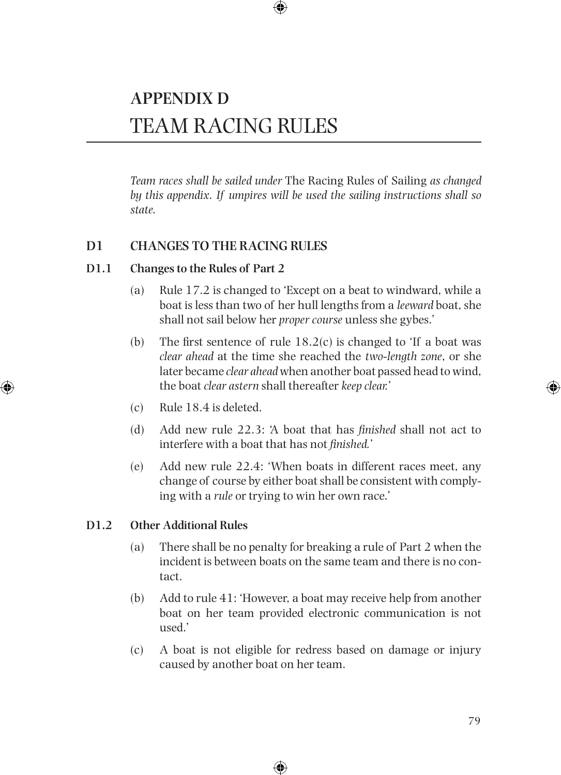## **APPENDIX D** TEAM RACING RULES

*Team races shall be sailed under* The Racing Rules of Sailing *as changed by this appendix. If umpires will be used the sailing instructions shall so state.* 

 $\bigcirc$ 

#### **D1 CHANGES TO THE RACING RULES**

#### **D1.1 Changes to the Rules of Part 2**

- (a) Rule 17.2 is changed to 'Except on a beat to windward, while a boat is less than two of her hull lengths from a *leeward* boat, she shall not sail below her *proper course* unless she gybes.'
- (b) The first sentence of rule 18.2(c) is changed to 'If a boat was *clear ahead* at the time she reached the *two-length zone*, or she later became *clear ahead* when another boat passed head to wind, the boat *clear astern* shall thereafter *keep clear.*'
- (c) Rule 18.4 is deleted.
- (d) Add new rule 22.3: 'A boat that has *finished* shall not act to interfere with a boat that has not *finished.*'
- (e) Add new rule 22.4: 'When boats in different races meet, any change of course by either boat shall be consistent with complying with a *rule* or trying to win her own race.'

#### **D1.2 Other Additional Rules**

⊕

- (a) There shall be no penalty for breaking a rule of Part 2 when the incident is between boats on the same team and there is no contact.
- (b) Add to rule 41: 'However, a boat may receive help from another boat on her team provided electronic communication is not used.'
- (c) A boat is not eligible for redress based on damage or injury caused by another boat on her team.

 $\bigoplus$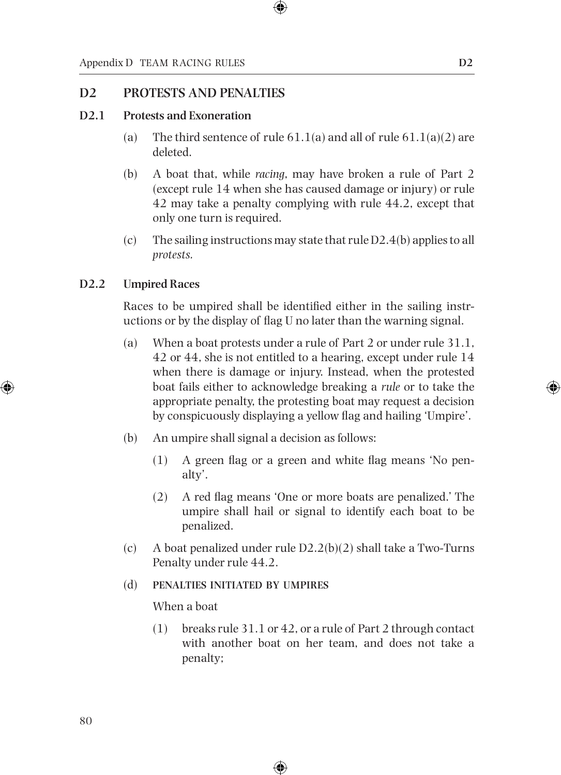#### **D2 PROTESTS AND PENALTIES**

#### **D2.1 Protests and Exoneration**

(a) The third sentence of rule  $61.1(a)$  and all of rule  $61.1(a)(2)$  are deleted.

 $\bigcirc$ 

- (b) A boat that, while *racing*, may have broken a rule of Part 2 (except rule 14 when she has caused damage or injury) or rule 42 may take a penalty complying with rule 44.2, except that only one turn is required.
- (c) The sailing instructions may state that rule D2.4(b) applies to all *protests.*

#### **D2.2 Umpired Races**

Races to be umpired shall be identified either in the sailing instructions or by the display of flag U no later than the warning signal.

- (a) When a boat protests under a rule of Part 2 or under rule 31.1, 42 or 44, she is not entitled to a hearing, except under rule 14 when there is damage or injury. Instead, when the protested boat fails either to acknowledge breaking a *rule* or to take the appropriate penalty, the protesting boat may request a decision by conspicuously displaying a yellow flag and hailing 'Umpire'.
- (b) An umpire shall signal a decision as follows:
	- (1) A green flag or a green and white flag means 'No penalty'.
	- (2) A red flag means 'One or more boats are penalized.' The umpire shall hail or signal to identify each boat to be penalized.
- (c) A boat penalized under rule  $D2.2(b)(2)$  shall take a Two-Turns Penalty under rule 44.2.

#### (d) **PENALTIES INITIATED BY UMPIRES**

When a boat

 (1) breaks rule 31.1 or 42, or a rule of Part 2 through contact with another boat on her team, and does not take a penalty;

 $\bigoplus$ 

⊕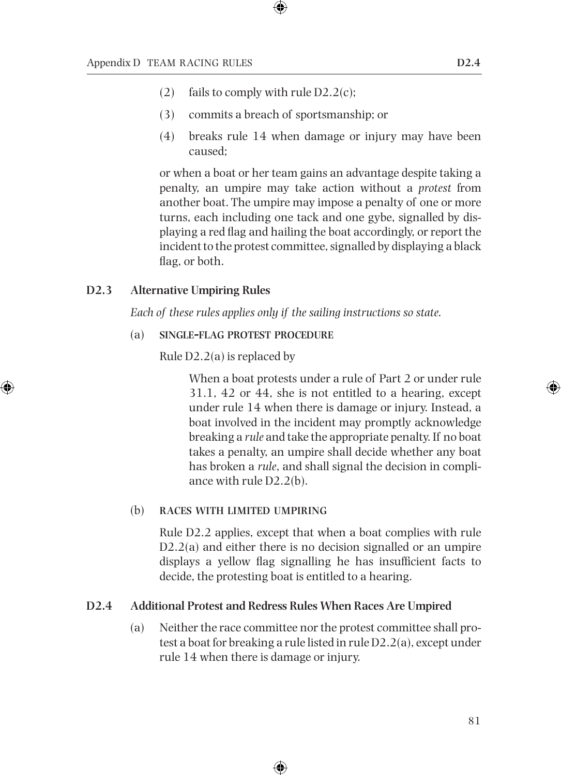- (2) fails to comply with rule  $D2.2(c)$ ;
- (3) commits a breach of sportsmanship; or

 $\bigcirc$ 

 (4) breaks rule 14 when damage or injury may have been caused;

 or when a boat or her team gains an advantage despite taking a penalty, an umpire may take action without a *protest* from another boat. The umpire may impose a penalty of one or more turns, each including one tack and one gybe, signalled by displaying a red flag and hailing the boat accordingly, or report the incident to the protest committee, signalled by displaying a black flag, or both.

#### **D2.3 Alternative Umpiring Rules**

⊕

 *Each of these rules applies only if the sailing instructions so state.*

#### (a) **SINGLE-FLAG PROTEST PROCEDURE**

Rule D2.2(a) is replaced by

When a boat protests under a rule of Part 2 or under rule 31.1, 42 or 44, she is not entitled to a hearing, except under rule 14 when there is damage or injury. Instead, a boat involved in the incident may promptly acknowledge breaking a *rule* and take the appropriate penalty. If no boat takes a penalty, an umpire shall decide whether any boat has broken a *rule*, and shall signal the decision in compliance with rule D2.2(b).

#### (b) **RACES WITH LIMITED UMPIRING**

Rule D2.2 applies, except that when a boat complies with rule  $D2.2(a)$  and either there is no decision signalled or an umpire displays a yellow flag signalling he has insufficient facts to decide, the protesting boat is entitled to a hearing.

#### **D2.4 Additional Protest and Redress Rules When Races Are Umpired**

 $\bigoplus$ 

 (a) Neither the race committee nor the protest committee shall protest a boat for breaking a rule listed in rule D2.2(a), except under rule 14 when there is damage or injury.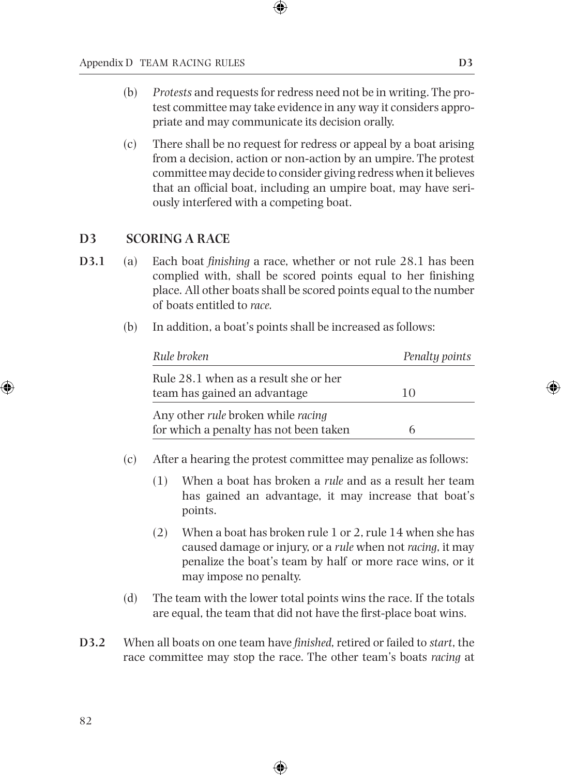(b) *Protests* and requests for redress need not be in writing. The protest committee may take evidence in any way it considers appropriate and may communicate its decision orally.

 $\bigcirc$ 

 (c) There shall be no request for redress or appeal by a boat arising from a decision, action or non-action by an umpire. The protest committee may decide to consider giving redress when it believes that an official boat, including an umpire boat, may have seriously interfered with a competing boat.

#### **D3 SCORING A RACE**

- **D3.1** (a) Each boat *finishing* a race, whether or not rule 28.1 has been complied with, shall be scored points equal to her finishing place. All other boats shall be scored points equal to the number of boats entitled to *race.*
	- (b) In addition, a boat's points shall be increased as follows:

| Rule broken                            | Penalty points |
|----------------------------------------|----------------|
| Rule 28.1 when as a result she or her  |                |
| team has gained an advantage           | 10             |
| Any other rule broken while racing     |                |
| for which a penalty has not been taken |                |

- (c) After a hearing the protest committee may penalize as follows:
	- (1) When a boat has broken a *rule* and as a result her team has gained an advantage, it may increase that boat's points.
	- (2) When a boat has broken rule 1 or 2, rule 14 when she has caused damage or injury, or a *rule* when not *racing*, it may penalize the boat's team by half or more race wins, or it may impose no penalty.
- (d) The team with the lower total points wins the race. If the totals are equal, the team that did not have the first-place boat wins.
- **D3.2** When all boats on one team have *finished*, retired or failed to *start*, the race committee may stop the race. The other team's boats *racing* at

 $\bigoplus$ 

⊕

♠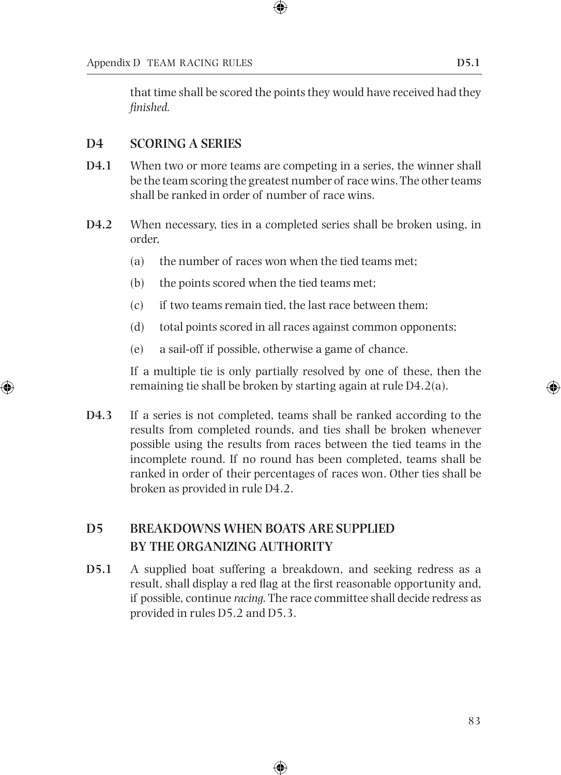that time shall be scored the points they would have received had they *finished.*

#### **D4 SCORING A SERIES**

⊕

**D4.1** When two or more teams are competing in a series, the winner shall be the team scoring the greatest number of race wins. The other teams shall be ranked in order of number of race wins.

 $\bigcirc$ 

- **D4.2** When necessary, ties in a completed series shall be broken using, in order,
	- (a) the number of races won when the tied teams met;
	- (b) the points scored when the tied teams met;
	- (c) if two teams remain tied, the last race between them;
	- (d) total points scored in all races against common opponents;
	- (e) a sail-off if possible, otherwise a game of chance.

If a multiple tie is only partially resolved by one of these, then the remaining tie shall be broken by starting again at rule D4.2(a).

**D4.3** If a series is not completed, teams shall be ranked according to the results from completed rounds, and ties shall be broken whenever possible using the results from races between the tied teams in the incomplete round. If no round has been completed, teams shall be ranked in order of their percentages of races won. Other ties shall be broken as provided in rule D4.2.

## **D5 BREAKDOWNS WHEN BOATS ARE SUPPLIED BY THE ORGANIZING AUTHORITY**

**D5.1** A supplied boat suffering a breakdown, and seeking redress as a result, shall display a red flag at the first reasonable opportunity and, if possible, continue *racing.* The race committee shall decide redress as provided in rules D5.2 and D5.3.

 $\bigoplus$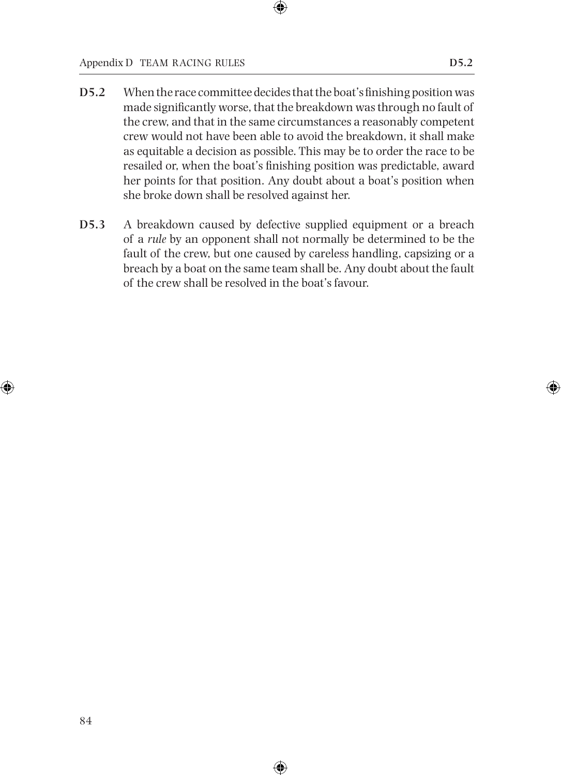**D5.2** When the race committee decides that the boat's finishing position was made significantly worse, that the breakdown was through no fault of the crew, and that in the same circumstances a reasonably competent crew would not have been able to avoid the breakdown, it shall make as equitable a decision as possible. This may be to order the race to be resailed or, when the boat's finishing position was predictable, award her points for that position. Any doubt about a boat's position when she broke down shall be resolved against her.

 $\bigcirc$ 

**D5.3** A breakdown caused by defective supplied equipment or a breach of a *rule* by an opponent shall not normally be determined to be the fault of the crew, but one caused by careless handling, capsizing or a breach by a boat on the same team shall be. Any doubt about the fault of the crew shall be resolved in the boat's favour.

 $\bigoplus$ 

⊕

♠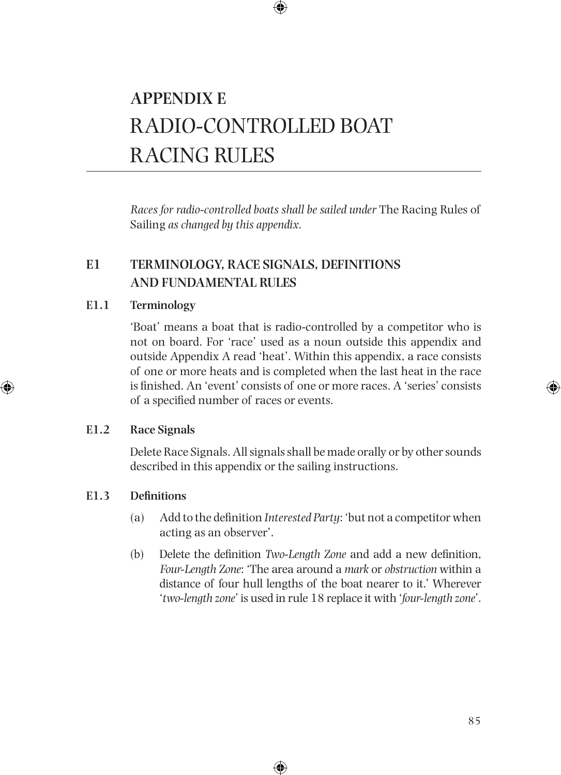# **APPENDIX E** RADIO-CONTROLLED BOAT RACING RULES

 $\bigcirc$ 

*Races for radio-controlled boats shall be sailed under* The Racing Rules of Sailing *as changed by this appendix.*

## **E1 TERMINOLOGY, RACE SIGNALS, DEFINITIONS AND FUNDAMENTAL RULES**

#### **E1.1 Terminology**

'Boat' means a boat that is radio-controlled by a competitor who is not on board. For 'race' used as a noun outside this appendix and outside Appendix A read 'heat'. Within this appendix, a race consists of one or more heats and is completed when the last heat in the race is finished. An 'event' consists of one or more races. A 'series' consists of a specified number of races or events.

#### **E1.2 Race Signals**

♠

Delete Race Signals. All signals shall be made orally or by other sounds described in this appendix or the sailing instructions.

#### **E1.3 Definitions**

- (a) Add to the definition *Interested Party*: 'but not a competitor when acting as an observer'.
- (b) Delete the definition *Two-Length Zone* and add a new definition, *Four-Length Zone*: 'The area around a *mark* or *obstruction* within a distance of four hull lengths of the boat nearer to it.' Wherever '*two-length zone*' is used in rule 18 replace it with '*four-length zone*'.

 $\bigoplus$ 

85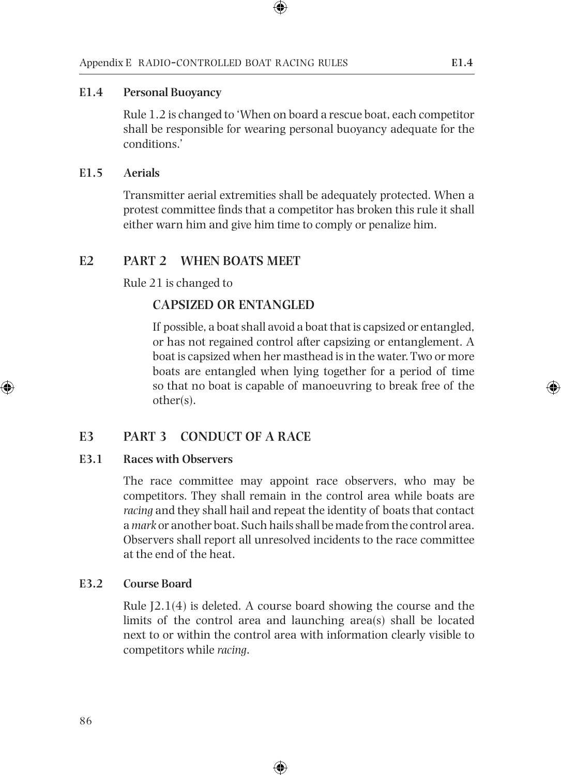#### **E1.4 Personal Buoyancy**

Rule 1.2 is changed to 'When on board a rescue boat, each competitor shall be responsible for wearing personal buoyancy adequate for the conditions.'

⊕

#### **E1.5 Aerials**

Transmitter aerial extremities shall be adequately protected. When a protest committee finds that a competitor has broken this rule it shall either warn him and give him time to comply or penalize him.

#### **E2 PART 2 WHEN BOATS MEET**

Rule 21 is changed to

#### **CAPSIZED OR ENTANGLED**

If possible, a boat shall avoid a boat that is capsized or entangled, or has not regained control after capsizing or entanglement. A boat is capsized when her masthead is in the water. Two or more boats are entangled when lying together for a period of time so that no boat is capable of manoeuvring to break free of the other(s).

#### **E3 PART 3 CONDUCT OF A RACE**

#### **E3.1 Races with Observers**

The race committee may appoint race observers, who may be competitors. They shall remain in the control area while boats are *racing* and they shall hail and repeat the identity of boats that contact a *mark* or another boat. Such hails shall be made from the control area. Observers shall report all unresolved incidents to the race committee at the end of the heat.

#### **E3.2 Course Board**

Rule J2.1(4) is deleted. A course board showing the course and the limits of the control area and launching area(s) shall be located next to or within the control area with information clearly visible to competitors while *racing*.

 $\bigoplus$ 

⊕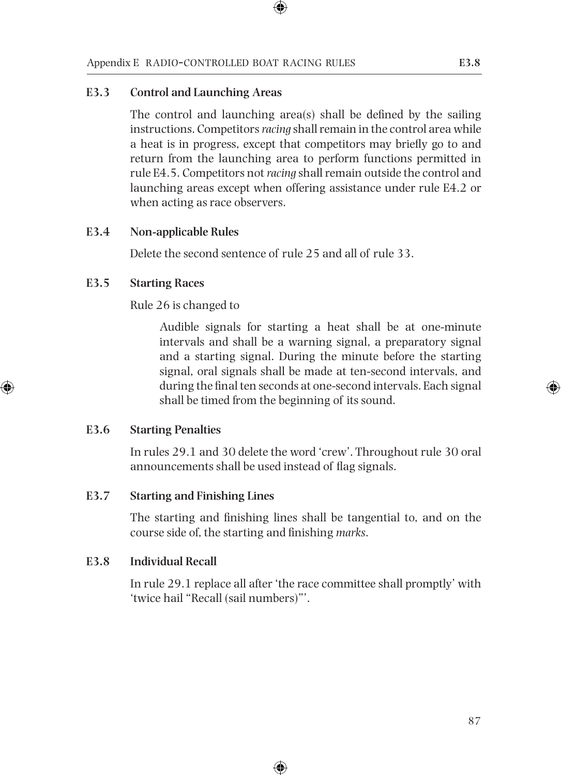#### **E3.3 Control and Launching Areas**

The control and launching area(s) shall be defined by the sailing instructions. Competitors *racing* shall remain in the control area while a heat is in progress, except that competitors may briefly go to and return from the launching area to perform functions permitted in rule E4.5. Competitors not *racing* shall remain outside the control and launching areas except when offering assistance under rule E4.2 or when acting as race observers.

#### **E3.4 Non-applicable Rules**

Delete the second sentence of rule 25 and all of rule 33.

 $\bigcirc$ 

#### **E3.5 Starting Races**

Rule 26 is changed to

 Audible signals for starting a heat shall be at one-minute intervals and shall be a warning signal, a preparatory signal and a starting signal. During the minute before the starting signal, oral signals shall be made at ten-second intervals, and during the final ten seconds at one-second intervals. Each signal shall be timed from the beginning of its sound.

#### **E3.6 Starting Penalties**

⊕

 In rules 29.1 and 30 delete the word 'crew'. Throughout rule 30 oral announcements shall be used instead of flag signals.

#### **E3.7 Starting and Finishing Lines**

The starting and finishing lines shall be tangential to, and on the course side of, the starting and finishing *marks*.

#### **E3.8 Individual Recall**

In rule 29.1 replace all after 'the race committee shall promptly' with 'twice hail "Recall (sail numbers)"'.

 $\bigoplus$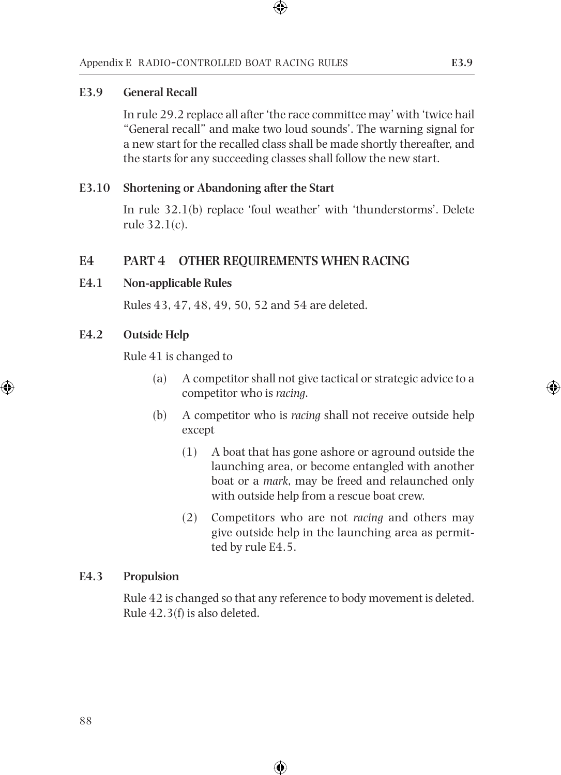#### **E3.9 General Recall**

In rule 29.2 replace all after 'the race committee may' with 'twice hail "General recall" and make two loud sounds'. The warning signal for a new start for the recalled class shall be made shortly thereafter, and the starts for any succeeding classes shall follow the new start.

⊕

#### **E3.10 Shortening or Abandoning after the Start**

In rule 32.1(b) replace 'foul weather' with 'thunderstorms'. Delete rule 32.1(c).

#### **E4 PART 4 OTHER REQUIREMENTS WHEN RACING**

#### **E4.1 Non-applicable Rules**

Rules 43, 47, 48, 49, 50, 52 and 54 are deleted.

#### **E4.2 Outside Help**

⊕

Rule 41 is changed to

- (a) A competitor shall not give tactical or strategic advice to a competitor who is *racing*.
- (b) A competitor who is *racing* shall not receive outside help except
	- (1) A boat that has gone ashore or aground outside the launching area, or become entangled with another boat or a *mark*, may be freed and relaunched only with outside help from a rescue boat crew.
	- (2) Competitors who are not *racing* and others may give outside help in the launching area as permitted by rule E4.5.

#### **E4.3 Propulsion**

Rule 42 is changed so that any reference to body movement is deleted. Rule 42.3(f) is also deleted.

 $\bigoplus$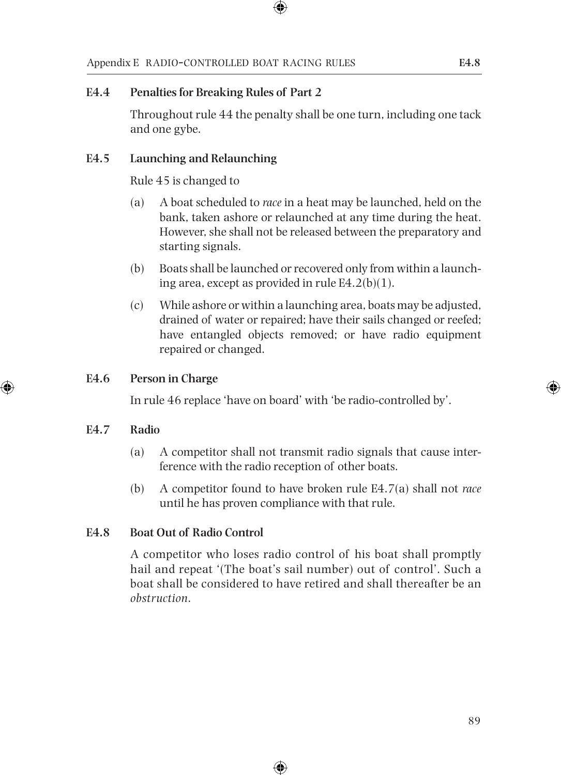#### **E4.4 Penalties for Breaking Rules of Part 2**

Throughout rule 44 the penalty shall be one turn, including one tack and one gybe.

 $\bigcirc$ 

#### **E4.5 Launching and Relaunching**

Rule 45 is changed to

- (a) A boat scheduled to *race* in a heat may be launched, held on the bank, taken ashore or relaunched at any time during the heat. However, she shall not be released between the preparatory and starting signals.
- (b) Boats shall be launched or recovered only from within a launching area, except as provided in rule E4.2(b)(1).
- (c) While ashore or within a launching area, boats may be adjusted, drained of water or repaired; have their sails changed or reefed; have entangled objects removed; or have radio equipment repaired or changed.

#### **E4.6 Person in Charge**

In rule 46 replace 'have on board' with 'be radio-controlled by'.

#### **E4.7 Radio**

⊕

- (a) A competitor shall not transmit radio signals that cause interference with the radio reception of other boats.
- (b) A competitor found to have broken rule E4.7(a) shall not *race* until he has proven compliance with that rule.

#### **E4.8 Boat Out of Radio Control**

A competitor who loses radio control of his boat shall promptly hail and repeat '(The boat's sail number) out of control'. Such a boat shall be considered to have retired and shall thereafter be an *obstruction*.

 $\bigoplus$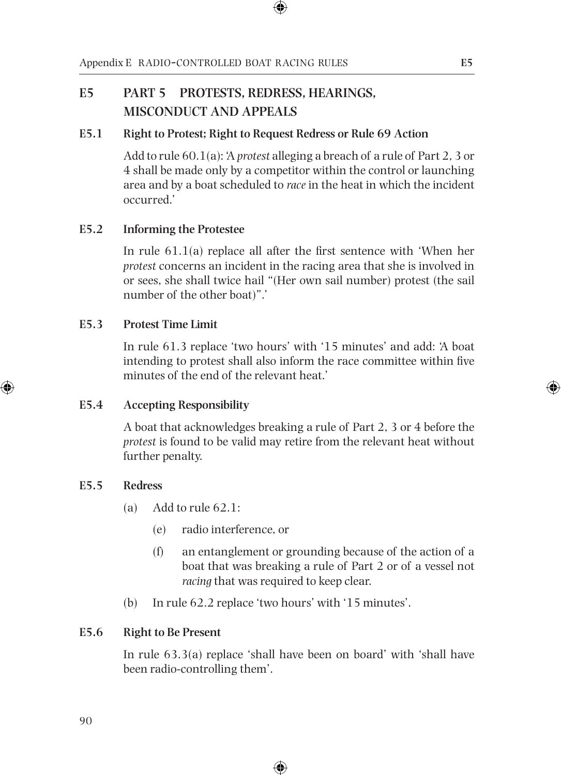## **E5 PART 5 PROTESTS, REDRESS, HEARINGS, MISCONDUCT AND APPEALS**

#### **E5.1 Right to Protest; Right to Request Redress or Rule 69 Action**

 $\bigcirc$ 

Add to rule 60.1(a): 'A *protest* alleging a breach of a rule of Part 2, 3 or 4 shall be made only by a competitor within the control or launching area and by a boat scheduled to *race* in the heat in which the incident occurred.'

#### **E5.2 Informing the Protestee**

In rule 61.1(a) replace all after the first sentence with 'When her *protest* concerns an incident in the racing area that she is involved in or sees, she shall twice hail "(Her own sail number) protest (the sail number of the other boat)".'

#### **E5.3 Protest Time Limit**

In rule 61.3 replace 'two hours' with '15 minutes' and add: 'A boat intending to protest shall also inform the race committee within five minutes of the end of the relevant heat.'

#### **E5.4 Accepting Responsibility**

A boat that acknowledges breaking a rule of Part 2, 3 or 4 before the *protest* is found to be valid may retire from the relevant heat without further penalty.

#### **E5.5 Redress**

⊕

- (a) Add to rule 62.1:
	- (e) radio interference, or
	- (f) an entanglement or grounding because of the action of a boat that was breaking a rule of Part 2 or of a vessel not *racing* that was required to keep clear.
- (b) In rule 62.2 replace 'two hours' with '15 minutes'.

#### **E5.6 Right to Be Present**

In rule 63.3(a) replace 'shall have been on board' with 'shall have been radio-controlling them'.

 $\bigoplus$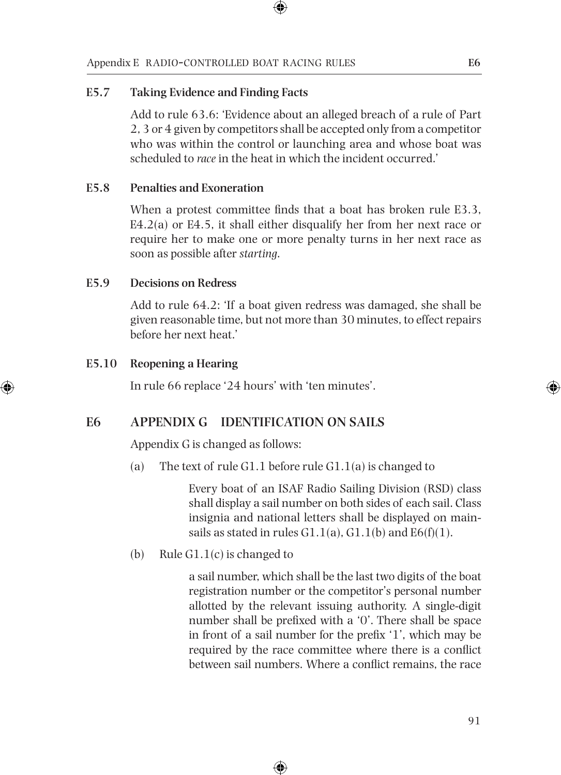#### **E5.7 Taking Evidence and Finding Facts**

Add to rule 63.6: 'Evidence about an alleged breach of a rule of Part 2, 3 or 4 given by competitors shall be accepted only from a competitor who was within the control or launching area and whose boat was scheduled to *race* in the heat in which the incident occurred.'

 $\bigcirc$ 

#### **E5.8 Penalties and Exoneration**

When a protest committee finds that a boat has broken rule E3.3, E4.2(a) or E4.5, it shall either disqualify her from her next race or require her to make one or more penalty turns in her next race as soon as possible after *starting*.

#### **E5.9 Decisions on Redress**

Add to rule 64.2: 'If a boat given redress was damaged, she shall be given reasonable time, but not more than 30 minutes, to effect repairs before her next heat.'

#### **E5.10 Reopening a Hearing**

⊕

In rule 66 replace '24 hours' with 'ten minutes'.

#### **E6 APPENDIX G IDENTIFICATION ON SAILS**

Appendix G is changed as follows:

(a) The text of rule G1.1 before rule G1.1(a) is changed to

 $\bigoplus$ 

 Every boat of an ISAF Radio Sailing Division (RSD) class shall display a sail number on both sides of each sail. Class insignia and national letters shall be displayed on mainsails as stated in rules  $G1.1(a)$ ,  $G1.1(b)$  and  $E6(f)(1)$ .

(b) Rule G1.1(c) is changed to

a sail number, which shall be the last two digits of the boat registration number or the competitor's personal number allotted by the relevant issuing authority. A single-digit number shall be prefixed with a '0'. There shall be space in front of a sail number for the prefix '1', which may be required by the race committee where there is a conflict between sail numbers. Where a conflict remains, the race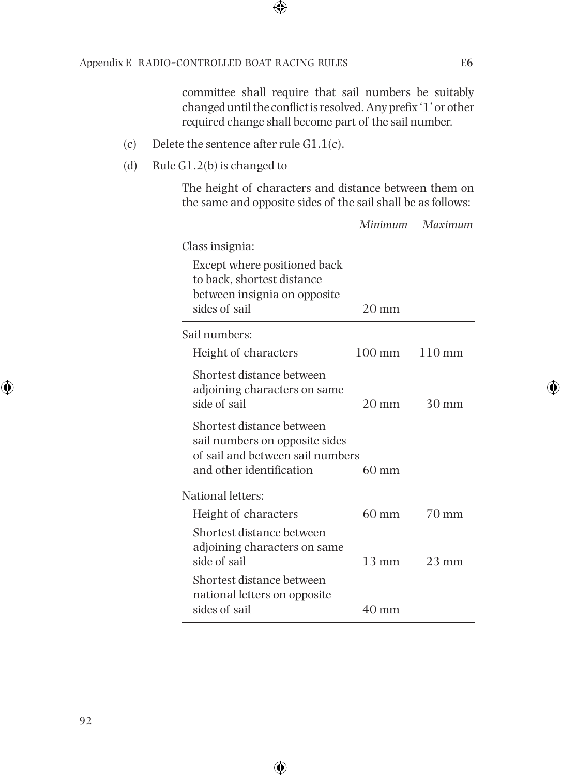committee shall require that sail numbers be suitably changed until the conflict is resolved. Any prefix '1' or other required change shall become part of the sail number.

 $\bigoplus$ 

- (c) Delete the sentence after rule G1.1(c).
- (d) Rule G1.2(b) is changed to

 The height of characters and distance between them on the same and opposite sides of the sail shall be as follows:

|                                                                                                                             | Minimum             | Maximum             |
|-----------------------------------------------------------------------------------------------------------------------------|---------------------|---------------------|
| Class insignia:                                                                                                             |                     |                     |
| Except where positioned back<br>to back, shortest distance<br>between insignia on opposite<br>sides of sail                 | $20 \text{ mm}$     |                     |
| Sail numbers:                                                                                                               |                     |                     |
| Height of characters                                                                                                        | $100 \,\mathrm{mm}$ | $110 \,\mathrm{mm}$ |
| Shortest distance between<br>adjoining characters on same<br>side of sail                                                   | $20 \text{ mm}$     | $30 \text{ mm}$     |
| Shortest distance between<br>sail numbers on opposite sides<br>of sail and between sail numbers<br>and other identification | $60 \text{ mm}$     |                     |
| National letters:                                                                                                           |                     |                     |
| Height of characters                                                                                                        | $60 \text{ mm}$     | 70 mm               |
| Shortest distance between<br>adjoining characters on same<br>side of sail                                                   | $13 \text{ mm}$     | $23 \text{ mm}$     |
| Shortest distance between<br>national letters on opposite<br>sides of sail                                                  | $40 \,\mathrm{mm}$  |                     |
|                                                                                                                             |                     |                     |

 $\bigoplus$ 

⊕

◈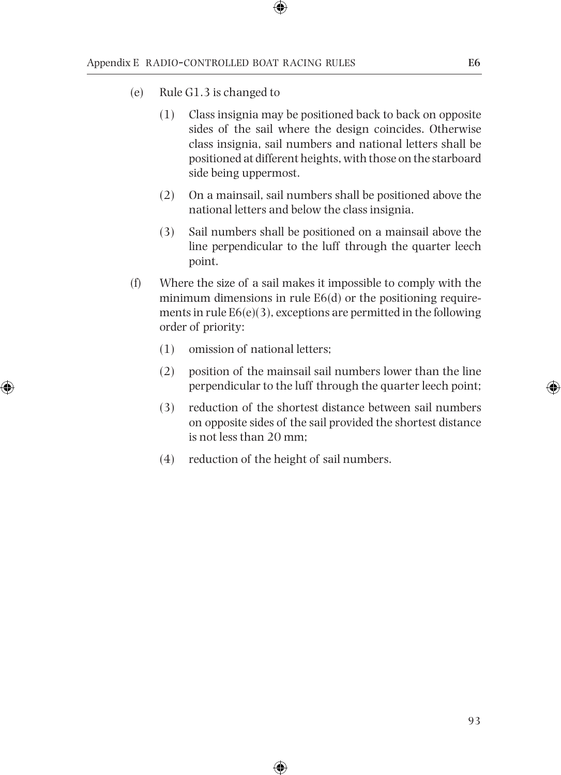- (e) Rule G1.3 is changed to
	- (1) Class insignia may be positioned back to back on opposite sides of the sail where the design coincides. Otherwise class insignia, sail numbers and national letters shall be positioned at different heights, with those on the starboard side being uppermost.

⊕

- (2) On a mainsail, sail numbers shall be positioned above the national letters and below the class insignia.
- (3) Sail numbers shall be positioned on a mainsail above the line perpendicular to the luff through the quarter leech point.
- (f) Where the size of a sail makes it impossible to comply with the minimum dimensions in rule E6(d) or the positioning requirements in rule E6(e)(3), exceptions are permitted in the following order of priority:
	- (1) omission of national letters;

⊕

- (2) position of the mainsail sail numbers lower than the line perpendicular to the luff through the quarter leech point;
- (3) reduction of the shortest distance between sail numbers on opposite sides of the sail provided the shortest distance is not less than 20 mm;
- (4) reduction of the height of sail numbers.

 $\bigoplus$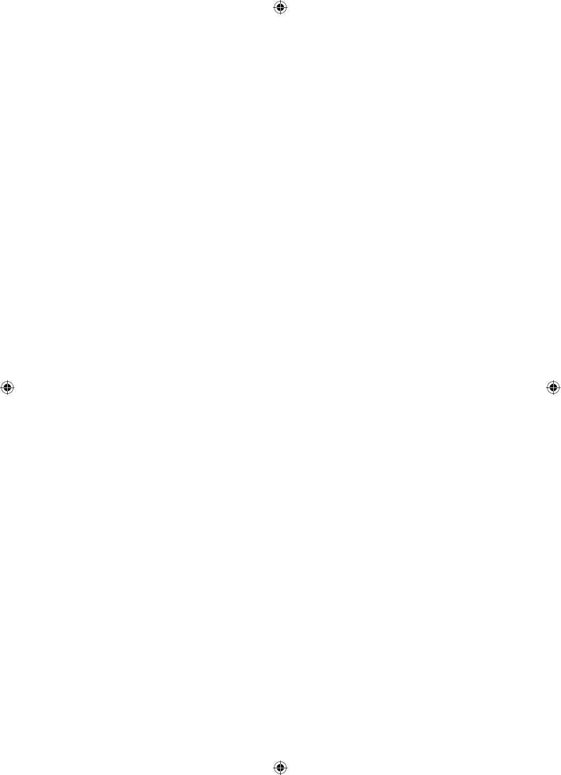

 $\bigoplus$ 

 $\bigoplus$ 



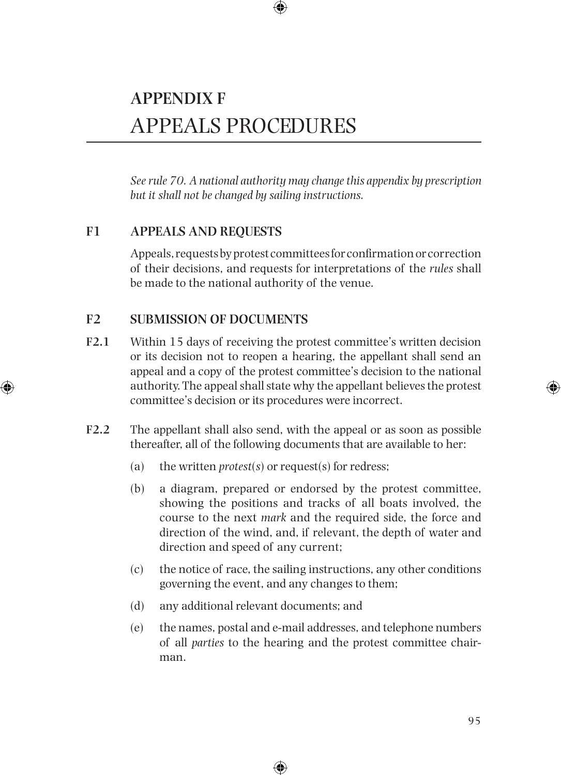## **APPENDIX F** APPEALS PROCEDURES

 $\bigcirc$ 

*See rule 70. A national authority may change this appendix by prescription but it shall not be changed by sailing instructions.*

#### **F1 APPEALS AND REQUESTS**

Appeals, requests by protest committees for confirmation or correction of their decisions, and requests for interpretations of the *rules* shall be made to the national authority of the venue.

#### **F2 SUBMISSION OF DOCUMENTS**

♠

- **F2.1** Within 15 days of receiving the protest committee's written decision or its decision not to reopen a hearing, the appellant shall send an appeal and a copy of the protest committee's decision to the national authority. The appeal shall state why the appellant believes the protest committee's decision or its procedures were incorrect.
- **F2.2** The appellant shall also send, with the appeal or as soon as possible thereafter, all of the following documents that are available to her:
	- (a) the written *protest*(*s*) or request(s) for redress;
	- (b) a diagram, prepared or endorsed by the protest committee, showing the positions and tracks of all boats involved, the course to the next *mark* and the required side, the force and direction of the wind, and, if relevant, the depth of water and direction and speed of any current;
	- (c) the notice of race, the sailing instructions, any other conditions governing the event, and any changes to them;
	- (d) any additional relevant documents; and
	- (e) the names, postal and e-mail addresses, and telephone numbers of all *parties* to the hearing and the protest committee chairman.

 $\bigoplus$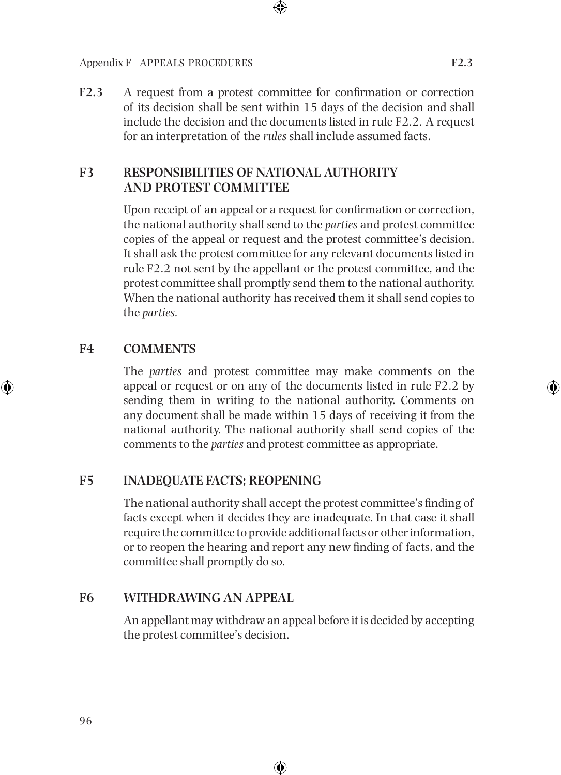**F2.3** A request from a protest committee for confirmation or correction of its decision shall be sent within 15 days of the decision and shall include the decision and the documents listed in rule F2.2. A request for an interpretation of the *rules* shall include assumed facts.

 $\bigcirc$ 

### **F3 RESPONSIBILITIES OF NATIONAL AUTHORITY AND PROTEST COMMITTEE**

Upon receipt of an appeal or a request for confirmation or correction, the national authority shall send to the *parties* and protest committee copies of the appeal or request and the protest committee's decision. It shall ask the protest committee for any relevant documents listed in rule F2.2 not sent by the appellant or the protest committee, and the protest committee shall promptly send them to the national authority. When the national authority has received them it shall send copies to the *parties.*

#### **F4 COMMENTS**

⊕

The *parties* and protest committee may make comments on the appeal or request or on any of the documents listed in rule F2.2 by sending them in writing to the national authority. Comments on any document shall be made within 15 days of receiving it from the national authority. The national authority shall send copies of the comments to the *parties* and protest committee as appropriate.

#### **F5 INADEQUATE FACTS; REOPENING**

The national authority shall accept the protest committee's finding of facts except when it decides they are inadequate. In that case it shall require the committee to provide additional facts or other information, or to reopen the hearing and report any new finding of facts, and the committee shall promptly do so.

#### **F6 WITHDRAWING AN APPEAL**

An appellant may withdraw an appeal before it is decided by accepting the protest committee's decision.

 $\bigoplus$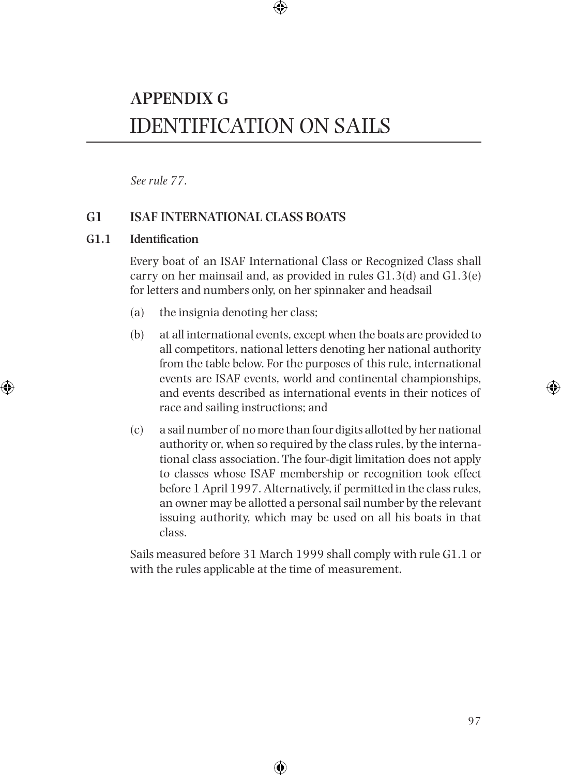## **APPENDIX G** IDENTIFICATION ON SAILS

 $\bigcirc$ 

*See rule 77.*

### **G1 ISAF INTERNATIONAL CLASS BOATS**

#### **G1.1 Identification**

♠

Every boat of an ISAF International Class or Recognized Class shall carry on her mainsail and, as provided in rules G1.3(d) and G1.3(e) for letters and numbers only, on her spinnaker and headsail

- (a) the insignia denoting her class;
- (b) at all international events, except when the boats are provided to all competitors, national letters denoting her national authority from the table below. For the purposes of this rule, international events are ISAF events, world and continental championships, and events described as international events in their notices of race and sailing instructions; and
- (c) a sail number of no more than four digits allotted by her national authority or, when so required by the class rules, by the international class association. The four-digit limitation does not apply to classes whose ISAF membership or recognition took effect before 1 April 1997. Alternatively, if permitted in the class rules, an owner may be allotted a personal sail number by the relevant issuing authority, which may be used on all his boats in that class.

Sails measured before 31 March 1999 shall comply with rule G1.1 or with the rules applicable at the time of measurement.

 $\bigoplus$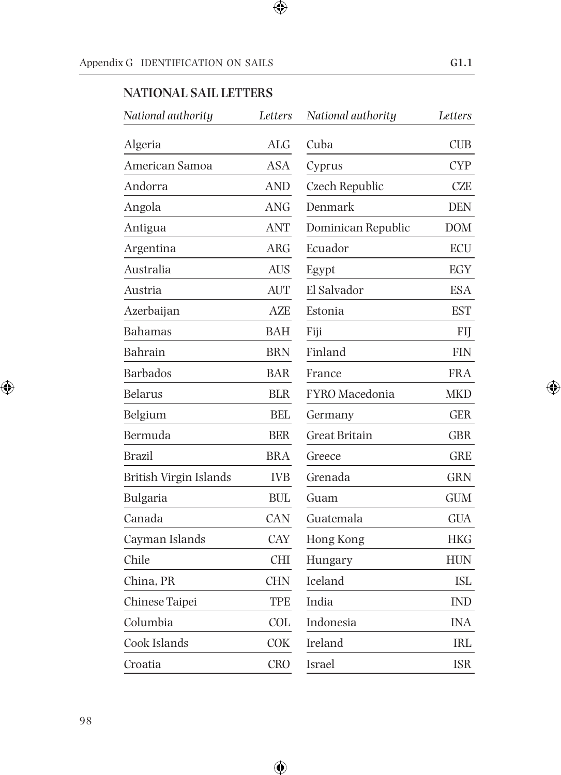## **NATIONAL SAIL LETTERS**

| National authority     | Letters    | National authority   | Letters    |
|------------------------|------------|----------------------|------------|
| Algeria                | ALG        | Cuba                 | CUB        |
| American Samoa         | ASA        | Cyprus               | <b>CYP</b> |
| Andorra                | <b>AND</b> | Czech Republic       | <b>CZE</b> |
| Angola                 | <b>ANG</b> | Denmark              | <b>DEN</b> |
| Antigua                | <b>ANT</b> | Dominican Republic   | <b>DOM</b> |
| Argentina              | ARG        | Ecuador              | <b>ECU</b> |
| Australia              | <b>AUS</b> | Egypt                | <b>EGY</b> |
| Austria                | <b>AUT</b> | El Salvador          | <b>ESA</b> |
| Azerbaijan             | AZE        | Estonia              | <b>EST</b> |
| Bahamas                | <b>BAH</b> | Fiji                 | FIJ        |
| Bahrain                | <b>BRN</b> | Finland              | <b>FIN</b> |
| <b>Barbados</b>        | <b>BAR</b> | France               | <b>FRA</b> |
| <b>Belarus</b>         | <b>BLR</b> | FYRO Macedonia       | <b>MKD</b> |
| Belgium                | <b>BEL</b> | Germany              | <b>GER</b> |
| Bermuda                | <b>BER</b> | <b>Great Britain</b> | <b>GBR</b> |
| Brazil                 | <b>BRA</b> | Greece               | <b>GRE</b> |
| British Virgin Islands | <b>IVB</b> | Grenada              | <b>GRN</b> |
| <b>Bulgaria</b>        | <b>BUL</b> | Guam                 | <b>GUM</b> |
| Canada                 | CAN        | Guatemala            | <b>GUA</b> |
| Cayman Islands         | CAY        | <b>Hong Kong</b>     | <b>HKG</b> |
| Chile                  | <b>CHI</b> | Hungary              | <b>HUN</b> |
| China, PR              | <b>CHN</b> | Iceland              | <b>ISL</b> |
| Chinese Taipei         | <b>TPE</b> | India                | <b>IND</b> |
| Columbia               | <b>COL</b> | Indonesia            | <b>INA</b> |
| Cook Islands           | <b>COK</b> | Ireland              | <b>IRL</b> |
| Croatia                | <b>CRO</b> | Israel               | <b>ISR</b> |

 $\bigoplus$ 

 $\bigoplus$ 

 $\bigoplus$ 

 $\hat{\mathbf{\Theta}}$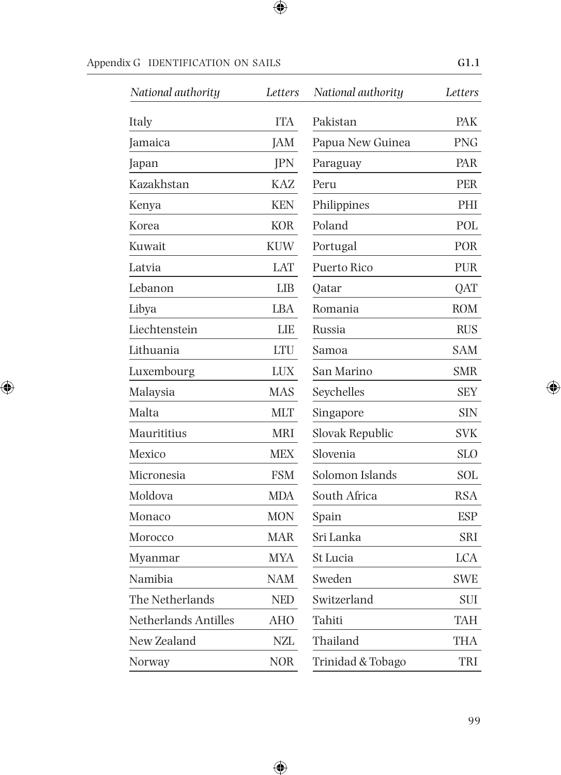### Appendix G IDENTIFICATION ON SAILS **G1.1**

 $\bigoplus$ 

| National authority   | Letters    | National authority | Letters    |
|----------------------|------------|--------------------|------------|
| Italy                | <b>ITA</b> | Pakistan           | <b>PAK</b> |
| Jamaica              | <b>JAM</b> | Papua New Guinea   | <b>PNG</b> |
| Japan                | <b>JPN</b> | Paraguay           | <b>PAR</b> |
| Kazakhstan           | KAZ        | Peru               | <b>PER</b> |
| Kenya                | <b>KEN</b> | Philippines        | PHI        |
| Korea                | KOR        | Poland             | POL        |
| Kuwait               | <b>KUW</b> | Portugal           | POR        |
| Latvia               | LAT        | Puerto Rico        | PUR        |
| Lebanon              | <b>LIB</b> | Oatar              | <b>OAT</b> |
| Libya                | LBA        | Romania            | <b>ROM</b> |
| Liechtenstein        | <b>LIE</b> | <b>Russia</b>      | <b>RUS</b> |
| Lithuania            | <b>LTU</b> | Samoa              | SAM        |
| Luxembourg           | <b>LUX</b> | San Marino         | <b>SMR</b> |
| Malaysia             | <b>MAS</b> | Seychelles         | <b>SEY</b> |
| Malta                | MLT        | Singapore          | <b>SIN</b> |
| Maurititius          | <b>MRI</b> | Slovak Republic    | <b>SVK</b> |
| Mexico               | <b>MEX</b> | Slovenia           | SLO        |
| Micronesia           | <b>FSM</b> | Solomon Islands    | SOL        |
| Moldova              | MDA.       | South Africa       | <b>RSA</b> |
| Monaco               | <b>MON</b> | Spain              | <b>ESP</b> |
| Morocco              | <b>MAR</b> | Sri Lanka          | <b>SRI</b> |
| Myanmar              | MYA        | St Lucia           | <b>LCA</b> |
| Namibia              | NAM        | Sweden             | <b>SWE</b> |
| The Netherlands      | <b>NED</b> | Switzerland        | <b>SUI</b> |
| Netherlands Antilles | <b>AHO</b> | Tahiti             | <b>TAH</b> |
| New Zealand          | NZL        | Thailand           | THA        |
| Norway               | <b>NOR</b> | Trinidad & Tobago  | TRI        |

 $\bigoplus$ 

 $\bigoplus$ 

 $\bigoplus$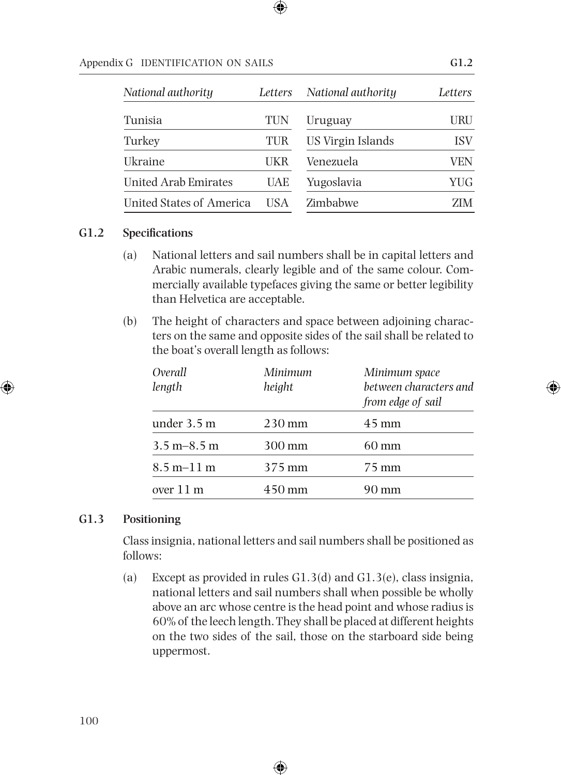| National authority          | Letters    | National authority | Letters    |
|-----------------------------|------------|--------------------|------------|
| Tunisia                     | TUN        | Uruguay            | URU        |
| Turkey                      | TUR        | US Virgin Islands  | <b>ISV</b> |
| Ukraine                     | UKR        | Venezuela          | VEN        |
| <b>United Arab Emirates</b> | <b>UAE</b> | Yugoslavia         | YUG        |
| United States of America    | IIS A      | Zimbabwe           | ZIM.       |

⊕

#### **G1.2 Specifications**

- (a) National letters and sail numbers shall be in capital letters and Arabic numerals, clearly legible and of the same colour. Commercially available typefaces giving the same or better legibility than Helvetica are acceptable.
- (b) The height of characters and space between adjoining characters on the same and opposite sides of the sail shall be related to the boat's overall length as follows:

| Overall<br>length              | Minimum<br>height   | Minimum space<br>between characters and<br>from edge of sail |
|--------------------------------|---------------------|--------------------------------------------------------------|
| under 3.5 m                    | $230 \,\mathrm{mm}$ | $45 \,\mathrm{mm}$                                           |
| $3.5 m - 8.5 m$                | $300 \,\mathrm{mm}$ | $60 \,\mathrm{mm}$                                           |
| $8.5 \text{ m} - 11 \text{ m}$ | 375 mm              | 75 mm                                                        |
| over 11 m                      | $450 \,\mathrm{mm}$ | 90 mm                                                        |

#### **G1.3 Positioning**

Class insignia, national letters and sail numbers shall be positioned as follows:

 (a) Except as provided in rules G1.3(d) and G1.3(e), class insignia, national letters and sail numbers shall when possible be wholly above an arc whose centre is the head point and whose radius is 60% of the leech length. They shall be placed at different heights on the two sides of the sail, those on the starboard side being uppermost.

 $\bigoplus$ 

⊕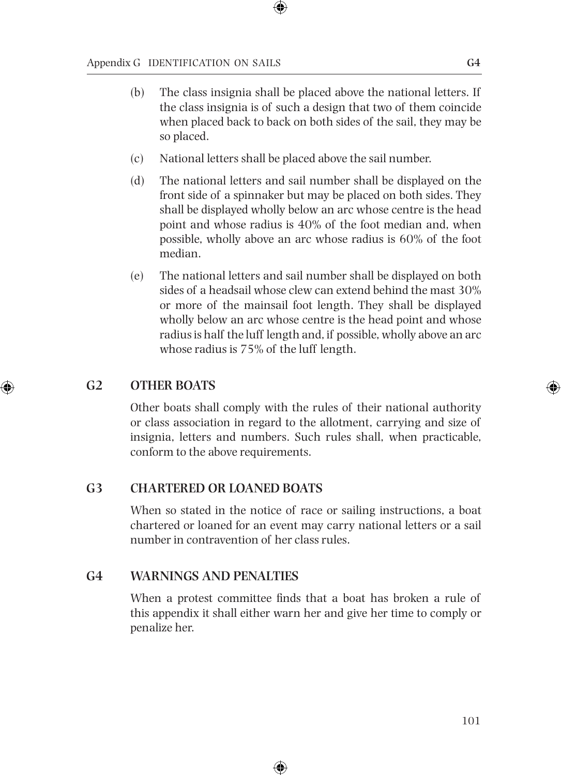- (b) The class insignia shall be placed above the national letters. If the class insignia is of such a design that two of them coincide when placed back to back on both sides of the sail, they may be so placed.
- (c) National letters shall be placed above the sail number.

 $\bigcirc$ 

- (d) The national letters and sail number shall be displayed on the front side of a spinnaker but may be placed on both sides. They shall be displayed wholly below an arc whose centre is the head point and whose radius is 40% of the foot median and, when possible, wholly above an arc whose radius is 60% of the foot median.
- (e) The national letters and sail number shall be displayed on both sides of a headsail whose clew can extend behind the mast 30% or more of the mainsail foot length. They shall be displayed wholly below an arc whose centre is the head point and whose radius is half the luff length and, if possible, wholly above an arc whose radius is 75% of the luff length.

#### **G2 OTHER BOATS**

⊕

Other boats shall comply with the rules of their national authority or class association in regard to the allotment, carrying and size of insignia, letters and numbers. Such rules shall, when practicable, conform to the above requirements.

#### **G3 CHARTERED OR LOANED BOATS**

When so stated in the notice of race or sailing instructions, a boat chartered or loaned for an event may carry national letters or a sail number in contravention of her class rules.

#### **G4 WARNINGS AND PENALTIES**

When a protest committee finds that a boat has broken a rule of this appendix it shall either warn her and give her time to comply or penalize her.

 $\bigoplus$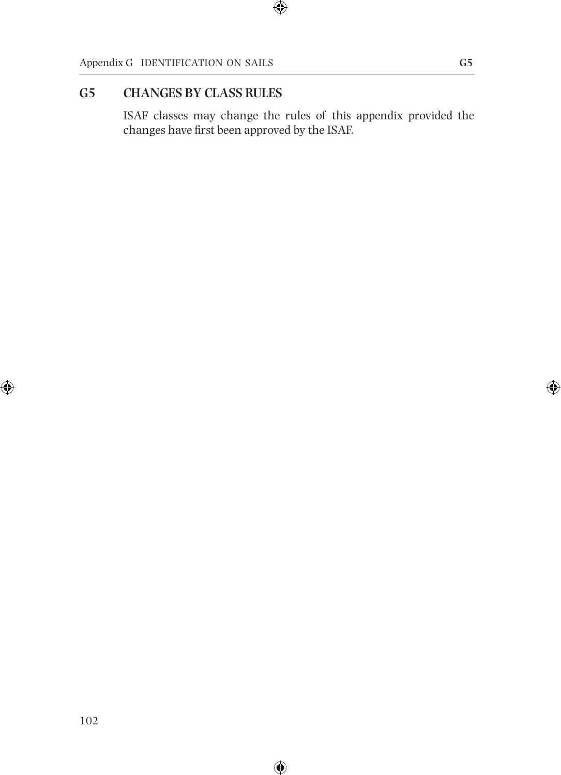## **G5 CHANGES BY CLASS RULES**

ISAF classes may change the rules of this appendix provided the changes have first been approved by the ISAF.

 $\bigoplus$ 

 $\bigoplus$ 

⊕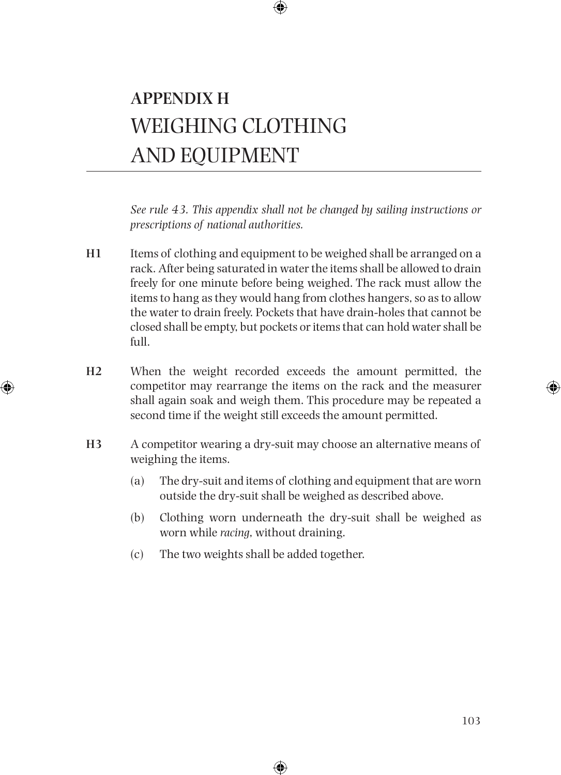# **APPENDIX H** WEIGHING CLOTHING AND EQUIPMENT

*See rule 43. This appendix shall not be changed by sailing instructions or prescriptions of national authorities.* 

**H1** Items of clothing and equipment to be weighed shall be arranged on a rack. After being saturated in water the items shall be allowed to drain freely for one minute before being weighed. The rack must allow the items to hang as they would hang from clothes hangers, so as to allow the water to drain freely. Pockets that have drain-holes that cannot be closed shall be empty, but pockets or items that can hold water shall be full.

 $\bigcirc$ 

- **H2** When the weight recorded exceeds the amount permitted, the competitor may rearrange the items on the rack and the measurer shall again soak and weigh them. This procedure may be repeated a second time if the weight still exceeds the amount permitted.
- **H3** A competitor wearing a dry-suit may choose an alternative means of weighing the items.

 $\bigoplus$ 

- (a) The dry-suit and items of clothing and equipment that are worn outside the dry-suit shall be weighed as described above.
- (b) Clothing worn underneath the dry-suit shall be weighed as worn while *racing*, without draining.
- (c) The two weights shall be added together.

♠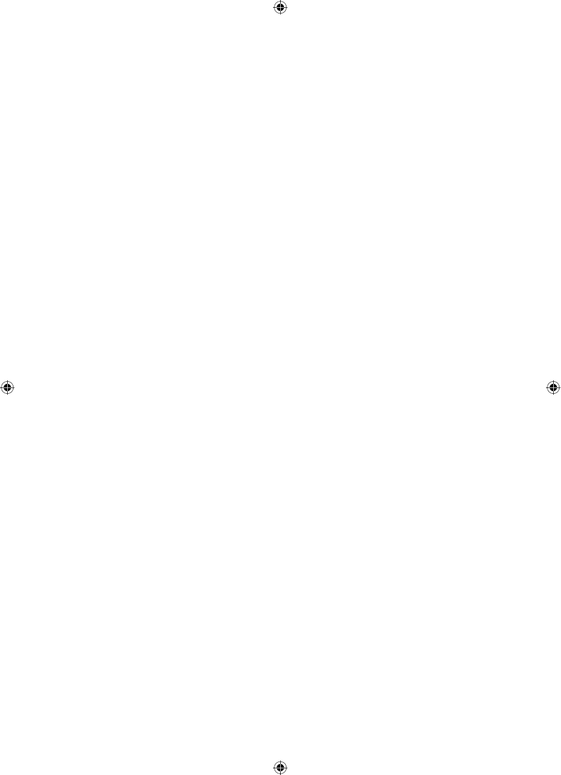

 $\bigoplus$ 

 $\bigoplus$ 



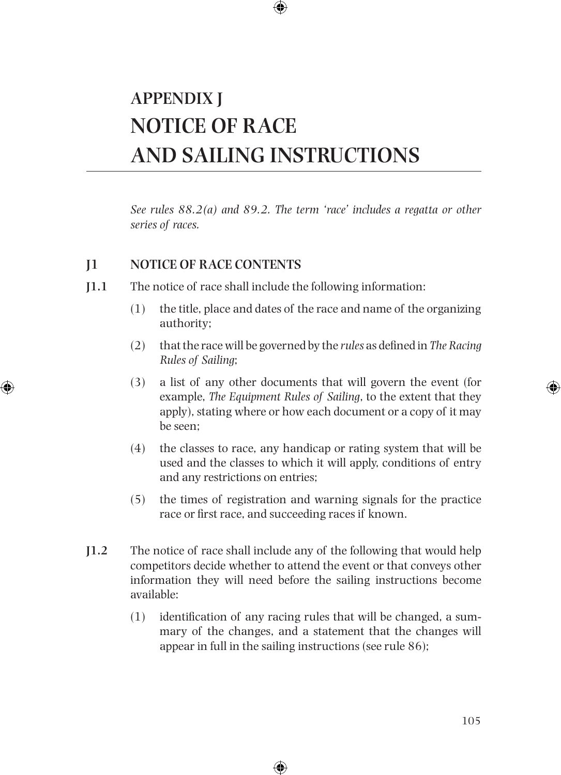# **APPENDIX J NOTICE OF RACE AND SAILING INSTRUCTIONS**

 $\bigcirc$ 

*See rules 88.2(a) and 89.2. The term 'race' includes a regatta or other series of races.* 

#### **J1 NOTICE OF RACE CONTENTS**

♠

- **J1.1** The notice of race shall include the following information:
	- (1) the title, place and dates of the race and name of the organizing authority;
	- (2) that the race will be governed by the *rules* as defined in *The Racing Rules of Sailing*;
	- (3) a list of any other documents that will govern the event (for example, *The Equipment Rules of Sailing*, to the extent that they apply), stating where or how each document or a copy of it may be seen;
	- (4) the classes to race, any handicap or rating system that will be used and the classes to which it will apply, conditions of entry and any restrictions on entries;
	- (5) the times of registration and warning signals for the practice race or first race, and succeeding races if known.
- **J1.2** The notice of race shall include any of the following that would help competitors decide whether to attend the event or that conveys other information they will need before the sailing instructions become available:

 $\bigoplus$ 

 (1) identification of any racing rules that will be changed, a summary of the changes, and a statement that the changes will appear in full in the sailing instructions (see rule 86);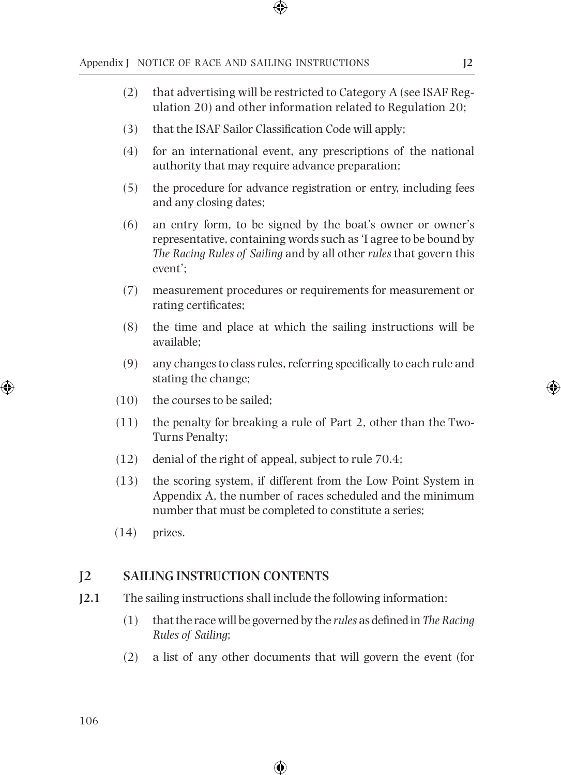(2) that advertising will be restricted to Category A (see ISAF Regulation 20) and other information related to Regulation 20;

⊕

- (3) that the ISAF Sailor Classification Code will apply;
- (4) for an international event, any prescriptions of the national authority that may require advance preparation;
- (5) the procedure for advance registration or entry, including fees and any closing dates;
- (6) an entry form, to be signed by the boat's owner or owner's representative, containing words such as 'I agree to be bound by *The Racing Rules of Sailing* and by all other *rules* that govern this event';
- (7) measurement procedures or requirements for measurement or rating certificates;
- (8) the time and place at which the sailing instructions will be available;
- (9) any changes to class rules, referring specifically to each rule and stating the change;
- (10) the courses to be sailed;
- (11) the penalty for breaking a rule of Part 2, other than the Two-Turns Penalty;
- (12) denial of the right of appeal, subject to rule 70.4;
- (13) the scoring system, if different from the Low Point System in Appendix A, the number of races scheduled and the minimum number that must be completed to constitute a series;
- (14) prizes.

#### **J2 SAILING INSTRUCTION CONTENTS**

- **J2.1** The sailing instructions shall include the following information:
	- (1) that the race will be governed by the *rules* as defined in *The Racing Rules of Sailing*;
	- (2) a list of any other documents that will govern the event (for

 $\bigoplus$ 

⊕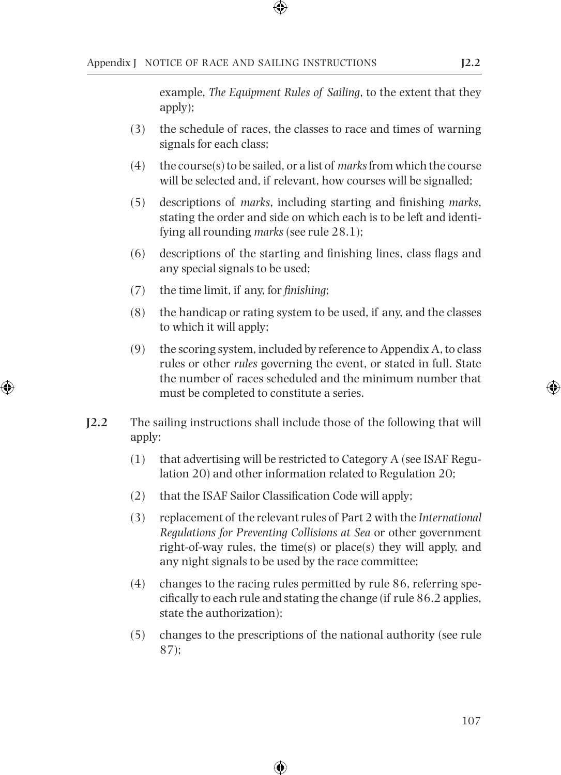example, *The Equipment Rules of Sailing*, to the extent that they apply);

 (3) the schedule of races, the classes to race and times of warning signals for each class;

 $\bigcirc$ 

- (4) the course(s) to be sailed, or a list of *marks* from which the course will be selected and, if relevant, how courses will be signalled:
- (5) descriptions of *marks*, including starting and finishing *marks*, stating the order and side on which each is to be left and identifying all rounding *marks* (see rule 28.1);
- (6) descriptions of the starting and finishing lines, class flags and any special signals to be used;
- (7) the time limit, if any, for *finishing*;

⊕

- $(8)$  the handicap or rating system to be used, if any, and the classes to which it will apply;
- (9) the scoring system, included by reference to Appendix A, to class rules or other *rules* governing the event, or stated in full. State the number of races scheduled and the minimum number that must be completed to constitute a series.
- **J2.2** The sailing instructions shall include those of the following that will apply:
	- (1) that advertising will be restricted to Category A (see ISAF Regulation 20) and other information related to Regulation 20;
	- (2) that the ISAF Sailor Classification Code will apply;
	- (3) replacement of the relevant rules of Part 2 with the *International Regulations for Preventing Collisions at Sea* or other government right-of-way rules, the time(s) or place(s) they will apply, and any night signals to be used by the race committee;
	- (4) changes to the racing rules permitted by rule 86, referring specifically to each rule and stating the change (if rule 86.2 applies, state the authorization);
	- (5) changes to the prescriptions of the national authority (see rule 87);

 $\bigoplus$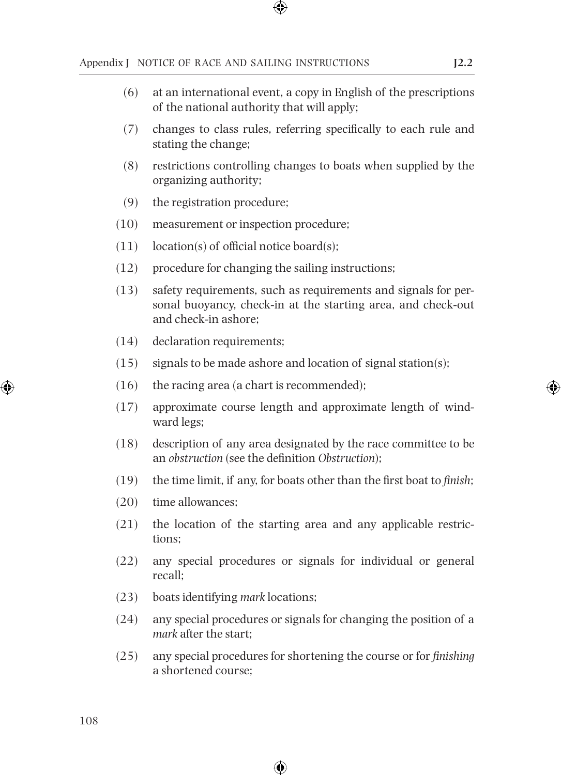(6) at an international event, a copy in English of the prescriptions of the national authority that will apply;

⊕

- (7) changes to class rules, referring specifically to each rule and stating the change;
- (8) restrictions controlling changes to boats when supplied by the organizing authority;
- (9) the registration procedure;
- (10) measurement or inspection procedure;
- (11) location(s) of official notice board(s);
- (12) procedure for changing the sailing instructions;
- (13) safety requirements, such as requirements and signals for personal buoyancy, check-in at the starting area, and check-out and check-in ashore;
- (14) declaration requirements;
- $(15)$  signals to be made ashore and location of signal station(s);
- (16) the racing area (a chart is recommended);
- (17) approximate course length and approximate length of windward legs;
- (18) description of any area designated by the race committee to be an *obstruction* (see the definition *Obstruction*);
- (19) the time limit, if any, for boats other than the first boat to *finish*;
- (20) time allowances;
- (21) the location of the starting area and any applicable restrictions;
- (22) any special procedures or signals for individual or general recall;
- (23) boats identifying *mark* locations;
- (24) any special procedures or signals for changing the position of a *mark* after the start;
- (25) any special procedures for shortening the course or for *finishing* a shortened course;

 $\bigoplus$ 

⊕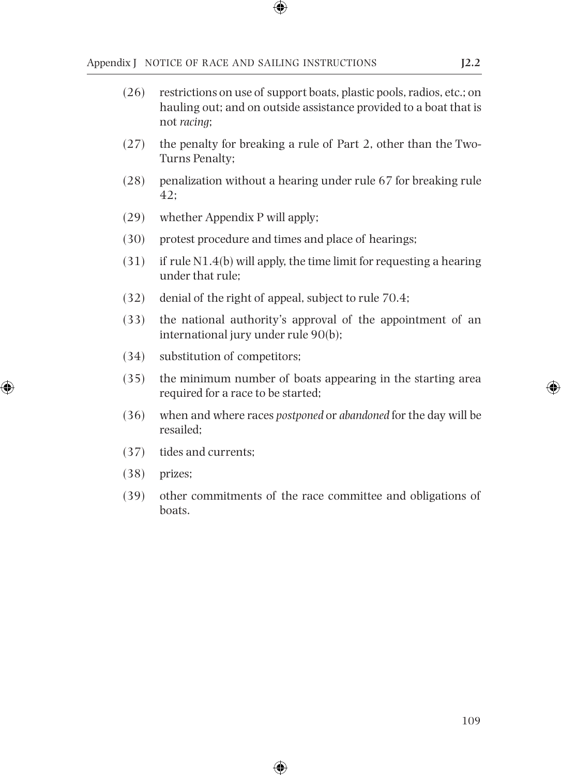(26) restrictions on use of support boats, plastic pools, radios, etc.; on hauling out; and on outside assistance provided to a boat that is not *racing*;

⊕

- (27) the penalty for breaking a rule of Part 2, other than the Two-Turns Penalty;
- (28) penalization without a hearing under rule 67 for breaking rule 42;
- (29) whether Appendix P will apply;
- (30) protest procedure and times and place of hearings;
- (31) if rule N1.4(b) will apply, the time limit for requesting a hearing under that rule;
- (32) denial of the right of appeal, subject to rule 70.4;
- (33) the national authority's approval of the appointment of an international jury under rule 90(b);
- (34) substitution of competitors;
- (35) the minimum number of boats appearing in the starting area required for a race to be started;
- (36) when and where races *postponed* or *abandoned* for the day will be resailed;
- (37) tides and currents;
- (38) prizes;

♠

 (39) other commitments of the race committee and obligations of boats.

 $\bigoplus$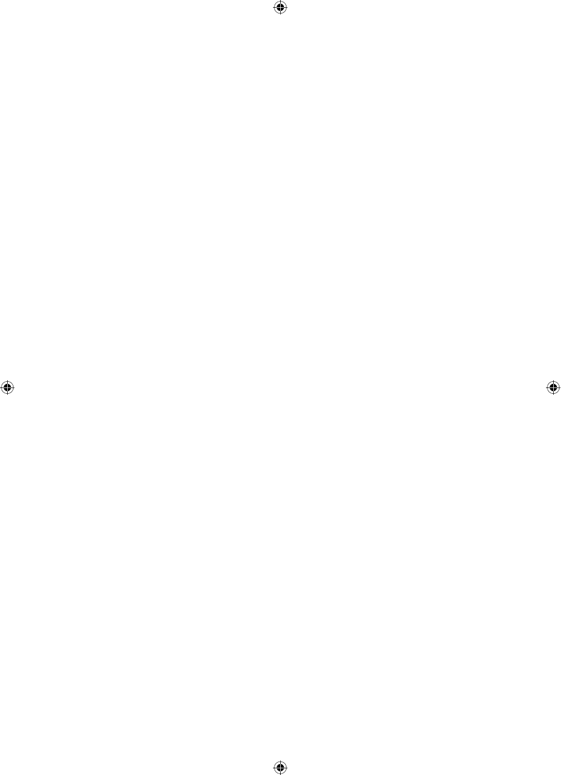



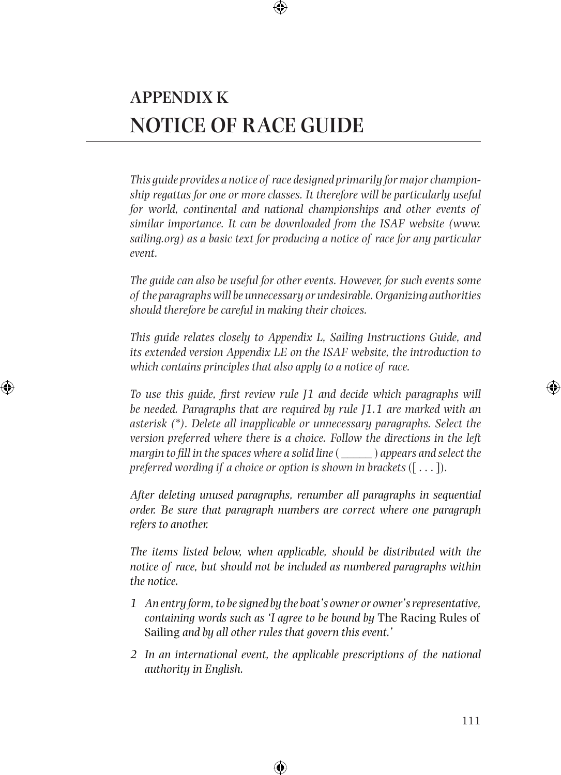# **APPENDIX K NOTICE OF RACE GUIDE**

⊕

 $\bigcirc$ 

*This guide provides a notice of race designed primarily for major championship regattas for one or more classes. It therefore will be particularly useful for world, continental and national championships and other events of similar importance. It can be downloaded from the ISAF website (www. sailing.org) as a basic text for producing a notice of race for any particular event.* 

 *The guide can also be useful for other events. However, for such events some of the paragraphs will be unnecessary or undesirable. Organizing authorities should therefore be careful in making their choices.*

 *This guide relates closely to Appendix L, Sailing Instructions Guide, and its extended version Appendix LE on the ISAF website, the introduction to which contains principles that also apply to a notice of race.* 

 *To use this guide, first review rule J1 and decide which paragraphs will be needed. Paragraphs that are required by rule J1.1 are marked with an asterisk (\*). Delete all inapplicable or unnecessary paragraphs. Select the version preferred where there is a choice. Follow the directions in the left margin to fill in the spaces where a solid line* ( \_\_\_\_\_ ) *appears and select the preferred wording if a choice or option is shown in brackets* ([ . . . ]).

*After deleting unused paragraphs, renumber all paragraphs in sequential order. Be sure that paragraph numbers are correct where one paragraph refers to another.*

 *The items listed below, when applicable, should be distributed with the notice of race, but should not be included as numbered paragraphs within the notice.*

- *1 An entry form, to be signed by the boat's owner or owner's representative, containing words such as 'I agree to be bound by* The Racing Rules of Sailing *and by all other rules that govern this event.'*
- *2 In an international event, the applicable prescriptions of the national authority in English.*

 $\bigoplus$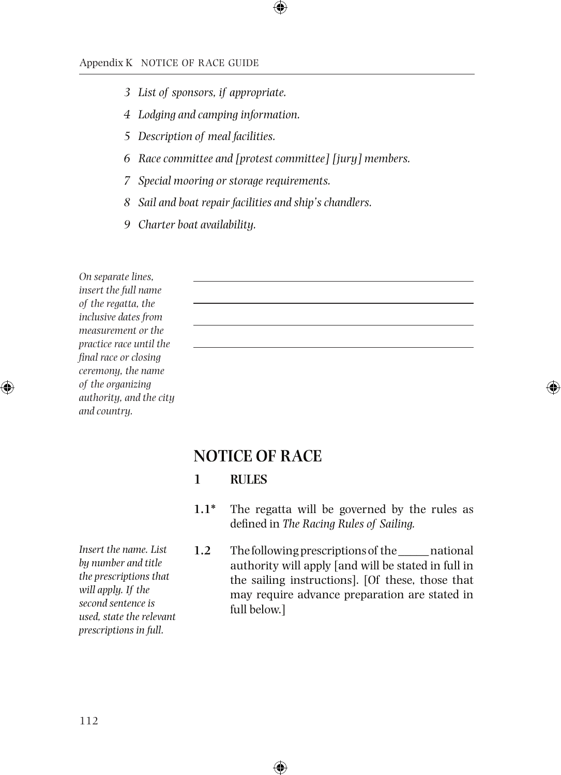- *3 List of sponsors, if appropriate.*
- *4 Lodging and camping information.*
- *5 Description of meal facilities.*
- *6 Race committee and [protest committee] [jury] members.*

⊕

- *7 Special mooring or storage requirements.*
- *8 Sail and boat repair facilities and ship's chandlers.*
- *9 Charter boat availability.*

*On separate lines, insert the full name of the regatta, the inclusive dates from measurement or the practice race until the final race or closing ceremony, the name of the organizing authority, and the city and country.* 

♠

## **NOTICE OF RACE**

 $\bigoplus$ 

#### **1 RULES**

**1.1\*** The regatta will be governed by the rules as defined in *The Racing Rules of Sailing.*

⊕

*Insert the name. List by number and title the prescriptions that will apply. If the second sentence is used, state the relevant prescriptions in full.* 

**1.2** The following prescriptions of the \_\_\_\_\_ national authority will apply [and will be stated in full in the sailing instructions]. [Of these, those that may require advance preparation are stated in full below.]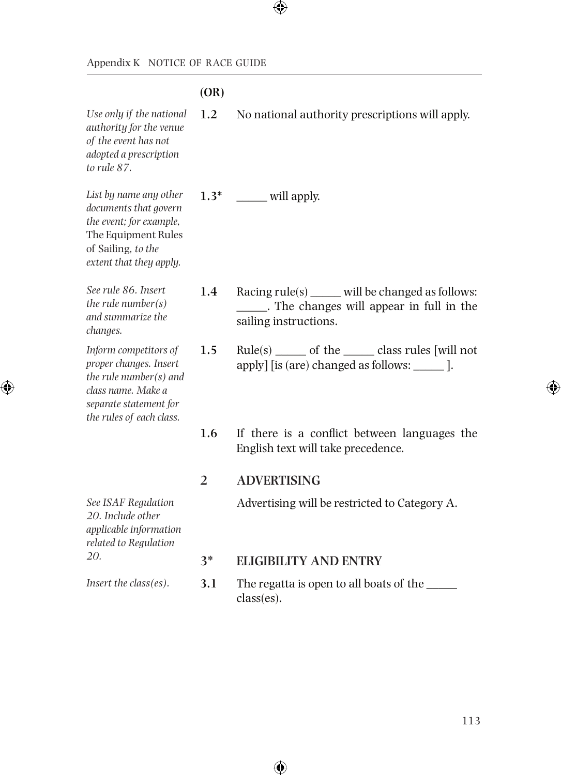⊕

## **(OR)**

| Use only if the national<br>authority for the venue<br>of the event has not<br>adopted a prescription<br>to rule 87.                                      | 1.2            | No national authority prescriptions will apply.                                                                     |
|-----------------------------------------------------------------------------------------------------------------------------------------------------------|----------------|---------------------------------------------------------------------------------------------------------------------|
| List by name any other<br>documents that govern<br>the event; for example,<br>The Equipment Rules<br>of Sailing, to the<br>extent that they apply.        | $1.3*$         | will apply.                                                                                                         |
| See rule 86. Insert<br>the rule number $(s)$<br>and summarize the<br>changes.                                                                             | 1.4            | Racing rule(s) _____ will be changed as follows:<br>The changes will appear in full in the<br>sailing instructions. |
| Inform competitors of<br>proper changes. Insert<br>the rule number( $s$ ) and<br>class name. Make a<br>separate statement for<br>the rules of each class. | 1.5            | $Rule(s)$ _______ of the ____________ class rules [will not<br>$apply$ [is (are) changed as follows: $\_\_$ ].      |
|                                                                                                                                                           | 1.6            | If there is a conflict between languages the<br>English text will take precedence.                                  |
|                                                                                                                                                           | $\overline{2}$ | <b>ADVERTISING</b>                                                                                                  |
| See ISAF Regulation<br>20. Include other<br>applicable information<br>related to Regulation                                                               |                | Advertising will be restricted to Category A.                                                                       |
| 20.                                                                                                                                                       | $3*$           | <b>ELIGIBILITY AND ENTRY</b>                                                                                        |
| Insert the class $(es)$ .                                                                                                                                 | 3.1            | The regatta is open to all boats of the                                                                             |

 $\bigoplus$ 

class(es).

 $\bigodot$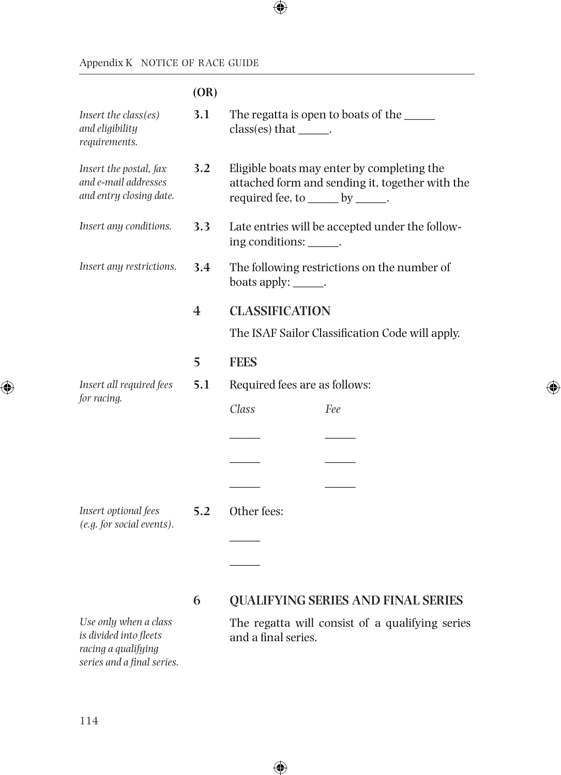Appendix K NOTICE OF RACE GUIDE

|                                                                                                      | (OR) |                                                                                                                                     |  |  |  |  |
|------------------------------------------------------------------------------------------------------|------|-------------------------------------------------------------------------------------------------------------------------------------|--|--|--|--|
| Insert the class $(es)$<br>and eligibility<br>requirements.                                          | 3.1  | The regatta is open to boats of the _______<br>$class(es) that \_\_$ .                                                              |  |  |  |  |
| Insert the postal, fax<br>and e-mail addresses<br>and entry closing date.                            | 3.2  | Eligible boats may enter by completing the<br>attached form and sending it, together with the<br>required fee, to ______ by ______. |  |  |  |  |
| Insert any conditions.                                                                               | 3.3  | Late entries will be accepted under the follow-<br>ing conditions: ______.                                                          |  |  |  |  |
| Insert any restrictions.                                                                             | 3.4  | The following restrictions on the number of<br>boats apply: $\_\_\_\$ .                                                             |  |  |  |  |
|                                                                                                      | 4    | <b>CLASSIFICATION</b>                                                                                                               |  |  |  |  |
|                                                                                                      |      | The ISAF Sailor Classification Code will apply.                                                                                     |  |  |  |  |
|                                                                                                      | 5    | <b>FEES</b>                                                                                                                         |  |  |  |  |
| Insert all required fees                                                                             | 5.1  | Required fees are as follows:                                                                                                       |  |  |  |  |
| for racing.                                                                                          |      | Class<br>Fee                                                                                                                        |  |  |  |  |
|                                                                                                      |      |                                                                                                                                     |  |  |  |  |
|                                                                                                      |      |                                                                                                                                     |  |  |  |  |
|                                                                                                      |      |                                                                                                                                     |  |  |  |  |
| Insert optional fees<br>(e.g. for social events).                                                    | 5.2  | Other fees:                                                                                                                         |  |  |  |  |
|                                                                                                      |      |                                                                                                                                     |  |  |  |  |
|                                                                                                      |      |                                                                                                                                     |  |  |  |  |
|                                                                                                      | 6    | <b>QUALIFYING SERIES AND FINAL SERIES</b>                                                                                           |  |  |  |  |
| Use only when a class<br>is divided into fleets<br>racing a qualifying<br>series and a final series. |      | The regatta will consist of a qualifying series<br>and a final series.                                                              |  |  |  |  |

 $\bigoplus$ 

 $\bigoplus$ 

 $\bigoplus$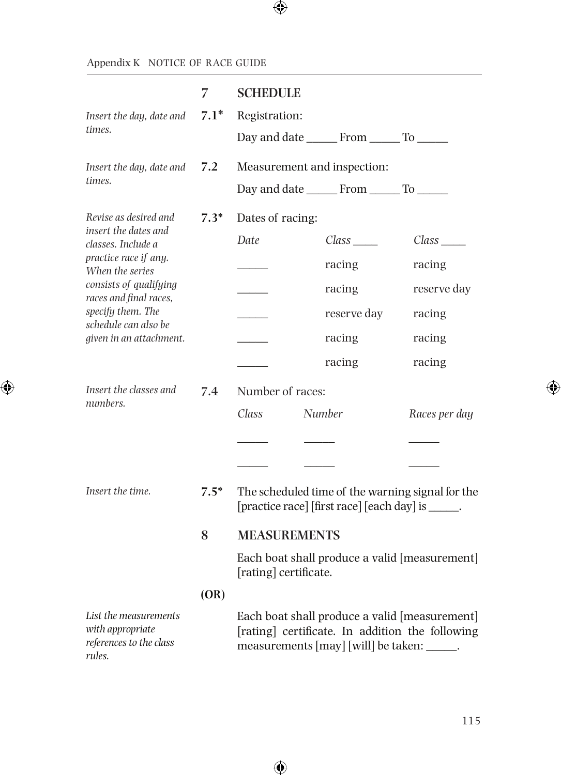Appendix K NOTICE OF RACE GUIDE

 $\bigoplus$ 

|                                                                                | 7      | <b>SCHEDULE</b>                                                                                                                                 |                                                                                                        |                          |
|--------------------------------------------------------------------------------|--------|-------------------------------------------------------------------------------------------------------------------------------------------------|--------------------------------------------------------------------------------------------------------|--------------------------|
| Insert the day, date and                                                       | $7.1*$ | Registration:                                                                                                                                   |                                                                                                        |                          |
| times.                                                                         |        |                                                                                                                                                 | Day and date From To                                                                                   |                          |
| Insert the day, date and<br>times.                                             | 7.2    |                                                                                                                                                 | Measurement and inspection:                                                                            |                          |
|                                                                                |        |                                                                                                                                                 | Day and date ________ From ________ To _______                                                         |                          |
| Revise as desired and                                                          | $7.3*$ | Dates of racing:                                                                                                                                |                                                                                                        |                          |
| insert the dates and<br>classes. Include a                                     |        | Date                                                                                                                                            | $Class$ <sub>_____</sub>                                                                               | $Class$ <sub>_____</sub> |
| practice race if any.<br>When the series                                       |        |                                                                                                                                                 | racing                                                                                                 | racing                   |
| consists of qualifying<br>races and final races,                               |        |                                                                                                                                                 | racing                                                                                                 | reserve day              |
| specify them. The<br>schedule can also be                                      |        |                                                                                                                                                 | reserve day                                                                                            | racing                   |
| given in an attachment.                                                        |        |                                                                                                                                                 | racing                                                                                                 | racing                   |
|                                                                                |        |                                                                                                                                                 | racing                                                                                                 | racing                   |
| Insert the classes and<br>numbers.                                             | 7.4    | Number of races:                                                                                                                                |                                                                                                        |                          |
|                                                                                |        | Class                                                                                                                                           | Number                                                                                                 | Races per day            |
|                                                                                |        |                                                                                                                                                 |                                                                                                        |                          |
|                                                                                |        |                                                                                                                                                 |                                                                                                        |                          |
| Insert the time.                                                               | $7.5*$ |                                                                                                                                                 | The scheduled time of the warning signal for the<br>[practice race] [first race] [each day] is ______. |                          |
|                                                                                | 8      | <b>MEASUREMENTS</b>                                                                                                                             |                                                                                                        |                          |
|                                                                                |        | [rating] certificate.                                                                                                                           | Each boat shall produce a valid [measurement]                                                          |                          |
|                                                                                | (OR)   |                                                                                                                                                 |                                                                                                        |                          |
| List the measurements<br>with appropriate<br>references to the class<br>rules. |        | Each boat shall produce a valid [measurement]<br>[rating] certificate. In addition the following<br>measurements [may] [will] be taken: ______. |                                                                                                        |                          |

 $\bigoplus$ 

 $\bigoplus$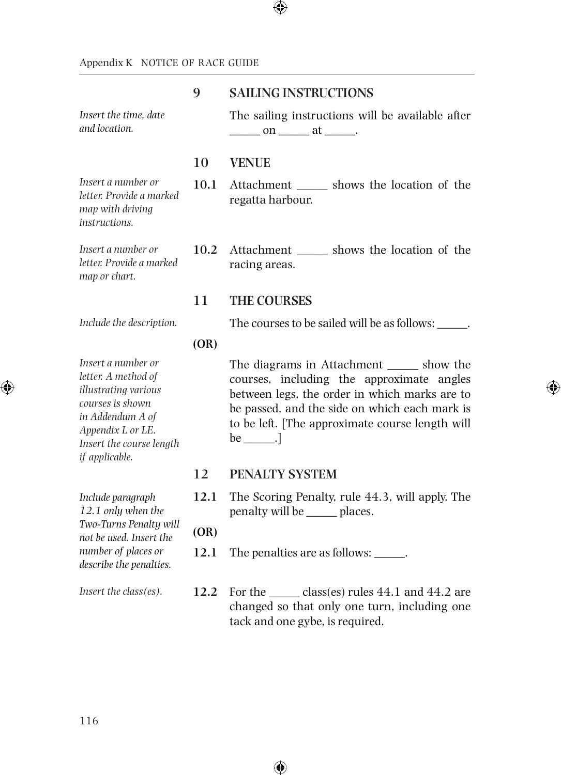|                                                                                                                                                                              | 9    | <b>SAILING INSTRUCTIONS</b>                                                                                                                                                                                                                                                |
|------------------------------------------------------------------------------------------------------------------------------------------------------------------------------|------|----------------------------------------------------------------------------------------------------------------------------------------------------------------------------------------------------------------------------------------------------------------------------|
| Insert the time, date<br>and location.                                                                                                                                       |      | The sailing instructions will be available after<br>$\frac{\ }{}$ on $\frac{\ }{}$ at $\frac{\ }{}$ .                                                                                                                                                                      |
|                                                                                                                                                                              | 10   | <b>VENUE</b>                                                                                                                                                                                                                                                               |
| Insert a number or<br>letter. Provide a marked<br>map with driving<br><i>instructions.</i>                                                                                   | 10.1 | Attachment _______ shows the location of the<br>regatta harbour.                                                                                                                                                                                                           |
| Insert a number or<br>letter. Provide a marked<br>map or chart.                                                                                                              | 10.2 | Attachment ______ shows the location of the<br>racing areas.                                                                                                                                                                                                               |
|                                                                                                                                                                              | 11   | <b>THE COURSES</b>                                                                                                                                                                                                                                                         |
| Include the description.                                                                                                                                                     |      | The courses to be sailed will be as follows: ______.                                                                                                                                                                                                                       |
|                                                                                                                                                                              | (OR) |                                                                                                                                                                                                                                                                            |
| Insert a number or<br>letter. A method of<br>illustrating various<br>courses is shown<br>in Addendum A of<br>Appendix L or LE.<br>Insert the course length<br>if applicable. |      | The diagrams in Attachment _______ show the<br>courses, including the approximate angles<br>between legs, the order in which marks are to<br>be passed, and the side on which each mark is<br>to be left. [The approximate course length will<br>be $\rule{1em}{0.15mm}$ . |
|                                                                                                                                                                              | 12   | PENALTY SYSTEM                                                                                                                                                                                                                                                             |
| Include paragraph<br>12.1 only when the                                                                                                                                      | 12.1 | The Scoring Penalty, rule 44.3, will apply. The<br>penalty will be ______ places.                                                                                                                                                                                          |
| Two-Turns Penalty will<br>not be used. Insert the                                                                                                                            | (OR) |                                                                                                                                                                                                                                                                            |
| number of places or<br>describe the penalties.                                                                                                                               | 12.1 | The penalties are as follows: ______.                                                                                                                                                                                                                                      |
| Insert the $class(es)$ .                                                                                                                                                     | 12.2 | For the _______ class(es) rules 44.1 and 44.2 are<br>changed so that only one turn, including one<br>tack and one gybe, is required.                                                                                                                                       |

 $\bigoplus$ 

 $\bigoplus$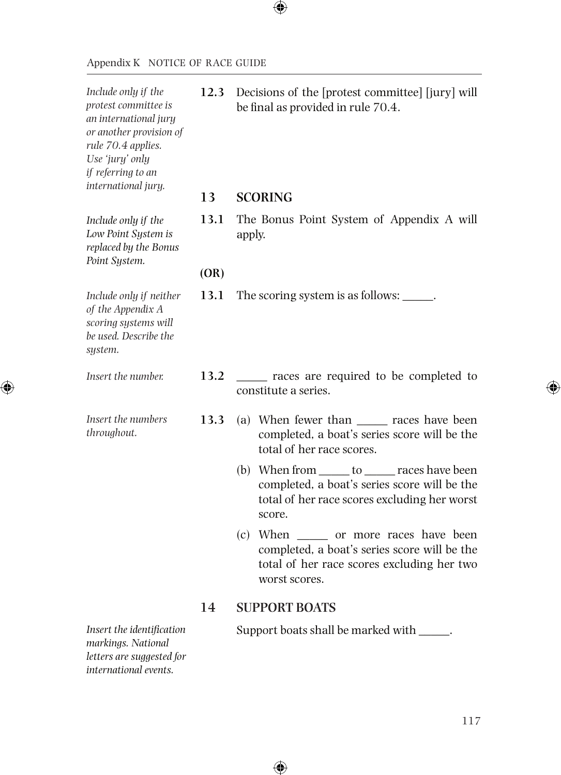## Appendix K NOTICE OF RACE GUIDE

 $\bigoplus$ 

| Include only if the<br>protest committee is<br>an international jury<br>or another provision of<br>rule 70.4 applies.<br>Use 'jury' only<br>if referring to an | 12.3 | Decisions of the [protest committee] [jury] will<br>be final as provided in rule 70.4.                                                                     |  |  |
|----------------------------------------------------------------------------------------------------------------------------------------------------------------|------|------------------------------------------------------------------------------------------------------------------------------------------------------------|--|--|
| international jury.                                                                                                                                            | 13   | <b>SCORING</b>                                                                                                                                             |  |  |
| Include only if the<br>Low Point System is<br>replaced by the Bonus<br>Point System.                                                                           | 13.1 | The Bonus Point System of Appendix A will<br>apply.                                                                                                        |  |  |
|                                                                                                                                                                | (OR) |                                                                                                                                                            |  |  |
| Include only if neither<br>of the Appendix A<br>scoring systems will<br>be used. Describe the<br>system.                                                       | 13.1 | The scoring system is as follows: ______.                                                                                                                  |  |  |
| Insert the number.                                                                                                                                             | 13.2 | races are required to be completed to<br>constitute a series.                                                                                              |  |  |
| Insert the numbers<br>throughout.                                                                                                                              | 13.3 | (a) When fewer than _______ races have been<br>completed, a boat's series score will be the<br>total of her race scores.                                   |  |  |
|                                                                                                                                                                |      | (b) When from _______ to _______ races have been<br>completed, a boat's series score will be the<br>total of her race scores excluding her worst<br>score. |  |  |
|                                                                                                                                                                |      | (c) When _______ or more races have been<br>completed, a boat's series score will be the<br>total of her race scores excluding her two<br>worst scores.    |  |  |
|                                                                                                                                                                | 14   | <b>SUPPORT BOATS</b>                                                                                                                                       |  |  |
| Insert the identification<br>markings. National<br>letters are suggested for<br>international events.                                                          |      | Support boats shall be marked with ______.                                                                                                                 |  |  |

 $\bigoplus$ 

 $\bigoplus$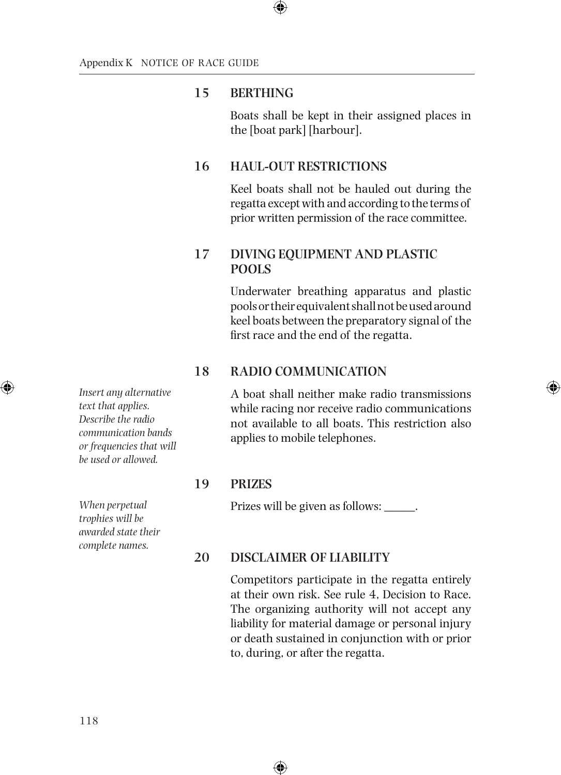#### **15 BERTHING**

 Boats shall be kept in their assigned places in the [boat park] [harbour].

#### **16 HAUL-OUT RESTRICTIONS**

 $\bigcirc$ 

 Keel boats shall not be hauled out during the regatta except with and according to the terms of prior written permission of the race committee.

### **17 DIVING EQUIPMENT AND PLASTIC POOLS**

 Underwater breathing apparatus and plastic pools or their equivalent shall not be used around keel boats between the preparatory signal of the first race and the end of the regatta.

#### **18 RADIO COMMUNICATION**

 A boat shall neither make radio transmissions while racing nor receive radio communications not available to all boats. This restriction also applies to mobile telephones.

⊕

#### **19 PRIZES**

Prizes will be given as follows: \_\_\_\_\_.

### **20 DISCLAIMER OF LIABILITY**

 $\bigoplus$ 

 Competitors participate in the regatta entirely at their own risk. See rule 4, Decision to Race. The organizing authority will not accept any liability for material damage or personal injury or death sustained in conjunction with or prior to, during, or after the regatta.

*Insert any alternative text that applies. Describe the radio communication bands or frequencies that will be used or allowed.*

⊕

*When perpetual trophies will be awarded state their complete names.*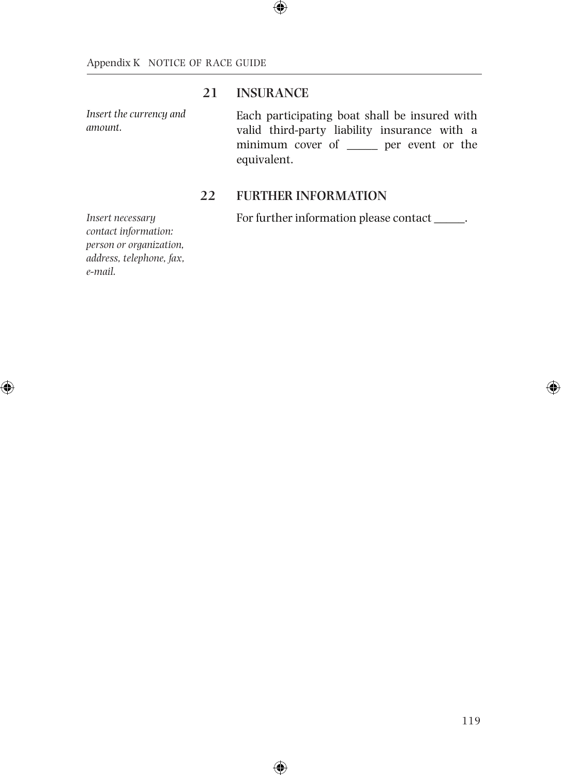Appendix K NOTICE OF RACE GUIDE

## **21 INSURANCE**

 $\bigoplus$ 

*Insert the currency and amount.* 

Each participating boat shall be insured with valid third-party liability insurance with a minimum cover of \_\_\_\_\_ per event or the equivalent.

## **22 FURTHER INFORMATION**

 $\bigoplus$ 

For further information please contact  $\qquad \qquad$ .

*Insert necessary contact information: person or organization, address, telephone, fax, e-mail.* 

⊕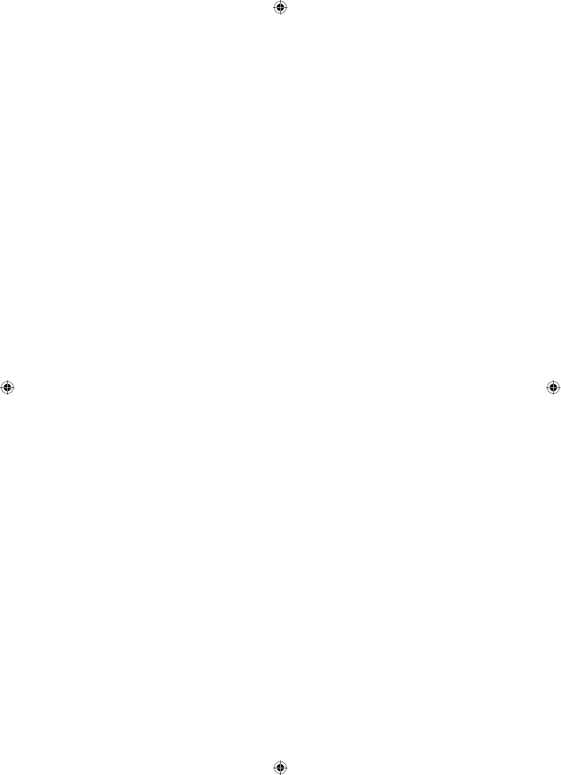



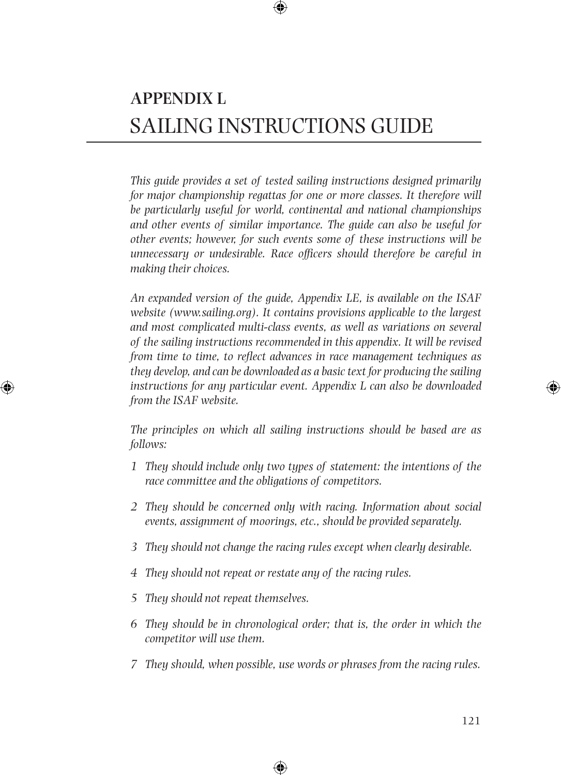# **APPENDIX L** SAILING INSTRUCTIONS GUIDE

 $\bigcirc$ 

*This guide provides a set of tested sailing instructions designed primarily*  for major championship regattas for one or more classes. It therefore will *be particularly useful for world, continental and national championships and other events of similar importance. The guide can also be useful for other events; however, for such events some of these instructions will be unnecessary or undesirable. Race officers should therefore be careful in making their choices.*

*An expanded version of the guide, Appendix LE, is available on the ISAF website (www.sailing.org). It contains provisions applicable to the largest and most complicated multi-class events, as well as variations on several of the sailing instructions recommended in this appendix. It will be revised from time to time, to reflect advances in race management techniques as they develop, and can be downloaded as a basic text for producing the sailing instructions for any particular event. Appendix L can also be downloaded from the ISAF website.*

*The principles on which all sailing instructions should be based are as follows:*

- *1 They should include only two types of statement: the intentions of the race committee and the obligations of competitors.*
- *2 They should be concerned only with racing. Information about social events, assignment of moorings, etc., should be provided separately.*
- *3 They should not change the racing rules except when clearly desirable.*
- *4 They should not repeat or restate any of the racing rules.*

 $\bigoplus$ 

*5 They should not repeat themselves.*

⊕

- *6 They should be in chronological order; that is, the order in which the competitor will use them.*
- *7 They should, when possible, use words or phrases from the racing rules.*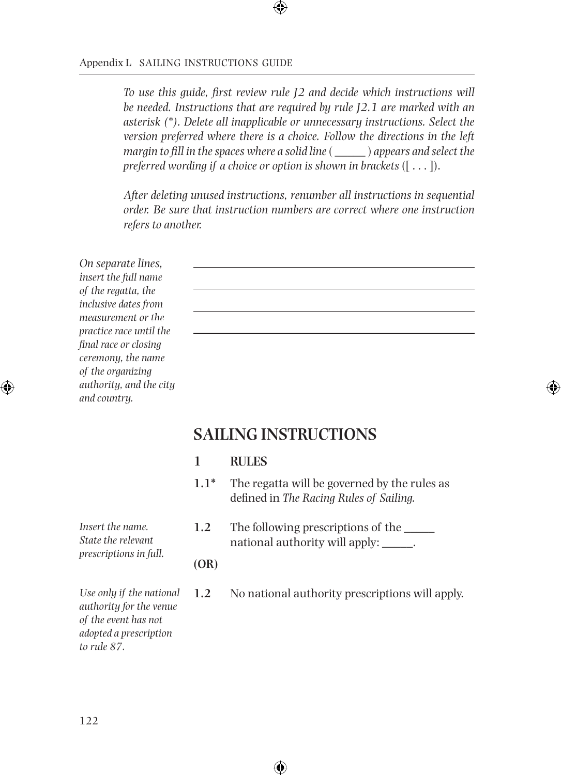*To use this guide, first review rule J2 and decide which instructions will be needed. Instructions that are required by rule J2.1 are marked with an asterisk (\*). Delete all inapplicable or unnecessary instructions. Select the version preferred where there is a choice. Follow the directions in the left margin to fill in the spaces where a solid line* ( \_\_\_\_\_ ) *appears and select the preferred wording if a choice or option is shown in brackets* ([ . . . ]).

 $\bigcirc$ 

*After deleting unused instructions, renumber all instructions in sequential order. Be sure that instruction numbers are correct where one instruction refers to another.*

*On separate lines, insert the full name* 

## **SAILING INSTRUCTIONS**

 $\bigoplus$ 

#### **1 RULES**

**1.1\*** The regatta will be governed by the rules as defined in *The Racing Rules of Sailing.*

⊕

**1.2** The following prescriptions of the national authority will apply: **\_\_\_\_\_**.

#### **(OR)**

**1.2** No national authority prescriptions will apply.

*of the regatta, the inclusive dates from measurement or the practice race until the final race or closing ceremony, the name of the organizing authority, and the city and country.* 

⊕

*Insert the name. State the relevant prescriptions in full.* 

*Use only if the national authority for the venue of the event has not adopted a prescription to rule 87.*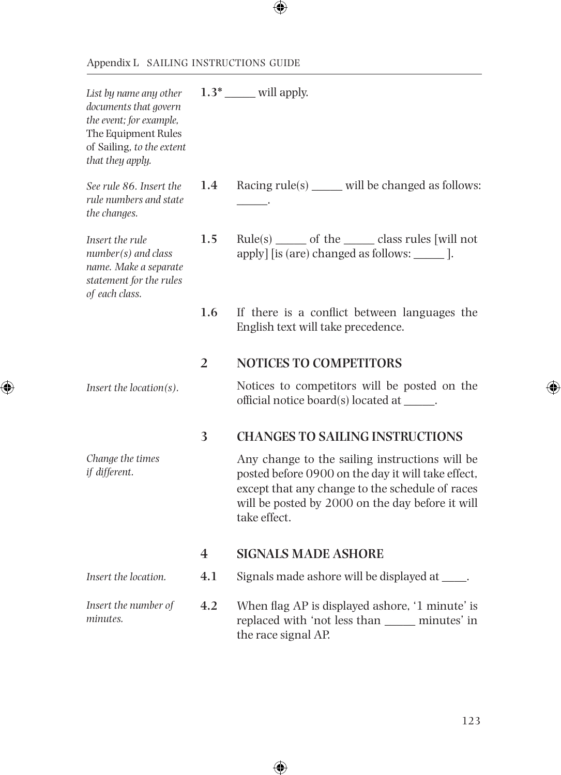$\bigoplus$ 

| List by name any other<br>documents that govern<br>the event; for example,<br>The Equipment Rules<br>of Sailing, to the extent<br>that they apply. |                | $1.3^*$ _______ will apply.                                                                                                                                                                                                 |
|----------------------------------------------------------------------------------------------------------------------------------------------------|----------------|-----------------------------------------------------------------------------------------------------------------------------------------------------------------------------------------------------------------------------|
| See rule 86. Insert the<br>rule numbers and state<br>the changes.                                                                                  | 1.4            | Racing $rule(s)$ ______ will be changed as follows:                                                                                                                                                                         |
| Insert the rule<br>$number(s)$ and class<br>name. Make a separate<br>statement for the rules<br>of each class.                                     | 1.5            | $Rule(s)$ of the _______ class rules [will not<br>apply] [is (are) changed as follows: _______ ].                                                                                                                           |
|                                                                                                                                                    | 1.6            | If there is a conflict between languages the<br>English text will take precedence.                                                                                                                                          |
|                                                                                                                                                    | $\overline{2}$ | <b>NOTICES TO COMPETITORS</b>                                                                                                                                                                                               |
| Insert the location $(s)$ .                                                                                                                        |                | Notices to competitors will be posted on the<br>official notice board(s) located at _____.                                                                                                                                  |
|                                                                                                                                                    | 3              | <b>CHANGES TO SAILING INSTRUCTIONS</b>                                                                                                                                                                                      |
| Change the times<br>if different.                                                                                                                  |                | Any change to the sailing instructions will be<br>posted before 0900 on the day it will take effect,<br>except that any change to the schedule of races<br>will be posted by 2000 on the day before it will<br>take effect. |
|                                                                                                                                                    | $\overline{4}$ | <b>SIGNALS MADE ASHORE</b>                                                                                                                                                                                                  |
| Insert the location.                                                                                                                               | 4.1            | Signals made ashore will be displayed at _____.                                                                                                                                                                             |
| Insert the number of<br>minutes.                                                                                                                   | 4.2            | When flag AP is displayed ashore, '1 minute' is<br>replaced with 'not less than <u>shimulter</u> in<br>the race signal AP.                                                                                                  |

 $\bigoplus$ 

 $\bigoplus$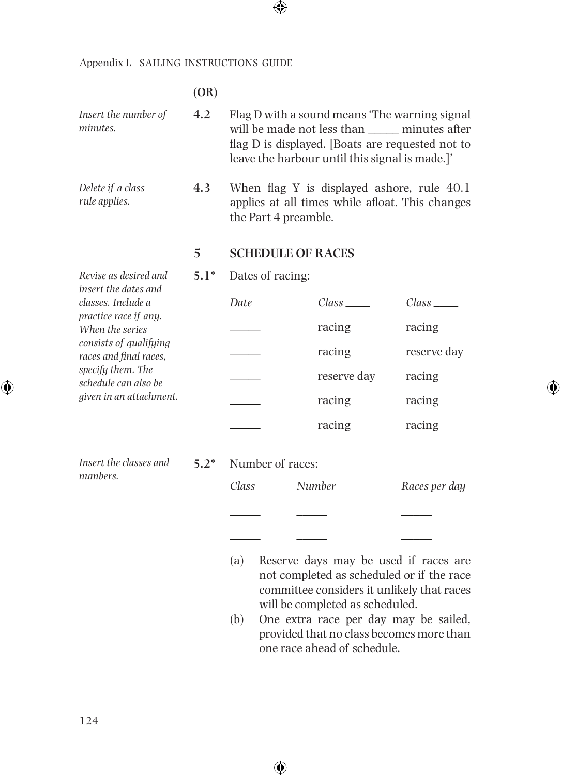|                                                  | (OR)   |                                                                                                                                                                                                 |                                                                                                                                                                     |               |  |  |
|--------------------------------------------------|--------|-------------------------------------------------------------------------------------------------------------------------------------------------------------------------------------------------|---------------------------------------------------------------------------------------------------------------------------------------------------------------------|---------------|--|--|
| Insert the number of<br>minutes.                 | 4.2    | Flag D with a sound means 'The warning signal<br>will be made not less than minutes after<br>flag D is displayed. [Boats are requested not to<br>leave the harbour until this signal is made.]' |                                                                                                                                                                     |               |  |  |
| Delete if a class<br>rule applies.               | 4.3    | When flag Y is displayed ashore, rule 40.1<br>applies at all times while afloat. This changes<br>the Part 4 preamble.                                                                           |                                                                                                                                                                     |               |  |  |
|                                                  | 5      |                                                                                                                                                                                                 | <b>SCHEDULE OF RACES</b>                                                                                                                                            |               |  |  |
| Revise as desired and                            | $5.1*$ |                                                                                                                                                                                                 | Dates of racing:                                                                                                                                                    |               |  |  |
| insert the dates and<br>classes. Include a       |        | Date                                                                                                                                                                                            | Class                                                                                                                                                               | Class         |  |  |
| practice race if any.<br>When the series         |        |                                                                                                                                                                                                 | racing                                                                                                                                                              | racing        |  |  |
| consists of qualifying<br>races and final races, |        |                                                                                                                                                                                                 | racing                                                                                                                                                              | reserve day   |  |  |
| specify them. The<br>schedule can also be        |        |                                                                                                                                                                                                 | reserve day                                                                                                                                                         | racing        |  |  |
| given in an attachment.                          |        |                                                                                                                                                                                                 | racing                                                                                                                                                              | racing        |  |  |
|                                                  |        |                                                                                                                                                                                                 | racing                                                                                                                                                              | racing        |  |  |
| Insert the classes and                           | $5.2*$ | Number of races:                                                                                                                                                                                |                                                                                                                                                                     |               |  |  |
| numbers.                                         |        | Class                                                                                                                                                                                           | Number                                                                                                                                                              | Races per day |  |  |
|                                                  |        |                                                                                                                                                                                                 |                                                                                                                                                                     |               |  |  |
|                                                  |        |                                                                                                                                                                                                 |                                                                                                                                                                     |               |  |  |
|                                                  |        | (a)                                                                                                                                                                                             | Reserve days may be used if races are<br>not completed as scheduled or if the race<br>committee considers it unlikely that races<br>will be completed as scheduled. |               |  |  |

 $\bigoplus$ 

(b) One extra race per day may be sailed, provided that no class becomes more than one race ahead of schedule.

⊕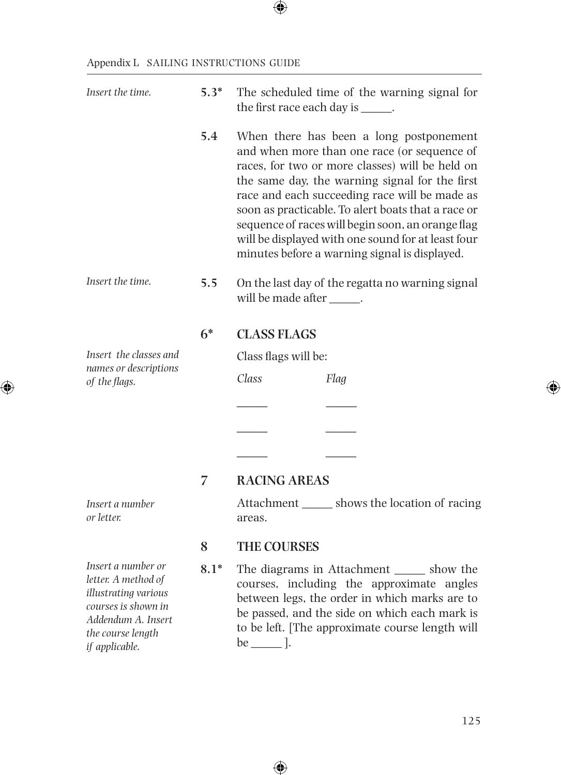*if applicable.*

 $\bigoplus$ 

| Insert the time.                                                                                                                                      | $5.3*$ | The scheduled time of the warning signal for<br>the first race each day is ______.                                                                                                                                                                                                                                                                                                                                                                                                                                                                                                          |  |  |
|-------------------------------------------------------------------------------------------------------------------------------------------------------|--------|---------------------------------------------------------------------------------------------------------------------------------------------------------------------------------------------------------------------------------------------------------------------------------------------------------------------------------------------------------------------------------------------------------------------------------------------------------------------------------------------------------------------------------------------------------------------------------------------|--|--|
|                                                                                                                                                       | 5.4    | When there has been a long postponement<br>and when more than one race (or sequence of<br>races, for two or more classes) will be held on<br>the same day, the warning signal for the first<br>race and each succeeding race will be made as<br>soon as practicable. To alert boats that a race or<br>sequence of races will begin soon, an orange flag<br>will be displayed with one sound for at least four<br>minutes before a warning signal is displayed.                                                                                                                              |  |  |
| Insert the time.                                                                                                                                      | 5.5    | On the last day of the regatta no warning signal<br>will be made after ______.                                                                                                                                                                                                                                                                                                                                                                                                                                                                                                              |  |  |
|                                                                                                                                                       | $6*$   | <b>CLASS FLAGS</b>                                                                                                                                                                                                                                                                                                                                                                                                                                                                                                                                                                          |  |  |
| Insert the classes and                                                                                                                                |        | Class flags will be:                                                                                                                                                                                                                                                                                                                                                                                                                                                                                                                                                                        |  |  |
| names or descriptions<br>of the flags.                                                                                                                |        | Class<br>Flag                                                                                                                                                                                                                                                                                                                                                                                                                                                                                                                                                                               |  |  |
|                                                                                                                                                       |        |                                                                                                                                                                                                                                                                                                                                                                                                                                                                                                                                                                                             |  |  |
|                                                                                                                                                       |        |                                                                                                                                                                                                                                                                                                                                                                                                                                                                                                                                                                                             |  |  |
|                                                                                                                                                       |        |                                                                                                                                                                                                                                                                                                                                                                                                                                                                                                                                                                                             |  |  |
|                                                                                                                                                       | 7      | <b>RACING AREAS</b>                                                                                                                                                                                                                                                                                                                                                                                                                                                                                                                                                                         |  |  |
| Insert a number<br>or letter.                                                                                                                         |        | Attachment ______ shows the location of racing<br>areas.                                                                                                                                                                                                                                                                                                                                                                                                                                                                                                                                    |  |  |
|                                                                                                                                                       | 8      | <b>THE COURSES</b>                                                                                                                                                                                                                                                                                                                                                                                                                                                                                                                                                                          |  |  |
| Insert a number or<br>letter. A method of<br>illustrating various<br>courses is shown in<br>Addendum A. Insert<br>the course length<br>if applicable. | $8.1*$ | The diagrams in Attachment _______ show the<br>courses, including the approximate angles<br>between legs, the order in which marks are to<br>be passed, and the side on which each mark is<br>to be left. [The approximate course length will<br>be $\qquad$ $\qquad$ $\qquad$ $\qquad$ $\qquad$ $\qquad$ $\qquad$ $\qquad$ $\qquad$ $\qquad$ $\qquad$ $\qquad$ $\qquad$ $\qquad$ $\qquad$ $\qquad$ $\qquad$ $\qquad$ $\qquad$ $\qquad$ $\qquad$ $\qquad$ $\qquad$ $\qquad$ $\qquad$ $\qquad$ $\qquad$ $\qquad$ $\qquad$ $\qquad$ $\qquad$ $\qquad$ $\qquad$ $\qquad$ $\qquad$ $\qquad$ $\$ |  |  |

 $\bigoplus$ 

 $\bigoplus$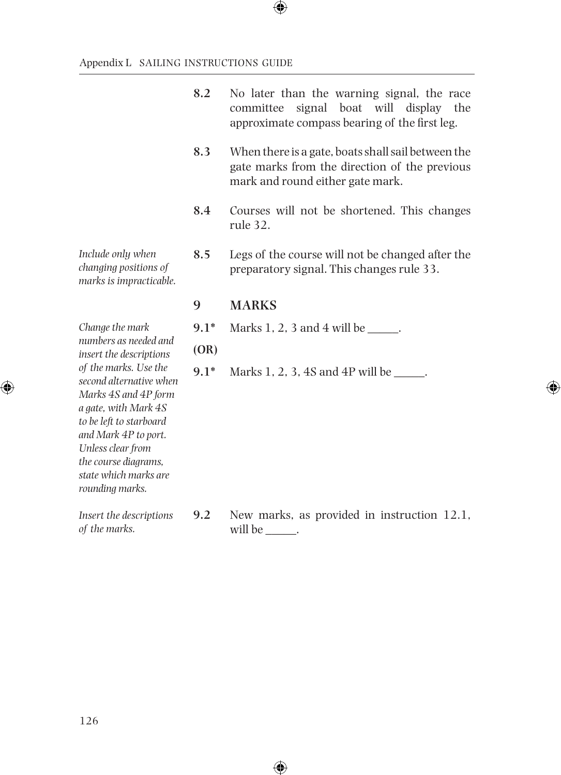|                                                                          | 8.2    | No later than the warning signal, the race<br>committee signal boat will display the<br>approximate compass bearing of the first leg.   |
|--------------------------------------------------------------------------|--------|-----------------------------------------------------------------------------------------------------------------------------------------|
|                                                                          | 8.3    | When there is a gate, boats shall sail between the<br>gate marks from the direction of the previous<br>mark and round either gate mark. |
|                                                                          | 8.4    | Courses will not be shortened. This changes<br>rule 32.                                                                                 |
| Include only when<br>changing positions of<br>marks is impracticable.    | 8.5    | Legs of the course will not be changed after the<br>preparatory signal. This changes rule 33.                                           |
|                                                                          | 9      | <b>MARKS</b>                                                                                                                            |
| Change the mark                                                          | $9.1*$ | Marks $1, 2, 3$ and $4$ will be _____.                                                                                                  |
| numbers as needed and<br>insert the descriptions                         | (OR)   |                                                                                                                                         |
| of the marks. Use the<br>second alternative when<br>Marks 4S and 4P form | $9.1*$ | Marks $1, 2, 3, 4S$ and $4P$ will be ______.                                                                                            |

 $\bigoplus$ 

*numbers as n insert the des of the marks*  $second$ *dtern Marks* 4S and *a gate, with Mark 4S to be left to starboard and Mark 4P to port. Unless clear from the course diagrams, state which marks are rounding marks.*

◈

*Insert the descriptions of the marks.* 

**9.2** New marks, as provided in instruction 12.1, will be \_\_\_\_\_\_.

 $\bigoplus$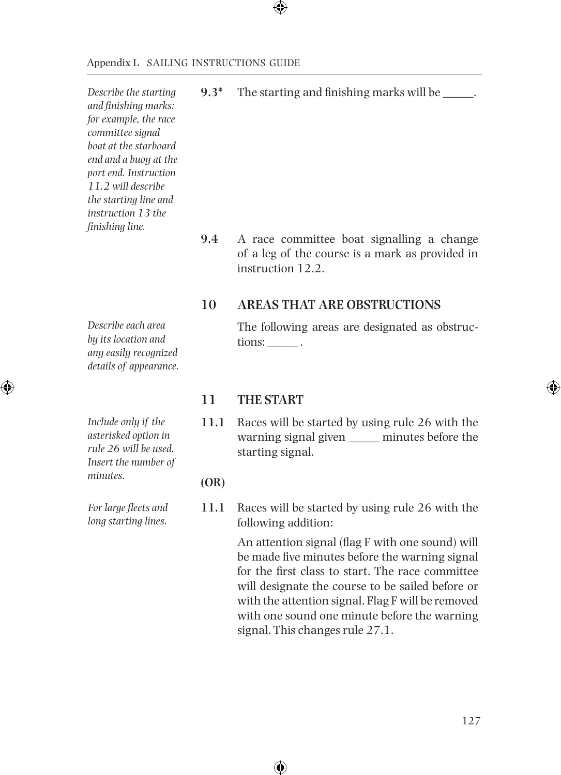*Describe the starting and finishing marks: for example, the race committee signal boat at the starboard end and a buoy at the port end. Instruction 11.2 will describe the starting line and instruction 13 the finishing line.*

*Describe each area by its location and any easily recognized details of appearance.* 

⊕

*Include only if the asterisked option in rule 26 will be used. Insert the number of minutes.*

*For large fleets and long starting lines.* 

**9.3\*** The starting and finishing marks will be \_\_\_\_\_.

⊕

**9.4** A race committee boat signalling a change of a leg of the course is a mark as provided in instruction 12.2.

#### **10 AREAS THAT ARE OBSTRUCTIONS**

The following areas are designated as obstructions: \_\_\_\_\_\_\_.

#### **11 THE START**

 $\bigoplus$ 

**11.1** Races will be started by using rule 26 with the warning signal given **\_\_\_\_\_** minutes before the starting signal.

#### **(OR)**

**11.1** Races will be started by using rule 26 with the following addition:

> An attention signal (flag F with one sound) will be made five minutes before the warning signal for the first class to start. The race committee will designate the course to be sailed before or with the attention signal. Flag F will be removed with one sound one minute before the warning signal. This changes rule 27.1.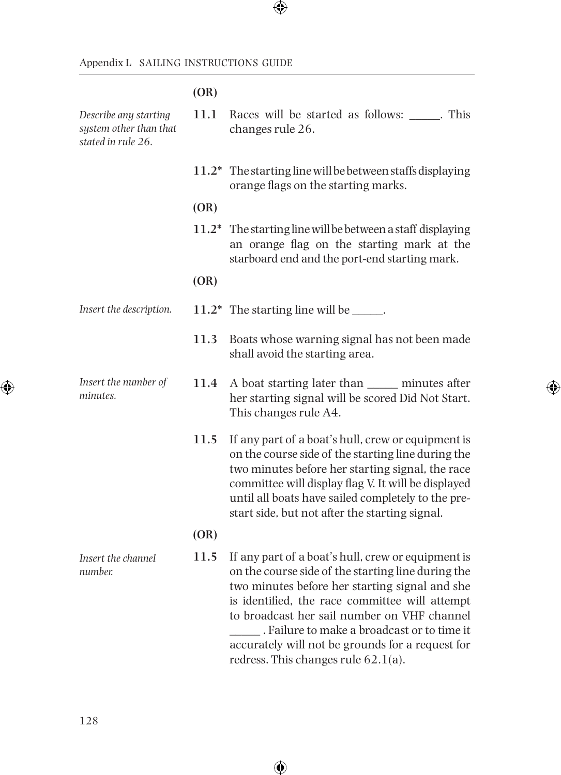## **(OR)**

| Describe any starting<br>system other than that<br>stated in rule 26. | 11.1 | Races will be started as follows: ______. This<br>changes rule 26.                                                                                                                                                                                                                                                                                                                                    |  |
|-----------------------------------------------------------------------|------|-------------------------------------------------------------------------------------------------------------------------------------------------------------------------------------------------------------------------------------------------------------------------------------------------------------------------------------------------------------------------------------------------------|--|
|                                                                       |      | 11.2* The starting line will be between staffs displaying<br>orange flags on the starting marks.                                                                                                                                                                                                                                                                                                      |  |
|                                                                       | (OR) |                                                                                                                                                                                                                                                                                                                                                                                                       |  |
|                                                                       |      | 11.2* The starting line will be between a staff displaying<br>an orange flag on the starting mark at the<br>starboard end and the port-end starting mark.                                                                                                                                                                                                                                             |  |
|                                                                       | (OR) |                                                                                                                                                                                                                                                                                                                                                                                                       |  |
| Insert the description.                                               |      | 11.2* The starting line will be ______.                                                                                                                                                                                                                                                                                                                                                               |  |
|                                                                       | 11.3 | Boats whose warning signal has not been made<br>shall avoid the starting area.                                                                                                                                                                                                                                                                                                                        |  |
| Insert the number of<br>minutes.                                      | 11.4 | A boat starting later than <u>equal</u> minutes after<br>her starting signal will be scored Did Not Start.<br>This changes rule A4.                                                                                                                                                                                                                                                                   |  |
|                                                                       | 11.5 | If any part of a boat's hull, crew or equipment is<br>on the course side of the starting line during the<br>two minutes before her starting signal, the race<br>committee will display flag V. It will be displayed<br>until all boats have sailed completely to the pre-<br>start side, but not after the starting signal.                                                                           |  |
|                                                                       | (OR) |                                                                                                                                                                                                                                                                                                                                                                                                       |  |
| Insert the channel<br>number.                                         | 11.5 | If any part of a boat's hull, crew or equipment is<br>on the course side of the starting line during the<br>two minutes before her starting signal and she<br>is identified, the race committee will attempt<br>to broadcast her sail number on VHF channel<br>. Failure to make a broadcast or to time it<br>accurately will not be grounds for a request for<br>redress. This changes rule 62.1(a). |  |

 $\bigoplus$ 

 $\bigoplus$ 

 $\bigoplus$ 

 $\hat{\mathbf{\Theta}}$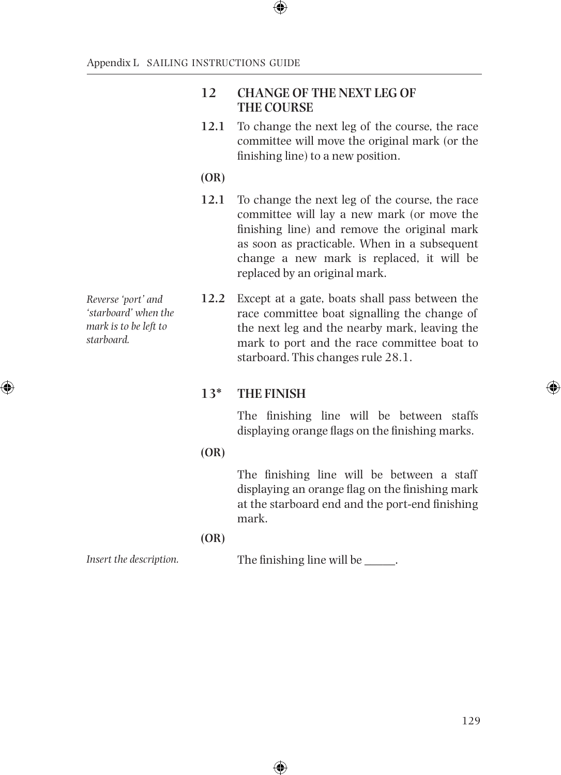## **12 CHANGE OF THE NEXT LEG OF THE COURSE**

⊕

**12.1** To change the next leg of the course, the race committee will move the original mark (or the finishing line) to a new position.

**(OR)**

**12.1** To change the next leg of the course, the race committee will lay a new mark (or move the finishing line) and remove the original mark as soon as practicable. When in a subsequent change a new mark is replaced, it will be replaced by an original mark.

**12.2** Except at a gate, boats shall pass between the race committee boat signalling the change of the next leg and the nearby mark, leaving the mark to port and the race committee boat to starboard. This changes rule 28.1. *Reverse 'port' and 'starboard' when the mark is to be left to starboard.*

#### **13\* THE FINISH**

The finishing line will be between staffs displaying orange flags on the finishing marks.

#### **(OR)**

The finishing line will be between a staff displaying an orange flag on the finishing mark at the starboard end and the port-end finishing mark.

#### **(OR)**

*Insert the description.* 

⊕

The finishing line will be  $\qquad$ .

 $\bigoplus$ 

129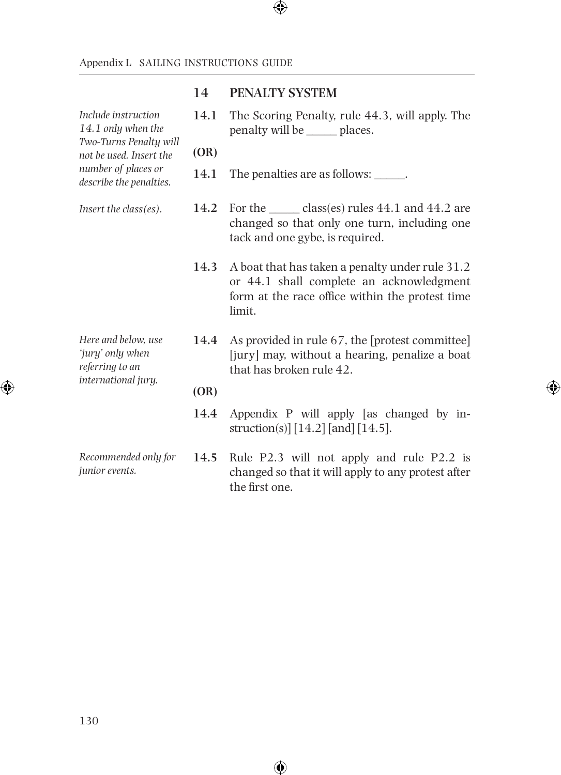|                                                            | 14   | <b>PENALTY SYSTEM</b>                                                                                                                                    |
|------------------------------------------------------------|------|----------------------------------------------------------------------------------------------------------------------------------------------------------|
| Include instruction<br>14.1 only when the                  | 14.1 | The Scoring Penalty, rule 44.3, will apply. The<br>penalty will be ______ places.                                                                        |
| Two-Turns Penalty will<br>not be used. Insert the          | (OR) |                                                                                                                                                          |
| number of places or<br>describe the penalties.             | 14.1 | The penalties are as follows: ______.                                                                                                                    |
| Insert the class $(es)$ .                                  | 14.2 | For the _______ class(es) rules 44.1 and 44.2 are<br>changed so that only one turn, including one<br>tack and one gybe, is required.                     |
|                                                            | 14.3 | A boat that has taken a penalty under rule 31.2<br>or 44.1 shall complete an acknowledgment<br>form at the race office within the protest time<br>limit. |
| Here and below, use<br>ʻjury' only when<br>referring to an | 14.4 | As provided in rule 67, the [protest committee]<br>[jury] may, without a hearing, penalize a boat<br>that has broken rule 42.                            |
| international jury.                                        | (OR) |                                                                                                                                                          |
|                                                            | 14.4 | Appendix P will apply [as changed by in-<br>struction(s)] $[14.2]$ [and] [14.5].                                                                         |
| Recommended only for<br>junior events.                     | 14.5 | Rule P2.3 will not apply and rule P2.2 is<br>changed so that it will apply to any protest after<br>the first one.                                        |

 $\bigoplus$ 

 $\bigoplus$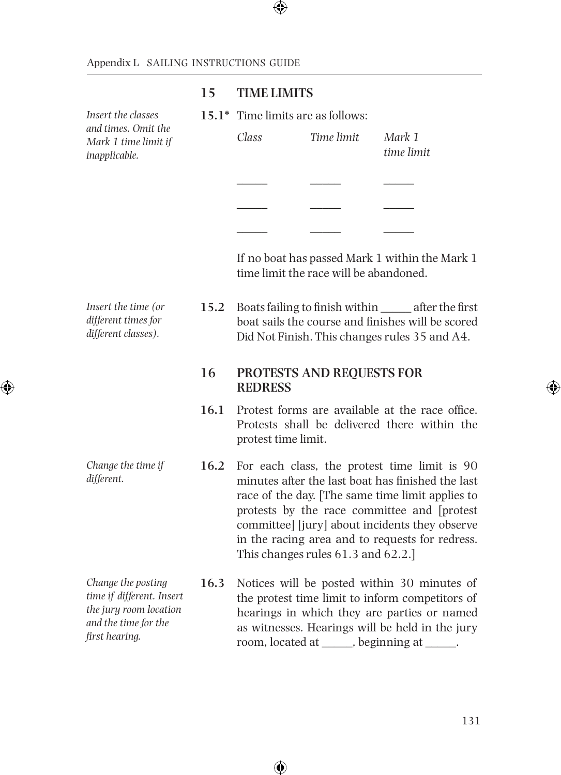$\bigoplus$ 

|                    |                                                                                                                     | 15   | <b>TIME LIMITS</b>                |                                        |                                                                                                                                                                                                                                                                                                            |  |
|--------------------|---------------------------------------------------------------------------------------------------------------------|------|-----------------------------------|----------------------------------------|------------------------------------------------------------------------------------------------------------------------------------------------------------------------------------------------------------------------------------------------------------------------------------------------------------|--|
| Insert the classes |                                                                                                                     |      | 15.1* Time limits are as follows: |                                        |                                                                                                                                                                                                                                                                                                            |  |
|                    | and times. Omit the<br>Mark 1 time limit if<br>inapplicable.                                                        |      | Class                             | Time limit                             | Mark 1<br>time limit                                                                                                                                                                                                                                                                                       |  |
|                    |                                                                                                                     |      |                                   |                                        |                                                                                                                                                                                                                                                                                                            |  |
|                    |                                                                                                                     |      |                                   |                                        |                                                                                                                                                                                                                                                                                                            |  |
|                    |                                                                                                                     |      |                                   |                                        |                                                                                                                                                                                                                                                                                                            |  |
|                    |                                                                                                                     |      |                                   | time limit the race will be abandoned. | If no boat has passed Mark 1 within the Mark 1                                                                                                                                                                                                                                                             |  |
|                    | Insert the time (or<br>different times for<br>different classes).                                                   | 15.2 |                                   |                                        | Boats failing to finish within _______ after the first<br>boat sails the course and finishes will be scored<br>Did Not Finish. This changes rules 35 and A4.                                                                                                                                               |  |
|                    |                                                                                                                     | 16   | <b>REDRESS</b>                    | PROTESTS AND REQUESTS FOR              |                                                                                                                                                                                                                                                                                                            |  |
|                    |                                                                                                                     | 16.1 | protest time limit.               |                                        | Protest forms are available at the race office.<br>Protests shall be delivered there within the                                                                                                                                                                                                            |  |
|                    | Change the time if<br>different.                                                                                    | 16.2 |                                   | This changes rules $61.3$ and $62.2$ . | For each class, the protest time limit is 90<br>minutes after the last boat has finished the last<br>race of the day. [The same time limit applies to<br>protests by the race committee and [protest]<br>committee] [jury] about incidents they observe<br>in the racing area and to requests for redress. |  |
|                    | Change the posting<br>time if different. Insert<br>the jury room location<br>and the time for the<br>first hearing. | 16.3 |                                   |                                        | Notices will be posted within 30 minutes of<br>the protest time limit to inform competitors of<br>hearings in which they are parties or named<br>as witnesses. Hearings will be held in the jury<br>room, located at ______, beginning at ______.                                                          |  |

 $\bigoplus$ 

 $\bigoplus$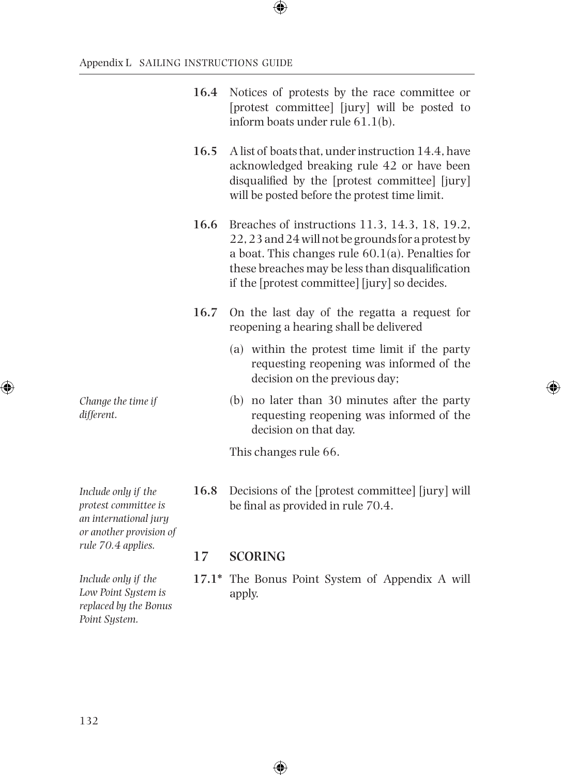| 16.4 | Notices of protests by the race committee or<br>[protest committee] [jury] will be posted to<br>inform boats under rule $61.1(b)$ .                                                                                                                              |  |  |
|------|------------------------------------------------------------------------------------------------------------------------------------------------------------------------------------------------------------------------------------------------------------------|--|--|
| 16.5 | A list of boats that, under instruction 14.4, have<br>acknowledged breaking rule 42 or have been<br>disqualified by the [protest committee] [jury]<br>will be posted before the protest time limit.                                                              |  |  |
| 16.6 | Breaches of instructions 11.3, 14.3, 18, 19.2,<br>22, 23 and 24 will not be grounds for a protest by<br>a boat. This changes rule $60.1(a)$ . Penalties for<br>these breaches may be less than disqualification<br>if the [protest committee] [jury] so decides. |  |  |
| 16.7 | On the last day of the regatta a request for<br>reopening a hearing shall be delivered                                                                                                                                                                           |  |  |
|      | (a) within the protest time limit if the party<br>requesting reopening was informed of the<br>decision on the previous day;                                                                                                                                      |  |  |

requesting reopening was informed of the

⊕

 (b) no later than 30 minutes after the party requesting reopening was informed of the decision on that day.

This changes rule 66.

 $\bigoplus$ 

 $\bigoplus$ 

*Include only if the protest committee is an international jury or another provision of rule 70.4 applies.*

*Change the time if different.* 

◈

**16.8** Decisions of the [protest committee] [jury] will be final as provided in rule 70.4.

## **17 SCORING**

*Include only if the Low Point System is replaced by the Bonus Point System.*

**17.1\*** The Bonus Point System of Appendix A will apply.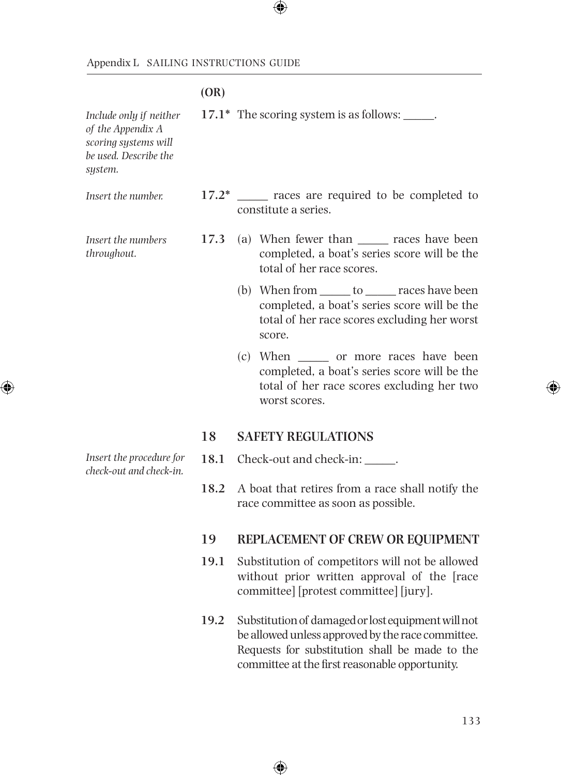$\bigoplus$ 

|                                                                                                          | (OR) |                                                                                                                                                                                                             |
|----------------------------------------------------------------------------------------------------------|------|-------------------------------------------------------------------------------------------------------------------------------------------------------------------------------------------------------------|
| Include only if neither<br>of the Appendix A<br>scoring systems will<br>be used. Describe the<br>system. |      | 17.1* The scoring system is as follows: ______.                                                                                                                                                             |
| Insert the number.                                                                                       |      | $17.2^*$ ______ races are required to be completed to<br>constitute a series.                                                                                                                               |
| Insert the numbers<br>throughout.                                                                        | 17.3 | (a) When fewer than ______ races have been<br>completed, a boat's series score will be the<br>total of her race scores.                                                                                     |
|                                                                                                          |      | (b) When from _______ to _______ races have been<br>completed, a boat's series score will be the<br>total of her race scores excluding her worst<br>score.                                                  |
|                                                                                                          |      | (c) When _______ or more races have been<br>completed, a boat's series score will be the<br>total of her race scores excluding her two<br>worst scores.                                                     |
|                                                                                                          | 18   | <b>SAFETY REGULATIONS</b>                                                                                                                                                                                   |
| Insert the procedure for<br>check-out and check-in.                                                      | 18.1 | Check-out and check-in:                                                                                                                                                                                     |
|                                                                                                          | 18.2 | A boat that retires from a race shall notify the<br>race committee as soon as possible.                                                                                                                     |
|                                                                                                          | 19   | REPLACEMENT OF CREW OR EQUIPMENT                                                                                                                                                                            |
|                                                                                                          | 19.1 | Substitution of competitors will not be allowed<br>without prior written approval of the [race<br>committee] [protest committee] [jury].                                                                    |
|                                                                                                          | 19.2 | Substitution of damaged or lost equipment will not<br>be allowed unless approved by the race committee.<br>Requests for substitution shall be made to the<br>committee at the first reasonable opportunity. |
|                                                                                                          |      | $\sim$ $\sim$                                                                                                                                                                                               |

 $\bigoplus$ 

 $\bigoplus$ 

133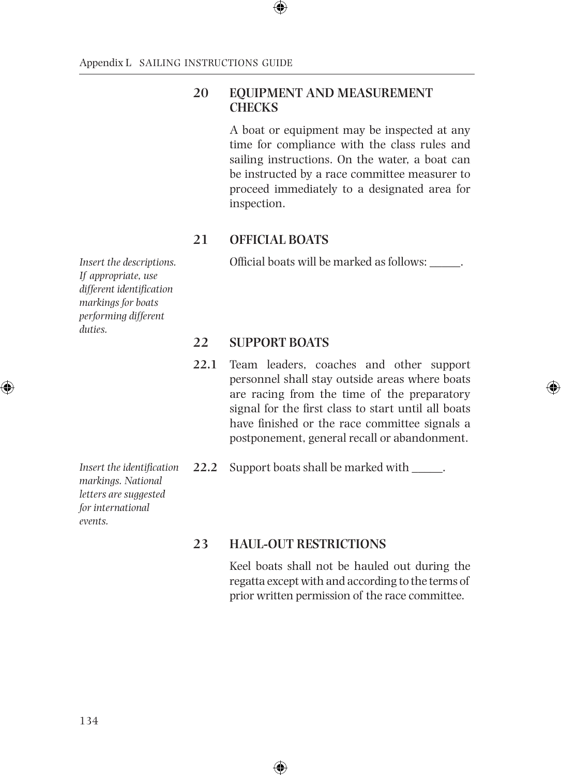## **20 EQUIPMENT AND MEASUREMENT CHECKS**

⊕

A boat or equipment may be inspected at any time for compliance with the class rules and sailing instructions. On the water, a boat can be instructed by a race committee measurer to proceed immediately to a designated area for inspection.

#### **21 OFFICIAL BOATS**

Official boats will be marked as follows: \_\_\_\_\_.

#### **22 SUPPORT BOATS**

**22.1** Team leaders, coaches and other support personnel shall stay outside areas where boats are racing from the time of the preparatory signal for the first class to start until all boats have finished or the race committee signals a postponement, general recall or abandonment.

⊕

**22.2** Support boats shall be marked with \_\_\_\_\_.

## **23 HAUL-OUT RESTRICTIONS**

 $\bigoplus$ 

Keel boats shall not be hauled out during the regatta except with and according to the terms of prior written permission of the race committee.

*Insert the descriptions. If appropriate, use different identification markings for boats performing different duties.*

⊕

*Insert the identification markings. National letters are suggested for international events.*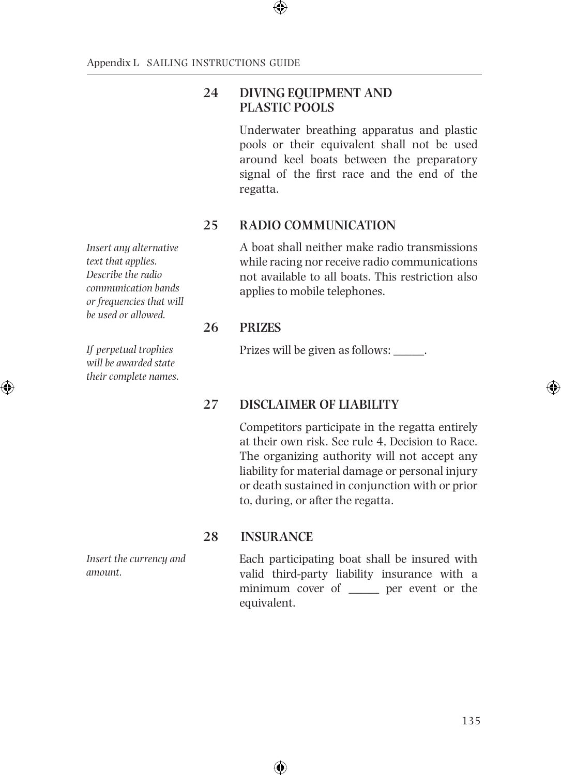## **24 DIVING EQUIPMENT AND PLASTIC POOLS**

 $\bigcirc$ 

Underwater breathing apparatus and plastic pools or their equivalent shall not be used around keel boats between the preparatory signal of the first race and the end of the regatta.

## **25 RADIO COMMUNICATION**

A boat shall neither make radio transmissions while racing nor receive radio communications not available to all boats. This restriction also applies to mobile telephones.

#### **26 PRIZES**

Prizes will be given as follows:

#### **27 DISCLAIMER OF LIABILITY**

Competitors participate in the regatta entirely at their own risk. See rule 4, Decision to Race. The organizing authority will not accept any liability for material damage or personal injury or death sustained in conjunction with or prior to, during, or after the regatta.

## **28 INSURANCE**

 $\bigoplus$ 

Each participating boat shall be insured with valid third-party liability insurance with a minimum cover of \_\_\_\_\_ per event or the equivalent.

*Insert any alternative text that applies. Describe the radio communication bands or frequencies that will be used or allowed.*

*If perpetual trophies will be awarded state their complete names.*

⊕

*Insert the currency and amount.*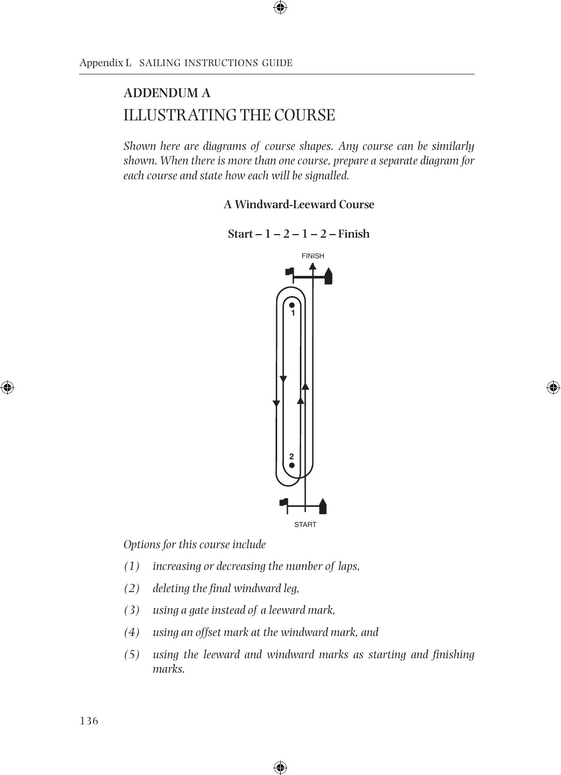## **ADDENDUM A** ILLUSTRATING THE COURSE

 *Shown here are diagrams of course shapes. Any course can be similarly shown. When there is more than one course, prepare a separate diagram for each course and state how each will be signalled.*

 $\bigcirc$ 

**A Windward-Leeward Course**



⊕

**Start – 1 – 2 – 1 – 2 – Finish**

 *Options for this course include* 

- *(1) increasing or decreasing the number of laps,*
- *(2) deleting the final windward leg,*
- *(3) using a gate instead of a leeward mark,*
- *(4) using an offset mark at the windward mark, and*
- *(5) using the leeward and windward marks as starting and finishing marks.*

⊕

◈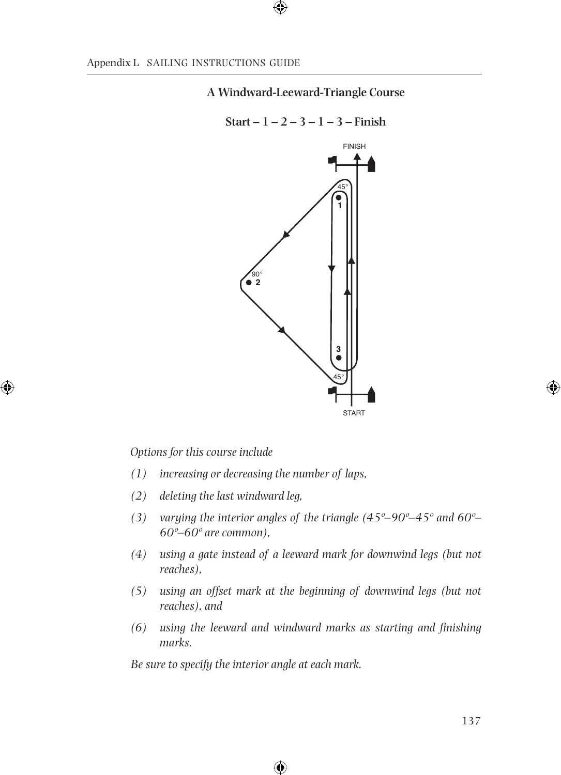

**Start – 1 – 2 – 3 – 1 – 3 – Finish**



*Options for this course include* 

◈

- *(1) increasing or decreasing the number of laps,*
- *(2) deleting the last windward leg,*
- *(3) varying the interior angles of the triangle (45º–90º–45º and 60º– 60º–60º are common),*
- *(4) using a gate instead of a leeward mark for downwind legs (but not reaches),*
- *(5) using an offset mark at the beginning of downwind legs (but not reaches), and*
- *(6) using the leeward and windward marks as starting and finishing marks.*

⊕

*Be sure to specify the interior angle at each mark.*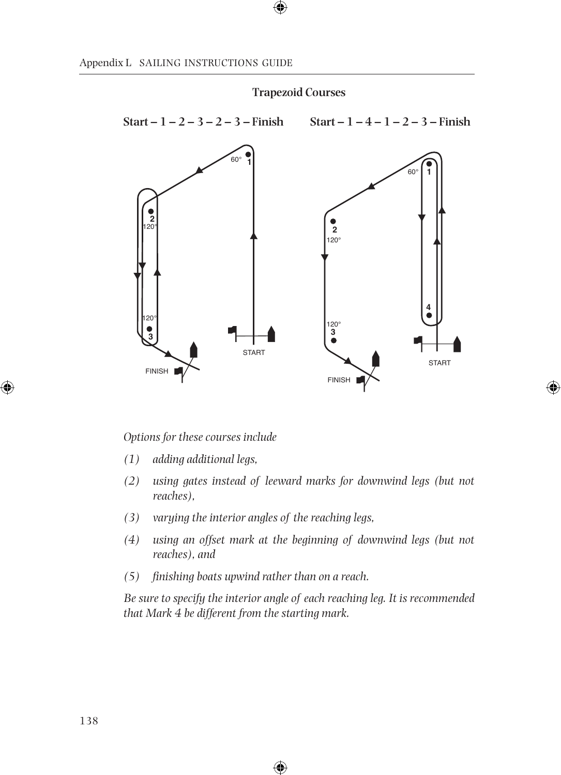

 *Options for these courses include* 

- *(1) adding additional legs,*
- *(2) using gates instead of leeward marks for downwind legs (but not reaches),*

⊕

- *(3) varying the interior angles of the reaching legs,*
- *(4) using an offset mark at the beginning of downwind legs (but not reaches), and*
- *(5) finishing boats upwind rather than on a reach.*

 *Be sure to specify the interior angle of each reaching leg. It is recommended that Mark 4 be different from the starting mark.*

 $\bigoplus$ 

◈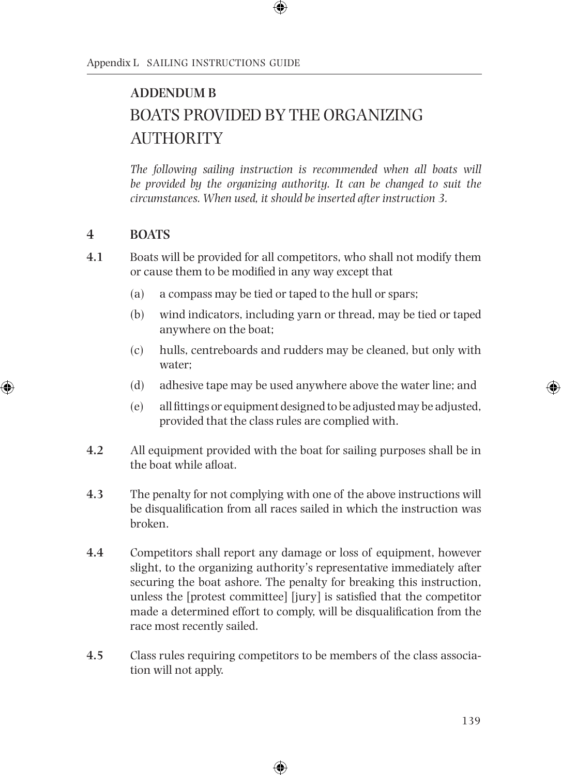## **ADDENDUM B** BOATS PROVIDED BY THE ORGANIZING **AUTHORITY**

⊕

 *The following sailing instruction is recommended when all boats will be provided by the organizing authority. It can be changed to suit the circumstances. When used, it should be inserted after instruction 3.*

#### **4 BOATS**

♠

- **4.1** Boats will be provided for all competitors, who shall not modify them or cause them to be modified in any way except that
	- (a) a compass may be tied or taped to the hull or spars;
	- (b) wind indicators, including yarn or thread, may be tied or taped anywhere on the boat;
	- (c) hulls, centreboards and rudders may be cleaned, but only with water;
	- (d) adhesive tape may be used anywhere above the water line; and
	- (e) all fittings or equipment designed to be adjusted may be adjusted, provided that the class rules are complied with.
- **4.2** All equipment provided with the boat for sailing purposes shall be in the boat while afloat.
- **4.3** The penalty for not complying with one of the above instructions will be disqualification from all races sailed in which the instruction was broken.
- **4.4** Competitors shall report any damage or loss of equipment, however slight, to the organizing authority's representative immediately after securing the boat ashore. The penalty for breaking this instruction, unless the [protest committee] [jury] is satisfied that the competitor made a determined effort to comply, will be disqualification from the race most recently sailed.
- **4.5** Class rules requiring competitors to be members of the class association will not apply.

 $\bigoplus$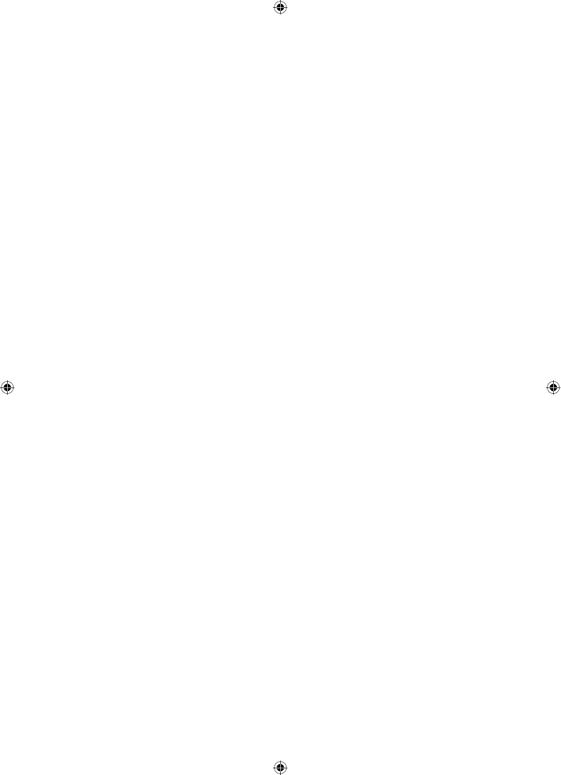



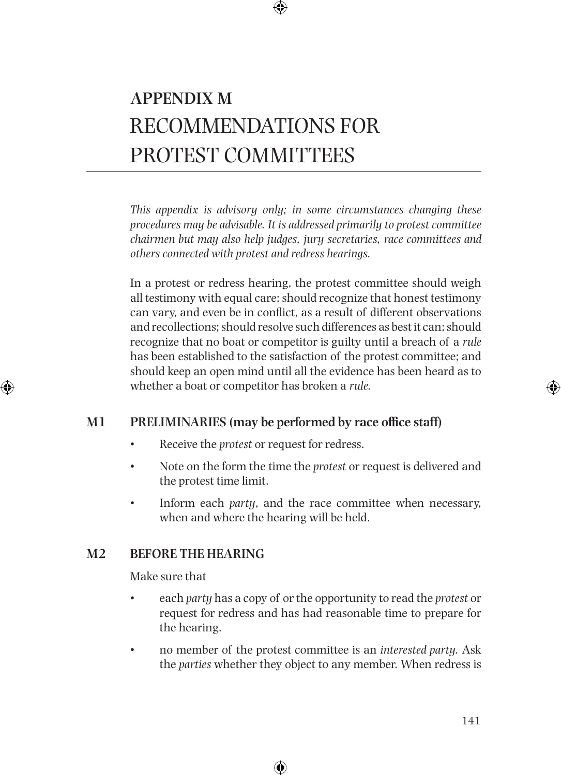# **APPENDIX M** RECOMMENDATIONS FOR PROTEST COMMITTEES

 $\bigcirc$ 

*This appendix is advisory only; in some circumstances changing these procedures may be advisable. It is addressed primarily to protest committee chairmen but may also help judges, jury secretaries, race committees and others connected with protest and redress hearings.*

 In a protest or redress hearing, the protest committee should weigh all testimony with equal care; should recognize that honest testimony can vary, and even be in conflict, as a result of different observations and recollections; should resolve such differences as best it can; should recognize that no boat or competitor is guilty until a breach of a *rule* has been established to the satisfaction of the protest committee; and should keep an open mind until all the evidence has been heard as to whether a boat or competitor has broken a *rule.* 

#### **M1 PRELIMINARIES (may be performed by race office staff)**

- Receive the *protest* or request for redress.
- Note on the form the time the *protest* or request is delivered and the protest time limit.
- Inform each *party*, and the race committee when necessary, when and where the hearing will be held.

#### **M2 BEFORE THE HEARING**

Make sure that

♠

- each *party* has a copy of or the opportunity to read the *protest* or request for redress and has had reasonable time to prepare for the hearing.
- no member of the protest committee is an *interested party.* Ask the *parties* whether they object to any member. When redress is

 $\bigoplus$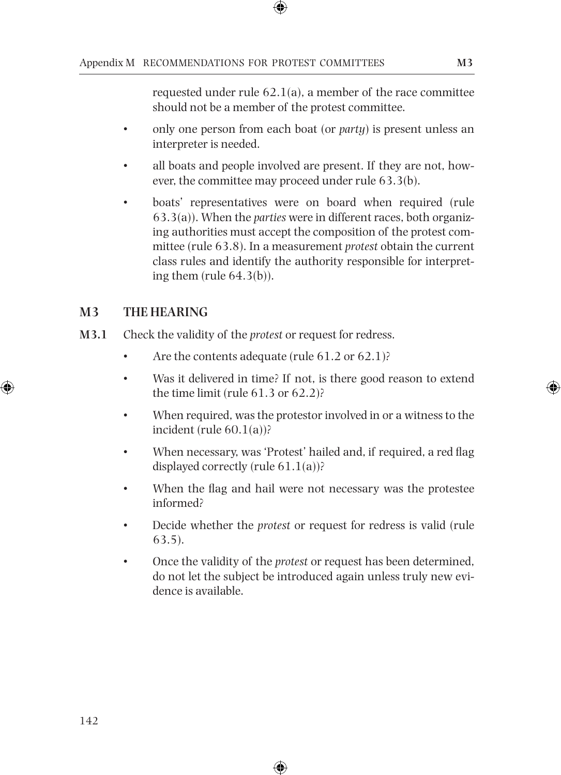requested under rule 62.1(a), a member of the race committee should not be a member of the protest committee.

 • only one person from each boat (or *party*) is present unless an interpreter is needed.

 $\bigcirc$ 

- all boats and people involved are present. If they are not, however, the committee may proceed under rule 63.3(b).
- boats' representatives were on board when required (rule 63.3(a)). When the *parties* were in different races, both organizing authorities must accept the composition of the protest committee (rule 63.8). In a measurement *protest* obtain the current class rules and identify the authority responsible for interpreting them (rule 64.3(b)).

# **M3 THE HEARING**

- **M3.1** Check the validity of the *protest* or request for redress.
	- Are the contents adequate (rule 61.2 or 62.1)?
	- Was it delivered in time? If not, is there good reason to extend the time limit (rule 61.3 or 62.2)?
	- When required, was the protestor involved in or a witness to the incident (rule 60.1(a))?
	- When necessary, was 'Protest' hailed and, if required, a red flag displayed correctly (rule 61.1(a))?
	- When the flag and hail were not necessary was the protestee informed?
	- Decide whether the *protest* or request for redress is valid (rule 63.5).
	- Once the validity of the *protest* or request has been determined, do not let the subject be introduced again unless truly new evidence is available.

 $\bigoplus$ 

⊕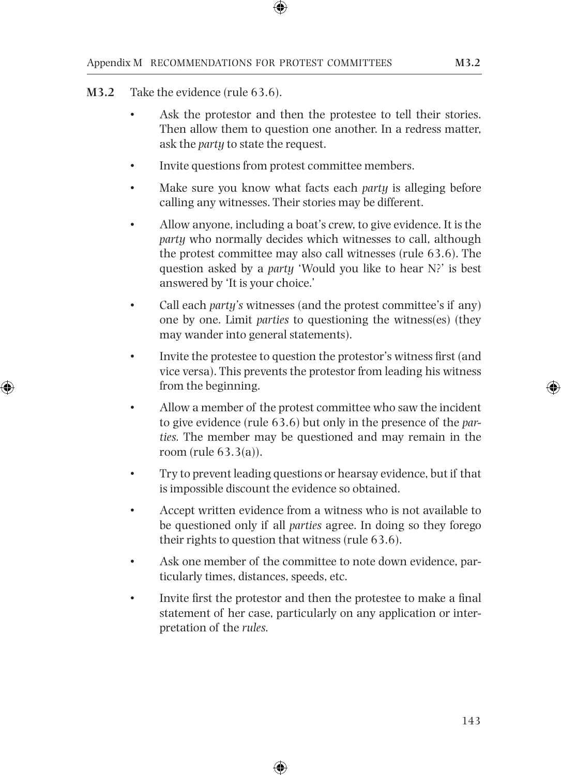#### **M3.2** Take the evidence (rule 63.6).

♠

- Ask the protestor and then the protestee to tell their stories. Then allow them to question one another. In a redress matter, ask the *party* to state the request.
- Invite questions from protest committee members.

 $\bigcirc$ 

- Make sure you know what facts each *party* is alleging before calling any witnesses. Their stories may be different.
- Allow anyone, including a boat's crew, to give evidence. It is the *party* who normally decides which witnesses to call, although the protest committee may also call witnesses (rule 63.6). The question asked by a *party* 'Would you like to hear N?' is best answered by 'It is your choice.'
- Call each *party's* witnesses (and the protest committee's if any) one by one. Limit *parties* to questioning the witness(es) (they may wander into general statements).
- Invite the protestee to question the protestor's witness first (and vice versa). This prevents the protestor from leading his witness from the beginning.
- Allow a member of the protest committee who saw the incident to give evidence (rule 63.6) but only in the presence of the *parties.* The member may be questioned and may remain in the room (rule 63.3(a)).
- Try to prevent leading questions or hearsay evidence, but if that is impossible discount the evidence so obtained.
- Accept written evidence from a witness who is not available to be questioned only if all *parties* agree. In doing so they forego their rights to question that witness (rule 63.6).
- Ask one member of the committee to note down evidence, particularly times, distances, speeds, etc.
- Invite first the protestor and then the protestee to make a final statement of her case, particularly on any application or interpretation of the *rules.*

 $\bigoplus$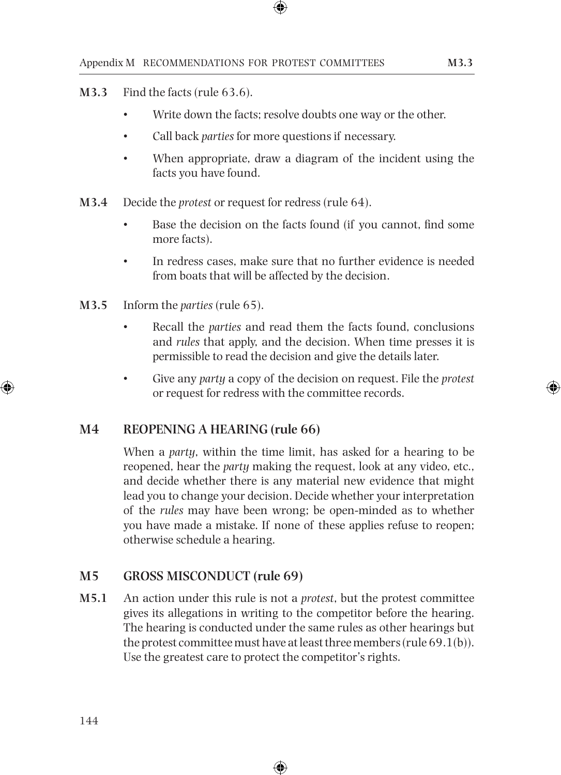#### **M3.3** Find the facts (rule 63.6).

Write down the facts; resolve doubts one way or the other.

 $\bigcirc$ 

- Call back *parties* for more questions if necessary.
- When appropriate, draw a diagram of the incident using the facts you have found.
- **M3.4** Decide the *protest* or request for redress (rule 64).
	- Base the decision on the facts found (if you cannot, find some more facts).
	- In redress cases, make sure that no further evidence is needed from boats that will be affected by the decision.
- **M3.5** Inform the *parties* (rule 65).
	- Recall the *parties* and read them the facts found, conclusions and *rules* that apply, and the decision. When time presses it is permissible to read the decision and give the details later.
	- Give any *party* a copy of the decision on request. File the *protest* or request for redress with the committee records.

# **M4 REOPENING A HEARING (rule 66)**

 When a *party*, within the time limit, has asked for a hearing to be reopened, hear the *party* making the request, look at any video, etc., and decide whether there is any material new evidence that might lead you to change your decision. Decide whether your interpretation of the *rules* may have been wrong; be open-minded as to whether you have made a mistake. If none of these applies refuse to reopen; otherwise schedule a hearing.

# **M5 GROSS MISCONDUCT (rule 69)**

**M5.1** An action under this rule is not a *protest*, but the protest committee gives its allegations in writing to the competitor before the hearing. The hearing is conducted under the same rules as other hearings but the protest committee must have at least three members (rule 69.1(b)). Use the greatest care to protect the competitor's rights.

 $\bigoplus$ 

⊕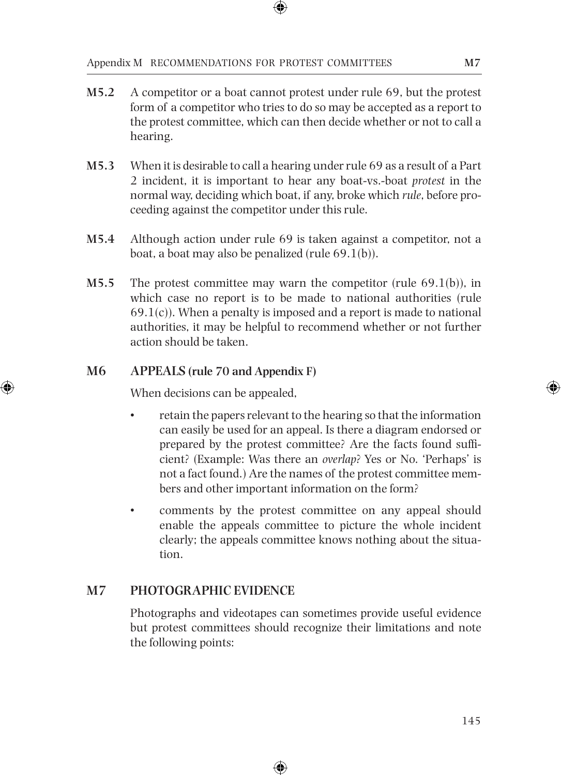**M5.2** A competitor or a boat cannot protest under rule 69, but the protest form of a competitor who tries to do so may be accepted as a report to the protest committee, which can then decide whether or not to call a hearing.

 $\bigcirc$ 

- **M5.3** When it is desirable to call a hearing under rule 69 as a result of a Part 2 incident, it is important to hear any boat-vs.-boat *protest* in the normal way, deciding which boat, if any, broke which *rule*, before proceeding against the competitor under this rule.
- **M5.4** Although action under rule 69 is taken against a competitor, not a boat, a boat may also be penalized (rule 69.1(b)).
- **M5.5** The protest committee may warn the competitor (rule 69.1(b)), in which case no report is to be made to national authorities (rule  $69.1(c)$ ). When a penalty is imposed and a report is made to national authorities, it may be helpful to recommend whether or not further action should be taken.

#### **M6 APPEALS (rule 70 and Appendix F)**

⊕

When decisions can be appealed,

- retain the papers relevant to the hearing so that the information can easily be used for an appeal. Is there a diagram endorsed or prepared by the protest committee? Are the facts found sufficient? (Example: Was there an *overlap*? Yes or No. 'Perhaps' is not a fact found.) Are the names of the protest committee members and other important information on the form?
- comments by the protest committee on any appeal should enable the appeals committee to picture the whole incident clearly; the appeals committee knows nothing about the situation.

### **M7 PHOTOGRAPHIC EVIDENCE**

Photographs and videotapes can sometimes provide useful evidence but protest committees should recognize their limitations and note the following points:

 $\bigoplus$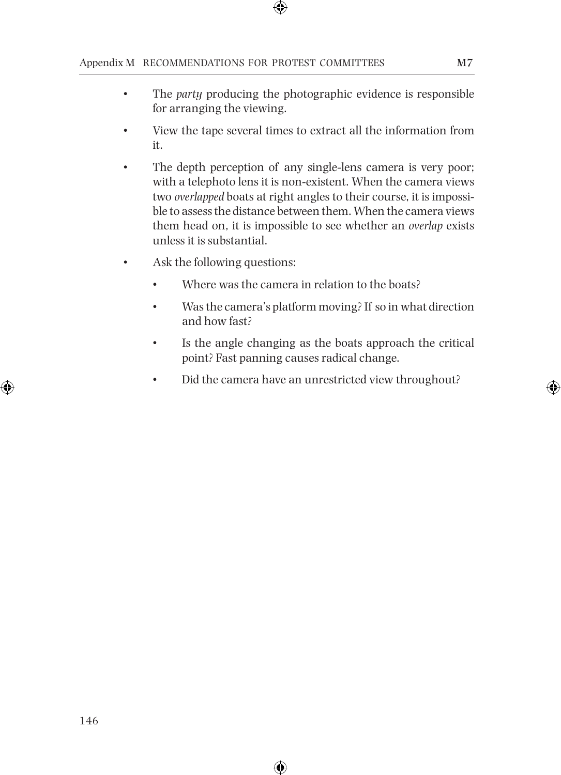• The *party* producing the photographic evidence is responsible for arranging the viewing.

 $\bigcirc$ 

- View the tape several times to extract all the information from it.
- The depth perception of any single-lens camera is very poor; with a telephoto lens it is non-existent. When the camera views two *overlapped* boats at right angles to their course, it is impossible to assess the distance between them. When the camera views them head on, it is impossible to see whether an *overlap* exists unless it is substantial.
- Ask the following questions:
	- Where was the camera in relation to the boats?
	- Was the camera's platform moving? If so in what direction and how fast?
	- Is the angle changing as the boats approach the critical point? Fast panning causes radical change.
	- Did the camera have an unrestricted view throughout?

 $\bigoplus$ 

⊕

♠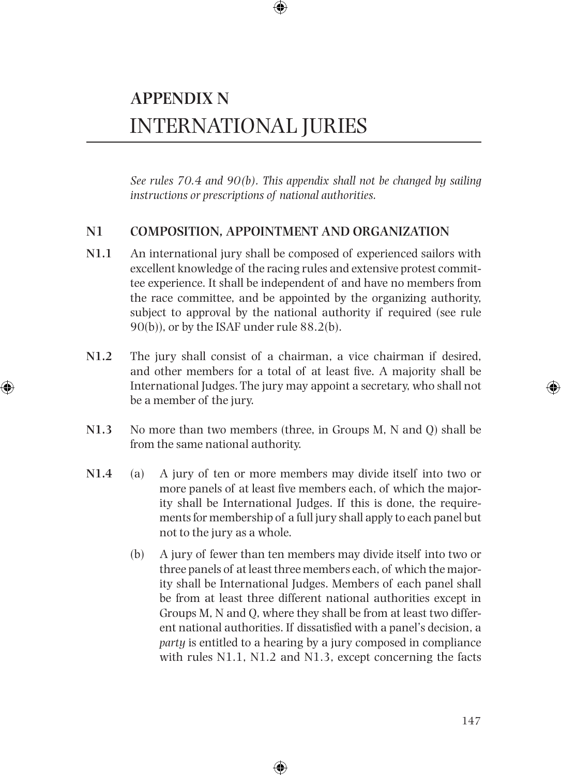# **APPENDIX N** INTERNATIONAL JURIES

 $\bigcirc$ 

*See rules 70.4 and 90(b). This appendix shall not be changed by sailing instructions or prescriptions of national authorities.*

# **N1 COMPOSITION, APPOINTMENT AND ORGANIZATION**

- **N1.1** An international jury shall be composed of experienced sailors with excellent knowledge of the racing rules and extensive protest committee experience. It shall be independent of and have no members from the race committee, and be appointed by the organizing authority, subject to approval by the national authority if required (see rule 90(b)), or by the ISAF under rule 88.2(b).
- **N1.2** The jury shall consist of a chairman, a vice chairman if desired, and other members for a total of at least five. A majority shall be International Judges. The jury may appoint a secretary, who shall not be a member of the jury.

♠

- **N1.3** No more than two members (three, in Groups M, N and Q) shall be from the same national authority.
- **N1.4** (a) A jury of ten or more members may divide itself into two or more panels of at least five members each, of which the majority shall be International Judges. If this is done, the requirements for membership of a full jury shall apply to each panel but not to the jury as a whole.
	- (b) A jury of fewer than ten members may divide itself into two or three panels of at least three members each, of which the majority shall be International Judges. Members of each panel shall be from at least three different national authorities except in Groups M, N and Q, where they shall be from at least two different national authorities. If dissatisfied with a panel's decision, a *party* is entitled to a hearing by a jury composed in compliance with rules N1.1, N1.2 and N1.3, except concerning the facts

 $\bigoplus$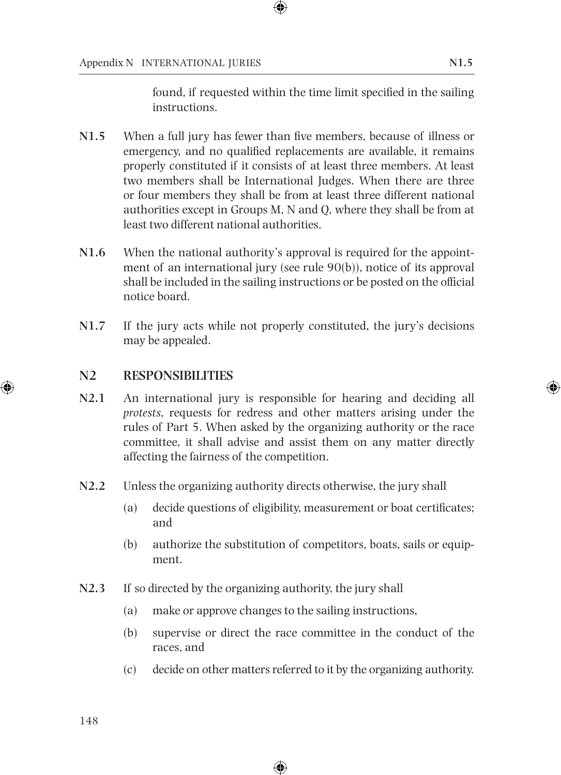found, if requested within the time limit specified in the sailing instructions.

**N1.5** When a full jury has fewer than five members, because of illness or emergency, and no qualified replacements are available, it remains properly constituted if it consists of at least three members. At least two members shall be International Judges. When there are three or four members they shall be from at least three different national authorities except in Groups M, N and Q, where they shall be from at least two different national authorities.

⊕

- **N1.6** When the national authority's approval is required for the appointment of an international jury (see rule 90(b)), notice of its approval shall be included in the sailing instructions or be posted on the official notice board.
- **N1.7** If the jury acts while not properly constituted, the jury's decisions may be appealed.

# **N2 RESPONSIBILITIES**

- **N2.1** An international jury is responsible for hearing and deciding all *protests*, requests for redress and other matters arising under the rules of Part 5. When asked by the organizing authority or the race committee, it shall advise and assist them on any matter directly affecting the fairness of the competition.
- **N2.2** Unless the organizing authority directs otherwise, the jury shall
	- (a) decide questions of eligibility, measurement or boat certificates; and
	- (b) authorize the substitution of competitors, boats, sails or equipment.
- **N2.3** If so directed by the organizing authority, the jury shall
	- (a) make or approve changes to the sailing instructions,
	- (b) supervise or direct the race committee in the conduct of the races, and
	- (c) decide on other matters referred to it by the organizing authority.

 $\bigoplus$ 

⊕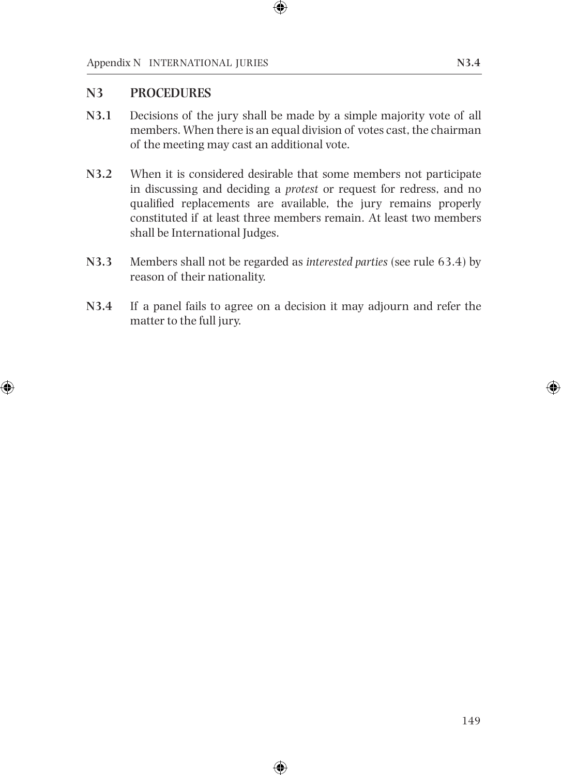# **N3 PROCEDURES**

♠

**N3.1** Decisions of the jury shall be made by a simple majority vote of all members. When there is an equal division of votes cast, the chairman of the meeting may cast an additional vote.

 $\bigoplus$ 

- **N3.2** When it is considered desirable that some members not participate in discussing and deciding a *protest* or request for redress, and no qualified replacements are available, the jury remains properly constituted if at least three members remain. At least two members shall be International Judges.
- **N3.3** Members shall not be regarded as *interested parties* (see rule 63.4) by reason of their nationality.
- **N3.4** If a panel fails to agree on a decision it may adjourn and refer the matter to the full jury.

 $\bigoplus$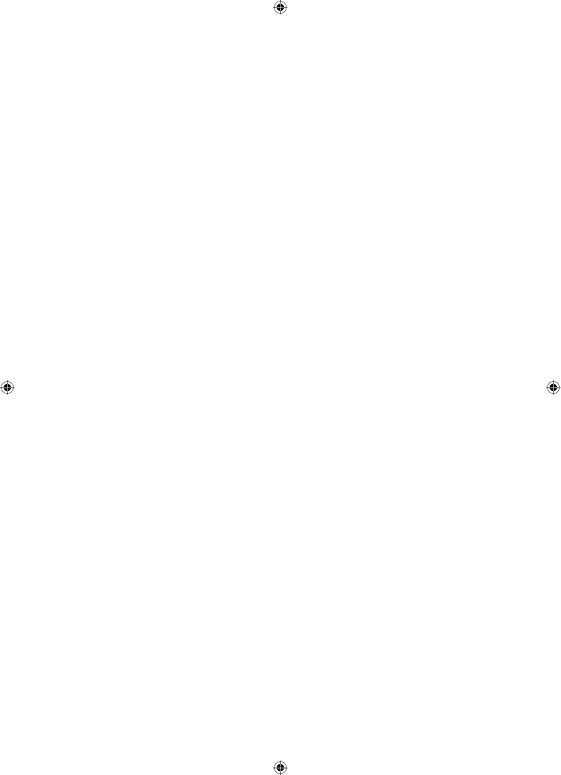

 $\bigoplus$ 



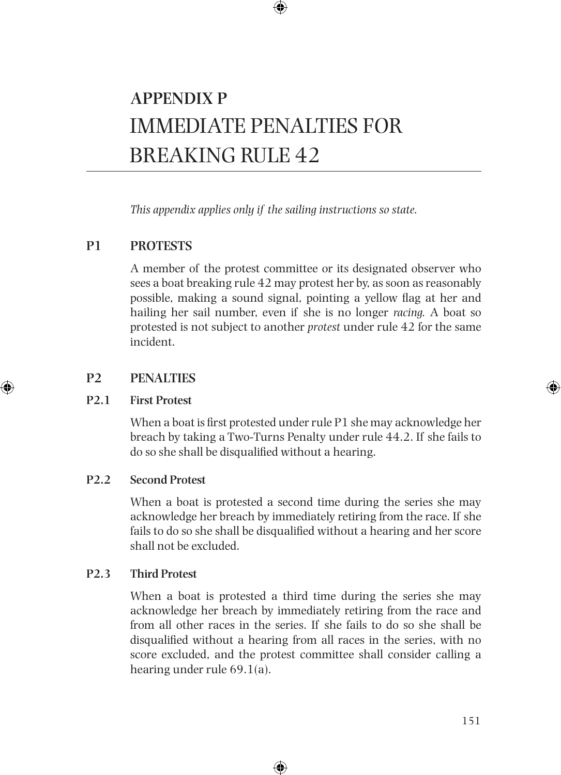# **APPENDIX P** IMMEDIATE PENALTIES FOR BREAKING RULE 42

 $\bigcirc$ 

*This appendix applies only if the sailing instructions so state.*

# **P1 PROTESTS**

A member of the protest committee or its designated observer who sees a boat breaking rule 42 may protest her by, as soon as reasonably possible, making a sound signal, pointing a yellow flag at her and hailing her sail number, even if she is no longer *racing.* A boat so protested is not subject to another *protest* under rule 42 for the same incident.

# **P2 PENALTIES**

♠

# **P2.1 First Protest**

When a boat is first protested under rule P1 she may acknowledge her breach by taking a Two-Turns Penalty under rule 44.2. If she fails to do so she shall be disqualified without a hearing.

#### **P2.2 Second Protest**

When a boat is protested a second time during the series she may acknowledge her breach by immediately retiring from the race. If she fails to do so she shall be disqualified without a hearing and her score shall not be excluded.

#### **P2.3 Third Protest**

 When a boat is protested a third time during the series she may acknowledge her breach by immediately retiring from the race and from all other races in the series. If she fails to do so she shall be disqualified without a hearing from all races in the series, with no score excluded, and the protest committee shall consider calling a hearing under rule 69.1(a).

 $\bigoplus$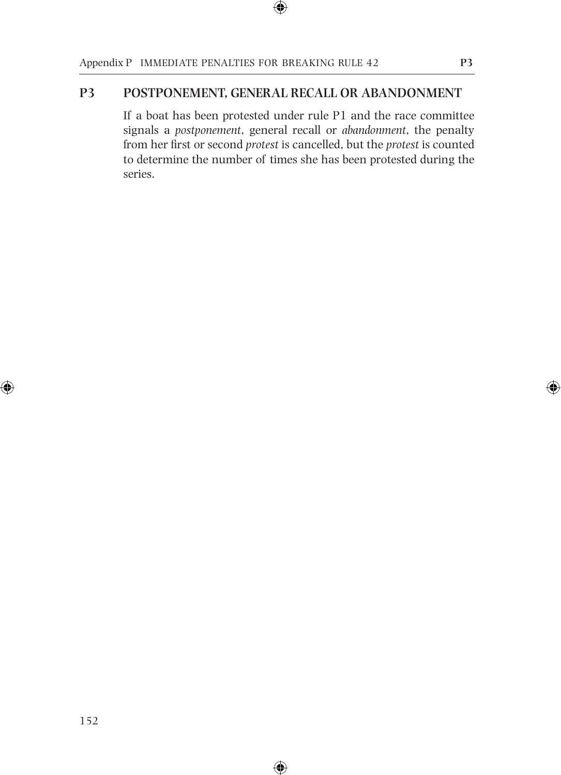Appendix P IMMEDIATE PENALTIES FOR BREAKING RULE 42 **P3**

# **P3 POSTPONEMENT, GENERAL RECALL OR ABANDONMENT**

 $\bigoplus$ 

 $\bigoplus$ 

If a boat has been protested under rule P1 and the race committee signals a *postponement*, general recall or *abandonment*, the penalty from her first or second *protest* is cancelled, but the *protest* is counted to determine the number of times she has been protested during the series.

⊕

◈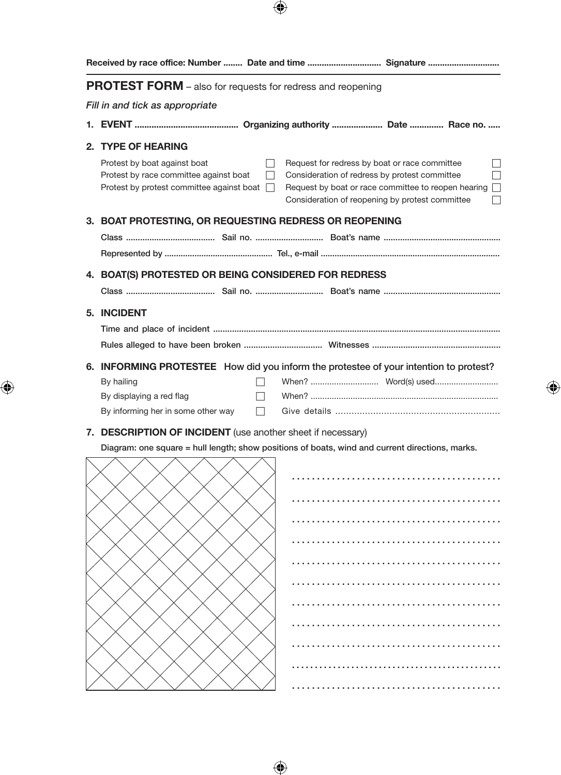| <b>PROTEST FORM</b> – also for requests for redress and reopening                                                   |                  |                                                                                                                                                                                                                                 |
|---------------------------------------------------------------------------------------------------------------------|------------------|---------------------------------------------------------------------------------------------------------------------------------------------------------------------------------------------------------------------------------|
| Fill in and tick as appropriate                                                                                     |                  |                                                                                                                                                                                                                                 |
|                                                                                                                     |                  |                                                                                                                                                                                                                                 |
| 2. TYPE OF HEARING                                                                                                  |                  |                                                                                                                                                                                                                                 |
| Protest by boat against boat<br>Protest by race committee against boat<br>Protest by protest committee against boat | $\Box$<br>$\Box$ | Request for redress by boat or race committee<br>Consideration of redress by protest committee<br>$\mathsf{L}$<br>Request by boat or race committee to reopen hearing $\Box$<br>Consideration of reopening by protest committee |
| 3. BOAT PROTESTING, OR REQUESTING REDRESS OR REOPENING                                                              |                  |                                                                                                                                                                                                                                 |
|                                                                                                                     |                  |                                                                                                                                                                                                                                 |
|                                                                                                                     |                  |                                                                                                                                                                                                                                 |
| 4. BOAT(S) PROTESTED OR BEING CONSIDERED FOR REDRESS                                                                |                  |                                                                                                                                                                                                                                 |
|                                                                                                                     |                  |                                                                                                                                                                                                                                 |
| 5. INCIDENT                                                                                                         |                  |                                                                                                                                                                                                                                 |
|                                                                                                                     |                  |                                                                                                                                                                                                                                 |
|                                                                                                                     |                  |                                                                                                                                                                                                                                 |
|                                                                                                                     |                  | 6. INFORMING PROTESTEE How did you inform the protestee of your intention to protest?                                                                                                                                           |
| By hailing                                                                                                          |                  |                                                                                                                                                                                                                                 |
| By displaying a red flag                                                                                            |                  |                                                                                                                                                                                                                                 |
| By informing her in some other way                                                                                  | П                |                                                                                                                                                                                                                                 |
| 7. DESCRIPTION OF INCIDENT (use another sheet if necessary)                                                         |                  |                                                                                                                                                                                                                                 |
|                                                                                                                     |                  |                                                                                                                                                                                                                                 |
|                                                                                                                     |                  | Diagram: one square = hull length; show positions of boats, wind and current directions, marks.                                                                                                                                 |
|                                                                                                                     |                  |                                                                                                                                                                                                                                 |
|                                                                                                                     |                  |                                                                                                                                                                                                                                 |
|                                                                                                                     |                  |                                                                                                                                                                                                                                 |
|                                                                                                                     |                  |                                                                                                                                                                                                                                 |
|                                                                                                                     |                  |                                                                                                                                                                                                                                 |
|                                                                                                                     |                  |                                                                                                                                                                                                                                 |
|                                                                                                                     |                  |                                                                                                                                                                                                                                 |
|                                                                                                                     |                  |                                                                                                                                                                                                                                 |
|                                                                                                                     |                  |                                                                                                                                                                                                                                 |
|                                                                                                                     |                  |                                                                                                                                                                                                                                 |
|                                                                                                                     |                  |                                                                                                                                                                                                                                 |
|                                                                                                                     |                  |                                                                                                                                                                                                                                 |

 $\bigoplus$ 

 $\bigoplus$ 

 $\bigoplus$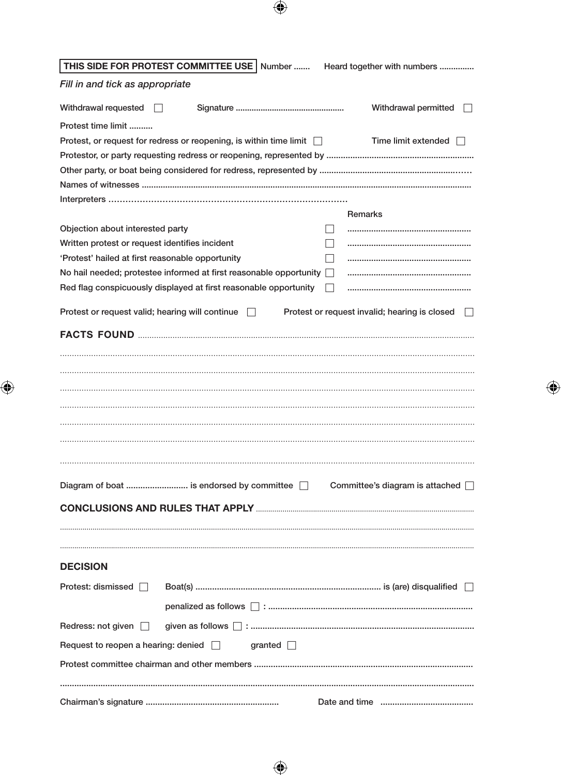| THIS SIDE FOR PROTEST COMMITTEE USE   Number                                                     | Heard together with numbers            |  |  |
|--------------------------------------------------------------------------------------------------|----------------------------------------|--|--|
| Fill in and tick as appropriate                                                                  |                                        |  |  |
| Withdrawal requested                                                                             | Withdrawal permitted<br>$\Box$         |  |  |
| Protest time limit                                                                               |                                        |  |  |
| Protest, or request for redress or reopening, is within time limit $\Box$<br>Time limit extended |                                        |  |  |
|                                                                                                  |                                        |  |  |
|                                                                                                  |                                        |  |  |
|                                                                                                  |                                        |  |  |
| Remarks                                                                                          |                                        |  |  |
| Objection about interested party<br>$\Box$                                                       |                                        |  |  |
| Written protest or request identifies incident<br>$\blacksquare$                                 |                                        |  |  |
| 'Protest' hailed at first reasonable opportunity<br>$\mathsf{L}$                                 |                                        |  |  |
| No hail needed; protestee informed at first reasonable opportunity $\Box$                        |                                        |  |  |
| Red flag conspicuously displayed at first reasonable opportunity<br>$\Box$                       |                                        |  |  |
|                                                                                                  |                                        |  |  |
| Protest or request invalid; hearing is closed<br>Protest or request valid; hearing will continue |                                        |  |  |
|                                                                                                  |                                        |  |  |
|                                                                                                  |                                        |  |  |
|                                                                                                  |                                        |  |  |
|                                                                                                  |                                        |  |  |
|                                                                                                  |                                        |  |  |
|                                                                                                  |                                        |  |  |
|                                                                                                  |                                        |  |  |
|                                                                                                  |                                        |  |  |
|                                                                                                  |                                        |  |  |
|                                                                                                  |                                        |  |  |
| Diagram of boat  is endorsed by committee a                                                      | Committee's diagram is attached $\Box$ |  |  |
|                                                                                                  |                                        |  |  |
|                                                                                                  |                                        |  |  |
|                                                                                                  |                                        |  |  |
| <b>DECISION</b>                                                                                  |                                        |  |  |
| Protest: dismissed [                                                                             | is (are) disqualified $\Box$           |  |  |
|                                                                                                  |                                        |  |  |
|                                                                                                  |                                        |  |  |
| Redress: not given $\Box$                                                                        |                                        |  |  |
| Request to reopen a hearing: denied $\Box$<br>granted $\Box$                                     |                                        |  |  |
|                                                                                                  |                                        |  |  |
|                                                                                                  |                                        |  |  |
|                                                                                                  |                                        |  |  |
|                                                                                                  |                                        |  |  |

 $\bigoplus$ 

 $\bigoplus$ 

 $\bigoplus$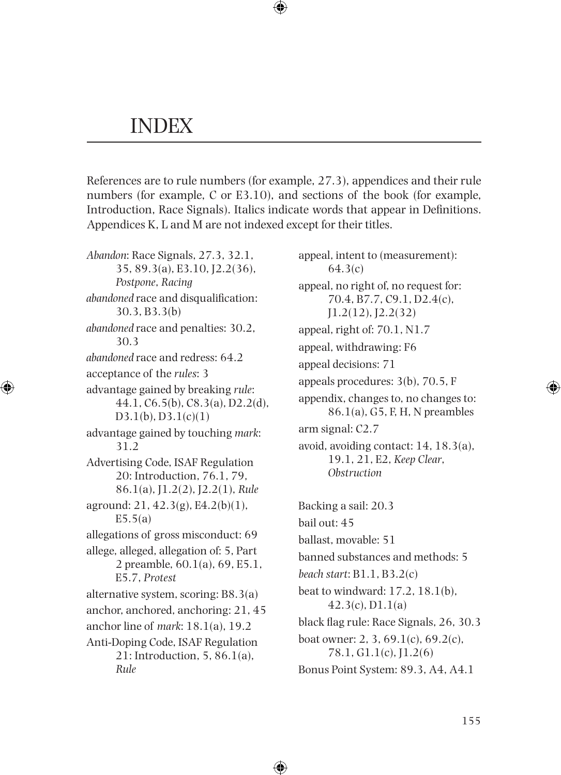# INDEX

References are to rule numbers (for example, 27.3), appendices and their rule numbers (for example, C or E3.10), and sections of the book (for example, Introduction, Race Signals). Italics indicate words that appear in Definitions. Appendices K, L and M are not indexed except for their titles.

 $\bigoplus$ 

 $\circledast$ 

*Abandon*: Race Signals, 27.3, 32.1, 35, 89.3(a), E3.10, J2.2(36), *Postpone*, *Racing abandoned* race and disqualification: 30.3, B3.3(b) *abandoned* race and penalties: 30.2, 30.3 *abandoned* race and redress: 64.2 acceptance of the *rules*: 3 advantage gained by breaking *rule*: 44.1, C6.5(b), C8.3(a), D2.2(d), D3.1(b), D3.1(c)(1) advantage gained by touching *mark*: 31.2 Advertising Code, ISAF Regulation 20: Introduction, 76.1, 79, 86.1(a), J1.2(2), J2.2(1), *Rule* aground: 21, 42.3(g), E4.2(b)(1),  $E5.5(a)$ allegations of gross misconduct: 69 allege, alleged, allegation of: 5, Part 2 preamble, 60.1(a), 69, E5.1, E5.7, *Protest* alternative system, scoring: B8.3(a) anchor, anchored, anchoring: 21, 45 anchor line of *mark*: 18.1(a), 19.2 Anti-Doping Code, ISAF Regulation 21: Introduction, 5, 86.1(a), *Rule*

⊕

appeal, intent to (measurement): 64.3(c) appeal, no right of, no request for: 70.4, B7.7, C9.1, D2.4(c), J1.2(12), J2.2(32) appeal, right of: 70.1, N1.7 appeal, withdrawing: F6 appeal decisions: 71 appeals procedures: 3(b), 70.5, F appendix, changes to, no changes to: 86.1(a), G5, F, H, N preambles arm signal: C2.7 avoid, avoiding contact: 14, 18.3(a), 19.1, 21, E2, *Keep Clear*, *Obstruction* Backing a sail: 20.3 bail out: 45 ballast, movable: 51 banned substances and methods: 5 *beach start*: B1.1, B3.2(c) beat to windward: 17.2, 18.1(b), 42.3(c), D1.1(a) black flag rule: Race Signals, 26, 30.3 boat owner: 2, 3, 69.1(c), 69.2(c), 78.1, G1.1(c), J1.2(6)

Bonus Point System: 89.3, A4, A4.1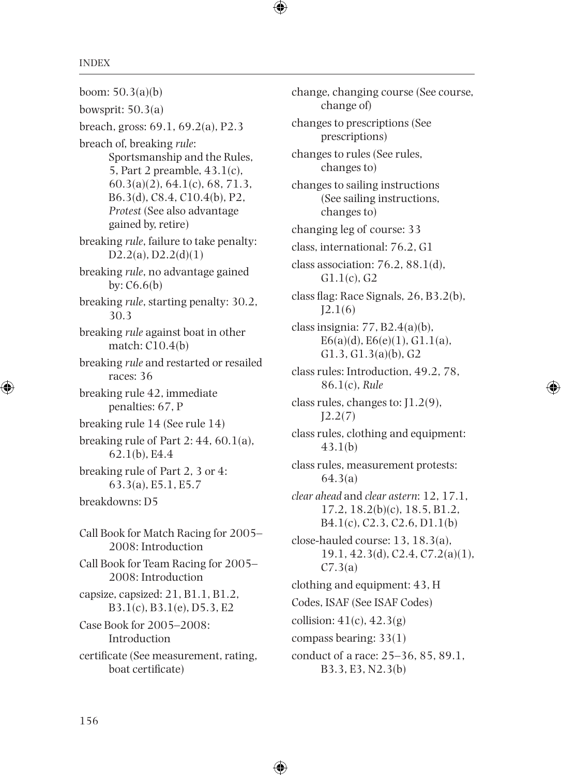boom: 50.3(a)(b) bowsprit: 50.3(a) breach, gross: 69.1, 69.2(a), P2.3 breach of, breaking *rule*: Sportsmanship and the Rules, 5, Part 2 preamble, 43.1(c), 60.3(a)(2), 64.1(c), 68, 71.3, B6.3(d), C8.4, C10.4(b), P2, *Protest* (See also advantage gained by, retire) breaking *rule*, failure to take penalty: D2.2(a), D2.2(d)(1) breaking *rule*, no advantage gained by: C6.6(b) breaking *rule*, starting penalty: 30.2, 30.3 breaking *rule* against boat in other match: C10.4(b) breaking *rule* and restarted or resailed races: 36 breaking rule 42, immediate penalties: 67, P breaking rule 14 (See rule 14) breaking rule of Part 2: 44, 60.1(a), 62.1(b), E4.4 breaking rule of Part 2, 3 or 4: 63.3(a), E5.1, E5.7 breakdowns: D5 Call Book for Match Racing for 2005– 2008: Introduction Call Book for Team Racing for 2005– 2008: Introduction capsize, capsized: 21, B1.1, B1.2, B3.1(c), B3.1(e), D5.3, E2 Case Book for 2005–2008: Introduction certificate (See measurement, rating, boat certificate)

change, changing course (See course, change of) changes to prescriptions (See prescriptions) changes to rules (See rules, changes to) changes to sailing instructions (See sailing instructions, changes to) changing leg of course: 33 class, international: 76.2, G1 class association: 76.2, 88.1(d), G1.1(c), G2 class flag: Race Signals, 26, B3.2(b),  $I2.1(6)$ class insignia: 77, B2.4(a)(b),  $E6(a)(d)$ ,  $E6(e)(1)$ ,  $G1.1(a)$ , G1.3, G1.3(a)(b), G2 class rules: Introduction, 49.2, 78, 86.1(c), *Rule* class rules, changes to: J1.2(9),  $I2.2(7)$ class rules, clothing and equipment: 43.1(b) class rules, measurement protests: 64.3(a) *clear ahead* and *clear astern*: 12, 17.1, 17.2, 18.2(b)(c), 18.5, B1.2, B4.1(c), C2.3, C2.6, D1.1(b) close-hauled course: 13, 18.3(a), 19.1, 42.3(d), C2.4, C7.2(a)(1),  $C7.3(a)$ clothing and equipment: 43, H Codes, ISAF (See ISAF Codes) collision:  $41(c)$ ,  $42.3(g)$ compass bearing: 33(1) conduct of a race: 25–36, 85, 89.1, B3.3, E3, N2.3(b)

⊕

↔

 $\bigoplus$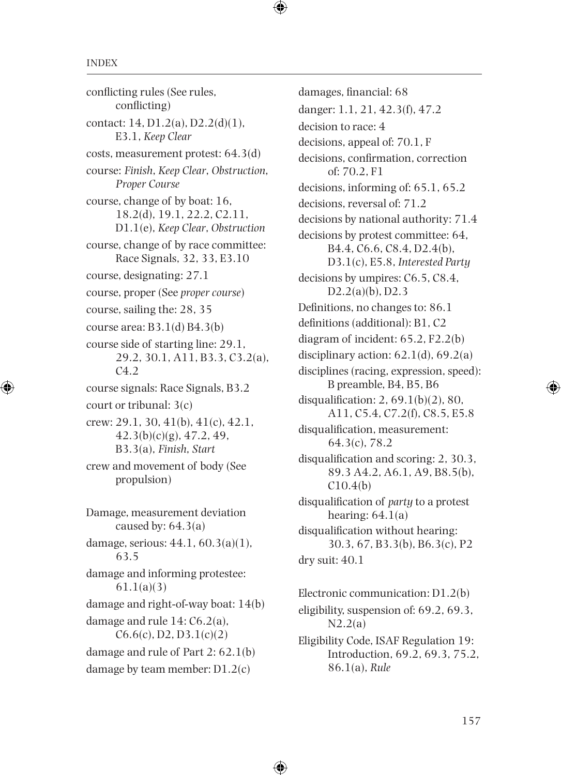#### INDEX

conflicting rules (See rules, conflicting) contact: 14, D1.2(a), D2.2(d)(1), E3.1, *Keep Clear* costs, measurement protest: 64.3(d) course: *Finish*, *Keep Clear*, *Obstruction*, *Proper Course*  course, change of by boat: 16, 18.2(d), 19.1, 22.2, C2.11, D1.1(e), *Keep Clear*, *Obstruction* course, change of by race committee: Race Signals, 32, 33, E3.10 course, designating: 27.1 course, proper (See *proper course*) course, sailing the: 28, 35 course area:  $B3.1(d) B4.3(b)$ course side of starting line: 29.1, 29.2, 30.1, A11, B3.3, C3.2(a), C4.2 course signals: Race Signals, B3.2 court or tribunal: 3(c) crew: 29.1, 30, 41(b), 41(c), 42.1,  $(42.3(b)(c)(g), 47.2, 49,$ B3.3(a), *Finish*, *Start* crew and movement of body (See propulsion) Damage, measurement deviation caused by:  $64.3(a)$ damage, serious: 44.1, 60.3(a)(1), 63.5 damage and informing protestee: 61.1(a)(3) damage and right-of-way boat: 14(b) damage and rule 14: C6.2(a),  $C6.6(c)$ , D2, D3.1(c)(2) damage and rule of Part 2: 62.1(b) damage by team member: D1.2(c)

damages, financial: 68 danger: 1.1, 21, 42.3(f), 47.2 decision to race: 4 decisions, appeal of: 70.1, F decisions, confirmation, correction of: 70.2, F1 decisions, informing of: 65.1, 65.2 decisions, reversal of: 71.2 decisions by national authority: 71.4 decisions by protest committee: 64, B4.4, C6.6, C8.4, D2.4(b), D3.1(c), E5.8, *Interested Party* decisions by umpires: C6.5, C8.4, D2.2(a)(b), D2.3 Definitions, no changes to: 86.1 definitions (additional): B1, C2 diagram of incident: 65.2, F2.2(b) disciplinary action:  $62.1(d)$ ,  $69.2(a)$ disciplines (racing, expression, speed): B preamble, B4, B5, B6 disqualification: 2, 69.1(b)(2), 80, A11, C5.4, C7.2(f), C8.5, E5.8 disqualification, measurement: 64.3(c), 78.2 disqualification and scoring: 2, 30.3, 89.3 A4.2, A6.1, A9, B8.5(b),  $C10.4(b)$ disqualification of *party* to a protest hearing:  $64.1(a)$ disqualification without hearing: 30.3, 67, B3.3(b), B6.3(c), P2 dry suit: 40.1

 $\circledast$ 

Electronic communication: D1.2(b) eligibility, suspension of: 69.2, 69.3, N2.2(a) Eligibility Code, ISAF Regulation 19:

Introduction, 69.2, 69.3, 75.2, 86.1(a), *Rule*

 $\bigoplus$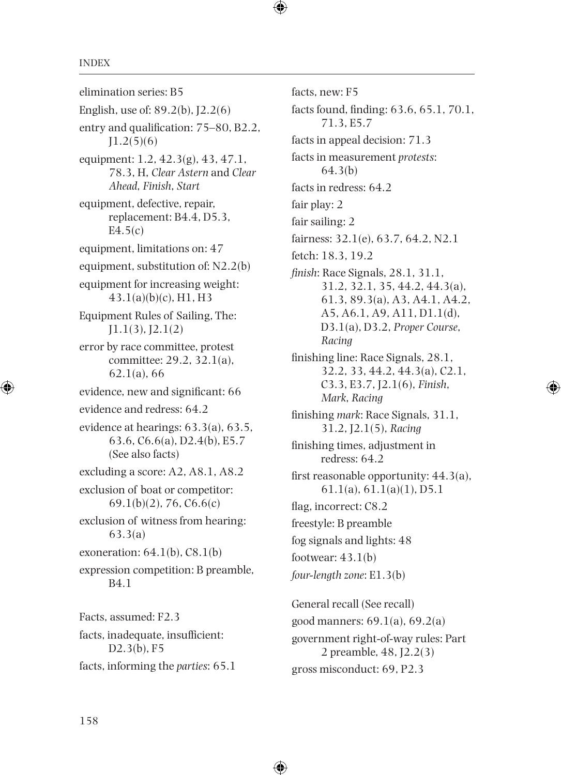#### INDEX

elimination series: B5 English, use of: 89.2(b), J2.2(6) entry and qualification: 75–80, B2.2,  $J1.2(5)(6)$ equipment: 1.2, 42.3(g), 43, 47.1, 78.3, H, *Clear Astern* and *Clear Ahead*, *Finish*, *Start*  equipment, defective, repair, replacement: B4.4, D5.3,  $E4.5(c)$ equipment, limitations on: 47 equipment, substitution of: N2.2(b) equipment for increasing weight:  $43.1(a)(b)(c)$ , H1, H3 Equipment Rules of Sailing, The: J1.1(3), J2.1(2) error by race committee, protest committee: 29.2, 32.1(a), 62.1(a), 66 evidence, new and significant: 66 evidence and redress: 64.2 evidence at hearings: 63.3(a), 63.5, 63.6, C6.6(a), D2.4(b), E5.7 (See also facts) excluding a score: A2, A8.1, A8.2 exclusion of boat or competitor: 69.1(b)(2), 76, C6.6(c) exclusion of witness from hearing: 63.3(a) exoneration: 64.1(b), C8.1(b) expression competition: B preamble, B4.1 Facts, assumed: F2.3 facts, inadequate, insufficient: D2.3(b), F5 facts, informing the *parties*: 65.1

facts, new: F5 facts found, finding: 63.6, 65.1, 70.1, 71.3, E5.7 facts in appeal decision: 71.3 facts in measurement *protests*: 64.3(b) facts in redress: 64.2 fair play: 2 fair sailing: 2 fairness: 32.1(e), 63.7, 64.2, N2.1 fetch: 18.3, 19.2 *finish*: Race Signals, 28.1, 31.1, 31.2, 32.1, 35, 44.2, 44.3(a), 61.3, 89.3(a), A3, A4.1, A4.2, A5, A6.1, A9, A11, D1.1(d), D3.1(a), D3.2, *Proper Course*, *Racing* finishing line: Race Signals, 28.1, 32.2, 33, 44.2, 44.3(a), C2.1, C3.3, E3.7, J2.1(6), *Finish*, *Mark*, *Racing* finishing *mark*: Race Signals, 31.1, 31.2, J2.1(5), *Racing* finishing times, adjustment in redress: 64.2 first reasonable opportunity: 44.3(a), 61.1(a), 61.1(a)(1), D5.1 flag, incorrect: C8.2 freestyle: B preamble fog signals and lights: 48 footwear:  $43.1(b)$ *four-length zone*: E1.3(b) General recall (See recall) good manners: 69.1(a), 69.2(a) government right-of-way rules: Part

⊕

 $\circledast$ 

2 preamble, 48, J2.2(3) gross misconduct: 69, P2.3

 $\bigoplus$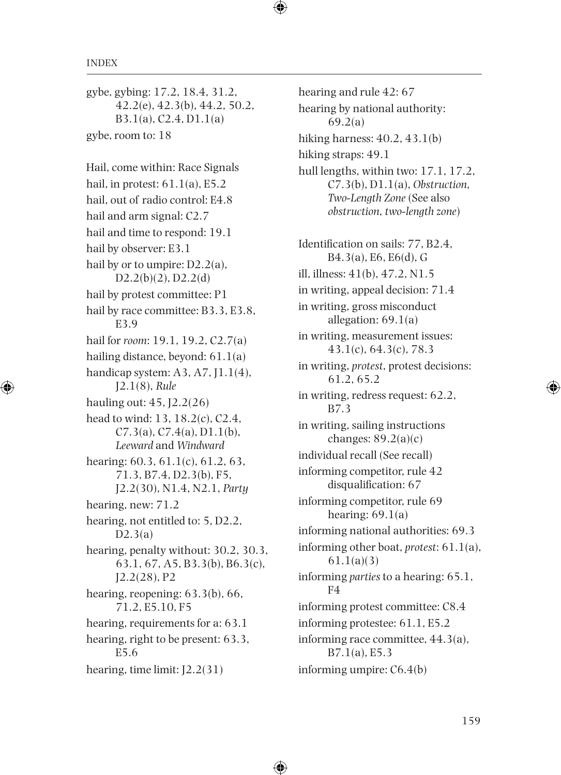⊕

gybe, gybing: 17.2, 18.4, 31.2, 42.2(e), 42.3(b), 44.2, 50.2, B3.1(a), C2.4, D1.1(a) gybe, room to: 18 Hail, come within: Race Signals hail, in protest: 61.1(a), E5.2 hail, out of radio control: E4.8 hail and arm signal: C2.7 hail and time to respond: 19.1 hail by observer: E3.1 hail by or to umpire:  $D2.2(a)$ , D2.2(b)(2), D2.2(d) hail by protest committee: P1 hail by race committee: B3.3, E3.8. E3.9 hail for *room*: 19.1, 19.2, C2.7(a) hailing distance, beyond: 61.1(a) handicap system:  $A3, A7, [1,1(4)]$ , J2.1(8), *Rule* hauling out: 45, J2.2(26) head to wind: 13, 18.2(c), C2.4,  $C7.3(a)$ ,  $C7.4(a)$ ,  $D1.1(b)$ , *Leeward* and *Windward* hearing: 60.3, 61.1(c), 61.2, 63, 71.3, B7.4, D2.3(b), F5, J2.2(30), N1.4, N2.1, *Party* hearing, new: 71.2 hearing, not entitled to: 5, D2.2,  $D2.3(a)$ hearing, penalty without: 30.2, 30.3, 63.1, 67, A5, B3.3(b), B6.3(c), J2.2(28), P2 hearing, reopening: 63.3(b), 66, 71.2, E5.10, F5 hearing, requirements for a: 63.1 hearing, right to be present: 63.3, E5.6 hearing, time limit: J2.2(31)

hearing and rule 42: 67 hearing by national authority: 69.2(a) hiking harness: 40.2, 43.1(b) hiking straps: 49.1 hull lengths, within two: 17.1, 17.2, C7.3(b), D1.1(a), *Obstruction*, *Two-Length Zone* (See also *obstruction*, *two-length zone*) Identification on sails: 77, B2.4, B4.3(a), E6, E6(d), G ill, illness: 41(b), 47.2, N1.5 in writing, appeal decision: 71.4 in writing, gross misconduct allegation: 69.1(a) in writing, measurement issues: 43.1(c), 64.3(c), 78.3 in writing, *protest*, protest decisions: 61.2, 65.2 in writing, redress request: 62.2, B7.3 in writing, sailing instructions changes:  $89.2(a)(c)$ individual recall (See recall) informing competitor, rule 42 disqualification: 67 informing competitor, rule 69 hearing:  $69.1(a)$ informing national authorities: 69.3 informing other boat, *protest*: 61.1(a), 61.1(a)(3) informing *parties* to a hearing: 65.1, F4 informing protest committee: C8.4 informing protestee: 61.1, E5.2 informing race committee, 44.3(a), B7.1(a), E5.3 informing umpire: C6.4(b)

 $\circledast$ 

 $\bigoplus$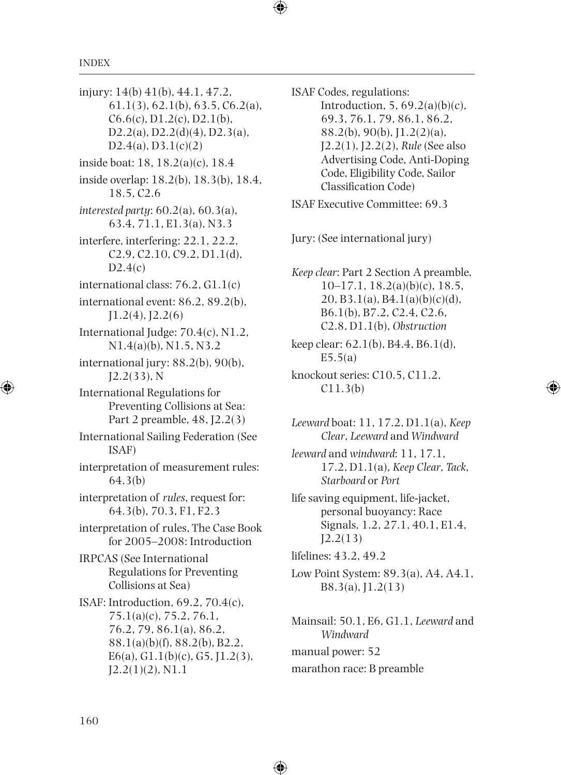injury: 14(b) 41(b), 44.1, 47.2, 61.1(3), 62.1(b), 63.5, C6.2(a), C6.6(c), D1.2(c), D2.1(b), D2.2(a), D2.2(d)(4), D2.3(a),  $D2.4(a)$ ,  $D3.1(c)(2)$ inside boat: 18, 18.2(a)(c), 18.4 inside overlap: 18.2(b), 18.3(b), 18.4, 18.5, C2.6 *interested party*: 60.2(a), 60.3(a), 63.4, 71.1, E1.3(a), N3.3 interfere, interfering: 22.1, 22.2, C2.9, C2.10, C9.2, D1.1(d),  $D2.4(c)$ international class: 76.2, G1.1(c) international event: 86.2, 89.2(b),  $[1.2(4), [2.2(6)]$ International Judge: 70.4(c), N1.2, N1.4(a)(b), N1.5, N3.2 international jury: 88.2(b), 90(b),  $[2.2(33), N]$ International Regulations for Preventing Collisions at Sea: Part 2 preamble, 48, J2.2(3) International Sailing Federation (See ISAF) interpretation of measurement rules: 64.3(b) interpretation of *rules*, request for: 64.3(b), 70.3, F1, F2.3 interpretation of rules, The Case Book for 2005–2008: Introduction IRPCAS (See International Regulations for Preventing Collisions at Sea) ISAF: Introduction, 69.2, 70.4(c), 75.1(a)(c), 75.2, 76.1, 76.2, 79, 86.1(a), 86.2, 88.1(a)(b)(f), 88.2(b), B2.2, E6(a),  $G1.1(b)(c)$ ,  $G5$ ,  $[1.2(3)$ ,  $[2.2(1)(2), N1.1]$ 

ISAF Codes, regulations: Introduction,  $5, 69.2(a)(b)(c)$ , 69.3, 76.1, 79, 86.1, 86.2, 88.2(b), 90(b), J1.2(2)(a), J2.2(1), J2.2(2), *Rule* (See also Advertising Code, Anti-Doping Code, Eligibility Code, Sailor Classification Code)

↔

ISAF Executive Committee: 69.3

Jury: (See international jury)

*Keep clear*: Part 2 Section A preamble,  $10-17.1$ ,  $18.2(a)(b)(c)$ ,  $18.5$ , 20, B3.1(a), B4.1(a)(b)(c)(d), B6.1(b), B7.2, C2.4, C2.6, C2.8, D1.1(b), *Obstruction*

- keep clear: 62.1(b), B4.4, B6.1(d), E5.5(a)
- knockout series: C10.5, C11.2, C11.3(b)
- *Leeward* boat: 11, 17.2, D1.1(a), *Keep Clear*, *Leeward* and *Windward*

⊕

- *leeward* and *windward*: 11, 17.1, 17.2, D1.1(a), *Keep Clear*, *Tack*, *Starboard* or *Port*
- life saving equipment, life-jacket, personal buoyancy: Race Signals, 1.2, 27.1, 40.1, E1.4,  $I2.2(13)$

lifelines: 43.2, 49.2

 $\bigoplus$ 

Low Point System: 89.3(a), A4, A4.1, B8.3(a), J1.2(13)

Mainsail: 50.1, E6, G1.1, *Leeward* and *Windward* manual power: 52 marathon race: B preamble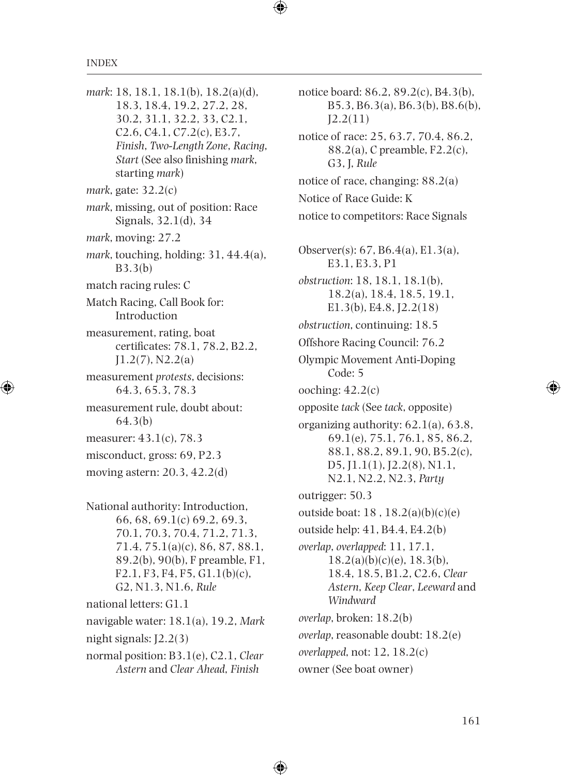*mark*: 18, 18.1, 18.1(b), 18.2(a)(d), 18.3, 18.4, 19.2, 27.2, 28, 30.2, 31.1, 32.2, 33, C2.1, C2.6, C4.1, C7.2(c), E3.7, *Finish*, *Two-Length Zone*, *Racing*, *Start* (See also finishing *mark*, starting *mark*)

↔

- *mark*, gate: 32.2(c)
- *mark*, missing, out of position: Race Signals, 32.1(d), 34
- *mark*, moving: 27.2
- *mark*, touching, holding: 31, 44.4(a), B3.3(b)
- match racing rules: C
- Match Racing, Call Book for: Introduction
- measurement, rating, boat certificates: 78.1, 78.2, B2.2,  $J1.2(7)$ , N2.2(a)
- measurement *protests*, decisions: 64.3, 65.3, 78.3
- measurement rule, doubt about: 64.3(b)
- measurer: 43.1(c), 78.3

⊕

- misconduct, gross: 69, P2.3
- moving astern: 20.3, 42.2(d)

National authority: Introduction, 66, 68, 69.1(c) 69.2, 69.3, 70.1, 70.3, 70.4, 71.2, 71.3, 71.4, 75.1(a)(c), 86, 87, 88.1, 89.2(b), 90(b), F preamble, F1, F2.1, F3, F4, F5, G1.1(b)(c), G2, N1.3, N1.6, *Rule*

national letters: G1.1

navigable water: 18.1(a), 19.2, *Mark*

night signals:  $[2.2(3)]$ 

normal position: B3.1(e), C2.1, *Clear Astern* and *Clear Ahead*, *Finish*

 $\bigoplus$ 

notice board: 86.2, 89.2(c), B4.3(b), B5.3, B6.3(a), B6.3(b), B8.6(b), J2.2(11) notice of race: 25, 63.7, 70.4, 86.2, 88.2(a), C preamble, F2.2(c), G3, J, *Rule* notice of race, changing: 88.2(a) Notice of Race Guide: K notice to competitors: Race Signals Observer(s): 67, B6.4(a), E1.3(a), E3.1, E3.3, P1 *obstruction*: 18, 18.1, 18.1(b), 18.2(a), 18.4, 18.5, 19.1, E1.3(b), E4.8, J2.2(18) *obstruction*, continuing: 18.5 Offshore Racing Council: 76.2 Olympic Movement Anti-Doping Code: 5 ooching:  $42.2(c)$ opposite *tack* (See *tack*, opposite) organizing authority: 62.1(a), 63.8, 69.1(e), 75.1, 76.1, 85, 86.2, 88.1, 88.2, 89.1, 90, B5.2(c), D5, J1.1(1), J2.2(8), N1.1, N2.1, N2.2, N2.3, *Party*  outrigger: 50.3 outside boat:  $18$ ,  $18.2(a)(b)(c)(e)$ outside help: 41, B4.4, E4.2(b) *overlap*, *overlapped*: 11, 17.1,  $18.2(a)(b)(c)(e)$ ,  $18.3(b)$ , 18.4, 18.5, B1.2, C2.6, *Clear Astern*, *Keep Clear*, *Leeward* and *Windward overlap*, broken: 18.2(b) *overlap*, reasonable doubt: 18.2(e) *overlapped*, not: 12, 18.2(c) owner (See boat owner)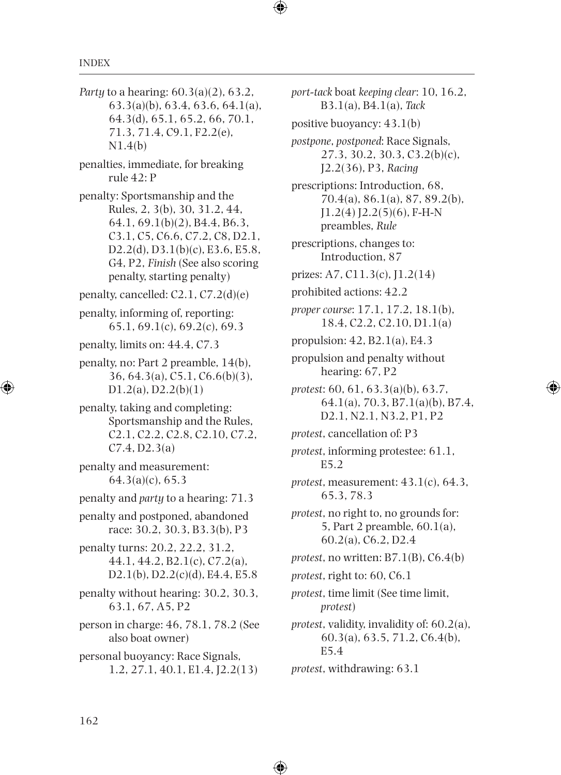*Party* to a hearing: 60.3(a)(2), 63.2, 63.3(a)(b), 63.4, 63.6, 64.1(a), 64.3(d), 65.1, 65.2, 66, 70.1, 71.3, 71.4, C9.1, F2.2(e), N1.4(b) penalties, immediate, for breaking rule 42: P penalty: Sportsmanship and the Rules, 2, 3(b), 30, 31.2, 44, 64.1, 69.1(b)(2), B4.4, B6.3, C3.1, C5, C6.6, C7.2, C8, D2.1, D2.2(d), D3.1(b)(c), E3.6, E5.8, G4, P2, *Finish* (See also scoring penalty, starting penalty) penalty, cancelled: C2.1, C7.2(d)(e) penalty, informing of, reporting: 65.1, 69.1(c), 69.2(c), 69.3 penalty, limits on: 44.4, C7.3 penalty, no: Part 2 preamble, 14(b), 36, 64.3(a), C5.1, C6.6(b)(3),  $D1.2(a)$ ,  $D2.2(b)(1)$ penalty, taking and completing: Sportsmanship and the Rules, C2.1, C2.2, C2.8, C2.10, C7.2, C7.4, D2.3(a) penalty and measurement: 64.3(a)(c), 65.3 penalty and *party* to a hearing: 71.3 penalty and postponed, abandoned race: 30.2, 30.3, B3.3(b), P3 penalty turns: 20.2, 22.2, 31.2, 44.1, 44.2, B2.1(c), C7.2(a),  $D2.1(b)$ ,  $D2.2(c)(d)$ , E4.4, E5.8 penalty without hearing: 30.2, 30.3, 63.1, 67, A5, P2 person in charge: 46, 78.1, 78.2 (See also boat owner) personal buoyancy: Race Signals,

1.2, 27.1, 40.1, E1.4, J2.2(13) 27.3, 30.2, 30.3, C3.2(b)(c), J2.2(36), P3, *Racing* prescriptions: Introduction, 68, 70.4(a), 86.1(a), 87, 89.2(b),  $[1.2(4)$   $[2.2(5)(6)$ , F-H-N preambles, *Rule* prescriptions, changes to: Introduction, 87 prizes: A7, C11.3(c), J1.2(14) prohibited actions: 42.2 *proper course*: 17.1, 17.2, 18.1(b), 18.4, C2.2, C2.10, D1.1(a) propulsion: 42, B2.1(a), E4.3 propulsion and penalty without hearing: 67, P2 *protest*: 60, 61, 63.3(a)(b), 63.7, 64.1(a), 70.3, B7.1(a)(b), B7.4, D2.1, N2.1, N3.2, P1, P2 *protest*, cancellation of: P3 *protest*, informing protestee: 61.1, E5.2 *protest*, measurement: 43.1(c), 64.3, 65.3, 78.3 *protest*, no right to, no grounds for: 5, Part 2 preamble, 60.1(a), 60.2(a), C6.2, D2.4 *protest*, no written: B7.1(B), C6.4(b) *protest*, right to: 60, C6.1 *protest*, time limit (See time limit, *protest*) *protest*, validity, invalidity of: 60.2(a), 60.3(a), 63.5, 71.2, C6.4(b), E5.4 *protest*, withdrawing: 63.1

 $\bigoplus$ 

⊕

*port-tack* boat *keeping clear*: 10, 16.2, B3.1(a), B4.1(a), *Tack* positive buoyancy: 43.1(b) *postpone*, *postponed*: Race Signals,

 $\bigcirc$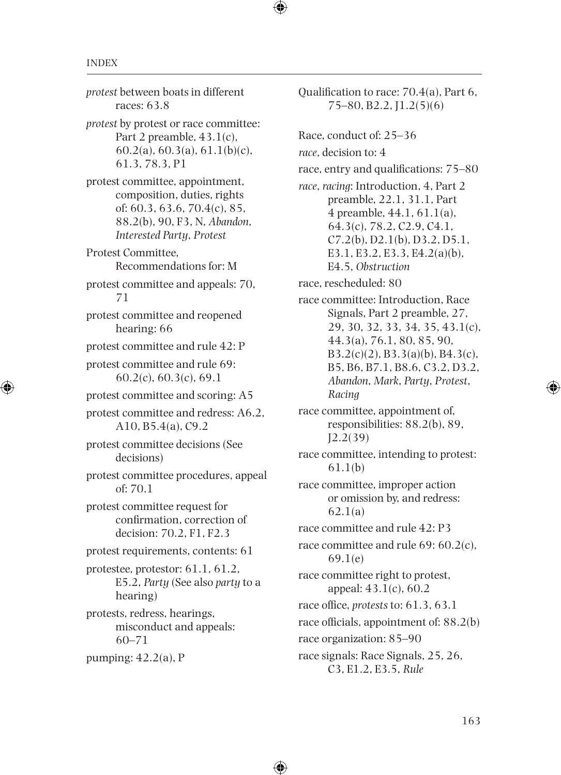⊕

*protest* between boats in different races: 63.8 *protest* by protest or race committee: Part 2 preamble, 43.1(c),  $60.2(a)$ ,  $60.3(a)$ ,  $61.1(b)(c)$ , 61.3, 78.3, P1 protest committee, appointment, composition, duties, rights of: 60.3, 63.6, 70.4(c), 85, 88.2(b), 90, F3, N, *Abandon*, *Interested Party*, *Protest* Protest Committee, Recommendations for: M protest committee and appeals: 70, 71 protest committee and reopened hearing: 66 protest committee and rule 42: P protest committee and rule 69: 60.2(c), 60.3(c), 69.1 protest committee and scoring: A5 protest committee and redress: A6.2, A10, B5.4(a), C9.2 protest committee decisions (See decisions) protest committee procedures, appeal of: 70.1 protest committee request for confirmation, correction of decision: 70.2, F1, F2.3 protest requirements, contents: 61 protestee, protestor: 61.1, 61.2, E5.2, *Party* (See also *party* to a hearing) protests, redress, hearings, misconduct and appeals: 60–71 pumping:  $42.2(a)$ , P

 $\textcolor{blue}{\bigcirc}$ 

 $\bigoplus$ 

Qualification to race: 70.4(a), Part 6, 75–80, B2.2, J1.2(5)(6) Race, conduct of: 25–36 *race*, decision to: 4 race, entry and qualifications: 75–80 *race*, *racing*: Introduction, 4, Part 2 preamble, 22.1, 31.1, Part 4 preamble, 44.1, 61.1(a), 64.3(c), 78.2, C2.9, C4.1, C7.2(b), D2.1(b), D3.2, D5.1, E3.1, E3.2, E3.3, E4.2(a)(b), E4.5, *Obstruction* race, rescheduled: 80 race committee: Introduction, Race Signals, Part 2 preamble, 27, 29, 30, 32, 33, 34, 35, 43.1(c), 44.3(a), 76.1, 80, 85, 90, B3.2(c)(2), B3.3(a)(b), B4.3(c), B5, B6, B7.1, B8.6, C3.2, D3.2, *Abandon*, *Mark*, *Party*, *Protest*, *Racing* race committee, appointment of, responsibilities: 88.2(b), 89, J2.2(39) race committee, intending to protest: 61.1(b) race committee, improper action or omission by, and redress: 62.1(a) race committee and rule 42: P3 race committee and rule 69: 60.2(c), 69.1(e) race committee right to protest, appeal: 43.1(c), 60.2 race office, *protests* to: 61.3, 63.1 race officials, appointment of: 88.2(b) race organization: 85–90 race signals: Race Signals, 25, 26, C3, E1.2, E3.5, *Rule*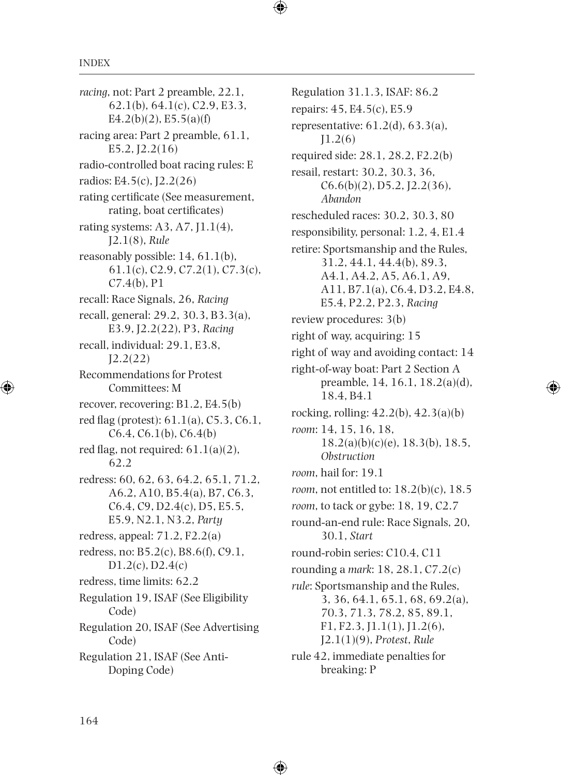*racing*, not: Part 2 preamble, 22.1, 62.1(b), 64.1(c), C2.9, E3.3,  $E4.2(b)(2)$ ,  $E5.5(a)(f)$ racing area: Part 2 preamble, 61.1, E5.2, J2.2(16) radio-controlled boat racing rules: E radios: E4.5(c), J2.2(26) rating certificate (See measurement, rating, boat certificates) rating systems: A3, A7, J1.1(4), J2.1(8), *Rule* reasonably possible: 14, 61.1(b), 61.1(c), C2.9, C7.2(1), C7.3(c), C7.4(b), P1 recall: Race Signals, 26, *Racing* recall, general: 29.2, 30.3, B3.3(a), E3.9, J2.2(22), P3, *Racing* recall, individual: 29.1, E3.8, J2.2(22) Recommendations for Protest Committees: M recover, recovering: B1.2, E4.5(b) red flag (protest): 61.1(a), C5.3, C6.1, C6.4, C6.1(b), C6.4(b) red flag, not required:  $61.1(a)(2)$ , 62.2 redress: 60, 62, 63, 64.2, 65.1, 71.2, A6.2, A10, B5.4(a), B7, C6.3, C6.4, C9, D2.4(c), D5, E5.5, E5.9, N2.1, N3.2, *Party* redress, appeal: 71.2, F2.2(a) redress, no: B5.2(c), B8.6(f), C9.1, D1.2(c), D2.4(c) redress, time limits: 62.2 Regulation 19, ISAF (See Eligibility Code) Regulation 20, ISAF (See Advertising Code) Regulation 21, ISAF (See Anti-Doping Code)

Regulation 31.1.3, ISAF: 86.2 repairs: 45, E4.5(c), E5.9 representative: 61.2(d), 63.3(a),  $[1.2(6)]$ required side: 28.1, 28.2, F2.2(b) resail, restart: 30.2, 30.3, 36,  $C6.6(b)(2)$ , D5.2, J2.2(36), *Abandon* rescheduled races: 30.2, 30.3, 80 responsibility, personal: 1.2, 4, E1.4 retire: Sportsmanship and the Rules, 31.2, 44.1, 44.4(b), 89.3, A4.1, A4.2, A5, A6.1, A9, A11, B7.1(a), C6.4, D3.2, E4.8, E5.4, P2.2, P2.3, *Racing* review procedures: 3(b) right of way, acquiring: 15 right of way and avoiding contact: 14 right-of-way boat: Part 2 Section A preamble, 14, 16.1, 18.2(a)(d), 18.4, B4.1 rocking, rolling: 42.2(b), 42.3(a)(b) *room*: 14, 15, 16, 18,  $18.2(a)(b)(c)(e), 18.3(b), 18.5,$ *Obstruction room*, hail for: 19.1 *room*, not entitled to: 18.2(b)(c), 18.5 *room*, to tack or gybe: 18, 19, C2.7 round-an-end rule: Race Signals, 20, 30.1, *Start* round-robin series: C10.4, C11 rounding a *mark*: 18, 28.1, C7.2(c) *rule*: Sportsmanship and the Rules, 3, 36, 64.1, 65.1, 68, 69.2(a), 70.3, 71.3, 78.2, 85, 89.1, F1, F2.3, J1.1(1), J1.2(6), J2.1(1)(9), *Protest*, *Rule* rule 42, immediate penalties for breaking: P

⊕

 $\circledast$ 

 $\bigoplus$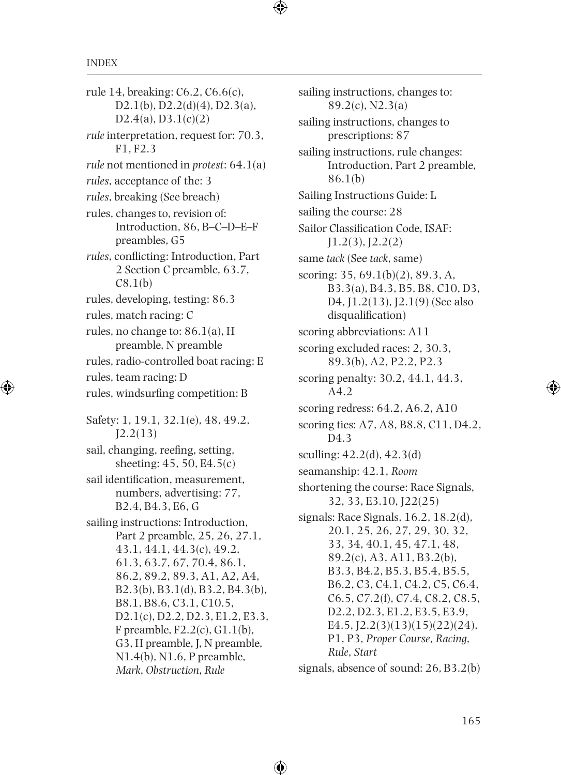⊕

rule 14, breaking: C6.2, C6.6(c), D2.1(b), D2.2(d)(4), D2.3(a),  $D2.4(a)$ ,  $D3.1(c)(2)$ *rule* interpretation, request for: 70.3, F1, F2.3 *rule* not mentioned in *protest*: 64.1(a) *rules*, acceptance of the: 3 *rules*, breaking (See breach) rules, changes to, revision of: Introduction, 86, B–C–D–E–F preambles, G5 *rules*, conflicting: Introduction, Part 2 Section C preamble, 63.7,  $C8.1(b)$ rules, developing, testing: 86.3 rules, match racing: C rules, no change to: 86.1(a), H preamble, N preamble rules, radio-controlled boat racing: E rules, team racing: D rules, windsurfing competition: B Safety: 1, 19.1, 32.1(e), 48, 49.2, J2.2(13) sail, changing, reefing, setting, sheeting: 45, 50, E4.5(c) sail identification, measurement, numbers, advertising: 77, B2.4, B4.3, E6, G sailing instructions: Introduction, Part 2 preamble, 25, 26, 27.1, 43.1, 44.1, 44.3(c), 49.2, 61.3, 63.7, 67, 70.4, 86.1, 86.2, 89.2, 89.3, A1, A2, A4, B2.3(b), B3.1(d), B3.2, B4.3(b), B8.1, B8.6, C3.1, C10.5, D2.1(c), D2.2, D2.3, E1.2, E3.3, F preamble, F2.2(c), G1.1(b), G3, H preamble, J, N preamble, N1.4(b), N1.6, P preamble, *Mark*, *Obstruction*, *Rule*

 $\circledast$ 

sailing instructions, changes to: 89.2(c), N2.3(a) sailing instructions, changes to prescriptions: 87 sailing instructions, rule changes: Introduction, Part 2 preamble, 86.1(b) Sailing Instructions Guide: L sailing the course: 28 Sailor Classification Code, ISAF: J1.2(3), J2.2(2) same *tack* (See *tack*, same) scoring: 35, 69.1(b)(2), 89.3, A, B3.3(a), B4.3, B5, B8, C10, D3, D4, J1.2(13), J2.1(9) (See also disqualification) scoring abbreviations: A11 scoring excluded races: 2, 30.3, 89.3(b), A2, P2.2, P2.3 scoring penalty: 30.2, 44.1, 44.3, A4.2 scoring redress: 64.2, A6.2, A10 scoring ties: A7, A8, B8.8, C11, D4.2, D4.3 sculling: 42.2(d), 42.3(d) seamanship: 42.1, *Room* shortening the course: Race Signals, 32, 33, E3.10, J22(25) signals: Race Signals, 16.2, 18.2(d), 20.1, 25, 26, 27, 29, 30, 32, 33, 34, 40.1, 45, 47.1, 48, 89.2(c), A3, A11, B3.2(b), B3.3, B4.2, B5.3, B5.4, B5.5, B6.2, C3, C4.1, C4.2, C5, C6.4, C6.5, C7.2(f), C7.4, C8.2, C8.5, D2.2, D2.3, E1.2, E3.5, E3.9, E4.5, J2.2(3)(13)(15)(22)(24), P1, P3, *Proper Course*, *Racing*, *Rule*, *Start*

signals, absence of sound: 26, B3.2(b)

 $\bigoplus$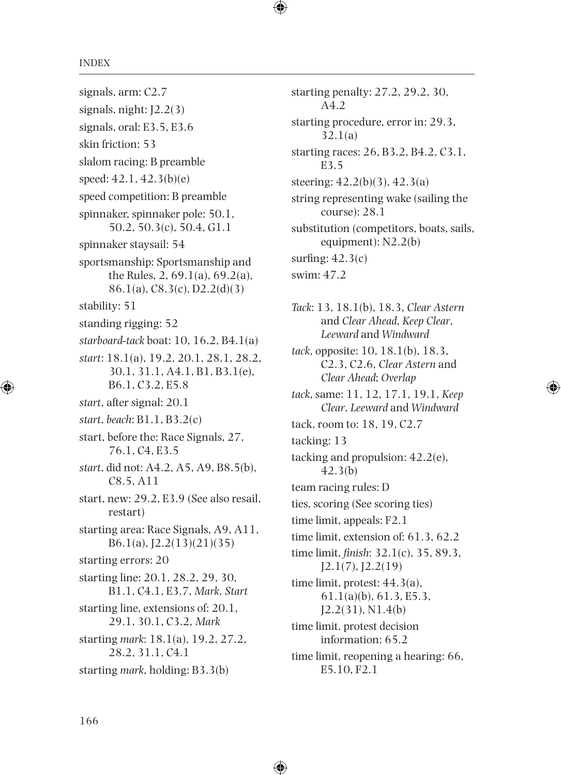$\circledast$ 

#### INDEX

signals, arm: C2.7 signals, night: [2.2(3) signals, oral: E3.5, E3.6 skin friction: 53 slalom racing: B preamble speed: 42.1, 42.3(b)(e) speed competition: B preamble spinnaker, spinnaker pole: 50.1, 50.2, 50.3(c), 50.4, G1.1 spinnaker staysail: 54 sportsmanship: Sportsmanship and the Rules, 2, 69.1(a), 69.2(a), 86.1(a), C8.3(c), D2.2(d)(3) stability: 51 standing rigging: 52 *starboard-tack* boat: 10, 16.2, B4.1(a) *start*: 18.1(a), 19.2, 20.1, 28.1, 28.2, 30.1, 31.1, A4.1, B1, B3.1(e), B6.1, C3.2, E5.8 *start*, after signal: 20.1 *start*, *beach*: B1.1, B3.2(c) start, before the: Race Signals, 27, 76.1, C4, E3.5 *start*, did not: A4.2, A5, A9, B8.5(b), C8.5, A11 start, new: 29.2, E3.9 (See also resail, restart) starting area: Race Signals, A9, A11, B6.1(a), J2.2(13)(21)(35) starting errors: 20 starting line: 20.1, 28.2, 29, 30, B1.1, C4.1, E3.7, *Mark*, *Start* starting line, extensions of: 20.1, 29.1, 30.1, C3.2, *Mark* starting *mark*: 18.1(a), 19.2, 27.2, 28.2, 31.1, C4.1 starting *mark*, holding: B3.3(b)

starting penalty: 27.2, 29.2, 30, A4.2 starting procedure, error in: 29.3, 32.1(a) starting races: 26, B3.2, B4.2, C3.1, E3.5 steering: 42.2(b)(3), 42.3(a) string representing wake (sailing the course): 28.1 substitution (competitors, boats, sails, equipment): N2.2(b) surfing:  $42.3(c)$ swim:  $47.2$ *Tack*: 13, 18.1(b), 18.3, *Clear Astern* 

- and *Clear Ahead*, *Keep Clear*, *Leeward* and *Windward*
- *tack*, opposite: 10, 18.1(b), 18.3, C2.3, C2.6, *Clear Astern* and *Clear Ahead*; *Overlap*
- *tack*, same: 11, 12, 17.1, 19.1, *Keep Clear*, *Leeward* and *Windward*

⊕

- tack, room to: 18, 19, C2.7
- tacking: 13

tacking and propulsion: 42.2(e), 42.3(b) team racing rules: D

- ties, scoring (See scoring ties)
- time limit, appeals: F2.1
- time limit, extension of: 61.3, 62.2

time limit, *finish*: 32.1(c), 35, 89.3,  $J2.1(7), J2.2(19)$ 

- time limit, protest: 44.3(a), 61.1(a)(b), 61.3, E5.3,  $[2.2(31), N1.4(b)]$
- time limit, protest decision information: 65.2
- time limit, reopening a hearing: 66, E5.10, F2.1

166

⊕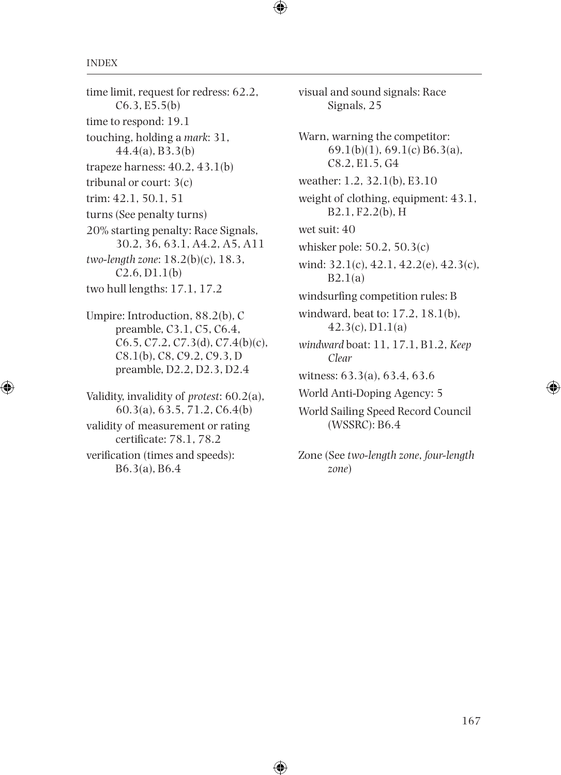#### INDEX

⊕

time limit, request for redress: 62.2, C6.3, E5.5(b) time to respond: 19.1 touching, holding a *mark*: 31, 44.4(a), B3.3(b) trapeze harness: 40.2, 43.1(b) tribunal or court: 3(c) trim: 42.1, 50.1, 51 turns (See penalty turns) 20% starting penalty: Race Signals, 30.2, 36, 63.1, A4.2, A5, A11 *two-length zone*: 18.2(b)(c), 18.3, C2.6, D1.1(b) two hull lengths: 17.1, 17.2 Umpire: Introduction, 88.2(b), C

 $\bigcirc$ 

preamble, C3.1, C5, C6.4, C6.5, C7.2, C7.3(d), C7.4(b)(c), C8.1(b), C8, C9.2, C9.3, D preamble, D2.2, D2.3, D2.4

Validity, invalidity of *protest*: 60.2(a), 60.3(a), 63.5, 71.2, C6.4(b) validity of measurement or rating certificate: 78.1, 78.2 verification (times and speeds): B6.3(a), B6.4

visual and sound signals: Race Signals, 25 Warn, warning the competitor: 69.1(b)(1), 69.1(c) B6.3(a), C8.2, E1.5, G4 weather: 1.2, 32.1(b), E3.10 weight of clothing, equipment: 43.1, B2.1, F2.2(b), H wet suit: 40 whisker pole: 50.2, 50.3(c) wind: 32.1(c), 42.1, 42.2(e), 42.3(c), B2.1(a) windsurfing competition rules: B windward, beat to: 17.2, 18.1(b), 42.3(c), D1.1(a) *windward* boat: 11, 17.1, B1.2, *Keep Clear* witness: 63.3(a), 63.4, 63.6 World Anti-Doping Agency: 5 World Sailing Speed Record Council (WSSRC): B6.4 Zone (See *two-length zone*, *four-length* 

*zone*)

 $\bigoplus$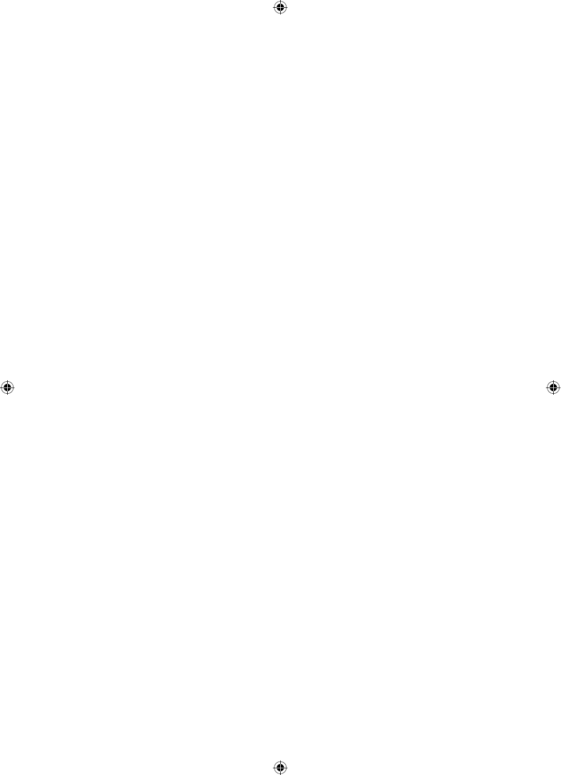

 $\bigoplus$ 



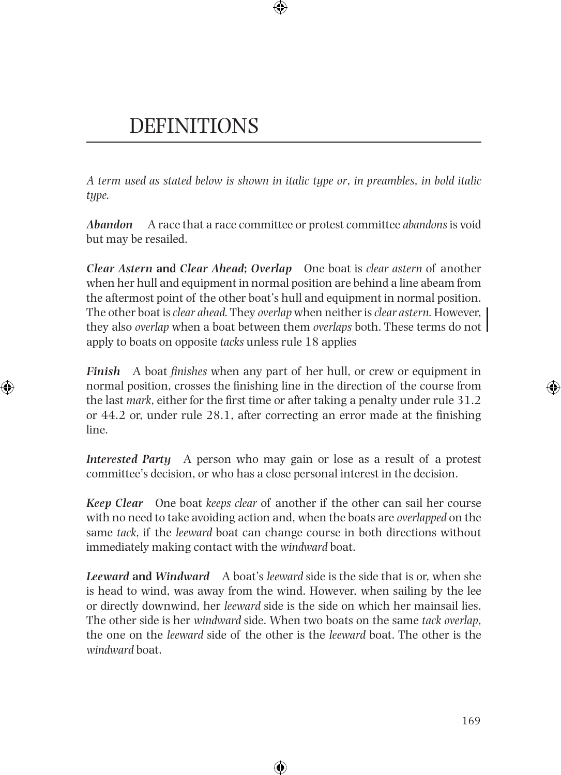# **DEFINITIONS**

♠

*A term used as stated below is shown in italic type or*, *in preambles*, *in bold italic type.*

↔

*Abandon* A race that a race committee or protest committee *abandons* is void but may be resailed.

*Clear Astern* **and** *Clear Ahead***;** *Overlap* One boat is *clear astern* of another when her hull and equipment in normal position are behind a line abeam from the aftermost point of the other boat's hull and equipment in normal position. The other boat is *clear ahead.* They *overlap* when neither is *clear astern.* However, they also *overlap* when a boat between them *overlaps* both. These terms do not apply to boats on opposite *tacks* unless rule 18 applies

*Finish* A boat *finishes* when any part of her hull, or crew or equipment in normal position, crosses the finishing line in the direction of the course from the last *mark*, either for the first time or after taking a penalty under rule 31.2 or 44.2 or, under rule 28.1, after correcting an error made at the finishing line.

*Interested Party* A person who may gain or lose as a result of a protest committee's decision, or who has a close personal interest in the decision.

*Keep Clear* One boat *keeps clear* of another if the other can sail her course with no need to take avoiding action and, when the boats are *overlapped* on the same *tack*, if the *leeward* boat can change course in both directions without immediately making contact with the *windward* boat.

*Leeward* **and** *Windward* A boat's *leeward* side is the side that is or, when she is head to wind, was away from the wind. However, when sailing by the lee or directly downwind, her *leeward* side is the side on which her mainsail lies. The other side is her *windward* side. When two boats on the same *tack overlap*, the one on the *leeward* side of the other is the *leeward* boat. The other is the *windward* boat.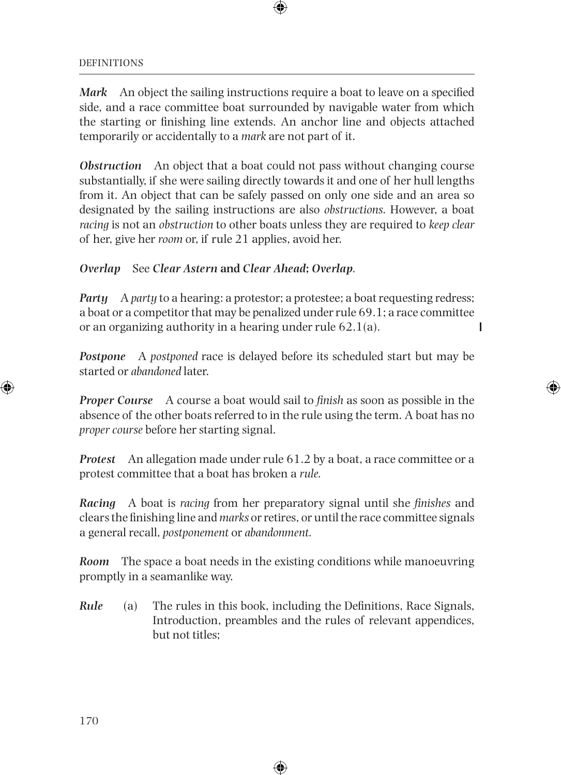#### **DEFINITIONS**

*Mark* An object the sailing instructions require a boat to leave on a specified side, and a race committee boat surrounded by navigable water from which the starting or finishing line extends. An anchor line and objects attached temporarily or accidentally to a *mark* are not part of it.

↔

*Obstruction* An object that a boat could not pass without changing course substantially, if she were sailing directly towards it and one of her hull lengths from it. An object that can be safely passed on only one side and an area so designated by the sailing instructions are also *obstructions.* However, a boat *racing* is not an *obstruction* to other boats unless they are required to *keep clear* of her, give her *room* or, if rule 21 applies, avoid her.

#### *Overlap* See *Clear Astern* **and** *Clear Ahead***;** *Overlap.*

*Party* A *party* to a hearing: a protestor; a protestee; a boat requesting redress; a boat or a competitor that may be penalized under rule 69.1; a race committee or an organizing authority in a hearing under rule 62.1(a).

I

⊕

*Postpone* A *postponed* race is delayed before its scheduled start but may be started or *abandoned* later.

*Proper Course* A course a boat would sail to *finish* as soon as possible in the absence of the other boats referred to in the rule using the term. A boat has no *proper course* before her starting signal.

*Protest* An allegation made under rule 61.2 by a boat, a race committee or a protest committee that a boat has broken a *rule.*

*Racing* A boat is *racing* from her preparatory signal until she *finishes* and clears the finishing line and *marks* or retires, or until the race committee signals a general recall, *postponement* or *abandonment.*

*Room* The space a boat needs in the existing conditions while manoeuvring promptly in a seamanlike way.

*Rule* (a) The rules in this book, including the Definitions, Race Signals, Introduction, preambles and the rules of relevant appendices, but not titles;

 $\bigoplus$